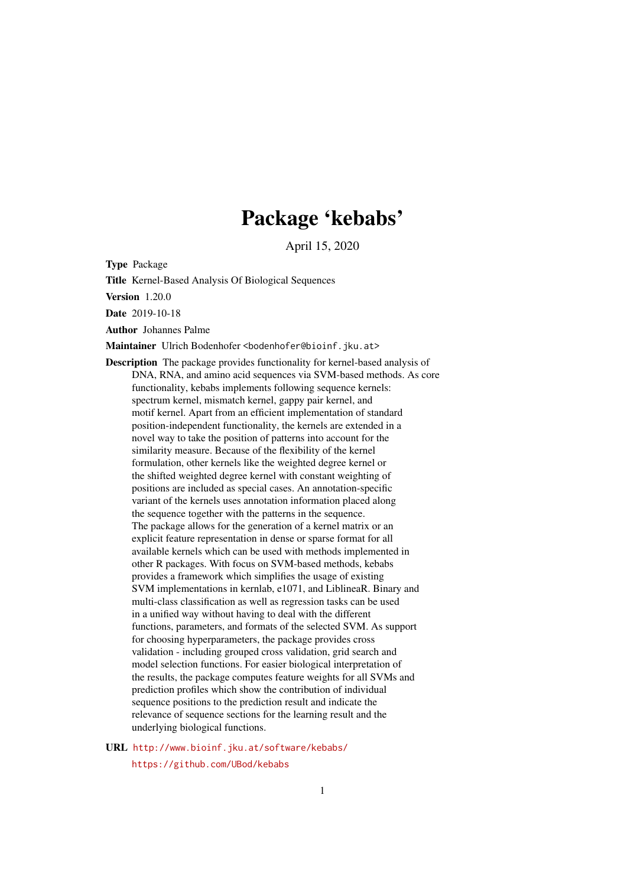# Package 'kebabs'

April 15, 2020

<span id="page-0-0"></span>Type Package

Title Kernel-Based Analysis Of Biological Sequences

Version 1.20.0

Date 2019-10-18

Author Johannes Palme

Maintainer Ulrich Bodenhofer <br/>bodenhofer@bioinf.jku.at>

Description The package provides functionality for kernel-based analysis of DNA, RNA, and amino acid sequences via SVM-based methods. As core functionality, kebabs implements following sequence kernels: spectrum kernel, mismatch kernel, gappy pair kernel, and motif kernel. Apart from an efficient implementation of standard position-independent functionality, the kernels are extended in a novel way to take the position of patterns into account for the similarity measure. Because of the flexibility of the kernel formulation, other kernels like the weighted degree kernel or the shifted weighted degree kernel with constant weighting of positions are included as special cases. An annotation-specific variant of the kernels uses annotation information placed along the sequence together with the patterns in the sequence. The package allows for the generation of a kernel matrix or an explicit feature representation in dense or sparse format for all available kernels which can be used with methods implemented in other R packages. With focus on SVM-based methods, kebabs provides a framework which simplifies the usage of existing SVM implementations in kernlab, e1071, and LiblineaR. Binary and multi-class classification as well as regression tasks can be used in a unified way without having to deal with the different functions, parameters, and formats of the selected SVM. As support for choosing hyperparameters, the package provides cross validation - including grouped cross validation, grid search and model selection functions. For easier biological interpretation of the results, the package computes feature weights for all SVMs and prediction profiles which show the contribution of individual sequence positions to the prediction result and indicate the relevance of sequence sections for the learning result and the underlying biological functions.

URL <http://www.bioinf.jku.at/software/kebabs/> <https://github.com/UBod/kebabs>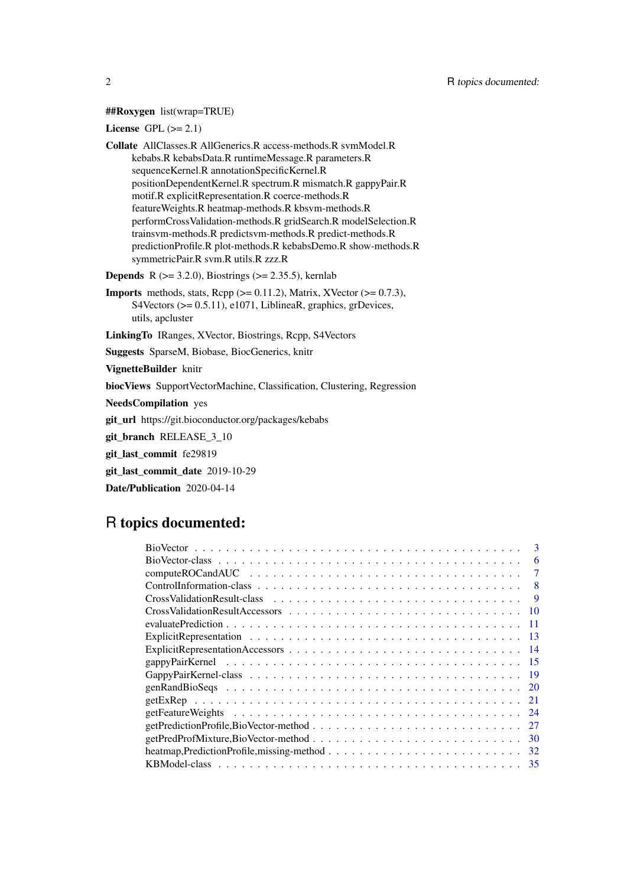# ##Roxygen list(wrap=TRUE)

License GPL  $(>= 2.1)$ 

Collate AllClasses.R AllGenerics.R access-methods.R svmModel.R kebabs.R kebabsData.R runtimeMessage.R parameters.R sequenceKernel.R annotationSpecificKernel.R positionDependentKernel.R spectrum.R mismatch.R gappyPair.R motif.R explicitRepresentation.R coerce-methods.R featureWeights.R heatmap-methods.R kbsvm-methods.R performCrossValidation-methods.R gridSearch.R modelSelection.R trainsvm-methods.R predictsvm-methods.R predict-methods.R predictionProfile.R plot-methods.R kebabsDemo.R show-methods.R symmetricPair.R svm.R utils.R zzz.R

- **Depends** R  $(>= 3.2.0)$ , Biostrings  $(>= 2.35.5)$ , kernlab
- **Imports** methods, stats, Rcpp  $(>= 0.11.2)$ , Matrix, XVector  $(>= 0.7.3)$ , S4Vectors  $(>= 0.5.11)$ , e1071, LiblineaR, graphics, grDevices, utils, apcluster

LinkingTo IRanges, XVector, Biostrings, Rcpp, S4Vectors

Suggests SparseM, Biobase, BiocGenerics, knitr

VignetteBuilder knitr

biocViews SupportVectorMachine, Classification, Clustering, Regression

NeedsCompilation yes

git\_url https://git.bioconductor.org/packages/kebabs

git branch RELEASE 3 10

```
git_last_commit fe29819
```
git\_last\_commit\_date 2019-10-29

Date/Publication 2020-04-14

# R topics documented:

| 3   |
|-----|
| 6   |
| 7   |
| 8   |
|     |
|     |
| -11 |
| -13 |
| -14 |
| -15 |
|     |
|     |
|     |
|     |
| 27  |
| 30  |
| 32  |
| 35  |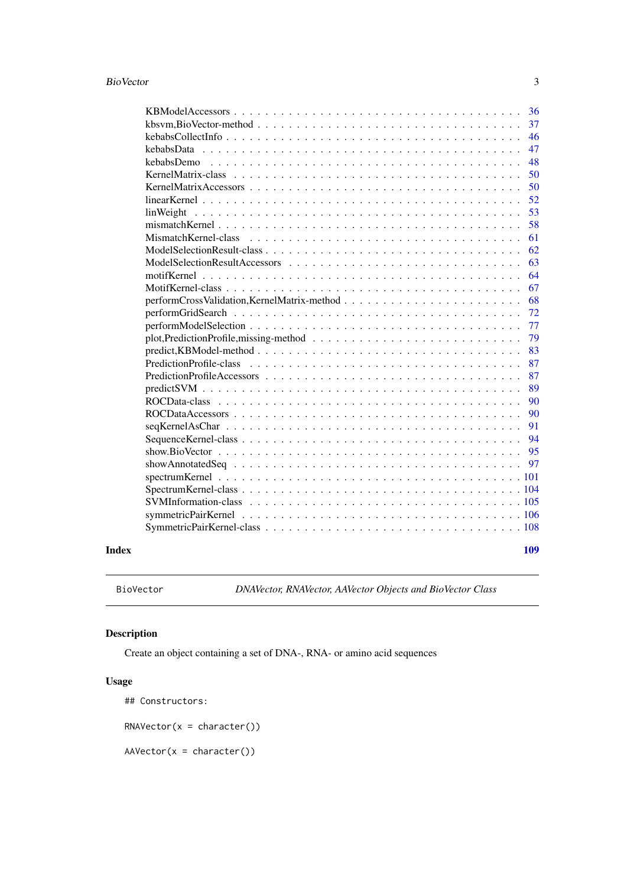<span id="page-2-0"></span>

|              | 36                                                                                                                  |
|--------------|---------------------------------------------------------------------------------------------------------------------|
|              | 37                                                                                                                  |
|              | 46                                                                                                                  |
|              | 47                                                                                                                  |
|              | 48                                                                                                                  |
|              | 50                                                                                                                  |
|              | 50                                                                                                                  |
|              | 52                                                                                                                  |
|              | 53                                                                                                                  |
|              | 58                                                                                                                  |
|              | 61                                                                                                                  |
|              | 62                                                                                                                  |
|              | 63                                                                                                                  |
|              | 64                                                                                                                  |
|              | 67                                                                                                                  |
|              | 68                                                                                                                  |
|              | 72                                                                                                                  |
|              | 77                                                                                                                  |
|              | 79                                                                                                                  |
|              | 83<br>$predict, KBModel-method \dots \dots \dots \dots \dots \dots \dots \dots \dots \dots \dots \dots \dots \dots$ |
|              | 87                                                                                                                  |
|              | 87                                                                                                                  |
|              | 89                                                                                                                  |
|              | 90                                                                                                                  |
|              | 90                                                                                                                  |
|              | 91                                                                                                                  |
|              | 94                                                                                                                  |
|              | 95                                                                                                                  |
|              | 97                                                                                                                  |
|              |                                                                                                                     |
|              |                                                                                                                     |
|              |                                                                                                                     |
|              |                                                                                                                     |
|              |                                                                                                                     |
|              |                                                                                                                     |
| <b>Index</b> | 109                                                                                                                 |

BioVector *DNAVector, RNAVector, AAVector Objects and BioVector Class*

# Description

Create an object containing a set of DNA-, RNA- or amino acid sequences

# Usage

## Constructors:

 $RNAVector(x = character())$ 

 $AAVector(x = character())$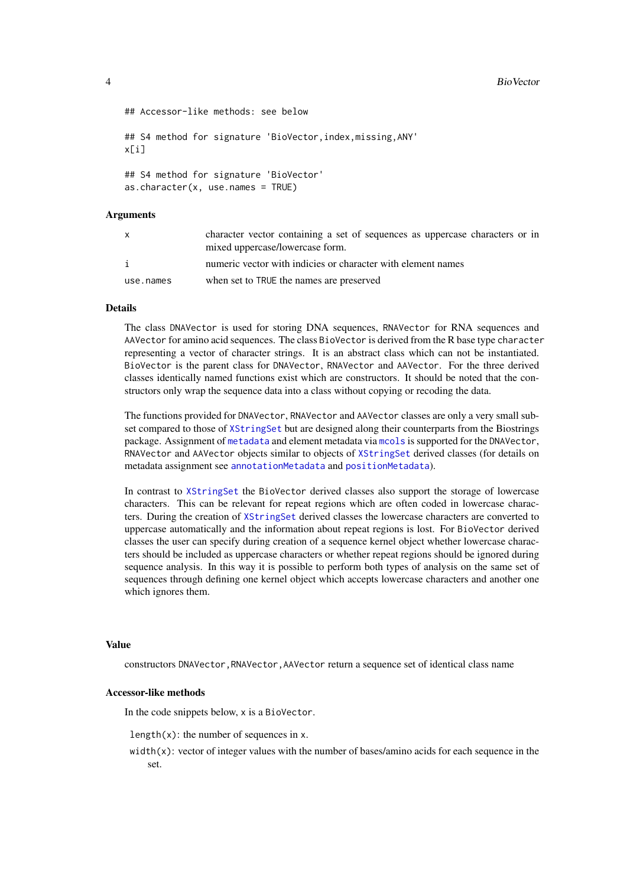```
## Accessor-like methods: see below
## S4 method for signature 'BioVector, index, missing, ANY'
x[i]
## S4 method for signature 'BioVector'
as.character(x, use.names = TRUE)
```
#### Arguments

| X         | character vector containing a set of sequences as uppercase characters or in<br>mixed uppercase/lowercase form. |
|-----------|-----------------------------------------------------------------------------------------------------------------|
| j.        | numeric vector with indicies or character with element names                                                    |
| use.names | when set to TRUE the names are preserved                                                                        |

# **Details**

The class DNAVector is used for storing DNA sequences, RNAVector for RNA sequences and AAVector for amino acid sequences. The class BioVector is derived from the R base type character representing a vector of character strings. It is an abstract class which can not be instantiated. BioVector is the parent class for DNAVector, RNAVector and AAVector. For the three derived classes identically named functions exist which are constructors. It should be noted that the constructors only wrap the sequence data into a class without copying or recoding the data.

The functions provided for DNAVector, RNAVector and AAVector classes are only a very small subset compared to those of [XStringSet](#page-0-0) but are designed along their counterparts from the Biostrings package. Assignment of [metadata](#page-0-0) and element metadata via [mcols](#page-0-0) is supported for the DNAVector, RNAVector and AAVector objects similar to objects of [XStringSet](#page-0-0) derived classes (for details on metadata assignment see [annotationMetadata](#page-96-1) and [positionMetadata](#page-52-1)).

In contrast to [XStringSet](#page-0-0) the BioVector derived classes also support the storage of lowercase characters. This can be relevant for repeat regions which are often coded in lowercase characters. During the creation of [XStringSet](#page-0-0) derived classes the lowercase characters are converted to uppercase automatically and the information about repeat regions is lost. For BioVector derived classes the user can specify during creation of a sequence kernel object whether lowercase characters should be included as uppercase characters or whether repeat regions should be ignored during sequence analysis. In this way it is possible to perform both types of analysis on the same set of sequences through defining one kernel object which accepts lowercase characters and another one which ignores them.

# Value

constructors DNAVector,RNAVector,AAVector return a sequence set of identical class name

# Accessor-like methods

In the code snippets below, x is a BioVector.

length $(x)$ : the number of sequences in x.

width(x): vector of integer values with the number of bases/amino acids for each sequence in the set.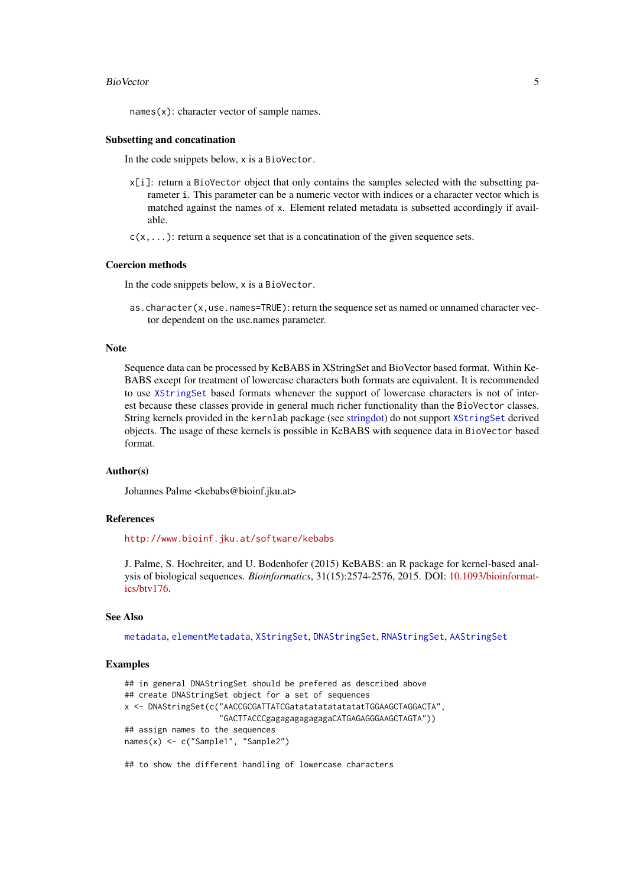#### BioVector 5

names $(x)$ : character vector of sample names.

#### Subsetting and concatination

In the code snippets below, x is a BioVector.

- x[i]: return a BioVector object that only contains the samples selected with the subsetting parameter i. This parameter can be a numeric vector with indices or a character vector which is matched against the names of x. Element related metadata is subsetted accordingly if available.
- $c(x, \ldots)$ : return a sequence set that is a concatination of the given sequence sets.

#### Coercion methods

In the code snippets below, x is a BioVector.

as.character(x,use.names=TRUE): return the sequence set as named or unnamed character vector dependent on the use.names parameter.

#### Note

Sequence data can be processed by KeBABS in XStringSet and BioVector based format. Within Ke-BABS except for treatment of lowercase characters both formats are equivalent. It is recommended to use [XStringSet](#page-0-0) based formats whenever the support of lowercase characters is not of interest because these classes provide in general much richer functionality than the BioVector classes. String kernels provided in the kernlab package (see [stringdot\)](#page-0-0) do not support [XStringSet](#page-0-0) derived objects. The usage of these kernels is possible in KeBABS with sequence data in BioVector based format.

# Author(s)

Johannes Palme <kebabs@bioinf.jku.at>

#### References

<http://www.bioinf.jku.at/software/kebabs>

J. Palme, S. Hochreiter, and U. Bodenhofer (2015) KeBABS: an R package for kernel-based analysis of biological sequences. *Bioinformatics*, 31(15):2574-2576, 2015. DOI: [10.1093/bioinformat](http://dx.doi.org/10.1093/bioinformatics/btv176)[ics/btv176.](http://dx.doi.org/10.1093/bioinformatics/btv176)

# See Also

[metadata](#page-0-0), [elementMetadata](#page-0-0), [XStringSet](#page-0-0), [DNAStringSet](#page-0-0), [RNAStringSet](#page-0-0), [AAStringSet](#page-0-0)

# Examples

## in general DNAStringSet should be prefered as described above ## create DNAStringSet object for a set of sequences x <- DNAStringSet(c("AACCGCGATTATCGatatatatatatatatTGGAAGCTAGGACTA", "GACTTACCCgagagagagagagaCATGAGAGGGAAGCTAGTA")) ## assign names to the sequences names(x) <- c("Sample1", "Sample2")

## to show the different handling of lowercase characters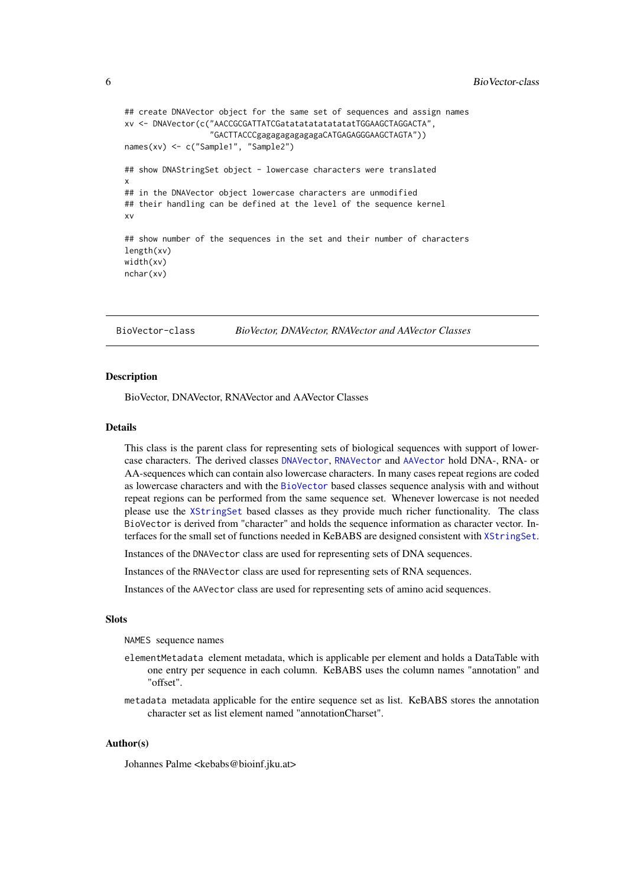```
## create DNAVector object for the same set of sequences and assign names
xv <- DNAVector(c("AACCGCGATTATCGatatatatatatatatTGGAAGCTAGGACTA",
                  "GACTTACCCgagagagagagagaCATGAGAGGGAAGCTAGTA"))
names(xv) <- c("Sample1", "Sample2")
## show DNAStringSet object - lowercase characters were translated
x
## in the DNAVector object lowercase characters are unmodified
## their handling can be defined at the level of the sequence kernel
xv
## show number of the sequences in the set and their number of characters
length(xv)
width(xv)
nchar(xv)
```
<span id="page-5-2"></span>BioVector-class *BioVector, DNAVector, RNAVector and AAVector Classes*

#### <span id="page-5-1"></span>Description

BioVector, DNAVector, RNAVector and AAVector Classes

#### Details

This class is the parent class for representing sets of biological sequences with support of lowercase characters. The derived classes [DNAVector](#page-5-1), [RNAVector](#page-5-1) and [AAVector](#page-5-1) hold DNA-, RNA- or AA-sequences which can contain also lowercase characters. In many cases repeat regions are coded as lowercase characters and with the [BioVector](#page-5-2) based classes sequence analysis with and without repeat regions can be performed from the same sequence set. Whenever lowercase is not needed please use the [XStringSet](#page-0-0) based classes as they provide much richer functionality. The class BioVector is derived from "character" and holds the sequence information as character vector. Interfaces for the small set of functions needed in KeBABS are designed consistent with [XStringSet](#page-0-0).

Instances of the DNAVector class are used for representing sets of DNA sequences.

Instances of the RNAVector class are used for representing sets of RNA sequences.

Instances of the AAVector class are used for representing sets of amino acid sequences.

#### **Slots**

NAMES sequence names

- elementMetadata element metadata, which is applicable per element and holds a DataTable with one entry per sequence in each column. KeBABS uses the column names "annotation" and "offset".
- metadata metadata applicable for the entire sequence set as list. KeBABS stores the annotation character set as list element named "annotationCharset".

# Author(s)

Johannes Palme <kebabs@bioinf.jku.at>

<span id="page-5-0"></span>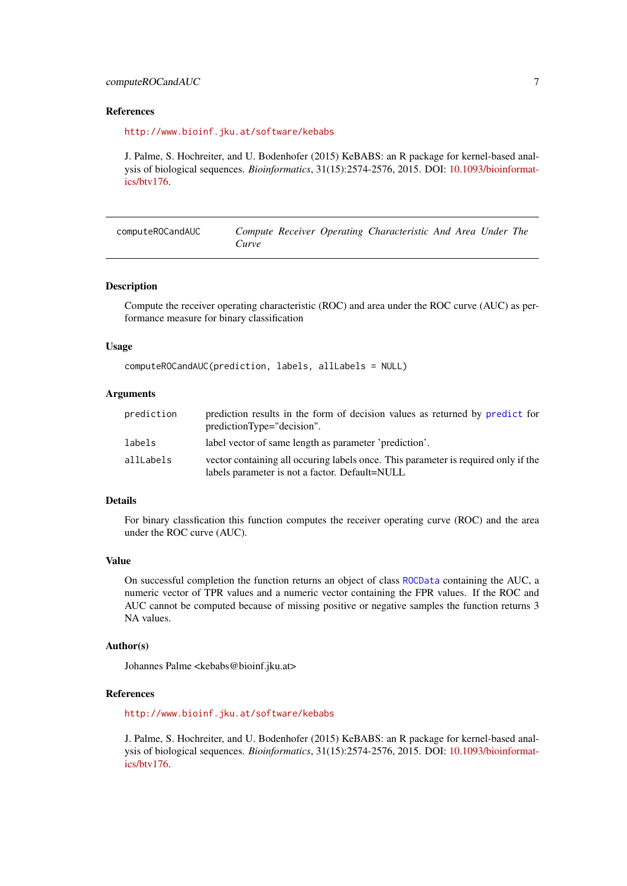#### <span id="page-6-0"></span>computeROCandAUC 7

#### References

# <http://www.bioinf.jku.at/software/kebabs>

J. Palme, S. Hochreiter, and U. Bodenhofer (2015) KeBABS: an R package for kernel-based analysis of biological sequences. *Bioinformatics*, 31(15):2574-2576, 2015. DOI: [10.1093/bioinformat](http://dx.doi.org/10.1093/bioinformatics/btv176)[ics/btv176.](http://dx.doi.org/10.1093/bioinformatics/btv176)

| computeROCandAUC |       |  | Compute Receiver Operating Characteristic And Area Under The |  |  |
|------------------|-------|--|--------------------------------------------------------------|--|--|
|                  | Curve |  |                                                              |  |  |

#### Description

Compute the receiver operating characteristic (ROC) and area under the ROC curve (AUC) as performance measure for binary classification

# Usage

```
computeROCandAUC(prediction, labels, allLabels = NULL)
```
# Arguments

| prediction | prediction results in the form of decision values as returned by predict for<br>predictionType="decision".                           |
|------------|--------------------------------------------------------------------------------------------------------------------------------------|
| labels     | label vector of same length as parameter 'prediction'.                                                                               |
| allLabels  | vector containing all occuring labels once. This parameter is required only if the<br>labels parameter is not a factor. Default=NULL |

# Details

For binary classfication this function computes the receiver operating curve (ROC) and the area under the ROC curve (AUC).

#### Value

On successful completion the function returns an object of class [ROCData](#page-89-1) containing the AUC, a numeric vector of TPR values and a numeric vector containing the FPR values. If the ROC and AUC cannot be computed because of missing positive or negative samples the function returns 3 NA values.

## Author(s)

Johannes Palme <kebabs@bioinf.jku.at>

# References

<http://www.bioinf.jku.at/software/kebabs>

J. Palme, S. Hochreiter, and U. Bodenhofer (2015) KeBABS: an R package for kernel-based analysis of biological sequences. *Bioinformatics*, 31(15):2574-2576, 2015. DOI: [10.1093/bioinformat](http://dx.doi.org/10.1093/bioinformatics/btv176)[ics/btv176.](http://dx.doi.org/10.1093/bioinformatics/btv176)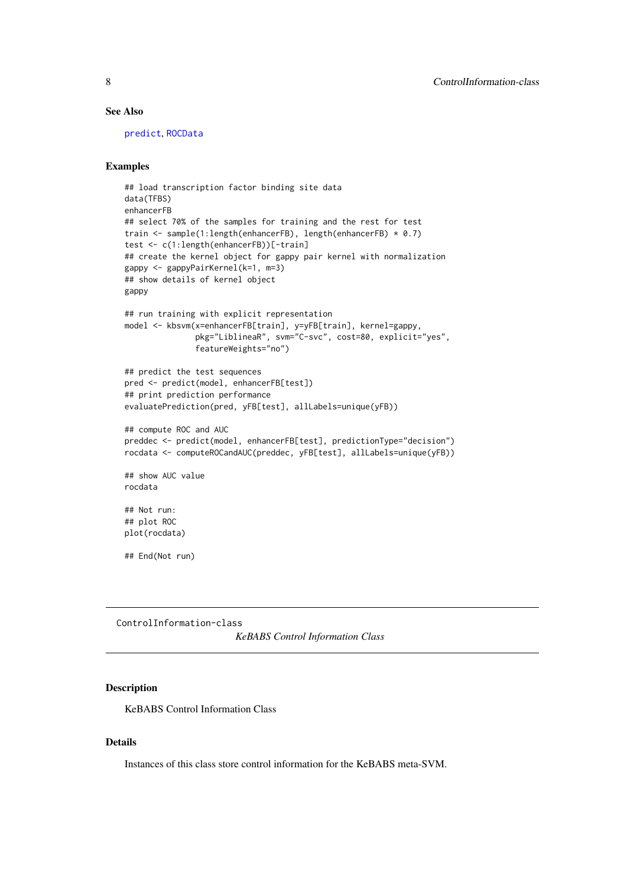#### <span id="page-7-0"></span>See Also

[predict](#page-82-1), [ROCData](#page-89-1)

# Examples

```
## load transcription factor binding site data
data(TFBS)
enhancerFB
## select 70% of the samples for training and the rest for test
train <- sample(1:length(enhancerFB), length(enhancerFB) * 0.7)
test <- c(1:length(enhancerFB))[-train]
## create the kernel object for gappy pair kernel with normalization
gappy <- gappyPairKernel(k=1, m=3)
## show details of kernel object
gappy
## run training with explicit representation
model <- kbsvm(x=enhancerFB[train], y=yFB[train], kernel=gappy,
               pkg="LiblineaR", svm="C-svc", cost=80, explicit="yes",
               featureWeights="no")
## predict the test sequences
pred <- predict(model, enhancerFB[test])
## print prediction performance
evaluatePrediction(pred, yFB[test], allLabels=unique(yFB))
## compute ROC and AUC
preddec <- predict(model, enhancerFB[test], predictionType="decision")
rocdata <- computeROCandAUC(preddec, yFB[test], allLabels=unique(yFB))
## show AUC value
rocdata
## Not run:
## plot ROC
plot(rocdata)
## End(Not run)
```
<span id="page-7-1"></span>ControlInformation-class *KeBABS Control Information Class*

# Description

KeBABS Control Information Class

# Details

Instances of this class store control information for the KeBABS meta-SVM.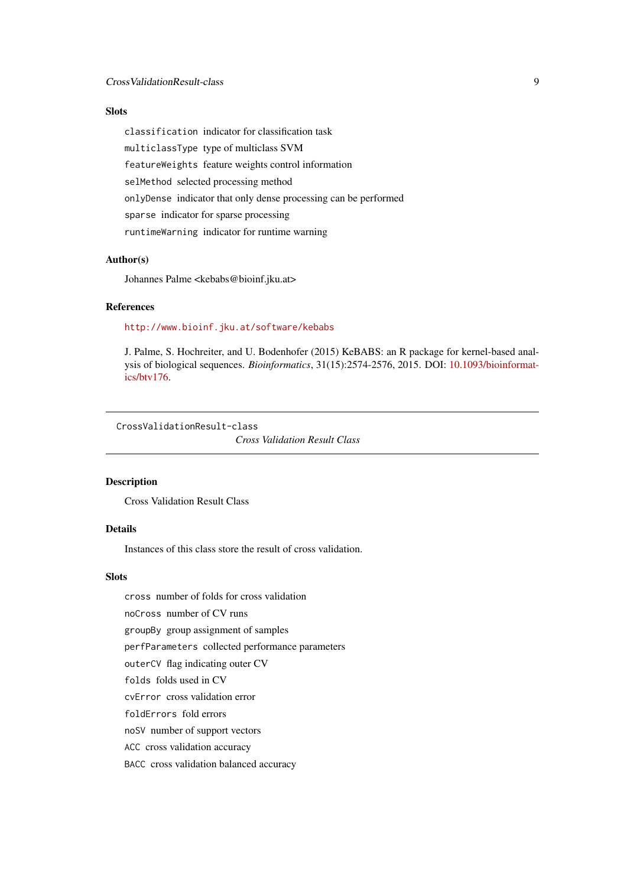# <span id="page-8-0"></span>Slots

classification indicator for classification task multiclassType type of multiclass SVM featureWeights feature weights control information selMethod selected processing method onlyDense indicator that only dense processing can be performed sparse indicator for sparse processing runtimeWarning indicator for runtime warning

# Author(s)

Johannes Palme <kebabs@bioinf.jku.at>

# References

<http://www.bioinf.jku.at/software/kebabs>

J. Palme, S. Hochreiter, and U. Bodenhofer (2015) KeBABS: an R package for kernel-based analysis of biological sequences. *Bioinformatics*, 31(15):2574-2576, 2015. DOI: [10.1093/bioinformat](http://dx.doi.org/10.1093/bioinformatics/btv176)[ics/btv176.](http://dx.doi.org/10.1093/bioinformatics/btv176)

<span id="page-8-1"></span>CrossValidationResult-class

*Cross Validation Result Class*

# Description

Cross Validation Result Class

# Details

Instances of this class store the result of cross validation.

# Slots

cross number of folds for cross validation

noCross number of CV runs

groupBy group assignment of samples

perfParameters collected performance parameters

outerCV flag indicating outer CV

folds folds used in CV

cvError cross validation error

foldErrors fold errors

noSV number of support vectors

ACC cross validation accuracy

BACC cross validation balanced accuracy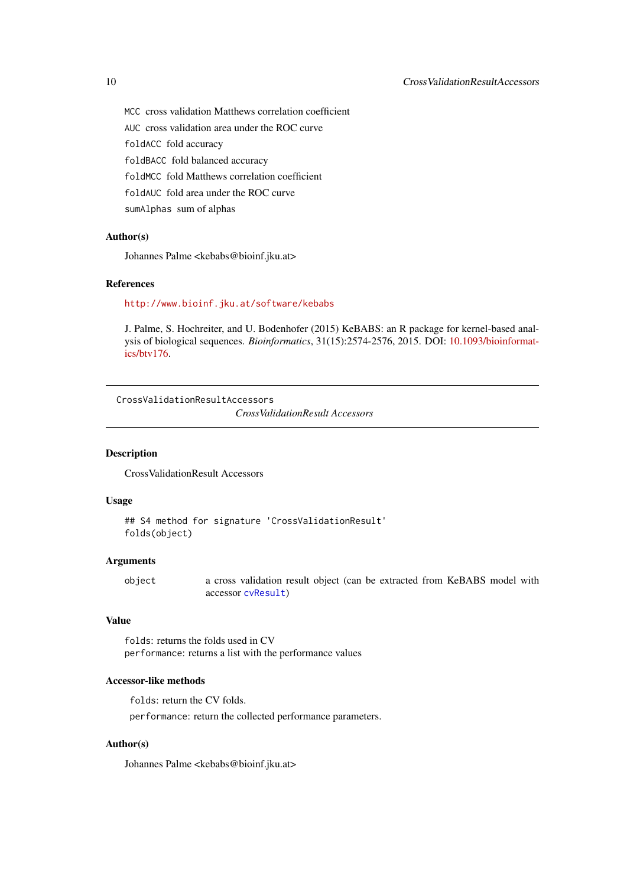MCC cross validation Matthews correlation coefficient AUC cross validation area under the ROC curve foldACC fold accuracy foldBACC fold balanced accuracy foldMCC fold Matthews correlation coefficient foldAUC fold area under the ROC curve sumAlphas sum of alphas

# Author(s)

Johannes Palme <kebabs@bioinf.jku.at>

# References

<http://www.bioinf.jku.at/software/kebabs>

J. Palme, S. Hochreiter, and U. Bodenhofer (2015) KeBABS: an R package for kernel-based analysis of biological sequences. *Bioinformatics*, 31(15):2574-2576, 2015. DOI: [10.1093/bioinformat](http://dx.doi.org/10.1093/bioinformatics/btv176)[ics/btv176.](http://dx.doi.org/10.1093/bioinformatics/btv176)

CrossValidationResultAccessors

*CrossValidationResult Accessors*

# Description

CrossValidationResult Accessors

# Usage

```
## S4 method for signature 'CrossValidationResult'
folds(object)
```
# Arguments

object a cross validation result object (can be extracted from KeBABS model with accessor [cvResult](#page-35-1))

# Value

folds: returns the folds used in CV performance: returns a list with the performance values

# Accessor-like methods

folds: return the CV folds.

performance: return the collected performance parameters.

# Author(s)

Johannes Palme <kebabs@bioinf.jku.at>

<span id="page-9-0"></span>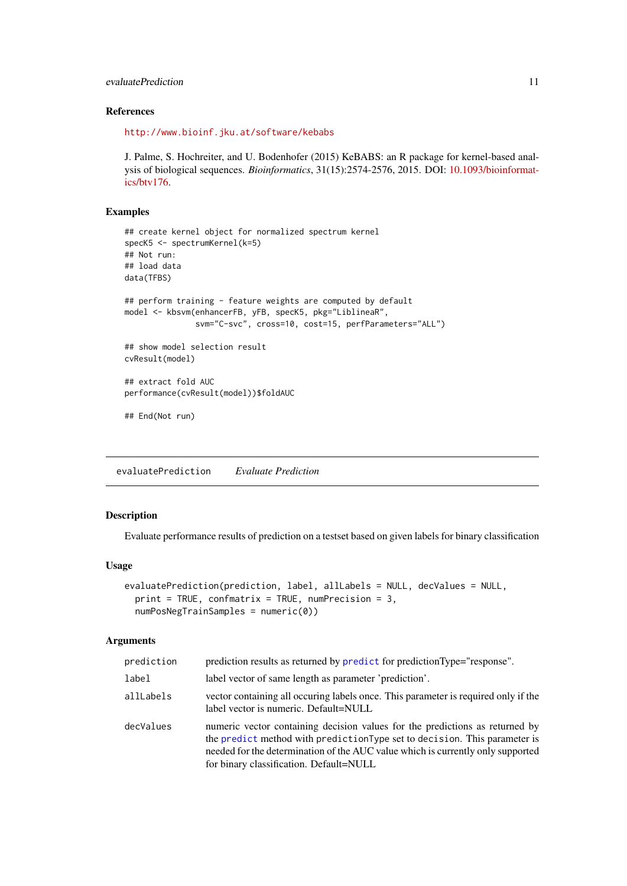#### <span id="page-10-0"></span>evaluatePrediction 11

#### References

<http://www.bioinf.jku.at/software/kebabs>

J. Palme, S. Hochreiter, and U. Bodenhofer (2015) KeBABS: an R package for kernel-based analysis of biological sequences. *Bioinformatics*, 31(15):2574-2576, 2015. DOI: [10.1093/bioinformat](http://dx.doi.org/10.1093/bioinformatics/btv176)[ics/btv176.](http://dx.doi.org/10.1093/bioinformatics/btv176)

# Examples

```
## create kernel object for normalized spectrum kernel
specK5 <- spectrumKernel(k=5)
## Not run:
## load data
data(TFBS)
## perform training - feature weights are computed by default
model <- kbsvm(enhancerFB, yFB, specK5, pkg="LiblineaR",
               svm="C-svc", cross=10, cost=15, perfParameters="ALL")
## show model selection result
cvResult(model)
## extract fold AUC
performance(cvResult(model))$foldAUC
## End(Not run)
```
evaluatePrediction *Evaluate Prediction*

# Description

Evaluate performance results of prediction on a testset based on given labels for binary classification

# Usage

```
evaluatePrediction(prediction, label, allLabels = NULL, decValues = NULL,
 print = TRUE, confmatrix = TRUE, numPrecision = 3,
  numPosNegTrainSamples = numeric(0))
```
# Arguments

| prediction | prediction results as returned by predict for predictionType="response".                                                                                                                                                                                                                 |
|------------|------------------------------------------------------------------------------------------------------------------------------------------------------------------------------------------------------------------------------------------------------------------------------------------|
| label      | label vector of same length as parameter 'prediction'.                                                                                                                                                                                                                                   |
| allLabels  | vector containing all occurring labels once. This parameter is required only if the<br>label vector is numeric. Default=NULL                                                                                                                                                             |
| decValues  | numeric vector containing decision values for the predictions as returned by<br>the predict method with prediction Type set to decision. This parameter is<br>needed for the determination of the AUC value which is currently only supported<br>for binary classification. Default=NULL |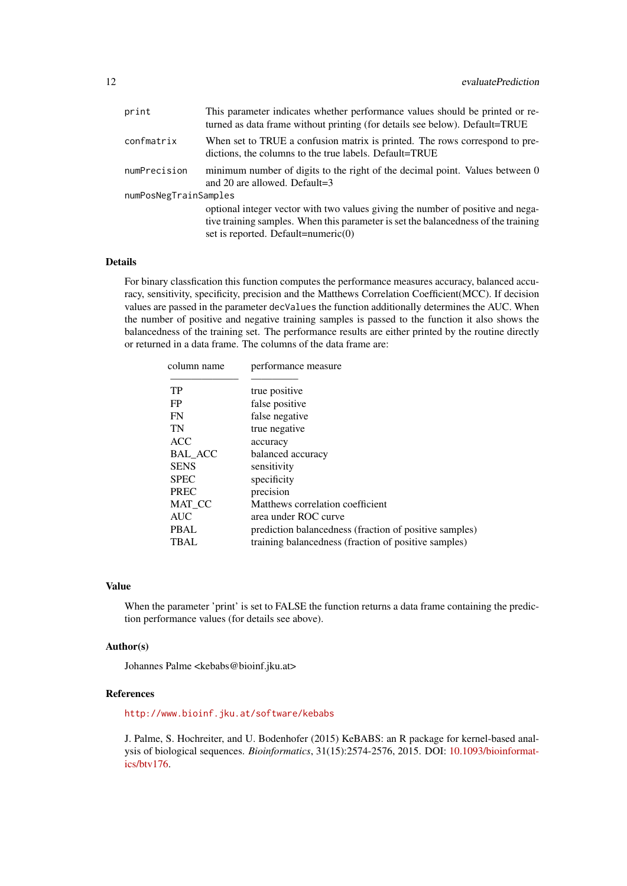| print                 | This parameter indicates whether performance values should be printed or re-<br>turned as data frame without printing (for details see below). Default=TRUE |
|-----------------------|-------------------------------------------------------------------------------------------------------------------------------------------------------------|
| confmatrix            | When set to TRUE a confusion matrix is printed. The rows correspond to pre-<br>dictions, the columns to the true labels. Default=TRUE                       |
| numPrecision          | minimum number of digits to the right of the decimal point. Values between 0<br>and 20 are allowed. Default= $3$                                            |
| numPosNegTrainSamples |                                                                                                                                                             |
|                       | optional integer vector with two values giving the number of positive and nega-                                                                             |
|                       | tive training samples. When this parameter is set the balancedness of the training                                                                          |
|                       | set is reported. Default=numeric $(0)$                                                                                                                      |

# Details

For binary classfication this function computes the performance measures accuracy, balanced accuracy, sensitivity, specificity, precision and the Matthews Correlation Coefficient(MCC). If decision values are passed in the parameter decValues the function additionally determines the AUC. When the number of positive and negative training samples is passed to the function it also shows the balancedness of the training set. The performance results are either printed by the routine directly or returned in a data frame. The columns of the data frame are:

| column name    | performance measure                                    |
|----------------|--------------------------------------------------------|
| TP             | true positive                                          |
| FP             | false positive                                         |
| FN             | false negative                                         |
| TN             | true negative                                          |
| <b>ACC</b>     | accuracy                                               |
| <b>BAL ACC</b> | balanced accuracy                                      |
| <b>SENS</b>    | sensitivity                                            |
| <b>SPEC</b>    | specificity                                            |
| <b>PREC</b>    | precision                                              |
| MAT CC         | Matthews correlation coefficient                       |
| <b>AUC</b>     | area under ROC curve                                   |
| <b>PBAL</b>    | prediction balancedness (fraction of positive samples) |
| <b>TBAL</b>    | training balancedness (fraction of positive samples)   |

# Value

When the parameter 'print' is set to FALSE the function returns a data frame containing the prediction performance values (for details see above).

# Author(s)

Johannes Palme <kebabs@bioinf.jku.at>

#### References

<http://www.bioinf.jku.at/software/kebabs>

J. Palme, S. Hochreiter, and U. Bodenhofer (2015) KeBABS: an R package for kernel-based analysis of biological sequences. *Bioinformatics*, 31(15):2574-2576, 2015. DOI: [10.1093/bioinformat](http://dx.doi.org/10.1093/bioinformatics/btv176)[ics/btv176.](http://dx.doi.org/10.1093/bioinformatics/btv176)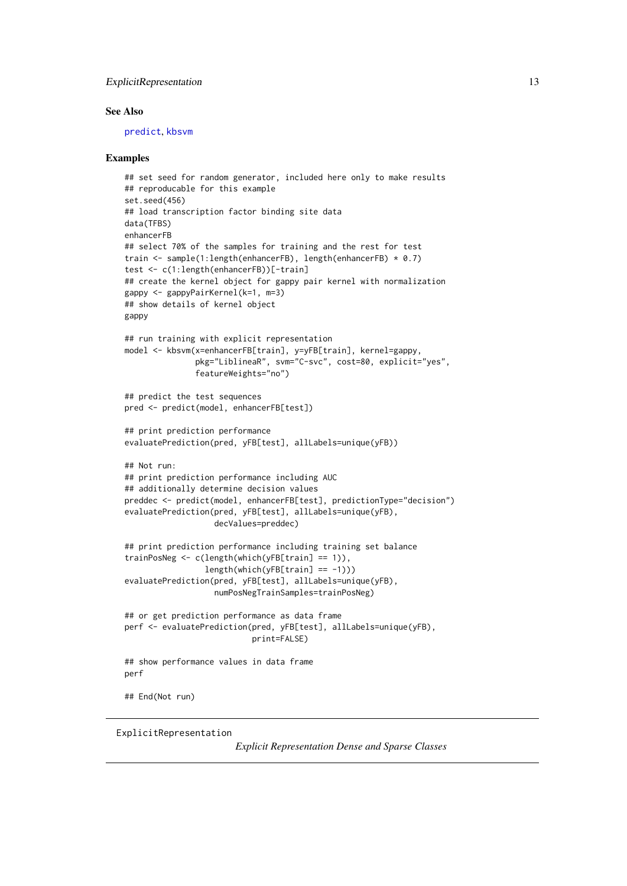#### <span id="page-12-0"></span>ExplicitRepresentation 13

#### See Also

[predict](#page-82-1), [kbsvm](#page-36-1)

#### Examples

```
## set seed for random generator, included here only to make results
## reproducable for this example
set.seed(456)
## load transcription factor binding site data
data(TFBS)
enhancerFB
## select 70% of the samples for training and the rest for test
train <- sample(1:length(enhancerFB), length(enhancerFB) * 0.7)
test <- c(1:length(enhancerFB))[-train]
## create the kernel object for gappy pair kernel with normalization
gappy <- gappyPairKernel(k=1, m=3)
## show details of kernel object
gappy
## run training with explicit representation
model <- kbsvm(x=enhancerFB[train], y=yFB[train], kernel=gappy,
               pkg="LiblineaR", svm="C-svc", cost=80, explicit="yes",
               featureWeights="no")
## predict the test sequences
pred <- predict(model, enhancerFB[test])
## print prediction performance
evaluatePrediction(pred, yFB[test], allLabels=unique(yFB))
## Not run:
## print prediction performance including AUC
## additionally determine decision values
preddec <- predict(model, enhancerFB[test], predictionType="decision")
evaluatePrediction(pred, yFB[test], allLabels=unique(yFB),
                   decValues=preddec)
## print prediction performance including training set balance
trainPosNeg <- c(length(which(yFB[train] == 1)),
                 length(which(yFB[train] == -1)))
evaluatePrediction(pred, yFB[test], allLabels=unique(yFB),
                   numPosNegTrainSamples=trainPosNeg)
## or get prediction performance as data frame
perf <- evaluatePrediction(pred, yFB[test], allLabels=unique(yFB),
                           print=FALSE)
## show performance values in data frame
perf
## End(Not run)
```
<span id="page-12-1"></span>ExplicitRepresentation

*Explicit Representation Dense and Sparse Classes*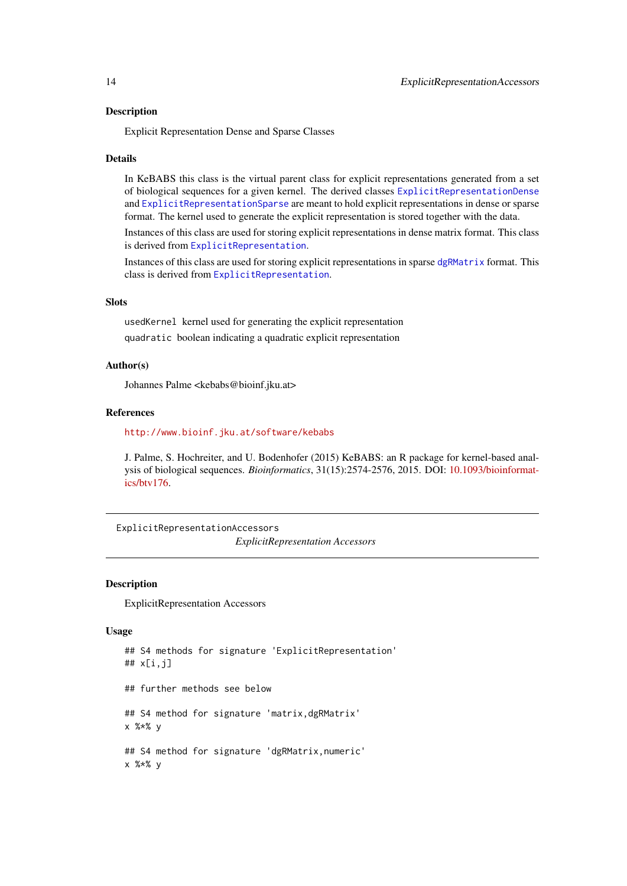#### Description

Explicit Representation Dense and Sparse Classes

## Details

In KeBABS this class is the virtual parent class for explicit representations generated from a set of biological sequences for a given kernel. The derived classes [ExplicitRepresentationDense](#page-12-1) and [ExplicitRepresentationSparse](#page-12-1) are meant to hold explicit representations in dense or sparse format. The kernel used to generate the explicit representation is stored together with the data.

Instances of this class are used for storing explicit representations in dense matrix format. This class is derived from [ExplicitRepresentation](#page-12-1).

Instances of this class are used for storing explicit representations in sparse [dgRMatrix](#page-0-0) format. This class is derived from [ExplicitRepresentation](#page-12-1).

# Slots

usedKernel kernel used for generating the explicit representation quadratic boolean indicating a quadratic explicit representation

# Author(s)

Johannes Palme <kebabs@bioinf.jku.at>

#### References

# <http://www.bioinf.jku.at/software/kebabs>

J. Palme, S. Hochreiter, and U. Bodenhofer (2015) KeBABS: an R package for kernel-based analysis of biological sequences. *Bioinformatics*, 31(15):2574-2576, 2015. DOI: [10.1093/bioinformat](http://dx.doi.org/10.1093/bioinformatics/btv176)[ics/btv176.](http://dx.doi.org/10.1093/bioinformatics/btv176)

ExplicitRepresentationAccessors

*ExplicitRepresentation Accessors*

#### Description

ExplicitRepresentation Accessors

# Usage

```
## S4 methods for signature 'ExplicitRepresentation'
## x[i,j]
## further methods see below
## S4 method for signature 'matrix, dgRMatrix'
x %*% y
## S4 method for signature 'dgRMatrix,numeric'
x %*% y
```
<span id="page-13-0"></span>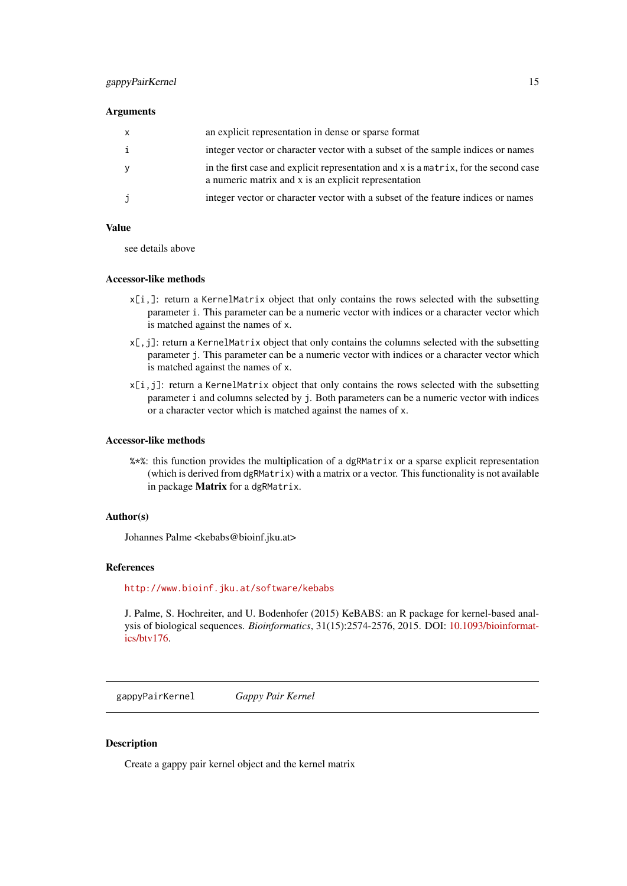# <span id="page-14-0"></span>gappyPairKernel 15

# Arguments

| X | an explicit representation in dense or sparse format                                                                                         |
|---|----------------------------------------------------------------------------------------------------------------------------------------------|
| i | integer vector or character vector with a subset of the sample indices or names                                                              |
| y | in the first case and explicit representation and x is a matrix, for the second case<br>a numeric matrix and x is an explicit representation |
| j | integer vector or character vector with a subset of the feature indices or names                                                             |

# Value

see details above

# Accessor-like methods

- x[i,]: return a KernelMatrix object that only contains the rows selected with the subsetting parameter i. This parameter can be a numeric vector with indices or a character vector which is matched against the names of x.
- $x$ [, i]: return a KernelMatrix object that only contains the columns selected with the subsetting parameter j. This parameter can be a numeric vector with indices or a character vector which is matched against the names of x.
- x[i,j]: return a KernelMatrix object that only contains the rows selected with the subsetting parameter i and columns selected by j. Both parameters can be a numeric vector with indices or a character vector which is matched against the names of x.

# Accessor-like methods

%\*%: this function provides the multiplication of a dgRMatrix or a sparse explicit representation (which is derived from dgRMatrix) with a matrix or a vector. This functionality is not available in package Matrix for a dgRMatrix.

# Author(s)

Johannes Palme <kebabs@bioinf.jku.at>

#### References

# <http://www.bioinf.jku.at/software/kebabs>

J. Palme, S. Hochreiter, and U. Bodenhofer (2015) KeBABS: an R package for kernel-based analysis of biological sequences. *Bioinformatics*, 31(15):2574-2576, 2015. DOI: [10.1093/bioinformat](http://dx.doi.org/10.1093/bioinformatics/btv176)[ics/btv176.](http://dx.doi.org/10.1093/bioinformatics/btv176)

<span id="page-14-1"></span>gappyPairKernel *Gappy Pair Kernel*

# Description

Create a gappy pair kernel object and the kernel matrix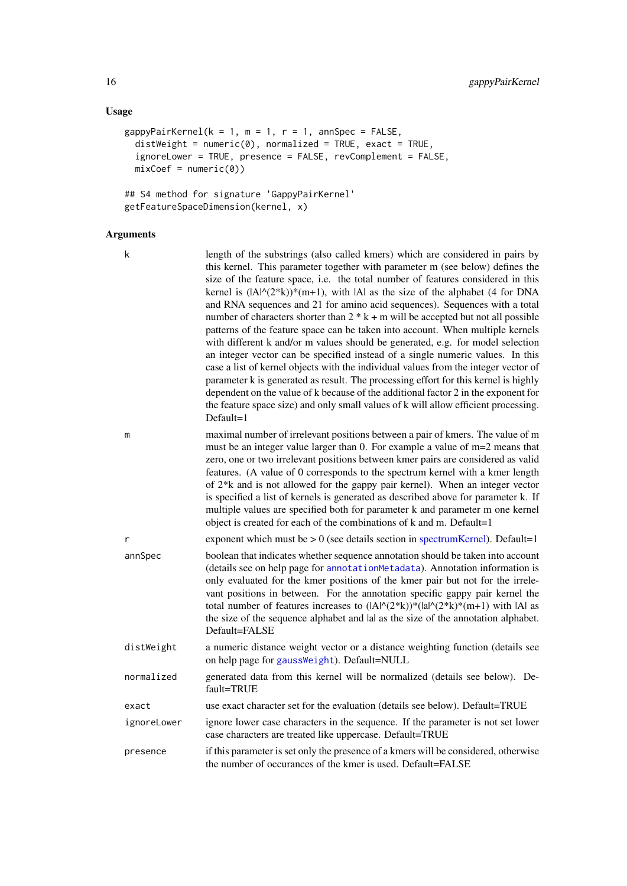# Usage

```
gappyPairKernel(k = 1, m = 1, r = 1, annSpec = FALSE,
  distWeight = numeric(0), normalized = TRUE, exact = TRUE,
  ignoreLower = TRUE, presence = FALSE, revComplement = FALSE,
  mixCoef = numeric(0)## S4 method for signature 'GappyPairKernel'
```
getFeatureSpaceDimension(kernel, x)

# Arguments

| k            | length of the substrings (also called kmers) which are considered in pairs by<br>this kernel. This parameter together with parameter m (see below) defines the<br>size of the feature space, i.e. the total number of features considered in this<br>kernel is $( A ^{\wedge}(2^*k))^*(m+1)$ , with $ A $ as the size of the alphabet (4 for DNA<br>and RNA sequences and 21 for amino acid sequences). Sequences with a total<br>number of characters shorter than $2 * k + m$ will be accepted but not all possible<br>patterns of the feature space can be taken into account. When multiple kernels<br>with different k and/or m values should be generated, e.g. for model selection<br>an integer vector can be specified instead of a single numeric values. In this<br>case a list of kernel objects with the individual values from the integer vector of<br>parameter k is generated as result. The processing effort for this kernel is highly<br>dependent on the value of k because of the additional factor 2 in the exponent for<br>the feature space size) and only small values of k will allow efficient processing.<br>$Default=1$ |
|--------------|-------------------------------------------------------------------------------------------------------------------------------------------------------------------------------------------------------------------------------------------------------------------------------------------------------------------------------------------------------------------------------------------------------------------------------------------------------------------------------------------------------------------------------------------------------------------------------------------------------------------------------------------------------------------------------------------------------------------------------------------------------------------------------------------------------------------------------------------------------------------------------------------------------------------------------------------------------------------------------------------------------------------------------------------------------------------------------------------------------------------------------------------------------|
| m            | maximal number of irrelevant positions between a pair of kmers. The value of m<br>must be an integer value larger than 0. For example a value of m=2 means that<br>zero, one or two irrelevant positions between kmer pairs are considered as valid<br>features. (A value of 0 corresponds to the spectrum kernel with a kmer length<br>of $2 * k$ and is not allowed for the gappy pair kernel). When an integer vector<br>is specified a list of kernels is generated as described above for parameter k. If<br>multiple values are specified both for parameter k and parameter m one kernel<br>object is created for each of the combinations of k and m. Default=1                                                                                                                                                                                                                                                                                                                                                                                                                                                                               |
| $\mathsf{r}$ | exponent which must be $> 0$ (see details section in spectrum Kernel). Default=1                                                                                                                                                                                                                                                                                                                                                                                                                                                                                                                                                                                                                                                                                                                                                                                                                                                                                                                                                                                                                                                                      |
| annSpec      | boolean that indicates whether sequence annotation should be taken into account<br>(details see on help page for annotationMetadata). Annotation information is<br>only evaluated for the kmer positions of the kmer pair but not for the irrele-<br>vant positions in between. For the annotation specific gappy pair kernel the<br>total number of features increases to $( A ^{\wedge}(2^*k))^*( a ^{\wedge}(2^*k)^*(m+1)$ with $ A $ as<br>the size of the sequence alphabet and lal as the size of the annotation alphabet.<br>Default=FALSE                                                                                                                                                                                                                                                                                                                                                                                                                                                                                                                                                                                                     |
| distWeight   | a numeric distance weight vector or a distance weighting function (details see<br>on help page for gaussWeight). Default=NULL                                                                                                                                                                                                                                                                                                                                                                                                                                                                                                                                                                                                                                                                                                                                                                                                                                                                                                                                                                                                                         |
| normalized   | generated data from this kernel will be normalized (details see below). De-<br>fault=TRUE                                                                                                                                                                                                                                                                                                                                                                                                                                                                                                                                                                                                                                                                                                                                                                                                                                                                                                                                                                                                                                                             |
| exact        | use exact character set for the evaluation (details see below). Default=TRUE                                                                                                                                                                                                                                                                                                                                                                                                                                                                                                                                                                                                                                                                                                                                                                                                                                                                                                                                                                                                                                                                          |
| ignoreLower  | ignore lower case characters in the sequence. If the parameter is not set lower<br>case characters are treated like uppercase. Default=TRUE                                                                                                                                                                                                                                                                                                                                                                                                                                                                                                                                                                                                                                                                                                                                                                                                                                                                                                                                                                                                           |
| presence     | if this parameter is set only the presence of a kmers will be considered, otherwise<br>the number of occurances of the kmer is used. Default=FALSE                                                                                                                                                                                                                                                                                                                                                                                                                                                                                                                                                                                                                                                                                                                                                                                                                                                                                                                                                                                                    |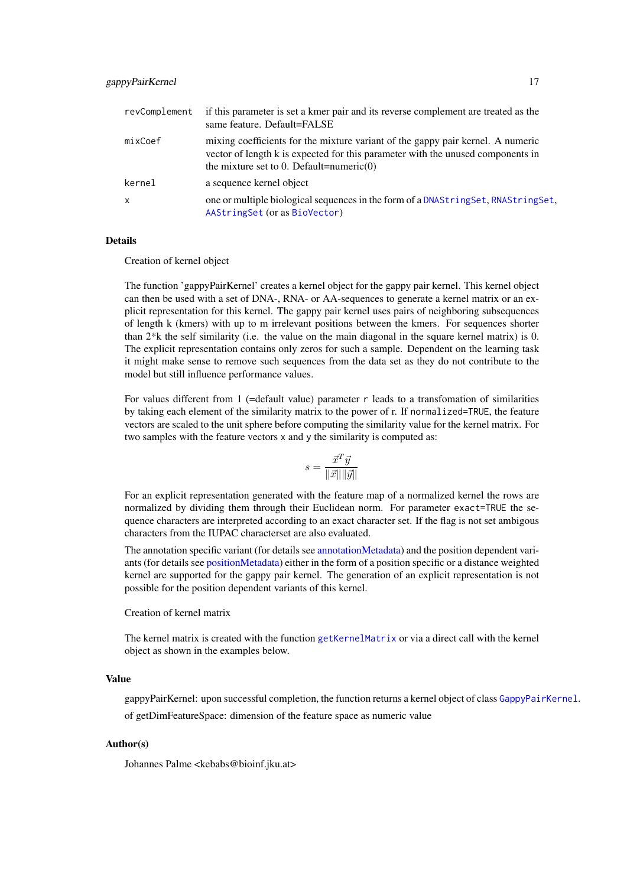| revComplement | if this parameter is set a kmer pair and its reverse complement are treated as the<br>same feature. Default=FALSE                                                                                                 |
|---------------|-------------------------------------------------------------------------------------------------------------------------------------------------------------------------------------------------------------------|
| mixCoef       | mixing coefficients for the mixture variant of the gappy pair kernel. A numeric<br>vector of length k is expected for this parameter with the unused components in<br>the mixture set to 0. Default=numeric $(0)$ |
| kernel        | a sequence kernel object                                                                                                                                                                                          |
| $\mathsf{x}$  | one or multiple biological sequences in the form of a DNAStringSet, RNAStringSet,<br>AAStringSet (or as BioVector)                                                                                                |

#### Details

Creation of kernel object

The function 'gappyPairKernel' creates a kernel object for the gappy pair kernel. This kernel object can then be used with a set of DNA-, RNA- or AA-sequences to generate a kernel matrix or an explicit representation for this kernel. The gappy pair kernel uses pairs of neighboring subsequences of length k (kmers) with up to m irrelevant positions between the kmers. For sequences shorter than  $2*k$  the self similarity (i.e. the value on the main diagonal in the square kernel matrix) is 0. The explicit representation contains only zeros for such a sample. Dependent on the learning task it might make sense to remove such sequences from the data set as they do not contribute to the model but still influence performance values.

For values different from  $1$  (=default value) parameter r leads to a transfomation of similarities by taking each element of the similarity matrix to the power of r. If normalized=TRUE, the feature vectors are scaled to the unit sphere before computing the similarity value for the kernel matrix. For two samples with the feature vectors x and y the similarity is computed as:

$$
s = \frac{\vec{x}^T\vec{y}}{\|\vec{x}\|\|\vec{y}\|}
$$

For an explicit representation generated with the feature map of a normalized kernel the rows are normalized by dividing them through their Euclidean norm. For parameter exact=TRUE the sequence characters are interpreted according to an exact character set. If the flag is not set ambigous characters from the IUPAC characterset are also evaluated.

The annotation specific variant (for details see [annotationMetadata\)](#page-96-1) and the position dependent variants (for details see [positionMetadata\)](#page-52-1) either in the form of a position specific or a distance weighted kernel are supported for the gappy pair kernel. The generation of an explicit representation is not possible for the position dependent variants of this kernel.

#### Creation of kernel matrix

The kernel matrix is created with the function [getKernelMatrix](#page-90-1) or via a direct call with the kernel object as shown in the examples below.

#### Value

gappyPairKernel: upon successful completion, the function returns a kernel object of class [GappyPairKernel](#page-18-1). of getDimFeatureSpace: dimension of the feature space as numeric value

# Author(s)

Johannes Palme <kebabs@bioinf.jku.at>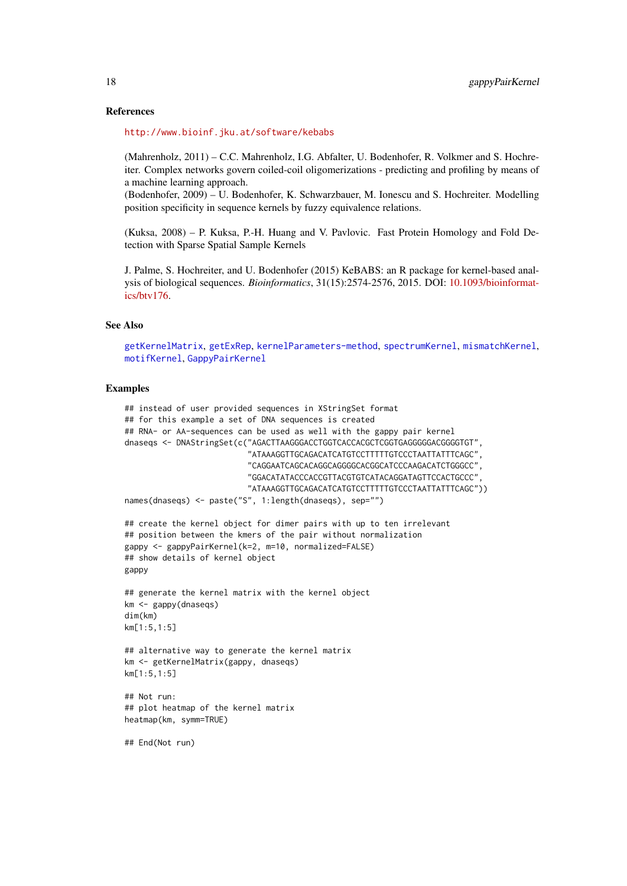#### References

<http://www.bioinf.jku.at/software/kebabs>

(Mahrenholz, 2011) – C.C. Mahrenholz, I.G. Abfalter, U. Bodenhofer, R. Volkmer and S. Hochreiter. Complex networks govern coiled-coil oligomerizations - predicting and profiling by means of a machine learning approach.

(Bodenhofer, 2009) – U. Bodenhofer, K. Schwarzbauer, M. Ionescu and S. Hochreiter. Modelling position specificity in sequence kernels by fuzzy equivalence relations.

(Kuksa, 2008) – P. Kuksa, P.-H. Huang and V. Pavlovic. Fast Protein Homology and Fold Detection with Sparse Spatial Sample Kernels

J. Palme, S. Hochreiter, and U. Bodenhofer (2015) KeBABS: an R package for kernel-based analysis of biological sequences. *Bioinformatics*, 31(15):2574-2576, 2015. DOI: [10.1093/bioinformat](http://dx.doi.org/10.1093/bioinformatics/btv176)[ics/btv176.](http://dx.doi.org/10.1093/bioinformatics/btv176)

# See Also

[getKernelMatrix](#page-90-1), [getExRep](#page-20-1), [kernelParameters-method](#page-90-1), [spectrumKernel](#page-100-1), [mismatchKernel](#page-57-1), [motifKernel](#page-63-1), [GappyPairKernel](#page-18-1)

# Examples

```
## instead of user provided sequences in XStringSet format
## for this example a set of DNA sequences is created
## RNA- or AA-sequences can be used as well with the gappy pair kernel
dnaseqs <- DNAStringSet(c("AGACTTAAGGGACCTGGTCACCACGCTCGGTGAGGGGGACGGGGTGT",
                           "ATAAAGGTTGCAGACATCATGTCCTTTTTGTCCCTAATTATTTCAGC",
                          "CAGGAATCAGCACAGGCAGGGGCACGGCATCCCAAGACATCTGGGCC",
                          "GGACATATACCCACCGTTACGTGTCATACAGGATAGTTCCACTGCCC",
                          "ATAAAGGTTGCAGACATCATGTCCTTTTTGTCCCTAATTATTTCAGC"))
names(dnaseqs) <- paste("S", 1:length(dnaseqs), sep="")
## create the kernel object for dimer pairs with up to ten irrelevant
## position between the kmers of the pair without normalization
gappy <- gappyPairKernel(k=2, m=10, normalized=FALSE)
## show details of kernel object
gappy
## generate the kernel matrix with the kernel object
km <- gappy(dnaseqs)
dim(km)
km[1:5,1:5]
## alternative way to generate the kernel matrix
km <- getKernelMatrix(gappy, dnaseqs)
km[1:5,1:5]
## Not run:
## plot heatmap of the kernel matrix
heatmap(km, symm=TRUE)
## End(Not run)
```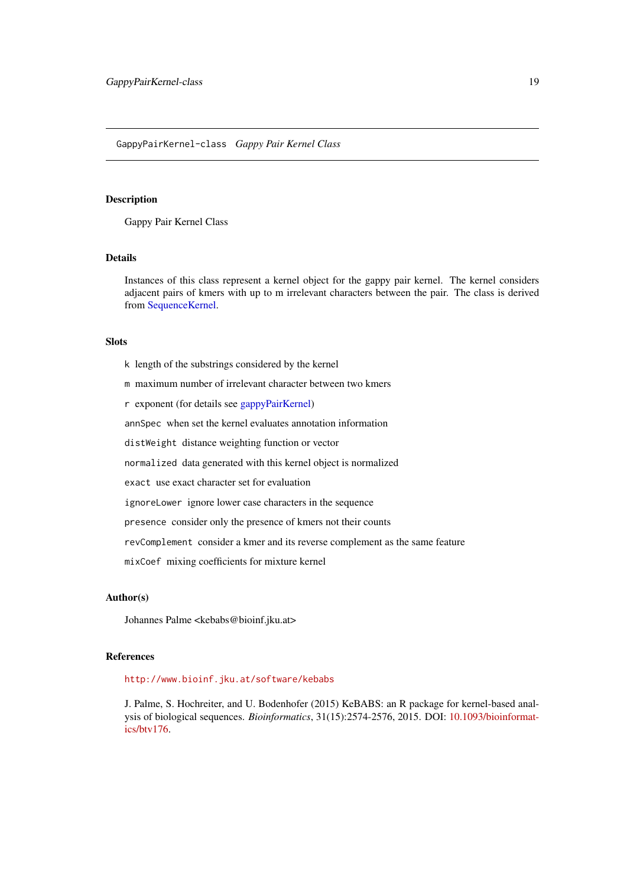<span id="page-18-1"></span><span id="page-18-0"></span>GappyPairKernel-class *Gappy Pair Kernel Class*

#### Description

Gappy Pair Kernel Class

# Details

Instances of this class represent a kernel object for the gappy pair kernel. The kernel considers adjacent pairs of kmers with up to m irrelevant characters between the pair. The class is derived from [SequenceKernel.](#page-93-1)

# Slots

- k length of the substrings considered by the kernel
- m maximum number of irrelevant character between two kmers
- r exponent (for details see [gappyPairKernel\)](#page-14-1)

annSpec when set the kernel evaluates annotation information

distWeight distance weighting function or vector

normalized data generated with this kernel object is normalized

exact use exact character set for evaluation

ignoreLower ignore lower case characters in the sequence

presence consider only the presence of kmers not their counts

revComplement consider a kmer and its reverse complement as the same feature

mixCoef mixing coefficients for mixture kernel

# Author(s)

Johannes Palme <kebabs@bioinf.jku.at>

# References

# <http://www.bioinf.jku.at/software/kebabs>

J. Palme, S. Hochreiter, and U. Bodenhofer (2015) KeBABS: an R package for kernel-based analysis of biological sequences. *Bioinformatics*, 31(15):2574-2576, 2015. DOI: [10.1093/bioinformat](http://dx.doi.org/10.1093/bioinformatics/btv176)[ics/btv176.](http://dx.doi.org/10.1093/bioinformatics/btv176)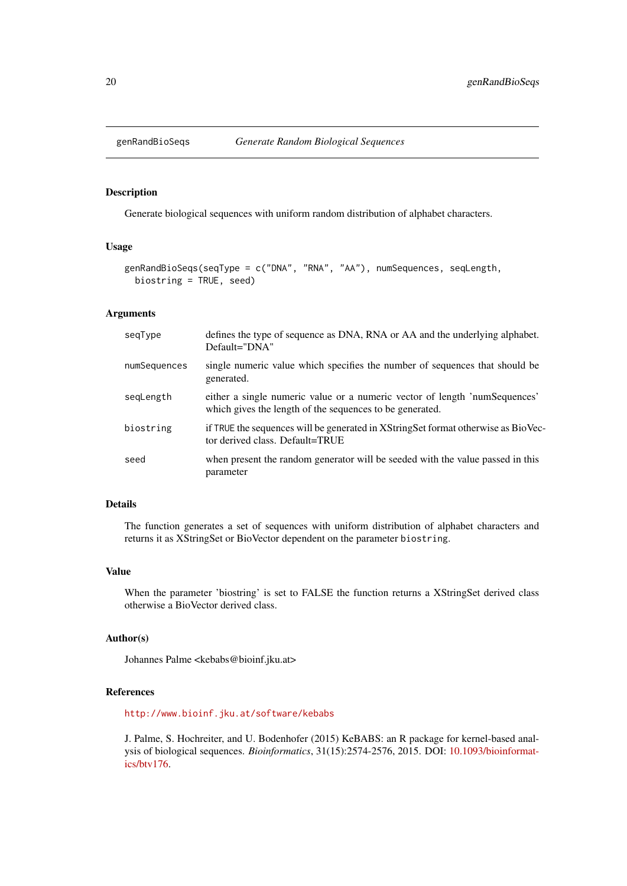<span id="page-19-0"></span>

# Description

Generate biological sequences with uniform random distribution of alphabet characters.

# Usage

```
genRandBioSeqs(seqType = c("DNA", "RNA", "AA"), numSequences, seqLength,
 biostring = TRUE, seed)
```
#### Arguments

| seqType      | defines the type of sequence as DNA, RNA or AA and the underlying alphabet.<br>$Default="DNA"$                                         |
|--------------|----------------------------------------------------------------------------------------------------------------------------------------|
| numSequences | single numeric value which specifies the number of sequences that should be<br>generated.                                              |
| segLength    | either a single numeric value or a numeric vector of length 'numSequences'<br>which gives the length of the sequences to be generated. |
| biostring    | if TRUE the sequences will be generated in XStringSet format otherwise as BioVec-<br>tor derived class. Default=TRUE                   |
| seed         | when present the random generator will be seeded with the value passed in this<br>parameter                                            |

# Details

The function generates a set of sequences with uniform distribution of alphabet characters and returns it as XStringSet or BioVector dependent on the parameter biostring.

# Value

When the parameter 'biostring' is set to FALSE the function returns a XStringSet derived class otherwise a BioVector derived class.

# Author(s)

Johannes Palme <kebabs@bioinf.jku.at>

# References

<http://www.bioinf.jku.at/software/kebabs>

J. Palme, S. Hochreiter, and U. Bodenhofer (2015) KeBABS: an R package for kernel-based analysis of biological sequences. *Bioinformatics*, 31(15):2574-2576, 2015. DOI: [10.1093/bioinformat](http://dx.doi.org/10.1093/bioinformatics/btv176)[ics/btv176.](http://dx.doi.org/10.1093/bioinformatics/btv176)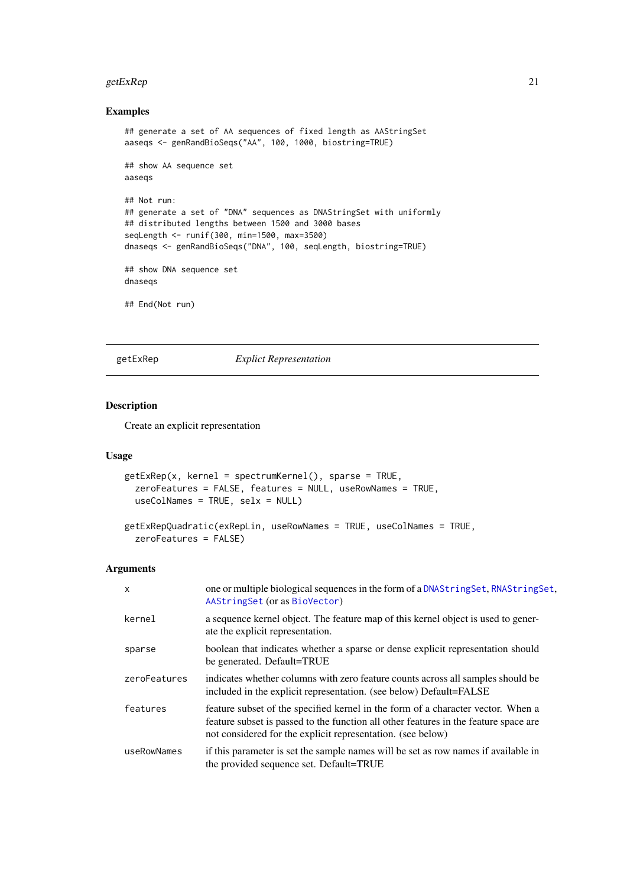# <span id="page-20-0"></span>getExRep 21

# Examples

```
## generate a set of AA sequences of fixed length as AAStringSet
aaseqs <- genRandBioSeqs("AA", 100, 1000, biostring=TRUE)
## show AA sequence set
aaseqs
## Not run:
## generate a set of "DNA" sequences as DNAStringSet with uniformly
## distributed lengths between 1500 and 3000 bases
seqLength <- runif(300, min=1500, max=3500)
dnaseqs <- genRandBioSeqs("DNA", 100, seqLength, biostring=TRUE)
## show DNA sequence set
dnaseqs
## End(Not run)
```
<span id="page-20-1"></span>getExRep *Explict Representation*

# Description

Create an explicit representation

# Usage

```
getExRep(x, kernel = spectrumKernel(), sparse = TRUE,
 zeroFeatures = FALSE, features = NULL, useRowNames = TRUE,
 useColNames = TRUE, selx = NULL)
```

```
getExRepQuadratic(exRepLin, useRowNames = TRUE, useColNames = TRUE,
 zeroFeatures = FALSE)
```
# Arguments

| $\mathsf{x}$ | one or multiple biological sequences in the form of a DNAStringSet, RNAStringSet,<br>AAStringSet (or as BioVector)                                                                                                                      |
|--------------|-----------------------------------------------------------------------------------------------------------------------------------------------------------------------------------------------------------------------------------------|
| kernel       | a sequence kernel object. The feature map of this kernel object is used to gener-<br>ate the explicit representation.                                                                                                                   |
| sparse       | boolean that indicates whether a sparse or dense explicit representation should<br>be generated. Default=TRUE                                                                                                                           |
| zeroFeatures | indicates whether columns with zero feature counts across all samples should be<br>included in the explicit representation. (see below) Default=FALSE                                                                                   |
| features     | feature subset of the specified kernel in the form of a character vector. When a<br>feature subset is passed to the function all other features in the feature space are<br>not considered for the explicit representation. (see below) |
| useRowNames  | if this parameter is set the sample names will be set as row names if available in<br>the provided sequence set. Default=TRUE                                                                                                           |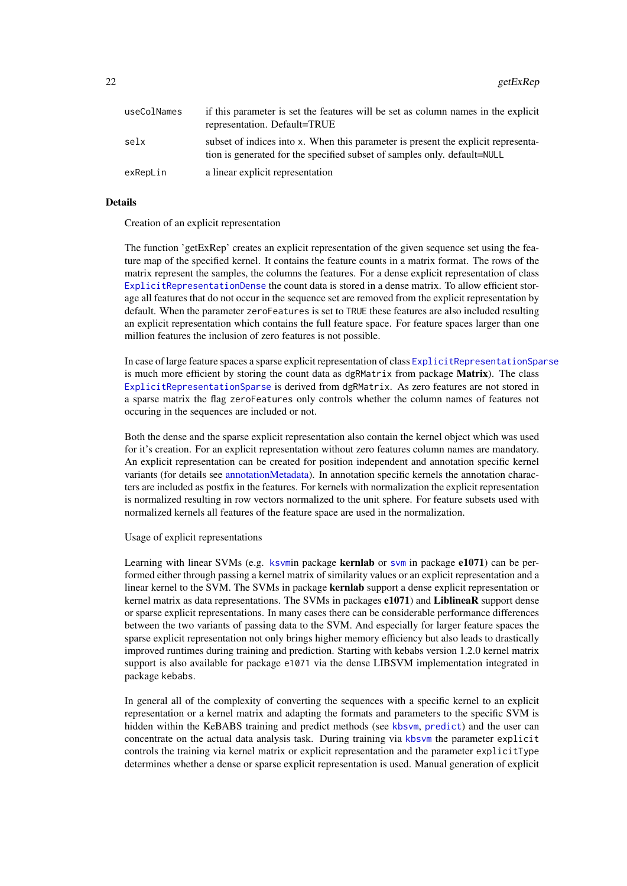22 getExRep

| useColNames | if this parameter is set the features will be set as column names in the explicit<br>representation. Default=TRUE                                             |
|-------------|---------------------------------------------------------------------------------------------------------------------------------------------------------------|
| selx        | subset of indices into x. When this parameter is present the explicit representa-<br>tion is generated for the specified subset of samples only, default=NULL |
| exRepLin    | a linear explicit representation                                                                                                                              |

# Details

#### Creation of an explicit representation

The function 'getExRep' creates an explicit representation of the given sequence set using the feature map of the specified kernel. It contains the feature counts in a matrix format. The rows of the matrix represent the samples, the columns the features. For a dense explicit representation of class [ExplicitRepresentationDense](#page-12-1) the count data is stored in a dense matrix. To allow efficient storage all features that do not occur in the sequence set are removed from the explicit representation by default. When the parameter zeroFeatures is set to TRUE these features are also included resulting an explicit representation which contains the full feature space. For feature spaces larger than one million features the inclusion of zero features is not possible.

In case of large feature spaces a sparse explicit representation of class [ExplicitRepresentationSparse](#page-12-1) is much more efficient by storing the count data as  $dgRMatrix$  from package **Matrix**). The class [ExplicitRepresentationSparse](#page-12-1) is derived from dgRMatrix. As zero features are not stored in a sparse matrix the flag zeroFeatures only controls whether the column names of features not occuring in the sequences are included or not.

Both the dense and the sparse explicit representation also contain the kernel object which was used for it's creation. For an explicit representation without zero features column names are mandatory. An explicit representation can be created for position independent and annotation specific kernel variants (for details see [annotationMetadata\)](#page-96-1). In annotation specific kernels the annotation characters are included as postfix in the features. For kernels with normalization the explicit representation is normalized resulting in row vectors normalized to the unit sphere. For feature subsets used with normalized kernels all features of the feature space are used in the normalization.

# Usage of explicit representations

Learning with linear SVMs (e.g. [ksvm](#page-0-0)in package **kernlab** or [svm](#page-0-0) in package e1071) can be performed either through passing a kernel matrix of similarity values or an explicit representation and a linear kernel to the SVM. The SVMs in package **kernlab** support a dense explicit representation or kernel matrix as data representations. The SVMs in packages e1071) and LiblineaR support dense or sparse explicit representations. In many cases there can be considerable performance differences between the two variants of passing data to the SVM. And especially for larger feature spaces the sparse explicit representation not only brings higher memory efficiency but also leads to drastically improved runtimes during training and prediction. Starting with kebabs version 1.2.0 kernel matrix support is also available for package e1071 via the dense LIBSVM implementation integrated in package kebabs.

In general all of the complexity of converting the sequences with a specific kernel to an explicit representation or a kernel matrix and adapting the formats and parameters to the specific SVM is hidden within the KeBABS training and predict methods (see [kbsvm](#page-36-1), [predict](#page-82-1)) and the user can concentrate on the actual data analysis task. During training via [kbsvm](#page-36-1) the parameter explicit controls the training via kernel matrix or explicit representation and the parameter explicitType determines whether a dense or sparse explicit representation is used. Manual generation of explicit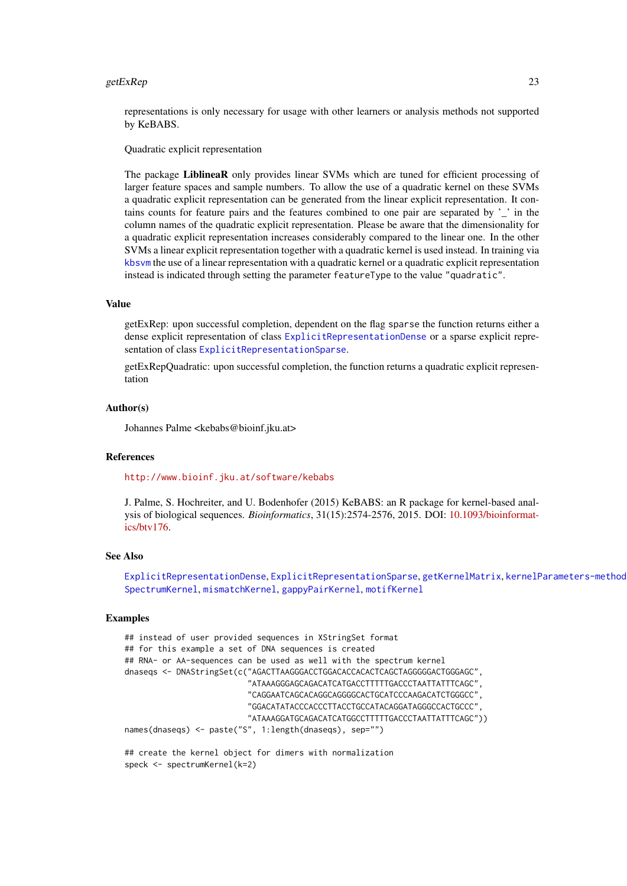# getExRep 23

representations is only necessary for usage with other learners or analysis methods not supported by KeBABS.

Quadratic explicit representation

The package LiblineaR only provides linear SVMs which are tuned for efficient processing of larger feature spaces and sample numbers. To allow the use of a quadratic kernel on these SVMs a quadratic explicit representation can be generated from the linear explicit representation. It contains counts for feature pairs and the features combined to one pair are separated by '\_' in the column names of the quadratic explicit representation. Please be aware that the dimensionality for a quadratic explicit representation increases considerably compared to the linear one. In the other SVMs a linear explicit representation together with a quadratic kernel is used instead. In training via [kbsvm](#page-36-1) the use of a linear representation with a quadratic kernel or a quadratic explicit representation instead is indicated through setting the parameter featureType to the value "quadratic".

# Value

getExRep: upon successful completion, dependent on the flag sparse the function returns either a dense explicit representation of class [ExplicitRepresentationDense](#page-12-1) or a sparse explicit representation of class [ExplicitRepresentationSparse](#page-12-1).

getExRepQuadratic: upon successful completion, the function returns a quadratic explicit representation

# Author(s)

Johannes Palme <kebabs@bioinf.jku.at>

#### References

# <http://www.bioinf.jku.at/software/kebabs>

J. Palme, S. Hochreiter, and U. Bodenhofer (2015) KeBABS: an R package for kernel-based analysis of biological sequences. *Bioinformatics*, 31(15):2574-2576, 2015. DOI: [10.1093/bioinformat](http://dx.doi.org/10.1093/bioinformatics/btv176)[ics/btv176.](http://dx.doi.org/10.1093/bioinformatics/btv176)

#### See Also

[ExplicitRepresentationDense](#page-12-1), [ExplicitRepresentationSparse](#page-12-1), [getKernelMatrix](#page-90-1), [kernelParameters-method](#page-90-1), [SpectrumKernel](#page-103-1), [mismatchKernel](#page-57-1), [gappyPairKernel](#page-14-1), [motifKernel](#page-63-1)

# Examples

```
## instead of user provided sequences in XStringSet format
## for this example a set of DNA sequences is created
## RNA- or AA-sequences can be used as well with the spectrum kernel
dnaseqs <- DNAStringSet(c("AGACTTAAGGGACCTGGACACCACACTCAGCTAGGGGGACTGGGAGC",
                          "ATAAAGGGAGCAGACATCATGACCTTTTTGACCCTAATTATTTCAGC",
                          "CAGGAATCAGCACAGGCAGGGGCACTGCATCCCAAGACATCTGGGCC",
                          "GGACATATACCCACCCTTACCTGCCATACAGGATAGGGCCACTGCCC",
                          "ATAAAGGATGCAGACATCATGGCCTTTTTGACCCTAATTATTTCAGC"))
names(dnaseqs) <- paste("S", 1:length(dnaseqs), sep="")
```

```
## create the kernel object for dimers with normalization
speck <- spectrumKernel(k=2)
```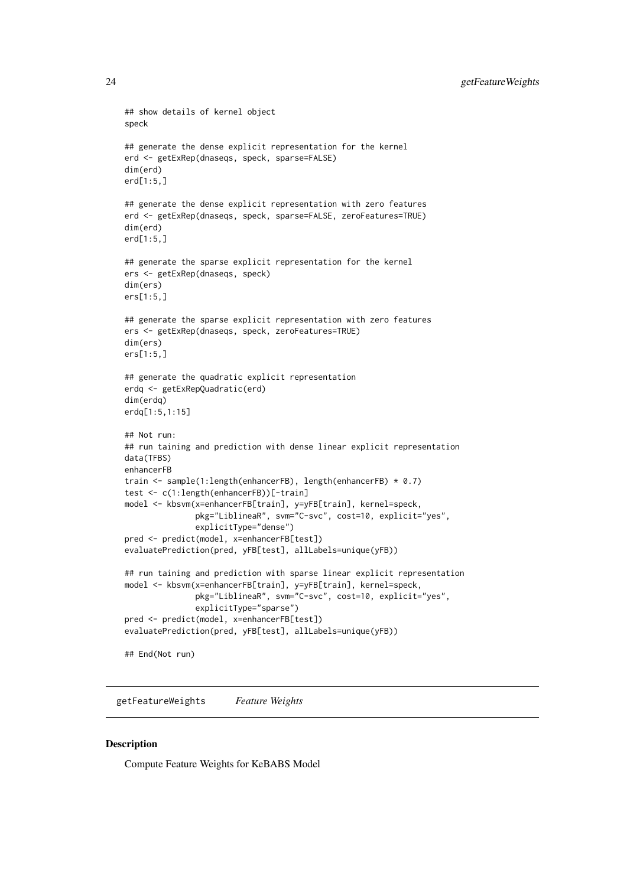```
## show details of kernel object
speck
## generate the dense explicit representation for the kernel
erd <- getExRep(dnaseqs, speck, sparse=FALSE)
dim(erd)
erd[1:5,]
## generate the dense explicit representation with zero features
erd <- getExRep(dnaseqs, speck, sparse=FALSE, zeroFeatures=TRUE)
dim(erd)
erd[1:5,]
## generate the sparse explicit representation for the kernel
ers <- getExRep(dnaseqs, speck)
dim(ers)
ers[1:5,]
## generate the sparse explicit representation with zero features
ers <- getExRep(dnaseqs, speck, zeroFeatures=TRUE)
dim(ers)
ers[1:5,]
## generate the quadratic explicit representation
erdq <- getExRepQuadratic(erd)
dim(erdq)
erdq[1:5,1:15]
## Not run:
## run taining and prediction with dense linear explicit representation
data(TFBS)
enhancerFB
train <- sample(1:length(enhancerFB), length(enhancerFB) * 0.7)
test <- c(1:length(enhancerFB))[-train]
model <- kbsvm(x=enhancerFB[train], y=yFB[train], kernel=speck,
               pkg="LiblineaR", svm="C-svc", cost=10, explicit="yes",
               explicitType="dense")
pred <- predict(model, x=enhancerFB[test])
evaluatePrediction(pred, yFB[test], allLabels=unique(yFB))
## run taining and prediction with sparse linear explicit representation
model <- kbsvm(x=enhancerFB[train], y=yFB[train], kernel=speck,
               pkg="LiblineaR", svm="C-svc", cost=10, explicit="yes",
               explicitType="sparse")
pred <- predict(model, x=enhancerFB[test])
evaluatePrediction(pred, yFB[test], allLabels=unique(yFB))
## End(Not run)
```
getFeatureWeights *Feature Weights*

# Description

Compute Feature Weights for KeBABS Model

<span id="page-23-0"></span>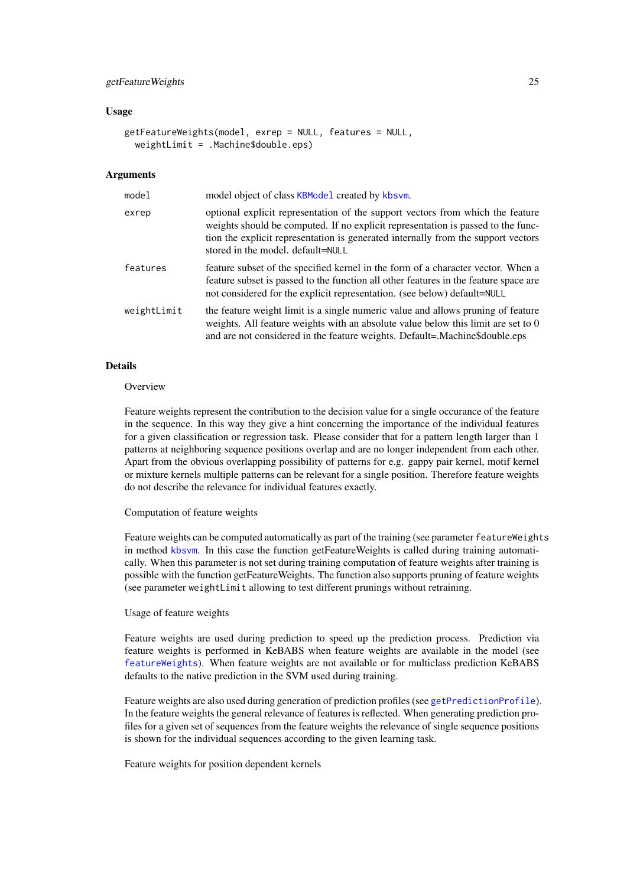## getFeatureWeights 25

# Usage

```
getFeatureWeights(model, exrep = NULL, features = NULL,
 weightLimit = .Machine$double.eps)
```
# Arguments

| model       | model object of class KBModel created by kbsvm.                                                                                                                                                                                                                                              |
|-------------|----------------------------------------------------------------------------------------------------------------------------------------------------------------------------------------------------------------------------------------------------------------------------------------------|
| exrep       | optional explicit representation of the support vectors from which the feature<br>weights should be computed. If no explicit representation is passed to the func-<br>tion the explicit representation is generated internally from the support vectors<br>stored in the model, default=NULL |
| features    | feature subset of the specified kernel in the form of a character vector. When a<br>feature subset is passed to the function all other features in the feature space are<br>not considered for the explicit representation. (see below) default=NULL                                         |
| weightLimit | the feature weight limit is a single numeric value and allows pruning of feature<br>weights. All feature weights with an absolute value below this limit are set to 0<br>and are not considered in the feature weights. Default=.Machine\$double.eps                                         |

# **Details**

#### **Overview**

Feature weights represent the contribution to the decision value for a single occurance of the feature in the sequence. In this way they give a hint concerning the importance of the individual features for a given classification or regression task. Please consider that for a pattern length larger than 1 patterns at neighboring sequence positions overlap and are no longer independent from each other. Apart from the obvious overlapping possibility of patterns for e.g. gappy pair kernel, motif kernel or mixture kernels multiple patterns can be relevant for a single position. Therefore feature weights do not describe the relevance for individual features exactly.

#### Computation of feature weights

Feature weights can be computed automatically as part of the training (see parameter featureWeights in method [kbsvm](#page-36-1). In this case the function getFeatureWeights is called during training automatically. When this parameter is not set during training computation of feature weights after training is possible with the function getFeatureWeights. The function also supports pruning of feature weights (see parameter weightLimit allowing to test different prunings without retraining.

#### Usage of feature weights

Feature weights are used during prediction to speed up the prediction process. Prediction via feature weights is performed in KeBABS when feature weights are available in the model (see [featureWeights](#page-35-1)). When feature weights are not available or for multiclass prediction KeBABS defaults to the native prediction in the SVM used during training.

Feature weights are also used during generation of prediction profiles (see [getPredictionProfile](#page-26-1)). In the feature weights the general relevance of features is reflected. When generating prediction profiles for a given set of sequences from the feature weights the relevance of single sequence positions is shown for the individual sequences according to the given learning task.

Feature weights for position dependent kernels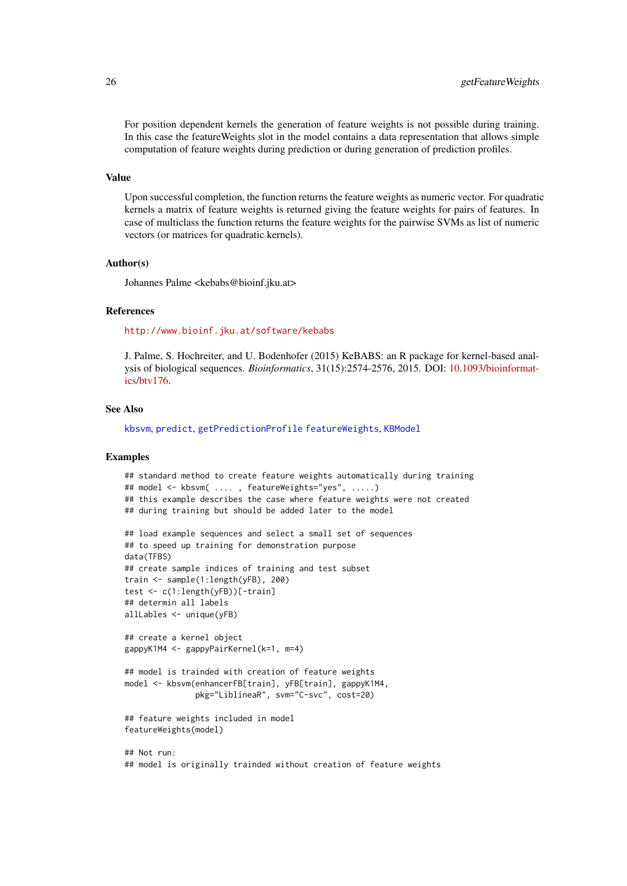For position dependent kernels the generation of feature weights is not possible during training. In this case the featureWeights slot in the model contains a data representation that allows simple computation of feature weights during prediction or during generation of prediction profiles.

# Value

Upon successful completion, the function returns the feature weights as numeric vector. For quadratic kernels a matrix of feature weights is returned giving the feature weights for pairs of features. In case of multiclass the function returns the feature weights for the pairwise SVMs as list of numeric vectors (or matrices for quadratic kernels).

## Author(s)

Johannes Palme <kebabs@bioinf.jku.at>

#### References

<http://www.bioinf.jku.at/software/kebabs>

J. Palme, S. Hochreiter, and U. Bodenhofer (2015) KeBABS: an R package for kernel-based analysis of biological sequences. *Bioinformatics*, 31(15):2574-2576, 2015. DOI: [10.1093/bioinformat](http://dx.doi.org/10.1093/bioinformatics/btv176)[ics/btv176.](http://dx.doi.org/10.1093/bioinformatics/btv176)

# See Also

[kbsvm](#page-36-1), [predict](#page-82-1), [getPredictionProfile](#page-26-1) [featureWeights](#page-35-1), [KBModel](#page-34-1)

# Examples

```
## standard method to create feature weights automatically during training
## model <- kbsvm( .... , featureWeights="yes", .....)
## this example describes the case where feature weights were not created
## during training but should be added later to the model
## load example sequences and select a small set of sequences
## to speed up training for demonstration purpose
data(TFBS)
## create sample indices of training and test subset
train <- sample(1:length(yFB), 200)
test <- c(1:length(yFB))[-train]
## determin all labels
allLables <- unique(yFB)
## create a kernel object
gappyK1M4 <- gappyPairKernel(k=1, m=4)
## model is trainded with creation of feature weights
model <- kbsvm(enhancerFB[train], yFB[train], gappyK1M4,
               pkg="LiblineaR", svm="C-svc", cost=20)
## feature weights included in model
featureWeights(model)
## Not run:
## model is originally trainded without creation of feature weights
```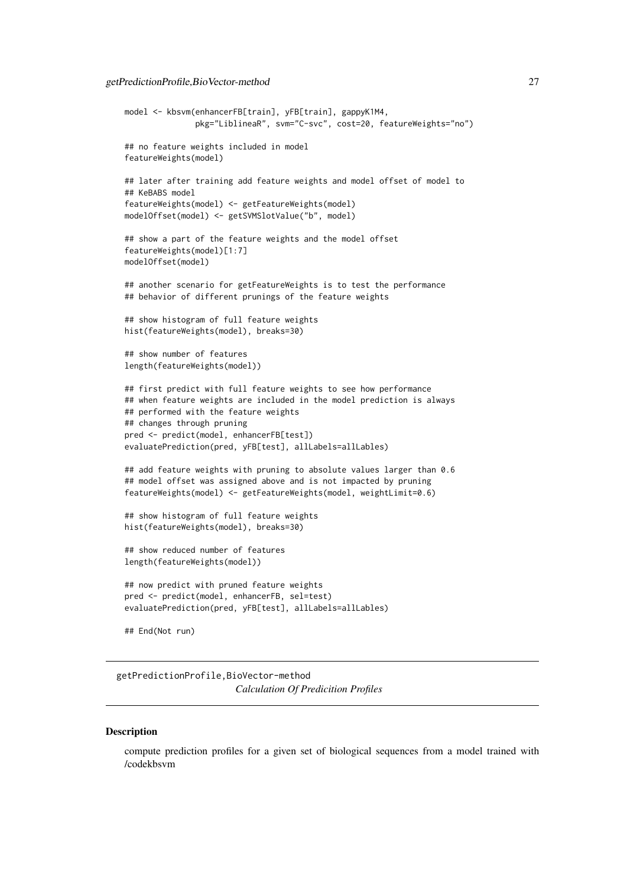```
model <- kbsvm(enhancerFB[train], yFB[train], gappyK1M4,
               pkg="LiblineaR", svm="C-svc", cost=20, featureWeights="no")
## no feature weights included in model
featureWeights(model)
## later after training add feature weights and model offset of model to
## KeBABS model
featureWeights(model) <- getFeatureWeights(model)
modelOffset(model) <- getSVMSlotValue("b", model)
## show a part of the feature weights and the model offset
featureWeights(model)[1:7]
modelOffset(model)
## another scenario for getFeatureWeights is to test the performance
## behavior of different prunings of the feature weights
## show histogram of full feature weights
hist(featureWeights(model), breaks=30)
## show number of features
length(featureWeights(model))
## first predict with full feature weights to see how performance
## when feature weights are included in the model prediction is always
## performed with the feature weights
## changes through pruning
pred <- predict(model, enhancerFB[test])
evaluatePrediction(pred, yFB[test], allLabels=allLables)
## add feature weights with pruning to absolute values larger than 0.6
## model offset was assigned above and is not impacted by pruning
featureWeights(model) <- getFeatureWeights(model, weightLimit=0.6)
## show histogram of full feature weights
hist(featureWeights(model), breaks=30)
## show reduced number of features
length(featureWeights(model))
## now predict with pruned feature weights
pred <- predict(model, enhancerFB, sel=test)
evaluatePrediction(pred, yFB[test], allLabels=allLables)
## End(Not run)
```
getPredictionProfile,BioVector-method *Calculation Of Predicition Profiles*

# <span id="page-26-1"></span>Description

compute prediction profiles for a given set of biological sequences from a model trained with /codekbsvm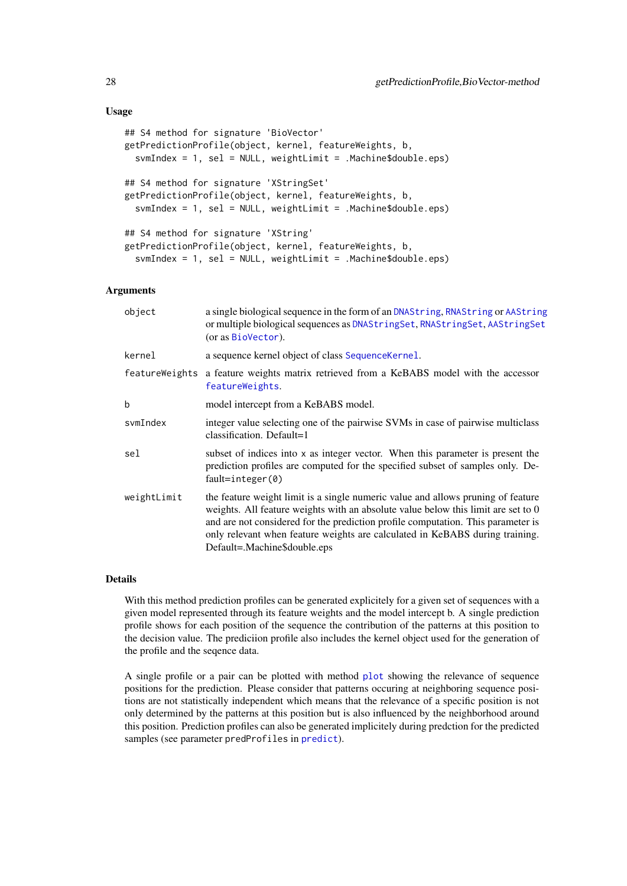# Usage

```
## S4 method for signature 'BioVector'
getPredictionProfile(object, kernel, featureWeights, b,
  svmIndex = 1, sel = NULL, weightLimit = .Machine$double.eps)
## S4 method for signature 'XStringSet'
getPredictionProfile(object, kernel, featureWeights, b,
  svmIndex = 1, sel = NULL, weightLimit = .Machine$double.eps)
## S4 method for signature 'XString'
getPredictionProfile(object, kernel, featureWeights, b,
  svmIndex = 1, sel = NULL, weightLimit = .Machine$double.eps)
```
#### Arguments

| object         | a single biological sequence in the form of an DNAString, RNAString or AAString<br>or multiple biological sequences as DNAStringSet, RNAStringSet, AAStringSet<br>(or as BioVector).                                                                                                                                                                                      |
|----------------|---------------------------------------------------------------------------------------------------------------------------------------------------------------------------------------------------------------------------------------------------------------------------------------------------------------------------------------------------------------------------|
| kernel         | a sequence kernel object of class Sequence Kernel.                                                                                                                                                                                                                                                                                                                        |
| featureWeights | a feature weights matrix retrieved from a KeBABS model with the accessor<br>featureWeights.                                                                                                                                                                                                                                                                               |
| b              | model intercept from a KeBABS model.                                                                                                                                                                                                                                                                                                                                      |
| svmIndex       | integer value selecting one of the pairwise SVMs in case of pairwise multiclass<br>$classification. Default=1$                                                                                                                                                                                                                                                            |
| sel            | subset of indices into x as integer vector. When this parameter is present the<br>prediction profiles are computed for the specified subset of samples only. De-<br>$fault=integer(0)$                                                                                                                                                                                    |
| weightLimit    | the feature weight limit is a single numeric value and allows pruning of feature<br>weights. All feature weights with an absolute value below this limit are set to 0<br>and are not considered for the prediction profile computation. This parameter is<br>only relevant when feature weights are calculated in KeBABS during training.<br>Default=.Machine\$double.eps |

#### Details

With this method prediction profiles can be generated explicitely for a given set of sequences with a given model represented through its feature weights and the model intercept b. A single prediction profile shows for each position of the sequence the contribution of the patterns at this position to the decision value. The prediciion profile also includes the kernel object used for the generation of the profile and the seqence data.

A single profile or a pair can be plotted with method [plot](#page-78-1) showing the relevance of sequence positions for the prediction. Please consider that patterns occuring at neighboring sequence positions are not statistically independent which means that the relevance of a specific position is not only determined by the patterns at this position but is also influenced by the neighborhood around this position. Prediction profiles can also be generated implicitely during predction for the predicted samples (see parameter predProfiles in [predict](#page-82-1)).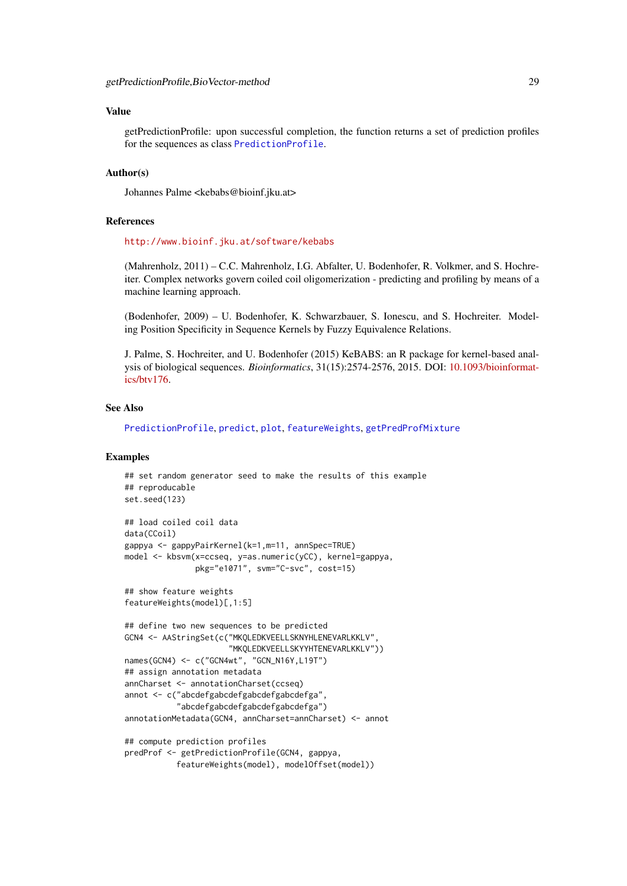#### Value

getPredictionProfile: upon successful completion, the function returns a set of prediction profiles for the sequences as class [PredictionProfile](#page-86-1).

# Author(s)

Johannes Palme <kebabs@bioinf.jku.at>

# References

<http://www.bioinf.jku.at/software/kebabs>

(Mahrenholz, 2011) – C.C. Mahrenholz, I.G. Abfalter, U. Bodenhofer, R. Volkmer, and S. Hochreiter. Complex networks govern coiled coil oligomerization - predicting and profiling by means of a machine learning approach.

(Bodenhofer, 2009) – U. Bodenhofer, K. Schwarzbauer, S. Ionescu, and S. Hochreiter. Modeling Position Specificity in Sequence Kernels by Fuzzy Equivalence Relations.

J. Palme, S. Hochreiter, and U. Bodenhofer (2015) KeBABS: an R package for kernel-based analysis of biological sequences. *Bioinformatics*, 31(15):2574-2576, 2015. DOI: [10.1093/bioinformat](http://dx.doi.org/10.1093/bioinformatics/btv176)[ics/btv176.](http://dx.doi.org/10.1093/bioinformatics/btv176)

# See Also

[PredictionProfile](#page-86-1), [predict](#page-82-1), [plot](#page-78-1), [featureWeights](#page-35-1), [getPredProfMixture](#page-29-1)

#### Examples

```
## set random generator seed to make the results of this example
## reproducable
set.seed(123)
## load coiled coil data
data(CCoil)
gappya <- gappyPairKernel(k=1,m=11, annSpec=TRUE)
model <- kbsvm(x=ccseq, y=as.numeric(yCC), kernel=gappya,
               pkg="e1071", svm="C-svc", cost=15)
## show feature weights
featureWeights(model)[,1:5]
## define two new sequences to be predicted
GCN4 <- AAStringSet(c("MKQLEDKVEELLSKNYHLENEVARLKKLV",
                      "MKQLEDKVEELLSKYYHTENEVARLKKLV"))
names(GCN4) <- c("GCN4wt", "GCN_N16Y,L19T")
## assign annotation metadata
annCharset <- annotationCharset(ccseq)
annot <- c("abcdefgabcdefgabcdefgabcdefga",
           "abcdefgabcdefgabcdefgabcdefga")
annotationMetadata(GCN4, annCharset=annCharset) <- annot
## compute prediction profiles
predProf <- getPredictionProfile(GCN4, gappya,
           featureWeights(model), modelOffset(model))
```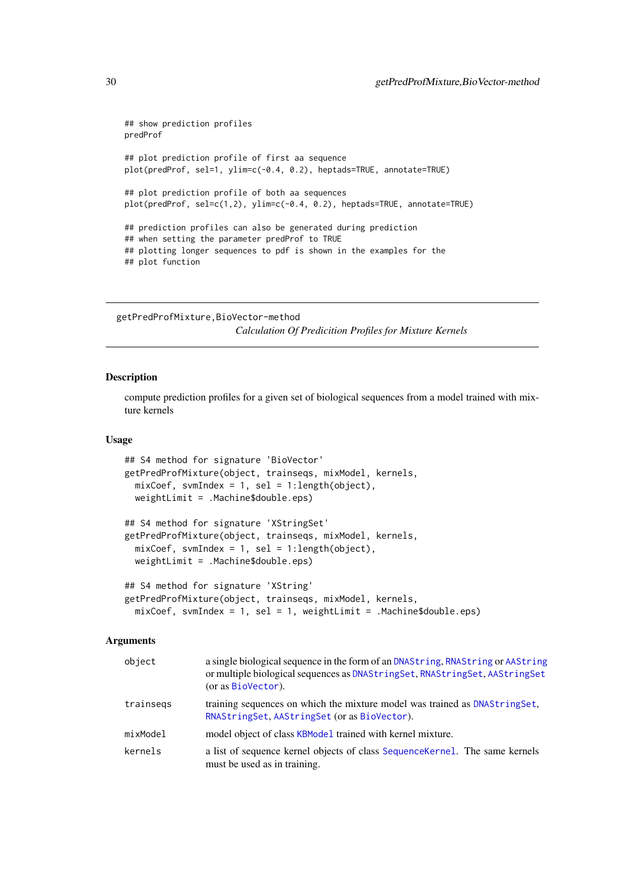```
## show prediction profiles
predProf
## plot prediction profile of first aa sequence
plot(predProf, sel=1, ylim=c(-0.4, 0.2), heptads=TRUE, annotate=TRUE)
## plot prediction profile of both aa sequences
plot(predProf, sel=c(1,2), ylim=c(-0.4, 0.2), heptads=TRUE, annotate=TRUE)
## prediction profiles can also be generated during prediction
## when setting the parameter predProf to TRUE
## plotting longer sequences to pdf is shown in the examples for the
## plot function
```
getPredProfMixture,BioVector-method

*Calculation Of Predicition Profiles for Mixture Kernels*

#### <span id="page-29-1"></span>Description

compute prediction profiles for a given set of biological sequences from a model trained with mixture kernels

## Usage

```
## S4 method for signature 'BioVector'
getPredProfMixture(object, trainseqs, mixModel, kernels,
 mixCoef, svmIndex = 1, sel = 1:length(object),
 weightLimit = .Machine$double.eps)
## S4 method for signature 'XStringSet'
getPredProfMixture(object, trainseqs, mixModel, kernels,
 mixCoeff, svmIndex = 1, sel = 1:length(object),
 weightLimit = .Machine$double.eps)
```

```
## S4 method for signature 'XString'
getPredProfMixture(object, trainseqs, mixModel, kernels,
 mixCoef, svmIndex = 1, sel = 1, weightLimit = .Machine$double.eps)
```
# Arguments

| object    | a single biological sequence in the form of an DNAString, RNAString or AAString<br>or multiple biological sequences as DNAStringSet, RNAStringSet, AAStringSet<br>(or as BioVector). |
|-----------|--------------------------------------------------------------------------------------------------------------------------------------------------------------------------------------|
| trainsegs | training sequences on which the mixture model was trained as DNAStringSet,<br>RNAStringSet, AAStringSet (or as BioVector).                                                           |
| mixModel  | model object of class KBModel trained with kernel mixture.                                                                                                                           |
| kernels   | a list of sequence kernel objects of class Sequence Kernel. The same kernels<br>must be used as in training.                                                                         |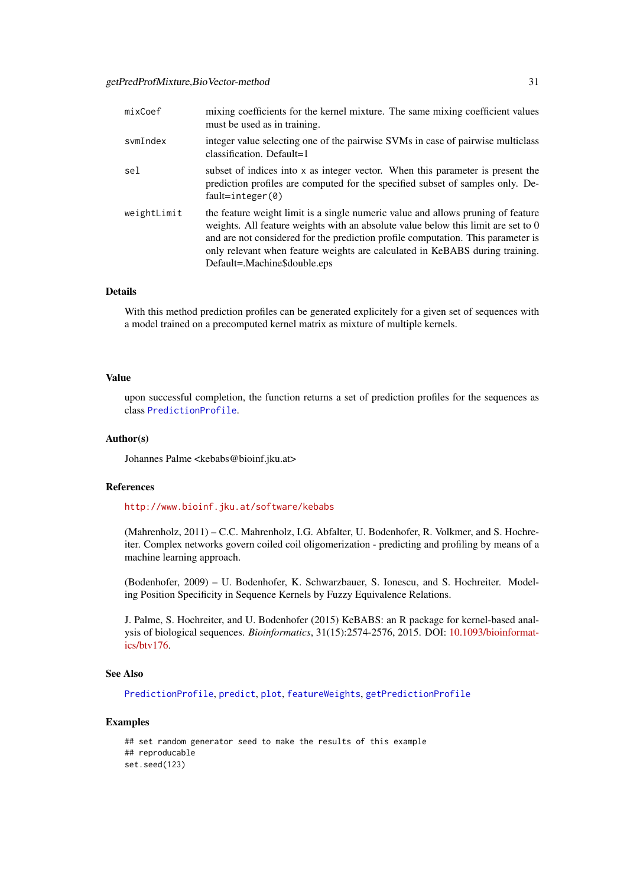| mixCoef     | mixing coefficients for the kernel mixture. The same mixing coefficient values<br>must be used as in training.                                                                                                                                                                                                                                                            |
|-------------|---------------------------------------------------------------------------------------------------------------------------------------------------------------------------------------------------------------------------------------------------------------------------------------------------------------------------------------------------------------------------|
| svmIndex    | integer value selecting one of the pairwise SVMs in case of pairwise multiclass<br>classification. Default=1                                                                                                                                                                                                                                                              |
| sel         | subset of indices into x as integer vector. When this parameter is present the<br>prediction profiles are computed for the specified subset of samples only. De-<br>$fault=integer(0)$                                                                                                                                                                                    |
| weightLimit | the feature weight limit is a single numeric value and allows pruning of feature<br>weights. All feature weights with an absolute value below this limit are set to 0<br>and are not considered for the prediction profile computation. This parameter is<br>only relevant when feature weights are calculated in KeBABS during training.<br>Default=.Machine\$double.eps |

#### Details

With this method prediction profiles can be generated explicitely for a given set of sequences with a model trained on a precomputed kernel matrix as mixture of multiple kernels.

#### Value

upon successful completion, the function returns a set of prediction profiles for the sequences as class [PredictionProfile](#page-86-1).

#### Author(s)

Johannes Palme <kebabs@bioinf.jku.at>

#### References

<http://www.bioinf.jku.at/software/kebabs>

(Mahrenholz, 2011) – C.C. Mahrenholz, I.G. Abfalter, U. Bodenhofer, R. Volkmer, and S. Hochreiter. Complex networks govern coiled coil oligomerization - predicting and profiling by means of a machine learning approach.

(Bodenhofer, 2009) – U. Bodenhofer, K. Schwarzbauer, S. Ionescu, and S. Hochreiter. Modeling Position Specificity in Sequence Kernels by Fuzzy Equivalence Relations.

J. Palme, S. Hochreiter, and U. Bodenhofer (2015) KeBABS: an R package for kernel-based analysis of biological sequences. *Bioinformatics*, 31(15):2574-2576, 2015. DOI: [10.1093/bioinformat](http://dx.doi.org/10.1093/bioinformatics/btv176)[ics/btv176.](http://dx.doi.org/10.1093/bioinformatics/btv176)

# See Also

[PredictionProfile](#page-86-1), [predict](#page-82-1), [plot](#page-78-1), [featureWeights](#page-35-1), [getPredictionProfile](#page-26-1)

#### Examples

```
## set random generator seed to make the results of this example
## reproducable
set.seed(123)
```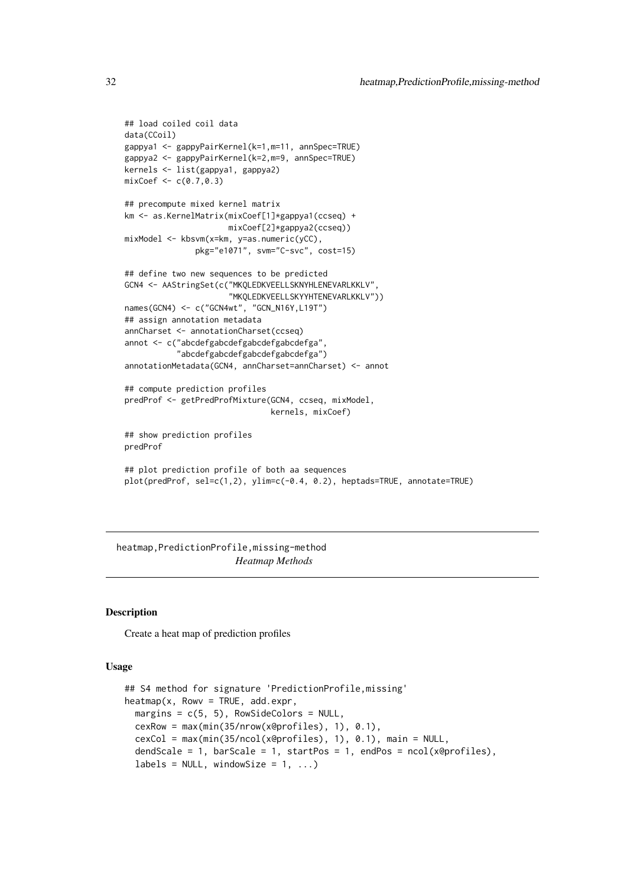```
## load coiled coil data
data(CCoil)
gappya1 <- gappyPairKernel(k=1,m=11, annSpec=TRUE)
gappya2 <- gappyPairKernel(k=2,m=9, annSpec=TRUE)
kernels <- list(gappya1, gappya2)
mixCoef \leftarrow c(0.7, 0.3)## precompute mixed kernel matrix
km <- as.KernelMatrix(mixCoef[1]*gappya1(ccseq) +
                      mixCoef[2]*gappya2(ccseq))
mixModel <- kbsvm(x=km, y=as.numeric(yCC),
               pkg="e1071", svm="C-svc", cost=15)
## define two new sequences to be predicted
GCN4 <- AAStringSet(c("MKQLEDKVEELLSKNYHLENEVARLKKLV",
                      "MKQLEDKVEELLSKYYHTENEVARLKKLV"))
names(GCN4) <- c("GCN4wt", "GCN_N16Y,L19T")
## assign annotation metadata
annCharset <- annotationCharset(ccseq)
annot <- c("abcdefgabcdefgabcdefgabcdefga",
           "abcdefgabcdefgabcdefgabcdefga")
annotationMetadata(GCN4, annCharset=annCharset) <- annot
## compute prediction profiles
predProf <- getPredProfMixture(GCN4, ccseq, mixModel,
                               kernels, mixCoef)
## show prediction profiles
predProf
## plot prediction profile of both aa sequences
```

```
plot(predProf, sel=c(1,2), ylim=c(-0.4, 0.2), heptads=TRUE, annotate=TRUE)
```
heatmap,PredictionProfile,missing-method *Heatmap Methods*

# <span id="page-31-1"></span>Description

Create a heat map of prediction profiles

# Usage

```
## S4 method for signature 'PredictionProfile,missing'
heatmap(x, Rowv = TRUE, add.expr,
 margins = c(5, 5), RowSideColors = NULL,
  cexRow = max(min(35/nrow(x@profiles), 1), 0.1),
 cexCol = max(min(35/ncol(x@profiles), 1), 0.1), main = NULL,
 dendScale = 1, barScale = 1, startPos = 1, endPos = ncol(x@profiles),
  labels = NULL, windowSize = 1, ...)
```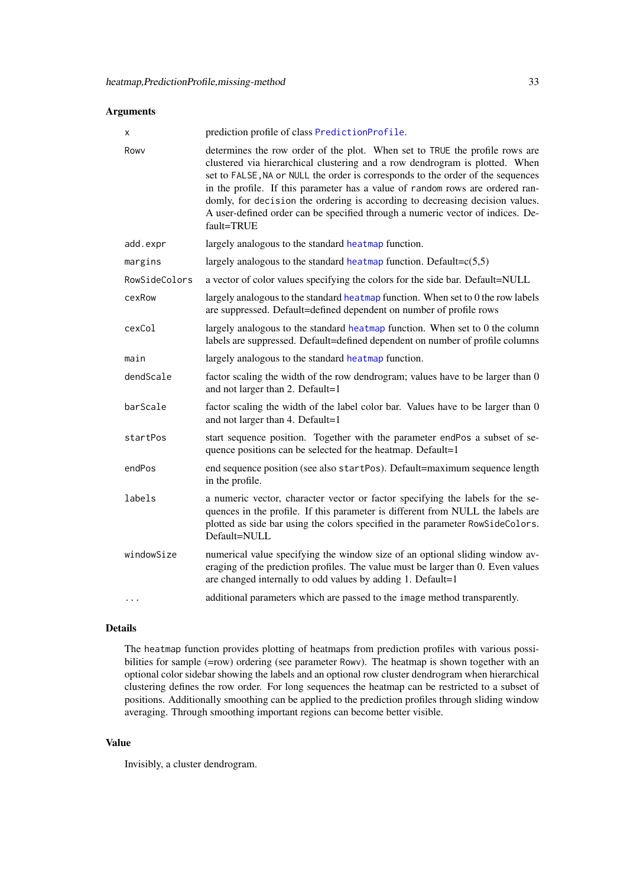# Arguments

| x             | prediction profile of class PredictionProfile.                                                                                                                                                                                                                                                                                                                                                                                                                                                                 |
|---------------|----------------------------------------------------------------------------------------------------------------------------------------------------------------------------------------------------------------------------------------------------------------------------------------------------------------------------------------------------------------------------------------------------------------------------------------------------------------------------------------------------------------|
| Rowy          | determines the row order of the plot. When set to TRUE the profile rows are<br>clustered via hierarchical clustering and a row dendrogram is plotted. When<br>set to FALSE, NA or NULL the order is corresponds to the order of the sequences<br>in the profile. If this parameter has a value of random rows are ordered ran-<br>domly, for decision the ordering is according to decreasing decision values.<br>A user-defined order can be specified through a numeric vector of indices. De-<br>fault=TRUE |
| add.expr      | largely analogous to the standard heatmap function.                                                                                                                                                                                                                                                                                                                                                                                                                                                            |
| margins       | largely analogous to the standard heatmap function. Default= $c(5,5)$                                                                                                                                                                                                                                                                                                                                                                                                                                          |
| RowSideColors | a vector of color values specifying the colors for the side bar. Default=NULL                                                                                                                                                                                                                                                                                                                                                                                                                                  |
| cexRow        | largely analogous to the standard heatmap function. When set to $0$ the row labels<br>are suppressed. Default=defined dependent on number of profile rows                                                                                                                                                                                                                                                                                                                                                      |
| cexCol        | largely analogous to the standard heatmap function. When set to $0$ the column<br>labels are suppressed. Default=defined dependent on number of profile columns                                                                                                                                                                                                                                                                                                                                                |
| main          | largely analogous to the standard heatmap function.                                                                                                                                                                                                                                                                                                                                                                                                                                                            |
| dendScale     | factor scaling the width of the row dendrogram; values have to be larger than 0<br>and not larger than 2. Default=1                                                                                                                                                                                                                                                                                                                                                                                            |
| barScale      | factor scaling the width of the label color bar. Values have to be larger than 0<br>and not larger than 4. Default=1                                                                                                                                                                                                                                                                                                                                                                                           |
| startPos      | start sequence position. Together with the parameter endPos a subset of se-<br>quence positions can be selected for the heatmap. Default=1                                                                                                                                                                                                                                                                                                                                                                     |
| endPos        | end sequence position (see also startPos). Default=maximum sequence length<br>in the profile.                                                                                                                                                                                                                                                                                                                                                                                                                  |
| labels        | a numeric vector, character vector or factor specifying the labels for the se-<br>quences in the profile. If this parameter is different from NULL the labels are<br>plotted as side bar using the colors specified in the parameter RowSideColors.<br>Default=NULL                                                                                                                                                                                                                                            |
| windowSize    | numerical value specifying the window size of an optional sliding window av-<br>eraging of the prediction profiles. The value must be larger than 0. Even values<br>are changed internally to odd values by adding 1. Default=1                                                                                                                                                                                                                                                                                |
| $\cdots$      | additional parameters which are passed to the image method transparently.                                                                                                                                                                                                                                                                                                                                                                                                                                      |

# Details

The heatmap function provides plotting of heatmaps from prediction profiles with various possibilities for sample (=row) ordering (see parameter Rowv). The heatmap is shown together with an optional color sidebar showing the labels and an optional row cluster dendrogram when hierarchical clustering defines the row order. For long sequences the heatmap can be restricted to a subset of positions. Additionally smoothing can be applied to the prediction profiles through sliding window averaging. Through smoothing important regions can become better visible.

# Value

Invisibly, a cluster dendrogram.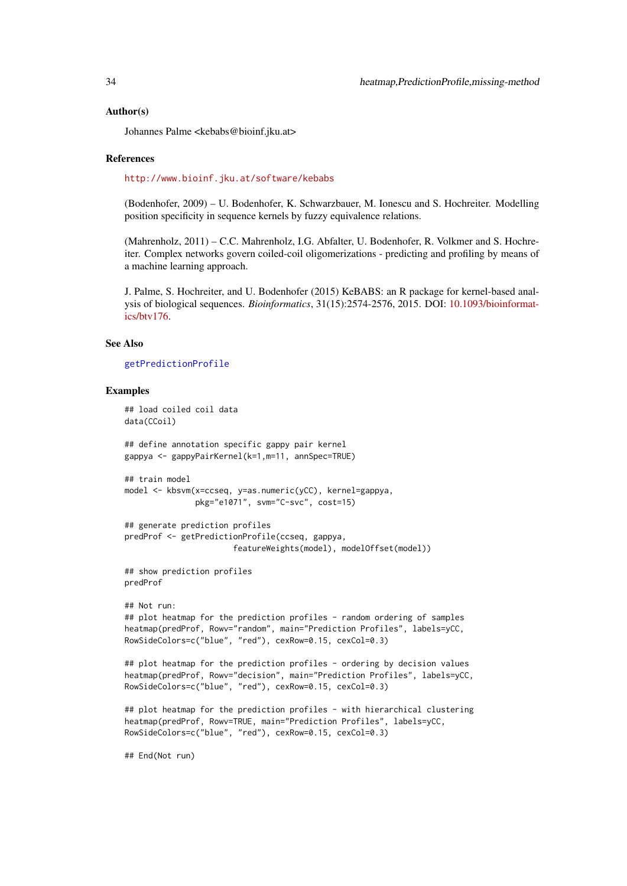#### Author(s)

Johannes Palme <kebabs@bioinf.jku.at>

# References

<http://www.bioinf.jku.at/software/kebabs>

(Bodenhofer, 2009) – U. Bodenhofer, K. Schwarzbauer, M. Ionescu and S. Hochreiter. Modelling position specificity in sequence kernels by fuzzy equivalence relations.

(Mahrenholz, 2011) – C.C. Mahrenholz, I.G. Abfalter, U. Bodenhofer, R. Volkmer and S. Hochreiter. Complex networks govern coiled-coil oligomerizations - predicting and profiling by means of a machine learning approach.

J. Palme, S. Hochreiter, and U. Bodenhofer (2015) KeBABS: an R package for kernel-based analysis of biological sequences. *Bioinformatics*, 31(15):2574-2576, 2015. DOI: [10.1093/bioinformat](http://dx.doi.org/10.1093/bioinformatics/btv176)[ics/btv176.](http://dx.doi.org/10.1093/bioinformatics/btv176)

# See Also

#### [getPredictionProfile](#page-26-1)

# Examples

```
## load coiled coil data
data(CCoil)
## define annotation specific gappy pair kernel
gappya <- gappyPairKernel(k=1,m=11, annSpec=TRUE)
## train model
model <- kbsvm(x=ccseq, y=as.numeric(yCC), kernel=gappya,
               pkg="e1071", svm="C-svc", cost=15)
## generate prediction profiles
predProf <- getPredictionProfile(ccseq, gappya,
                       featureWeights(model), modelOffset(model))
## show prediction profiles
predProf
## Not run:
## plot heatmap for the prediction profiles - random ordering of samples
heatmap(predProf, Rowv="random", main="Prediction Profiles", labels=yCC,
RowSideColors=c("blue", "red"), cexRow=0.15, cexCol=0.3)
## plot heatmap for the prediction profiles - ordering by decision values
heatmap(predProf, Rowv="decision", main="Prediction Profiles", labels=yCC,
RowSideColors=c("blue", "red"), cexRow=0.15, cexCol=0.3)
## plot heatmap for the prediction profiles - with hierarchical clustering
heatmap(predProf, Rowv=TRUE, main="Prediction Profiles", labels=yCC,
RowSideColors=c("blue", "red"), cexRow=0.15, cexCol=0.3)
```
## End(Not run)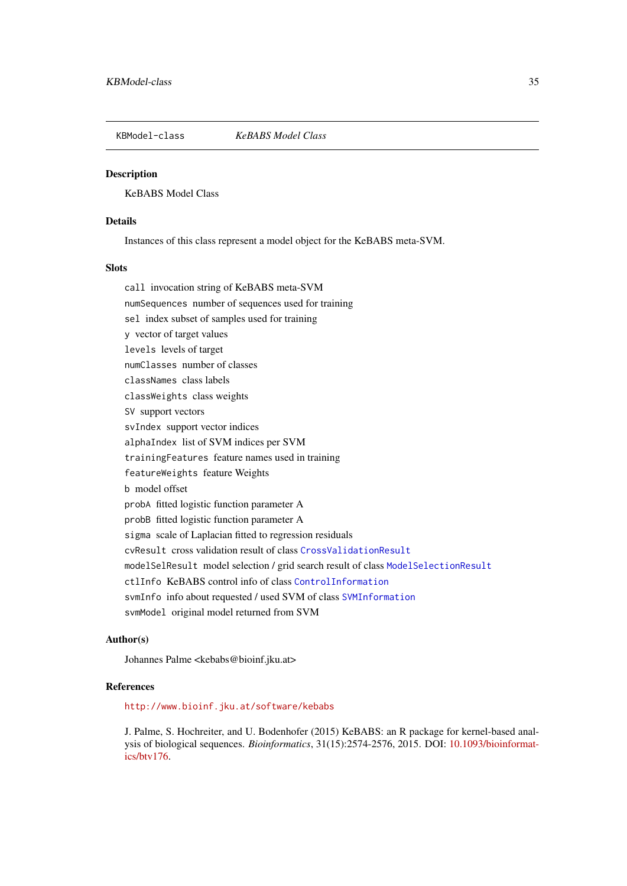<span id="page-34-1"></span><span id="page-34-0"></span>KBModel-class *KeBABS Model Class*

#### Description

KeBABS Model Class

# Details

Instances of this class represent a model object for the KeBABS meta-SVM.

#### Slots

call invocation string of KeBABS meta-SVM numSequences number of sequences used for training sel index subset of samples used for training y vector of target values levels levels of target numClasses number of classes classNames class labels classWeights class weights SV support vectors svIndex support vector indices alphaIndex list of SVM indices per SVM trainingFeatures feature names used in training featureWeights feature Weights b model offset probA fitted logistic function parameter A probB fitted logistic function parameter A sigma scale of Laplacian fitted to regression residuals cvResult cross validation result of class [CrossValidationResult](#page-8-1) modelSelResult model selection / grid search result of class [ModelSelectionResult](#page-61-1) ctlInfo KeBABS control info of class [ControlInformation](#page-7-1) svmInfo info about requested / used SVM of class [SVMInformation](#page-104-1) svmModel original model returned from SVM

#### Author(s)

Johannes Palme <kebabs@bioinf.jku.at>

# References

<http://www.bioinf.jku.at/software/kebabs>

J. Palme, S. Hochreiter, and U. Bodenhofer (2015) KeBABS: an R package for kernel-based analysis of biological sequences. *Bioinformatics*, 31(15):2574-2576, 2015. DOI: [10.1093/bioinformat](http://dx.doi.org/10.1093/bioinformatics/btv176)[ics/btv176.](http://dx.doi.org/10.1093/bioinformatics/btv176)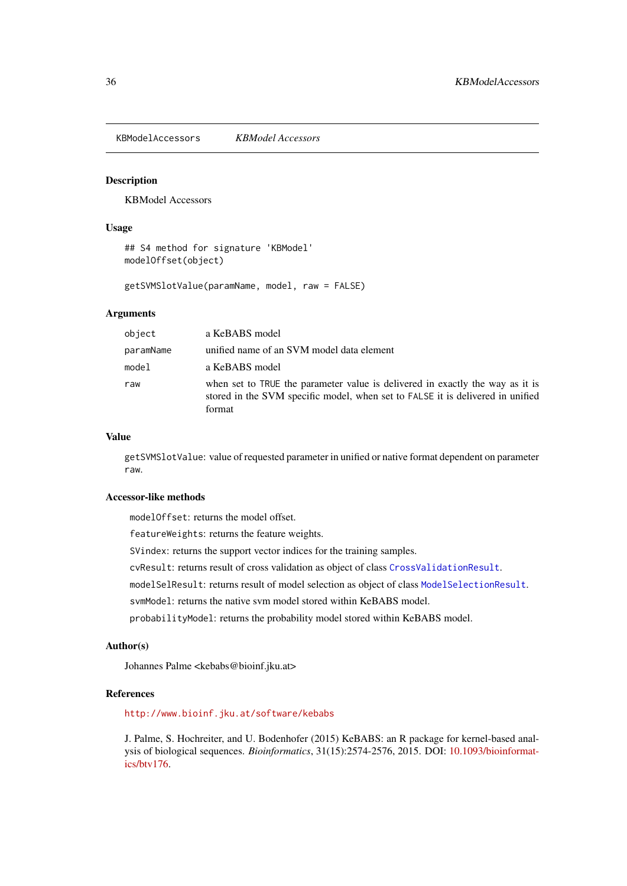<span id="page-35-0"></span>KBModelAccessors *KBModel Accessors*

# <span id="page-35-1"></span>Description

KBModel Accessors

# Usage

```
## S4 method for signature 'KBModel'
modelOffset(object)
```
getSVMSlotValue(paramName, model, raw = FALSE)

# Arguments

| object    | a KeBABS model                                                                                                                                                            |
|-----------|---------------------------------------------------------------------------------------------------------------------------------------------------------------------------|
| paramName | unified name of an SVM model data element                                                                                                                                 |
| model     | a KeBABS model                                                                                                                                                            |
| raw       | when set to TRUE the parameter value is delivered in exactly the way as it is<br>stored in the SVM specific model, when set to FALSE it is delivered in unified<br>format |

# Value

getSVMSlotValue: value of requested parameter in unified or native format dependent on parameter raw.

# Accessor-like methods

modelOffset: returns the model offset.

featureWeights: returns the feature weights.

SVindex: returns the support vector indices for the training samples.

cvResult: returns result of cross validation as object of class [CrossValidationResult](#page-8-1).

modelSelResult: returns result of model selection as object of class [ModelSelectionResult](#page-61-1).

svmModel: returns the native svm model stored within KeBABS model.

probabilityModel: returns the probability model stored within KeBABS model.

# Author(s)

Johannes Palme <kebabs@bioinf.jku.at>

# References

<http://www.bioinf.jku.at/software/kebabs>

J. Palme, S. Hochreiter, and U. Bodenhofer (2015) KeBABS: an R package for kernel-based analysis of biological sequences. *Bioinformatics*, 31(15):2574-2576, 2015. DOI: [10.1093/bioinformat](http://dx.doi.org/10.1093/bioinformatics/btv176)[ics/btv176.](http://dx.doi.org/10.1093/bioinformatics/btv176)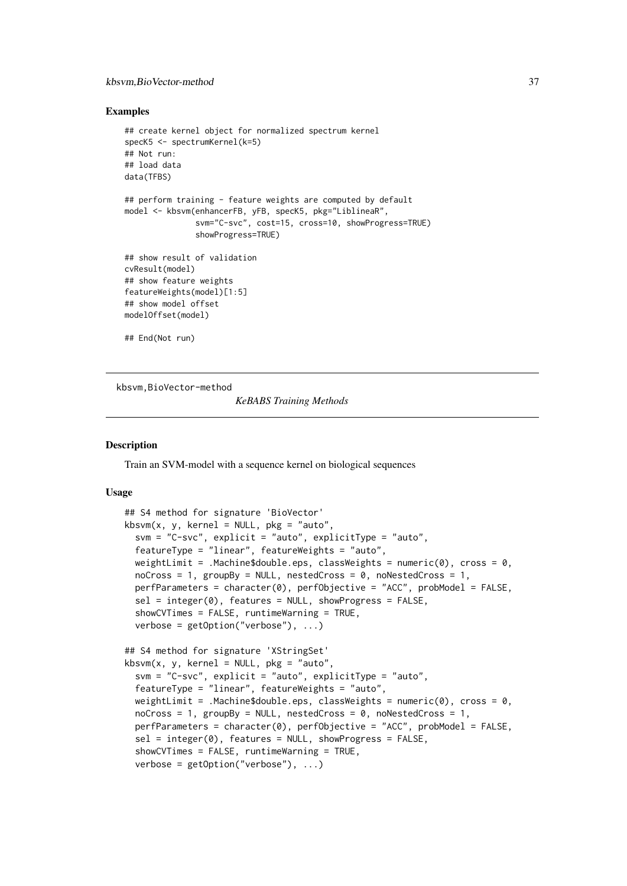#### kbsvm,BioVector-method 37

#### Examples

```
## create kernel object for normalized spectrum kernel
specK5 <- spectrumKernel(k=5)
## Not run:
## load data
data(TFBS)
## perform training - feature weights are computed by default
model <- kbsvm(enhancerFB, yFB, specK5, pkg="LiblineaR",
               svm="C-svc", cost=15, cross=10, showProgress=TRUE)
               showProgress=TRUE)
## show result of validation
cvResult(model)
## show feature weights
featureWeights(model)[1:5]
## show model offset
modelOffset(model)
## End(Not run)
```
kbsvm,BioVector-method

*KeBABS Training Methods*

### <span id="page-36-0"></span>Description

Train an SVM-model with a sequence kernel on biological sequences

#### Usage

```
## S4 method for signature 'BioVector'
kbsvm(x, y, \text{kernel} = \text{NULL}, \text{pkg} = \text{"auto",}svm = "C-svc", explicit = "auto", explicitType = "auto",
  featureType = "linear", featureWeights = "auto",
  weightLimit = . Machine$double.eps, classWeights = numeric(0), cross = 0,
  n0Cross = 1, groupBy = NULL, nestedCross = 0, n0NestedCross = 1,
  perfParameters = character(0), perfObjective = "ACC", probModel = FALSE,
  sel = integer(0), features = NULL, showProgress = FALSE,
  showCVTimes = FALSE, runtimeWarning = TRUE,
  verbose = getOption("verbose"), ...)
## S4 method for signature 'XStringSet'
kbsvm(x, y, \text{kernel} = \text{NULL}, \text{pkg} = \text{"auto",}svm = "C-svc", explicit = "auto", explicitType = "auto",
  featureType = "linear", featureWeights = "auto",
  weightLimit = . Machine$double.eps, classWeights = numeric(0), cross = 0,
  n0Cross = 1, groupBy = NULL, nestedCross = 0, n0NestedCross = 1,
  perfParameters = character(0), perfObjective = "ACC", probModel = FALSE,
  sel = integer(0), features = NULL, showProgress = FALSE,
  showCVTimes = FALSE, runtimeWarning = TRUE,
  verbose = getOption("verbose"), ...)
```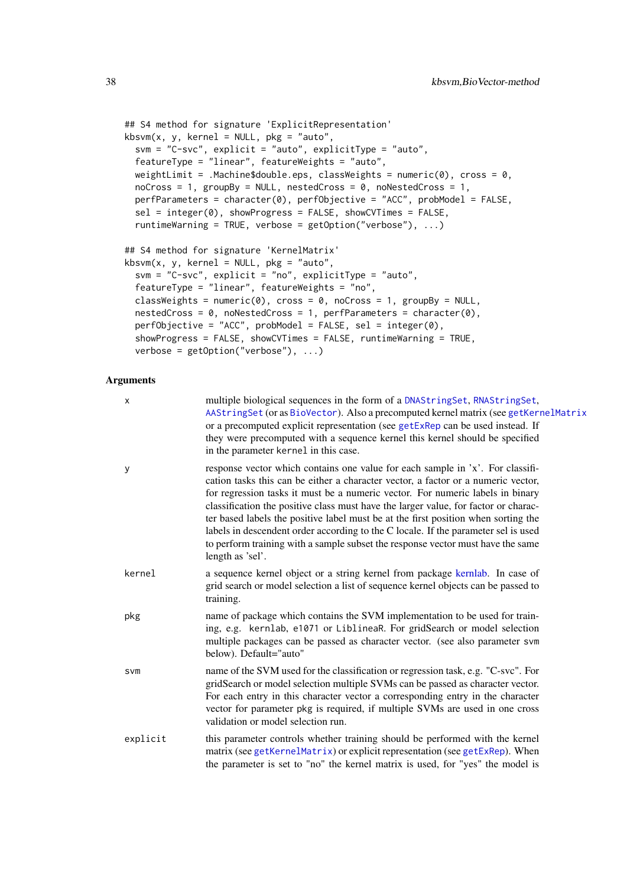```
## S4 method for signature 'ExplicitRepresentation'
kbsvm(x, y, kernel = NULL, pkg = "auto",svm = "C-svc", explicit = "auto", explicitType = "auto",
  featureType = "linear", featureWeights = "auto",
  weightLimit = .Machine$double.eps, classWeights = numeric(0), cross = 0,
  noCross = 1, groupBy = NULL, nestedCross = 0, nokestedCross = 1,
  perfParameters = character(0), perfObjective = "ACC", probModel = FALSE,
  sel = integer(0), showProgress = FALSE, showCVTimes = FALSE,
  runtimeWarning = TRUE, verbose = getOption("verbose"), ...)
## S4 method for signature 'KernelMatrix'
kbsvm(x, y, \text{kernel} = \text{NULL}, \text{pkg} = \text{"auto",}svm = "C-svc", explicit = "no", explicitType = "auto",
  featureType = "linear", featureWeights = "no",
  classWeights = numeric(0), cross = 0, noCross = 1, groupBy = NULL,
  nestedCross = 0, noNestedCross = 1, perfParameters = character(0),
  perfObjective = "ACC", probModel = FALSE, sel = integer(0),
  showProgress = FALSE, showCVTimes = FALSE, runtimeWarning = TRUE,
  verbose = getOption("verbose"), ...)
```
### Arguments

| X          | multiple biological sequences in the form of a DNAStringSet, RNAStringSet,<br>AAStringSet (or as BioVector). Also a precomputed kernel matrix (see getKernelMatrix<br>or a precomputed explicit representation (see getExRep can be used instead. If<br>they were precomputed with a sequence kernel this kernel should be specified<br>in the parameter kernel in this case.                                                                                                                                                                                                                                                   |
|------------|---------------------------------------------------------------------------------------------------------------------------------------------------------------------------------------------------------------------------------------------------------------------------------------------------------------------------------------------------------------------------------------------------------------------------------------------------------------------------------------------------------------------------------------------------------------------------------------------------------------------------------|
| y          | response vector which contains one value for each sample in 'x'. For classifi-<br>cation tasks this can be either a character vector, a factor or a numeric vector,<br>for regression tasks it must be a numeric vector. For numeric labels in binary<br>classification the positive class must have the larger value, for factor or charac-<br>ter based labels the positive label must be at the first position when sorting the<br>labels in descendent order according to the C locale. If the parameter sel is used<br>to perform training with a sample subset the response vector must have the same<br>length as 'sel'. |
| kernel     | a sequence kernel object or a string kernel from package kernlab. In case of<br>grid search or model selection a list of sequence kernel objects can be passed to<br>training.                                                                                                                                                                                                                                                                                                                                                                                                                                                  |
| pkg        | name of package which contains the SVM implementation to be used for train-<br>ing, e.g. kernlab, e1071 or LiblineaR. For gridSearch or model selection<br>multiple packages can be passed as character vector. (see also parameter svm<br>below). Default="auto"                                                                                                                                                                                                                                                                                                                                                               |
| <b>SVM</b> | name of the SVM used for the classification or regression task, e.g. "C-svc". For<br>gridSearch or model selection multiple SVMs can be passed as character vector.<br>For each entry in this character vector a corresponding entry in the character<br>vector for parameter pkg is required, if multiple SVMs are used in one cross<br>validation or model selection run.                                                                                                                                                                                                                                                     |
| explicit   | this parameter controls whether training should be performed with the kernel<br>matrix (see getKernelMatrix) or explicit representation (see getExRep). When<br>the parameter is set to "no" the kernel matrix is used, for "yes" the model is                                                                                                                                                                                                                                                                                                                                                                                  |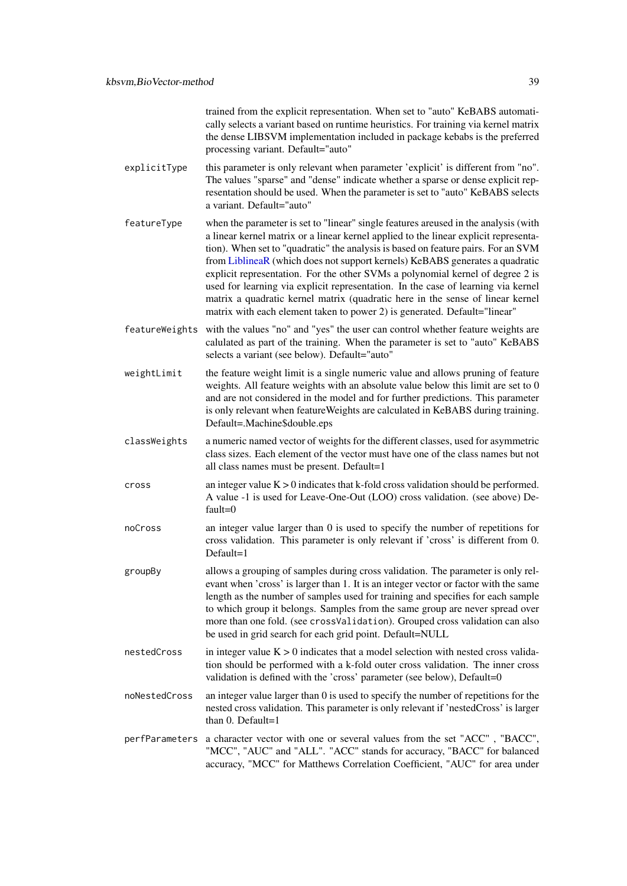trained from the explicit representation. When set to "auto" KeBABS automatically selects a variant based on runtime heuristics. For training via kernel matrix the dense LIBSVM implementation included in package kebabs is the preferred processing variant. Default="auto"

- explicitType this parameter is only relevant when parameter 'explicit' is different from "no". The values "sparse" and "dense" indicate whether a sparse or dense explicit representation should be used. When the parameter is set to "auto" KeBABS selects a variant. Default="auto"
- featureType when the parameter is set to "linear" single features areused in the analysis (with a linear kernel matrix or a linear kernel applied to the linear explicit representation). When set to "quadratic" the analysis is based on feature pairs. For an SVM from [LiblineaR](#page-0-0) (which does not support kernels) KeBABS generates a quadratic explicit representation. For the other SVMs a polynomial kernel of degree 2 is used for learning via explicit representation. In the case of learning via kernel matrix a quadratic kernel matrix (quadratic here in the sense of linear kernel matrix with each element taken to power 2) is generated. Default="linear"
- featureWeights with the values "no" and "yes" the user can control whether feature weights are calulated as part of the training. When the parameter is set to "auto" KeBABS selects a variant (see below). Default="auto"
- weightLimit the feature weight limit is a single numeric value and allows pruning of feature weights. All feature weights with an absolute value below this limit are set to 0 and are not considered in the model and for further predictions. This parameter is only relevant when featureWeights are calculated in KeBABS during training. Default=.Machine\$double.eps
- classWeights a numeric named vector of weights for the different classes, used for asymmetric class sizes. Each element of the vector must have one of the class names but not all class names must be present. Default=1
- cross an integer value K > 0 indicates that k-fold cross validation should be performed. A value -1 is used for Leave-One-Out (LOO) cross validation. (see above) De $f$ ault $=0$
- noCross an integer value larger than 0 is used to specify the number of repetitions for cross validation. This parameter is only relevant if 'cross' is different from 0. Default=1
- groupBy allows a grouping of samples during cross validation. The parameter is only relevant when 'cross' is larger than 1. It is an integer vector or factor with the same length as the number of samples used for training and specifies for each sample to which group it belongs. Samples from the same group are never spread over more than one fold. (see crossValidation). Grouped cross validation can also be used in grid search for each grid point. Default=NULL
- nestedCross in integer value  $K > 0$  indicates that a model selection with nested cross validation should be performed with a k-fold outer cross validation. The inner cross validation is defined with the 'cross' parameter (see below), Default=0
- noNestedCross an integer value larger than 0 is used to specify the number of repetitions for the nested cross validation. This parameter is only relevant if 'nestedCross' is larger than 0. Default=1
- perfParameters a character vector with one or several values from the set "ACC" , "BACC", "MCC", "AUC" and "ALL". "ACC" stands for accuracy, "BACC" for balanced accuracy, "MCC" for Matthews Correlation Coefficient, "AUC" for area under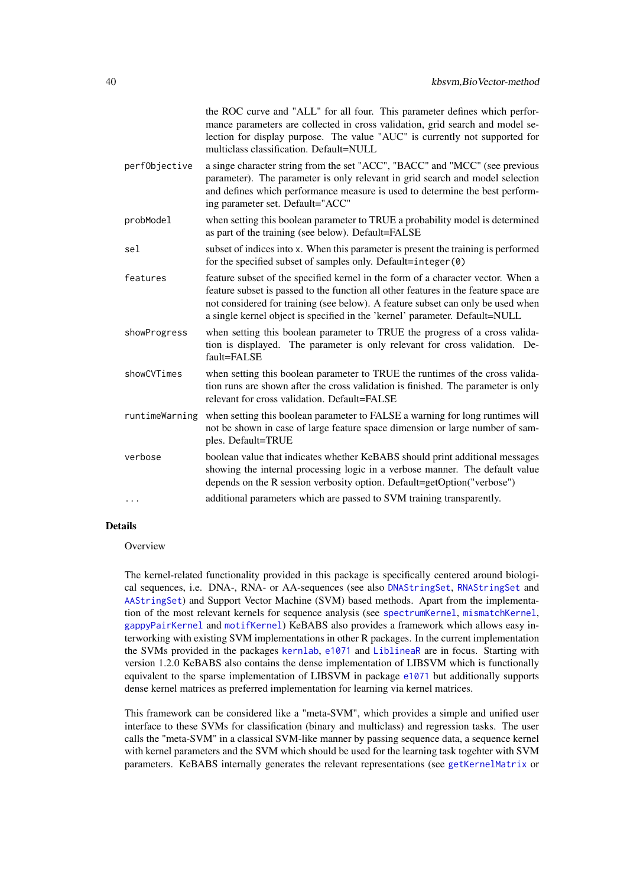|                | the ROC curve and "ALL" for all four. This parameter defines which perfor-<br>mance parameters are collected in cross validation, grid search and model se-<br>lection for display purpose. The value "AUC" is currently not supported for<br>multiclass classification. Default=NULL                                                      |
|----------------|--------------------------------------------------------------------------------------------------------------------------------------------------------------------------------------------------------------------------------------------------------------------------------------------------------------------------------------------|
| perfObjective  | a singe character string from the set "ACC", "BACC" and "MCC" (see previous<br>parameter). The parameter is only relevant in grid search and model selection<br>and defines which performance measure is used to determine the best perform-<br>ing parameter set. Default="ACC"                                                           |
| probModel      | when setting this boolean parameter to TRUE a probability model is determined<br>as part of the training (see below). Default=FALSE                                                                                                                                                                                                        |
| sel            | subset of indices into x. When this parameter is present the training is performed<br>for the specified subset of samples only. Default=integer $(0)$                                                                                                                                                                                      |
| features       | feature subset of the specified kernel in the form of a character vector. When a<br>feature subset is passed to the function all other features in the feature space are<br>not considered for training (see below). A feature subset can only be used when<br>a single kernel object is specified in the 'kernel' parameter. Default=NULL |
| showProgress   | when setting this boolean parameter to TRUE the progress of a cross valida-<br>tion is displayed. The parameter is only relevant for cross validation. De-<br>fault=FALSE                                                                                                                                                                  |
| showCVTimes    | when setting this boolean parameter to TRUE the runtimes of the cross valida-<br>tion runs are shown after the cross validation is finished. The parameter is only<br>relevant for cross validation. Default=FALSE                                                                                                                         |
| runtimeWarning | when setting this boolean parameter to FALSE a warning for long runtimes will<br>not be shown in case of large feature space dimension or large number of sam-<br>ples. Default=TRUE                                                                                                                                                       |
| verbose        | boolean value that indicates whether KeBABS should print additional messages<br>showing the internal processing logic in a verbose manner. The default value<br>depends on the R session verbosity option. Default=getOption("verbose")                                                                                                    |
| .              | additional parameters which are passed to SVM training transparently.                                                                                                                                                                                                                                                                      |

# Details

### **Overview**

The kernel-related functionality provided in this package is specifically centered around biological sequences, i.e. DNA-, RNA- or AA-sequences (see also [DNAStringSet](#page-0-0), [RNAStringSet](#page-0-0) and [AAStringSet](#page-0-0)) and Support Vector Machine (SVM) based methods. Apart from the implementation of the most relevant kernels for sequence analysis (see [spectrumKernel](#page-100-0), [mismatchKernel](#page-57-0), [gappyPairKernel](#page-14-0) and [motifKernel](#page-63-0)) KeBABS also provides a framework which allows easy interworking with existing SVM implementations in other R packages. In the current implementation the SVMs provided in the packages [kernlab](#page-0-0), [e1071](#page-0-0) and [LiblineaR](#page-0-0) are in focus. Starting with version 1.2.0 KeBABS also contains the dense implementation of LIBSVM which is functionally equivalent to the sparse implementation of LIBSVM in package [e1071](#page-0-0) but additionally supports dense kernel matrices as preferred implementation for learning via kernel matrices.

This framework can be considered like a "meta-SVM", which provides a simple and unified user interface to these SVMs for classification (binary and multiclass) and regression tasks. The user calls the "meta-SVM" in a classical SVM-like manner by passing sequence data, a sequence kernel with kernel parameters and the SVM which should be used for the learning task togehter with SVM parameters. KeBABS internally generates the relevant representations (see [getKernelMatrix](#page-90-0) or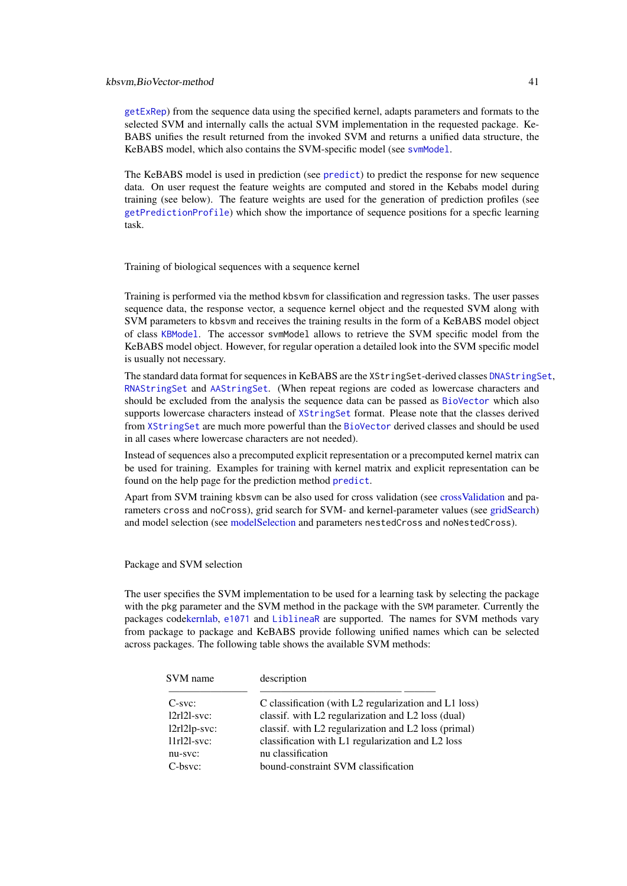#### kbsvm,BioVector-method 41

[getExRep](#page-20-0)) from the sequence data using the specified kernel, adapts parameters and formats to the selected SVM and internally calls the actual SVM implementation in the requested package. Ke-BABS unifies the result returned from the invoked SVM and returns a unified data structure, the KeBABS model, which also contains the SVM-specific model (see [svmModel](#page-35-0).

The KeBABS model is used in prediction (see [predict](#page-82-0)) to predict the response for new sequence data. On user request the feature weights are computed and stored in the Kebabs model during training (see below). The feature weights are used for the generation of prediction profiles (see [getPredictionProfile](#page-26-0)) which show the importance of sequence positions for a specfic learning task.

#### Training of biological sequences with a sequence kernel

Training is performed via the method kbsvm for classification and regression tasks. The user passes sequence data, the response vector, a sequence kernel object and the requested SVM along with SVM parameters to kbsvm and receives the training results in the form of a KeBABS model object of class [KBModel](#page-34-0). The accessor svmModel allows to retrieve the SVM specific model from the KeBABS model object. However, for regular operation a detailed look into the SVM specific model is usually not necessary.

The standard data format for sequences in KeBABS are the XStringSet-derived classes [DNAStringSet](#page-0-0), [RNAStringSet](#page-0-0) and [AAStringSet](#page-0-0). (When repeat regions are coded as lowercase characters and should be excluded from the analysis the sequence data can be passed as [BioVector](#page-5-0) which also supports lowercase characters instead of [XStringSet](#page-0-0) format. Please note that the classes derived from [XStringSet](#page-0-0) are much more powerful than the [BioVector](#page-5-0) derived classes and should be used in all cases where lowercase characters are not needed).

Instead of sequences also a precomputed explicit representation or a precomputed kernel matrix can be used for training. Examples for training with kernel matrix and explicit representation can be found on the help page for the prediction method [predict](#page-82-0).

Apart from SVM training kbsvm can be also used for cross validation (see [crossValidation](#page-67-0) and parameters cross and noCross), grid search for SVM- and kernel-parameter values (see [gridSearch\)](#page-71-0) and model selection (see [modelSelection](#page-76-0) and parameters nestedCross and noNestedCross).

#### Package and SVM selection

The user specifies the SVM implementation to be used for a learning task by selecting the package with the pkg parameter and the SVM method in the package with the SVM parameter. Currently the packages cod[ekernlab,](#page-0-0) [e1071](#page-0-0) and [LiblineaR](#page-0-0) are supported. The names for SVM methods vary from package to package and KeBABS provide following unified names which can be selected across packages. The following table shows the available SVM methods:

| SVM name                                                                    | description                                                                                                                                                                                                                                   |
|-----------------------------------------------------------------------------|-----------------------------------------------------------------------------------------------------------------------------------------------------------------------------------------------------------------------------------------------|
| $C$ -svc:<br>$12r121$ -svc:<br>$12r12lp$ -svc:<br>$11r121$ -svc:<br>nu-svc: | C classification (with L2 regularization and L1 loss)<br>classif. with L2 regularization and L2 loss (dual)<br>classif. with L2 regularization and L2 loss (primal)<br>classification with L1 regularization and L2 loss<br>nu classification |
| C-bsvc:                                                                     | bound-constraint SVM classification                                                                                                                                                                                                           |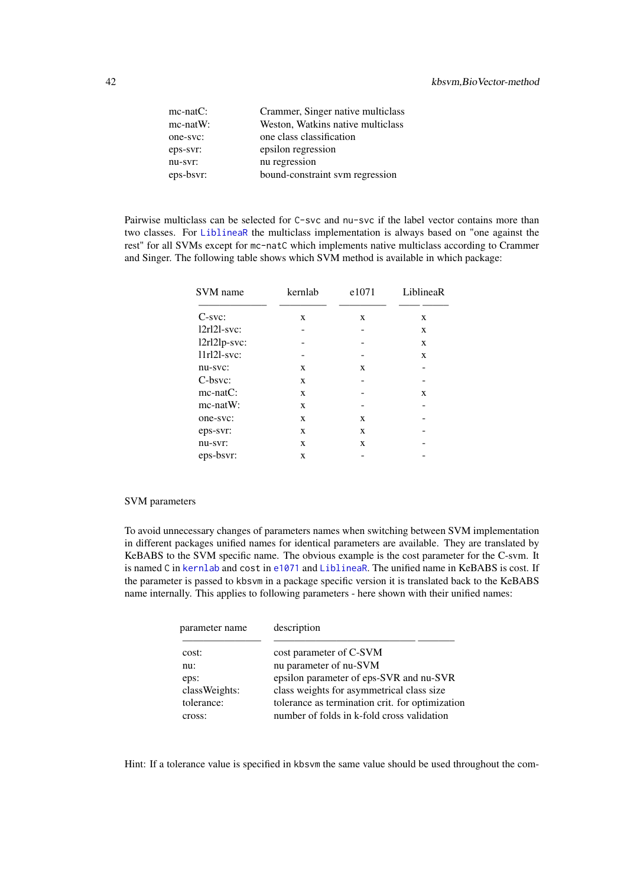| $mc$ -nat $C$ : | Crammer, Singer native multiclass |
|-----------------|-----------------------------------|
| $mc-natW$ :     | Weston, Watkins native multiclass |
| one-svc:        | one class classification          |
| eps-svr:        | epsilon regression                |
| nu-svr:         | nu regression                     |
| eps-bsvr:       | bound-constraint sym regression   |
|                 |                                   |

Pairwise multiclass can be selected for C-svc and nu-svc if the label vector contains more than two classes. For [LiblineaR](#page-0-0) the multiclass implementation is always based on "one against the rest" for all SVMs except for mc-natC which implements native multiclass according to Crammer and Singer. The following table shows which SVM method is available in which package:

| SVM name        | kernlab | e1071 | LiblineaR |
|-----------------|---------|-------|-----------|
| $C$ -svc:       | X       | X     | X         |
| $12r121$ -svc:  |         |       | X         |
| l2rl2lp-svc:    |         |       | X         |
| $11r121$ -svc:  |         |       | X         |
| nu-svc:         | X       | X     |           |
| C-bsvc:         | X       |       |           |
| $mc$ -nat $C$ : | X       |       | X         |
| $mc$ -nat $W$ : | X       |       |           |
| one-svc:        | X       | X     |           |
| eps-svr:        | X       | X     |           |
| nu-svr:         | X       | X     |           |
| eps-bsvr:       | X       |       |           |

### SVM parameters

To avoid unnecessary changes of parameters names when switching between SVM implementation in different packages unified names for identical parameters are available. They are translated by KeBABS to the SVM specific name. The obvious example is the cost parameter for the C-svm. It is named C in [kernlab](#page-0-0) and cost in [e1071](#page-0-0) and [LiblineaR](#page-0-0). The unified name in KeBABS is cost. If the parameter is passed to kbsvm in a package specific version it is translated back to the KeBABS name internally. This applies to following parameters - here shown with their unified names:

| parameter name | description                                     |
|----------------|-------------------------------------------------|
| cost:          | cost parameter of C-SVM                         |
| nu:            | nu parameter of nu-SVM                          |
| eps:           | epsilon parameter of eps-SVR and nu-SVR         |
| classWeights:  | class weights for asymmetrical class size       |
| tolerance:     | tolerance as termination crit. for optimization |
| cross:         | number of folds in k-fold cross validation      |
|                |                                                 |

Hint: If a tolerance value is specified in kbsvm the same value should be used throughout the com-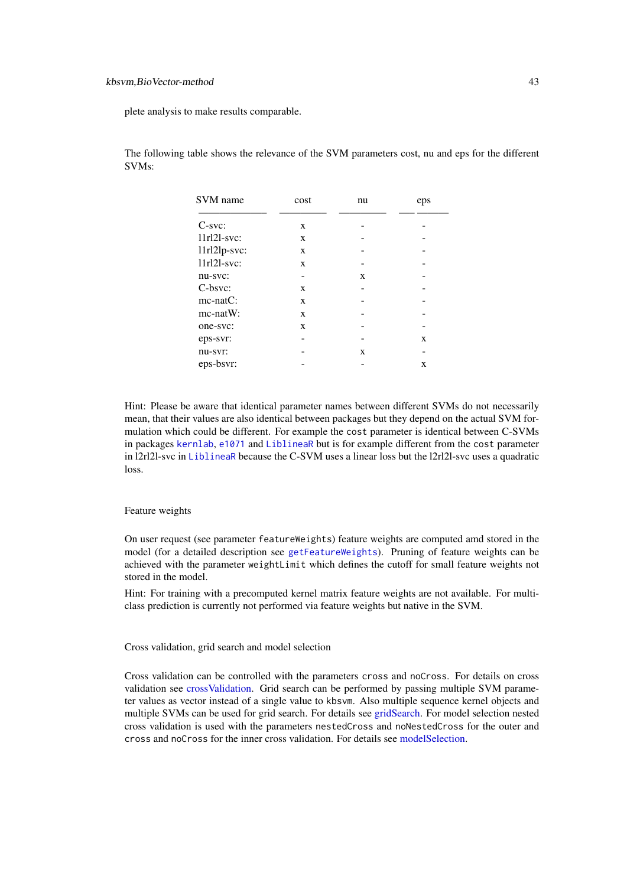plete analysis to make results comparable.

The following table shows the relevance of the SVM parameters cost, nu and eps for the different SVMs:

| SVM name        | cost | nu | eps |
|-----------------|------|----|-----|
| $C$ -svc:       | X    |    |     |
| $11r121$ -svc:  | X    |    |     |
| l1rl2lp-svc:    | X    |    |     |
| $11r121$ -svc:  | X    |    |     |
| nu-svc:         |      | X  |     |
| C-bsvc:         | X    |    |     |
| $mc$ -nat $C$ : | X    |    |     |
| $mc$ -nat $W$ : | X    |    |     |
| one-svc:        | X    |    |     |
| eps-svr:        |      |    | X   |
| nu-svr:         |      | X  |     |
| eps-bsvr:       |      |    | X   |
|                 |      |    |     |

Hint: Please be aware that identical parameter names between different SVMs do not necessarily mean, that their values are also identical between packages but they depend on the actual SVM formulation which could be different. For example the cost parameter is identical between C-SVMs in packages [kernlab](#page-0-0), [e1071](#page-0-0) and [LiblineaR](#page-0-0) but is for example different from the cost parameter in l2rl2l-svc in [LiblineaR](#page-0-0) because the C-SVM uses a linear loss but the l2rl2l-svc uses a quadratic loss.

#### Feature weights

On user request (see parameter featureWeights) feature weights are computed amd stored in the model (for a detailed description see [getFeatureWeights](#page-23-0)). Pruning of feature weights can be achieved with the parameter weightLimit which defines the cutoff for small feature weights not stored in the model.

Hint: For training with a precomputed kernel matrix feature weights are not available. For multiclass prediction is currently not performed via feature weights but native in the SVM.

Cross validation, grid search and model selection

Cross validation can be controlled with the parameters cross and noCross. For details on cross validation see [crossValidation.](#page-67-0) Grid search can be performed by passing multiple SVM parameter values as vector instead of a single value to kbsvm. Also multiple sequence kernel objects and multiple SVMs can be used for grid search. For details see [gridSearch.](#page-71-0) For model selection nested cross validation is used with the parameters nestedCross and noNestedCross for the outer and cross and noCross for the inner cross validation. For details see [modelSelection.](#page-76-0)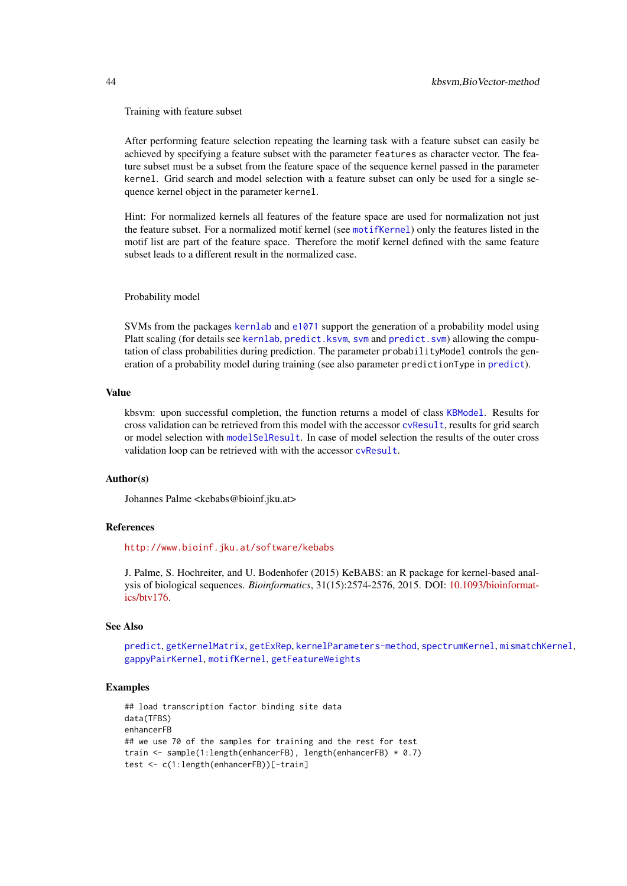#### Training with feature subset

After performing feature selection repeating the learning task with a feature subset can easily be achieved by specifying a feature subset with the parameter features as character vector. The feature subset must be a subset from the feature space of the sequence kernel passed in the parameter kernel. Grid search and model selection with a feature subset can only be used for a single sequence kernel object in the parameter kernel.

Hint: For normalized kernels all features of the feature space are used for normalization not just the feature subset. For a normalized motif kernel (see [motifKernel](#page-63-0)) only the features listed in the motif list are part of the feature space. Therefore the motif kernel defined with the same feature subset leads to a different result in the normalized case.

Probability model

SVMs from the packages [kernlab](#page-0-0) and [e1071](#page-0-0) support the generation of a probability model using Platt scaling (for details see [kernlab](#page-0-0), [predict.ksvm](#page-0-0), [svm](#page-0-0) and [predict.svm](#page-0-0)) allowing the computation of class probabilities during prediction. The parameter probabilityModel controls the generation of a probability model during training (see also parameter predictionType in [predict](#page-82-0)).

### Value

kbsvm: upon successful completion, the function returns a model of class [KBModel](#page-34-0). Results for cross validation can be retrieved from this model with the accessor [cvResult](#page-35-0), results for grid search or model selection with [modelSelResult](#page-35-0). In case of model selection the results of the outer cross validation loop can be retrieved with with the accessor [cvResult](#page-35-0).

### Author(s)

Johannes Palme <kebabs@bioinf.jku.at>

### References

<http://www.bioinf.jku.at/software/kebabs>

J. Palme, S. Hochreiter, and U. Bodenhofer (2015) KeBABS: an R package for kernel-based analysis of biological sequences. *Bioinformatics*, 31(15):2574-2576, 2015. DOI: [10.1093/bioinformat](http://dx.doi.org/10.1093/bioinformatics/btv176)[ics/btv176.](http://dx.doi.org/10.1093/bioinformatics/btv176)

# See Also

[predict](#page-82-0), [getKernelMatrix](#page-90-0), [getExRep](#page-20-0), [kernelParameters-method](#page-90-0), [spectrumKernel](#page-100-0), [mismatchKernel](#page-57-0), [gappyPairKernel](#page-14-0), [motifKernel](#page-63-0), [getFeatureWeights](#page-23-0)

### Examples

```
## load transcription factor binding site data
data(TFBS)
enhancerFB
## we use 70 of the samples for training and the rest for test
train <- sample(1:length(enhancerFB), length(enhancerFB) * 0.7)
test <- c(1:length(enhancerFB))[-train]
```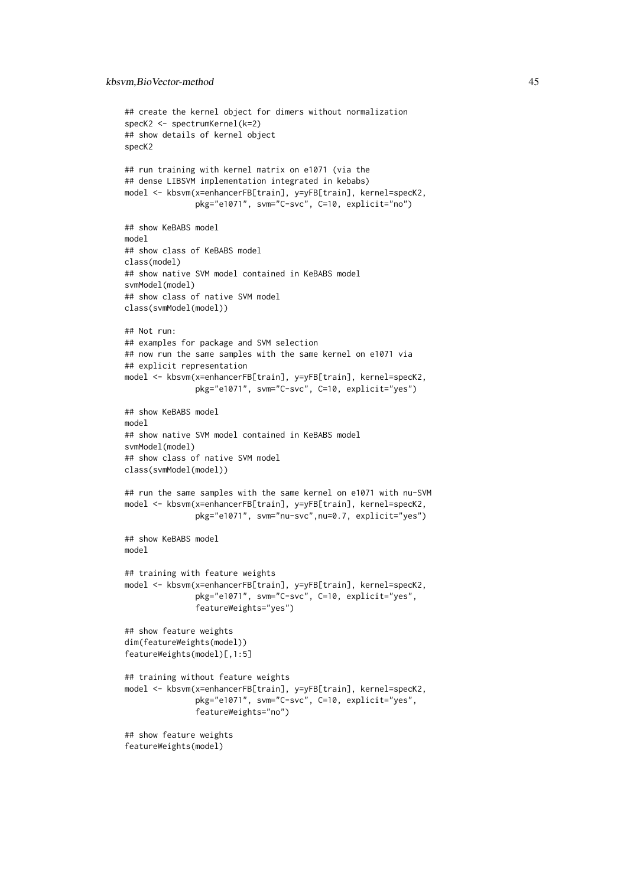```
## create the kernel object for dimers without normalization
specK2 <- spectrumKernel(k=2)
## show details of kernel object
specK2
## run training with kernel matrix on e1071 (via the
## dense LIBSVM implementation integrated in kebabs)
model <- kbsvm(x=enhancerFB[train], y=yFB[train], kernel=specK2,
               pkg="e1071", svm="C-svc", C=10, explicit="no")
## show KeBABS model
model
## show class of KeBABS model
class(model)
## show native SVM model contained in KeBABS model
svmModel(model)
## show class of native SVM model
class(svmModel(model))
## Not run:
## examples for package and SVM selection
## now run the same samples with the same kernel on e1071 via
## explicit representation
model <- kbsvm(x=enhancerFB[train], y=yFB[train], kernel=specK2,
               pkg="e1071", svm="C-svc", C=10, explicit="yes")
## show KeBABS model
model
## show native SVM model contained in KeBABS model
svmModel(model)
## show class of native SVM model
class(svmModel(model))
## run the same samples with the same kernel on e1071 with nu-SVM
model <- kbsvm(x=enhancerFB[train], y=yFB[train], kernel=specK2,
               pkg="e1071", svm="nu-svc",nu=0.7, explicit="yes")
## show KeBABS model
model
## training with feature weights
model <- kbsvm(x=enhancerFB[train], y=yFB[train], kernel=specK2,
               pkg="e1071", svm="C-svc", C=10, explicit="yes",
               featureWeights="yes")
## show feature weights
dim(featureWeights(model))
featureWeights(model)[,1:5]
## training without feature weights
model <- kbsvm(x=enhancerFB[train], y=yFB[train], kernel=specK2,
               pkg="e1071", svm="C-svc", C=10, explicit="yes",
               featureWeights="no")
## show feature weights
featureWeights(model)
```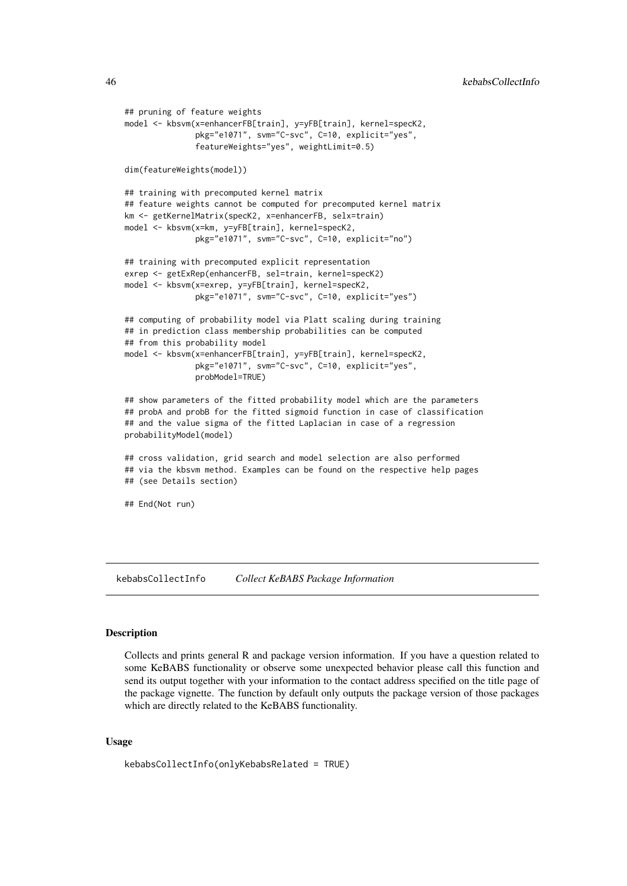```
## pruning of feature weights
model <- kbsvm(x=enhancerFB[train], y=yFB[train], kernel=specK2,
               pkg="e1071", svm="C-svc", C=10, explicit="yes",
               featureWeights="yes", weightLimit=0.5)
dim(featureWeights(model))
## training with precomputed kernel matrix
## feature weights cannot be computed for precomputed kernel matrix
km <- getKernelMatrix(specK2, x=enhancerFB, selx=train)
model <- kbsvm(x=km, y=yFB[train], kernel=specK2,
               pkg="e1071", svm="C-svc", C=10, explicit="no")
## training with precomputed explicit representation
exrep <- getExRep(enhancerFB, sel=train, kernel=specK2)
model <- kbsvm(x=exrep, y=yFB[train], kernel=specK2,
               pkg="e1071", svm="C-svc", C=10, explicit="yes")
## computing of probability model via Platt scaling during training
## in prediction class membership probabilities can be computed
## from this probability model
model <- kbsvm(x=enhancerFB[train], y=yFB[train], kernel=specK2,
               pkg="e1071", svm="C-svc", C=10, explicit="yes",
               probModel=TRUE)
## show parameters of the fitted probability model which are the parameters
## probA and probB for the fitted sigmoid function in case of classification
## and the value sigma of the fitted Laplacian in case of a regression
probabilityModel(model)
## cross validation, grid search and model selection are also performed
## via the kbsvm method. Examples can be found on the respective help pages
## (see Details section)
## End(Not run)
```
kebabsCollectInfo *Collect KeBABS Package Information*

#### Description

Collects and prints general R and package version information. If you have a question related to some KeBABS functionality or observe some unexpected behavior please call this function and send its output together with your information to the contact address specified on the title page of the package vignette. The function by default only outputs the package version of those packages which are directly related to the KeBABS functionality.

# Usage

```
kebabsCollectInfo(onlyKebabsRelated = TRUE)
```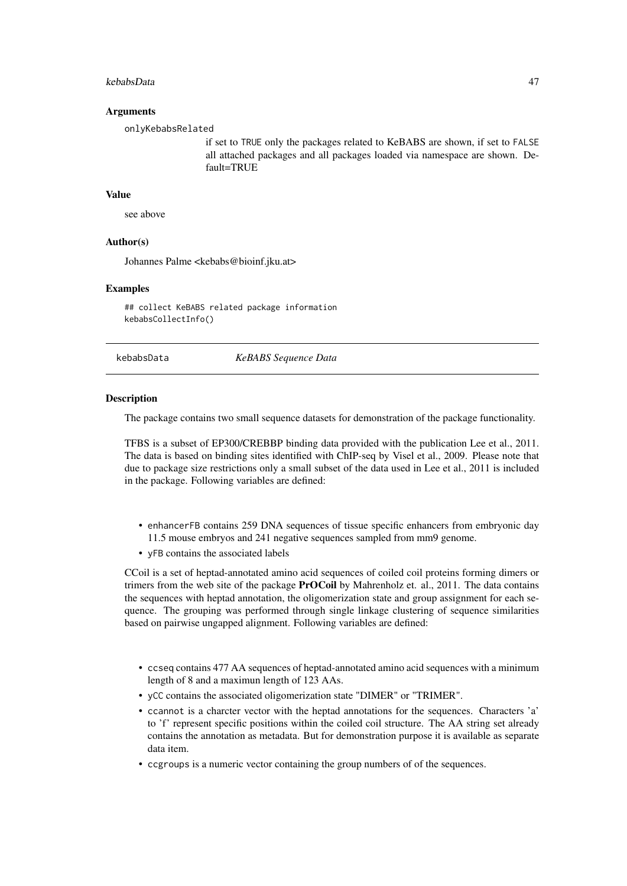#### kebabsData 47

### Arguments

onlyKebabsRelated

if set to TRUE only the packages related to KeBABS are shown, if set to FALSE all attached packages and all packages loaded via namespace are shown. Default=TRUE

#### Value

see above

### Author(s)

Johannes Palme <kebabs@bioinf.jku.at>

#### Examples

## collect KeBABS related package information kebabsCollectInfo()

kebabsData *KeBABS Sequence Data*

#### Description

The package contains two small sequence datasets for demonstration of the package functionality.

TFBS is a subset of EP300/CREBBP binding data provided with the publication Lee et al., 2011. The data is based on binding sites identified with ChIP-seq by Visel et al., 2009. Please note that due to package size restrictions only a small subset of the data used in Lee et al., 2011 is included in the package. Following variables are defined:

- enhancerFB contains 259 DNA sequences of tissue specific enhancers from embryonic day 11.5 mouse embryos and 241 negative sequences sampled from mm9 genome.
- yFB contains the associated labels

CCoil is a set of heptad-annotated amino acid sequences of coiled coil proteins forming dimers or trimers from the web site of the package **PrOCoil** by Mahrenholz et. al., 2011. The data contains the sequences with heptad annotation, the oligomerization state and group assignment for each sequence. The grouping was performed through single linkage clustering of sequence similarities based on pairwise ungapped alignment. Following variables are defined:

- ccseq contains 477 AA sequences of heptad-annotated amino acid sequences with a minimum length of 8 and a maximun length of 123 AAs.
- yCC contains the associated oligomerization state "DIMER" or "TRIMER".
- ccannot is a charcter vector with the heptad annotations for the sequences. Characters 'a' to 'f' represent specific positions within the coiled coil structure. The AA string set already contains the annotation as metadata. But for demonstration purpose it is available as separate data item.
- ccgroups is a numeric vector containing the group numbers of of the sequences.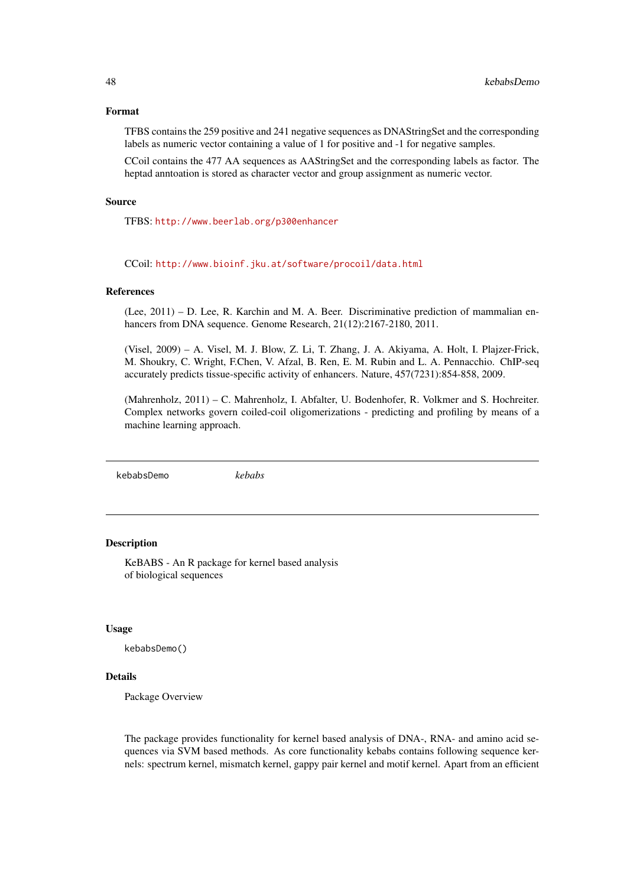### Format

TFBS contains the 259 positive and 241 negative sequences as DNAStringSet and the corresponding labels as numeric vector containing a value of 1 for positive and -1 for negative samples.

CCoil contains the 477 AA sequences as AAStringSet and the corresponding labels as factor. The heptad anntoation is stored as character vector and group assignment as numeric vector.

### Source

TFBS: <http://www.beerlab.org/p300enhancer>

CCoil: <http://www.bioinf.jku.at/software/procoil/data.html>

### References

(Lee, 2011) – D. Lee, R. Karchin and M. A. Beer. Discriminative prediction of mammalian enhancers from DNA sequence. Genome Research, 21(12):2167-2180, 2011.

(Visel, 2009) – A. Visel, M. J. Blow, Z. Li, T. Zhang, J. A. Akiyama, A. Holt, I. Plajzer-Frick, M. Shoukry, C. Wright, F.Chen, V. Afzal, B. Ren, E. M. Rubin and L. A. Pennacchio. ChIP-seq accurately predicts tissue-specific activity of enhancers. Nature, 457(7231):854-858, 2009.

(Mahrenholz, 2011) – C. Mahrenholz, I. Abfalter, U. Bodenhofer, R. Volkmer and S. Hochreiter. Complex networks govern coiled-coil oligomerizations - predicting and profiling by means of a machine learning approach.

kebabsDemo *kebabs*

### Description

KeBABS - An R package for kernel based analysis of biological sequences

#### Usage

kebabsDemo()

#### Details

Package Overview

The package provides functionality for kernel based analysis of DNA-, RNA- and amino acid sequences via SVM based methods. As core functionality kebabs contains following sequence kernels: spectrum kernel, mismatch kernel, gappy pair kernel and motif kernel. Apart from an efficient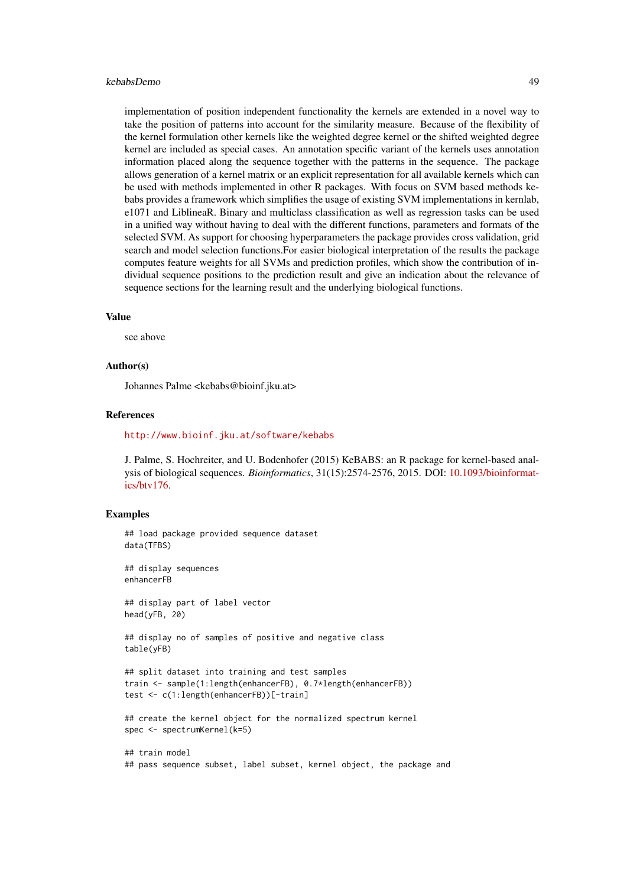#### kebabsDemo 49

implementation of position independent functionality the kernels are extended in a novel way to take the position of patterns into account for the similarity measure. Because of the flexibility of the kernel formulation other kernels like the weighted degree kernel or the shifted weighted degree kernel are included as special cases. An annotation specific variant of the kernels uses annotation information placed along the sequence together with the patterns in the sequence. The package allows generation of a kernel matrix or an explicit representation for all available kernels which can be used with methods implemented in other R packages. With focus on SVM based methods kebabs provides a framework which simplifies the usage of existing SVM implementations in kernlab, e1071 and LiblineaR. Binary and multiclass classification as well as regression tasks can be used in a unified way without having to deal with the different functions, parameters and formats of the selected SVM. As support for choosing hyperparameters the package provides cross validation, grid search and model selection functions.For easier biological interpretation of the results the package computes feature weights for all SVMs and prediction profiles, which show the contribution of individual sequence positions to the prediction result and give an indication about the relevance of sequence sections for the learning result and the underlying biological functions.

# Value

see above

### Author(s)

Johannes Palme <kebabs@bioinf.jku.at>

#### References

#### <http://www.bioinf.jku.at/software/kebabs>

J. Palme, S. Hochreiter, and U. Bodenhofer (2015) KeBABS: an R package for kernel-based analysis of biological sequences. *Bioinformatics*, 31(15):2574-2576, 2015. DOI: [10.1093/bioinformat](http://dx.doi.org/10.1093/bioinformatics/btv176)[ics/btv176.](http://dx.doi.org/10.1093/bioinformatics/btv176)

# Examples

```
## load package provided sequence dataset
data(TFBS)
## display sequences
enhancerFB
## display part of label vector
head(yFB, 20)
## display no of samples of positive and negative class
table(yFB)
## split dataset into training and test samples
train <- sample(1:length(enhancerFB), 0.7*length(enhancerFB))
test <- c(1:length(enhancerFB))[-train]
## create the kernel object for the normalized spectrum kernel
spec <- spectrumKernel(k=5)
## train model
## pass sequence subset, label subset, kernel object, the package and
```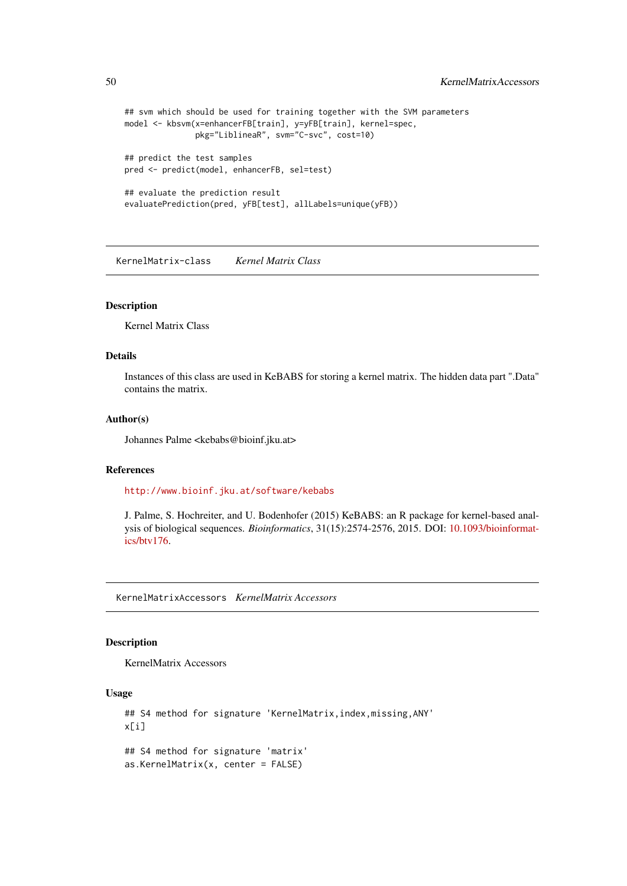```
## svm which should be used for training together with the SVM parameters
model <- kbsvm(x=enhancerFB[train], y=yFB[train], kernel=spec,
               pkg="LiblineaR", svm="C-svc", cost=10)
## predict the test samples
pred <- predict(model, enhancerFB, sel=test)
## evaluate the prediction result
evaluatePrediction(pred, yFB[test], allLabels=unique(yFB))
```
<span id="page-49-1"></span>KernelMatrix-class *Kernel Matrix Class*

## <span id="page-49-0"></span>Description

Kernel Matrix Class

### Details

Instances of this class are used in KeBABS for storing a kernel matrix. The hidden data part ".Data" contains the matrix.

# Author(s)

Johannes Palme <kebabs@bioinf.jku.at>

# References

<http://www.bioinf.jku.at/software/kebabs>

J. Palme, S. Hochreiter, and U. Bodenhofer (2015) KeBABS: an R package for kernel-based analysis of biological sequences. *Bioinformatics*, 31(15):2574-2576, 2015. DOI: [10.1093/bioinformat](http://dx.doi.org/10.1093/bioinformatics/btv176)[ics/btv176.](http://dx.doi.org/10.1093/bioinformatics/btv176)

KernelMatrixAccessors *KernelMatrix Accessors*

# Description

KernelMatrix Accessors

### Usage

```
## S4 method for signature 'KernelMatrix, index, missing, ANY'
x[i]
## S4 method for signature 'matrix'
as.KernelMatrix(x, center = FALSE)
```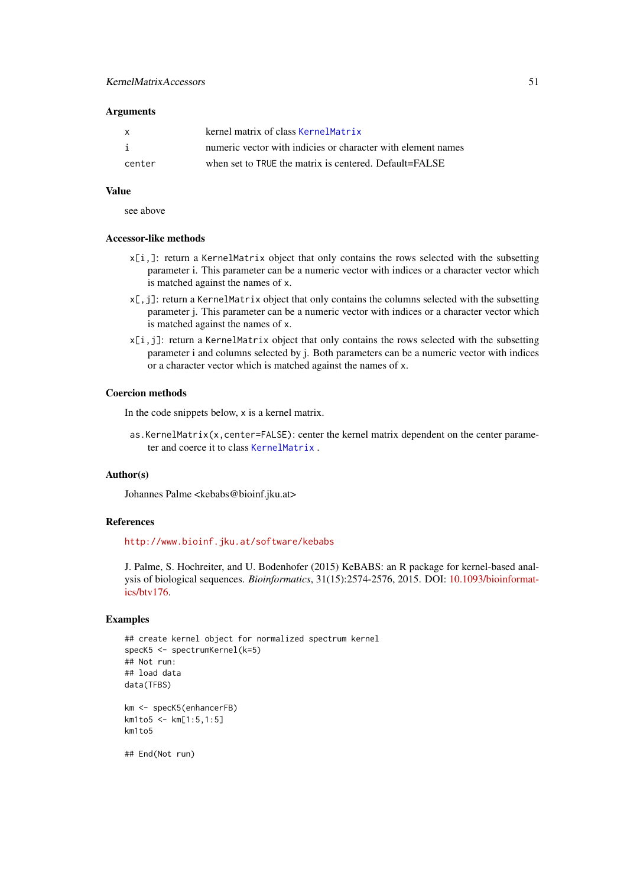### KernelMatrixAccessors 51

### Arguments

| X      | kernel matrix of class KernelMatrix                          |
|--------|--------------------------------------------------------------|
|        | numeric vector with indicies or character with element names |
| center | when set to TRUE the matrix is centered. Default=FALSE       |

# Value

see above

### Accessor-like methods

- x[i,]: return a KernelMatrix object that only contains the rows selected with the subsetting parameter i. This parameter can be a numeric vector with indices or a character vector which is matched against the names of x.
- $x$ [, j]: return a KernelMatrix object that only contains the columns selected with the subsetting parameter j. This parameter can be a numeric vector with indices or a character vector which is matched against the names of x.
- x[i,j]: return a KernelMatrix object that only contains the rows selected with the subsetting parameter i and columns selected by j. Both parameters can be a numeric vector with indices or a character vector which is matched against the names of x.

## Coercion methods

In the code snippets below, x is a kernel matrix.

as.KernelMatrix(x,center=FALSE): center the kernel matrix dependent on the center parameter and coerce it to class [KernelMatrix](#page-49-1) .

#### Author(s)

Johannes Palme <kebabs@bioinf.jku.at>

### References

<http://www.bioinf.jku.at/software/kebabs>

J. Palme, S. Hochreiter, and U. Bodenhofer (2015) KeBABS: an R package for kernel-based analysis of biological sequences. *Bioinformatics*, 31(15):2574-2576, 2015. DOI: [10.1093/bioinformat](http://dx.doi.org/10.1093/bioinformatics/btv176)[ics/btv176.](http://dx.doi.org/10.1093/bioinformatics/btv176)

### Examples

```
## create kernel object for normalized spectrum kernel
specK5 <- spectrumKernel(k=5)
## Not run:
## load data
data(TFBS)
km <- specK5(enhancerFB)
km1to5 <- km[1:5,1:5]
km1t05## End(Not run)
```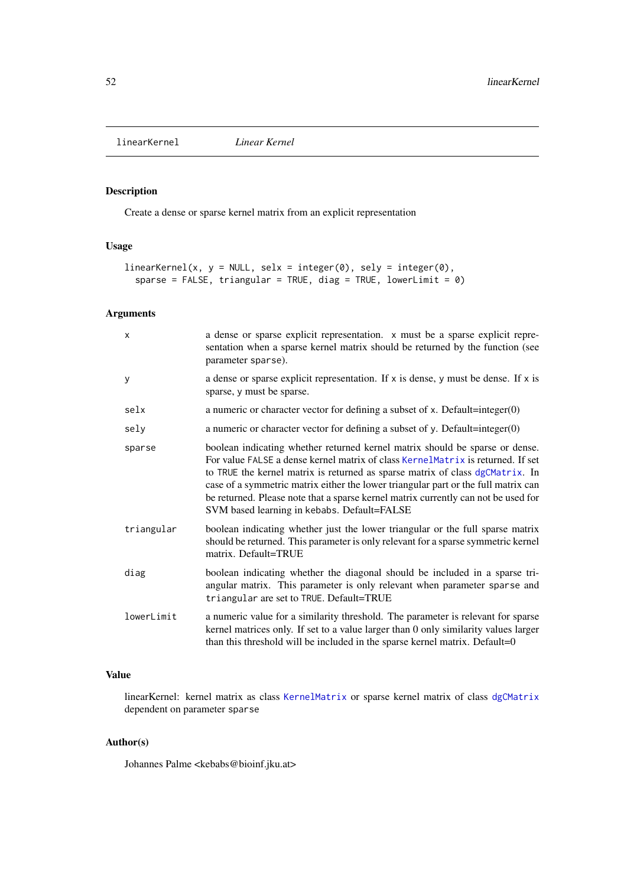linearKernel *Linear Kernel*

# Description

Create a dense or sparse kernel matrix from an explicit representation

# Usage

```
linearKernel(x, y = NULL, selx = integer(0), sely = integer(0),
 sparse = FALSE, triangular = TRUE, diag = TRUE, lowerLimit = 0)
```
# Arguments

| X          | a dense or sparse explicit representation. x must be a sparse explicit repre-<br>sentation when a sparse kernel matrix should be returned by the function (see<br>parameter sparse).                                                                                                                                                                                                                                                                                        |
|------------|-----------------------------------------------------------------------------------------------------------------------------------------------------------------------------------------------------------------------------------------------------------------------------------------------------------------------------------------------------------------------------------------------------------------------------------------------------------------------------|
| y          | a dense or sparse explicit representation. If x is dense, y must be dense. If x is<br>sparse, y must be sparse.                                                                                                                                                                                                                                                                                                                                                             |
| selx       | a numeric or character vector for defining a subset of $x$ . Default=integer $(0)$                                                                                                                                                                                                                                                                                                                                                                                          |
| sely       | a numeric or character vector for defining a subset of y. Default=integer(0)                                                                                                                                                                                                                                                                                                                                                                                                |
| sparse     | boolean indicating whether returned kernel matrix should be sparse or dense.<br>For value FALSE a dense kernel matrix of class KernelMatrix is returned. If set<br>to TRUE the kernel matrix is returned as sparse matrix of class dgCMatrix. In<br>case of a symmetric matrix either the lower triangular part or the full matrix can<br>be returned. Please note that a sparse kernel matrix currently can not be used for<br>SVM based learning in kebabs. Default=FALSE |
| triangular | boolean indicating whether just the lower triangular or the full sparse matrix<br>should be returned. This parameter is only relevant for a sparse symmetric kernel<br>matrix. Default=TRUE                                                                                                                                                                                                                                                                                 |
| diag       | boolean indicating whether the diagonal should be included in a sparse tri-<br>angular matrix. This parameter is only relevant when parameter sparse and<br>triangular are set to TRUE. Default=TRUE                                                                                                                                                                                                                                                                        |
| lowerLimit | a numeric value for a similarity threshold. The parameter is relevant for sparse<br>kernel matrices only. If set to a value larger than 0 only similarity values larger<br>than this threshold will be included in the sparse kernel matrix. Default=0                                                                                                                                                                                                                      |

# Value

linearKernel: kernel matrix as class [KernelMatrix](#page-49-1) or sparse kernel matrix of class [dgCMatrix](#page-0-0) dependent on parameter sparse

# Author(s)

Johannes Palme <kebabs@bioinf.jku.at>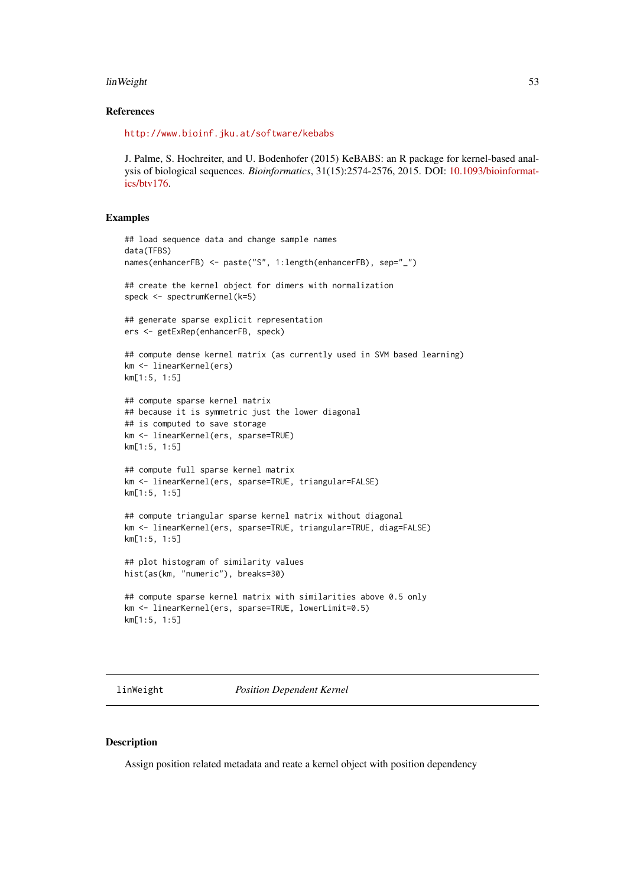#### linWeight 53

#### References

<http://www.bioinf.jku.at/software/kebabs>

J. Palme, S. Hochreiter, and U. Bodenhofer (2015) KeBABS: an R package for kernel-based analysis of biological sequences. *Bioinformatics*, 31(15):2574-2576, 2015. DOI: [10.1093/bioinformat](http://dx.doi.org/10.1093/bioinformatics/btv176)[ics/btv176.](http://dx.doi.org/10.1093/bioinformatics/btv176)

### Examples

```
## load sequence data and change sample names
data(TFBS)
names(enhancerFB) <- paste("S", 1:length(enhancerFB), sep="_")
## create the kernel object for dimers with normalization
speck <- spectrumKernel(k=5)
## generate sparse explicit representation
ers <- getExRep(enhancerFB, speck)
## compute dense kernel matrix (as currently used in SVM based learning)
km <- linearKernel(ers)
km[1:5, 1:5]
## compute sparse kernel matrix
## because it is symmetric just the lower diagonal
## is computed to save storage
km <- linearKernel(ers, sparse=TRUE)
km[1:5, 1:5]
## compute full sparse kernel matrix
km <- linearKernel(ers, sparse=TRUE, triangular=FALSE)
km[1:5, 1:5]
## compute triangular sparse kernel matrix without diagonal
km <- linearKernel(ers, sparse=TRUE, triangular=TRUE, diag=FALSE)
km[1:5, 1:5]
## plot histogram of similarity values
hist(as(km, "numeric"), breaks=30)
## compute sparse kernel matrix with similarities above 0.5 only
km <- linearKernel(ers, sparse=TRUE, lowerLimit=0.5)
km[1:5, 1:5]
```
linWeight *Position Dependent Kernel*

### <span id="page-52-0"></span>Description

Assign position related metadata and reate a kernel object with position dependency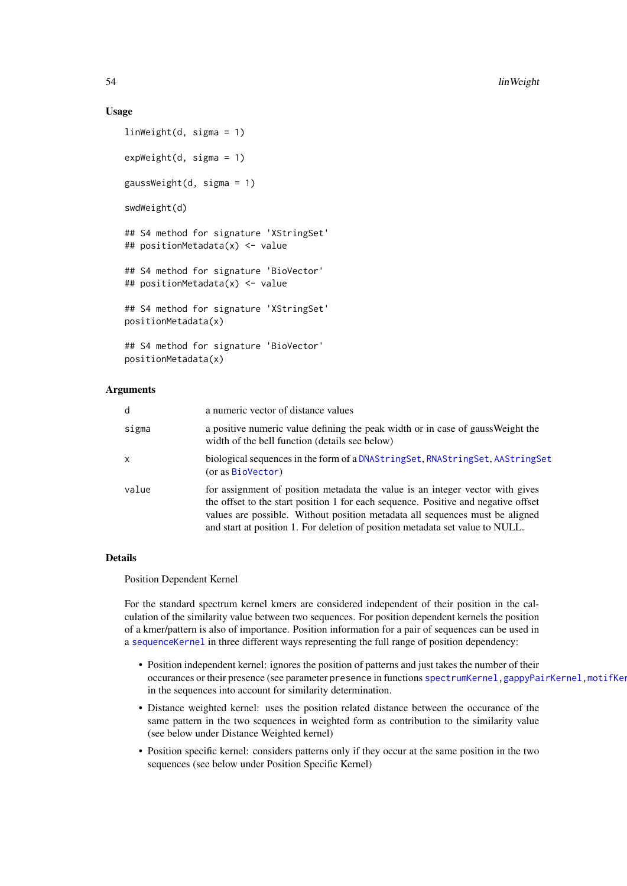## Usage

```
linWeight(d, sigma = 1)
expWeight(d, sigma = 1)
gaussWeight(d, sigma = 1)
swdWeight(d)
## S4 method for signature 'XStringSet'
## positionMetadata(x) <- value
## S4 method for signature 'BioVector'
## positionMetadata(x) <- value
## S4 method for signature 'XStringSet'
positionMetadata(x)
## S4 method for signature 'BioVector'
positionMetadata(x)
```
# Arguments

| d     | a numeric vector of distance values                                                                                                                                                                                                                                                                                                  |
|-------|--------------------------------------------------------------------------------------------------------------------------------------------------------------------------------------------------------------------------------------------------------------------------------------------------------------------------------------|
| sigma | a positive numeric value defining the peak width or in case of gauss Weight the<br>width of the bell function (details see below)                                                                                                                                                                                                    |
| x     | biological sequences in the form of a DNAStringSet, RNAStringSet, AAStringSet<br>(or as BioVector)                                                                                                                                                                                                                                   |
| value | for assignment of position metadata the value is an integer vector with gives<br>the offset to the start position 1 for each sequence. Positive and negative offset<br>values are possible. Without position metadata all sequences must be aligned<br>and start at position 1. For deletion of position metadata set value to NULL. |

# Details

Position Dependent Kernel

For the standard spectrum kernel kmers are considered independent of their position in the calculation of the similarity value between two sequences. For position dependent kernels the position of a kmer/pattern is also of importance. Position information for a pair of sequences can be used in a [sequenceKernel](#page-90-0) in three different ways representing the full range of position dependency:

- Position independent kernel: ignores the position of patterns and just takes the number of their occurances or their presence (see parameter presence in functions [spectrumKernel](#page-100-0)[,gappyPairKernel,](#page-14-0)motifKer in the sequences into account for similarity determination.
- Distance weighted kernel: uses the position related distance between the occurance of the same pattern in the two sequences in weighted form as contribution to the similarity value (see below under Distance Weighted kernel)
- Position specific kernel: considers patterns only if they occur at the same position in the two sequences (see below under Position Specific Kernel)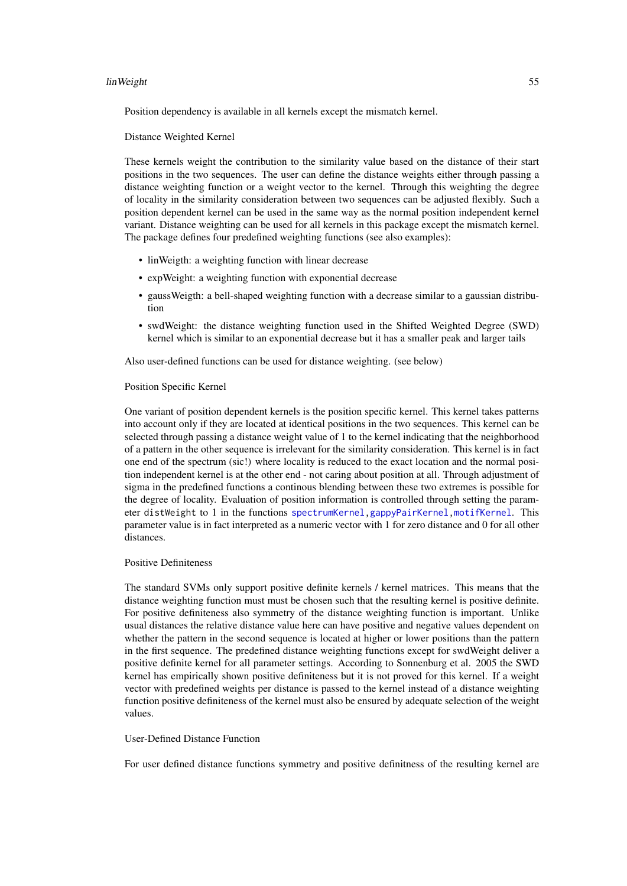#### linWeight 55

Position dependency is available in all kernels except the mismatch kernel.

Distance Weighted Kernel

These kernels weight the contribution to the similarity value based on the distance of their start positions in the two sequences. The user can define the distance weights either through passing a distance weighting function or a weight vector to the kernel. Through this weighting the degree of locality in the similarity consideration between two sequences can be adjusted flexibly. Such a position dependent kernel can be used in the same way as the normal position independent kernel variant. Distance weighting can be used for all kernels in this package except the mismatch kernel. The package defines four predefined weighting functions (see also examples):

- linWeigth: a weighting function with linear decrease
- expWeight: a weighting function with exponential decrease
- gaussWeigth: a bell-shaped weighting function with a decrease similar to a gaussian distribution
- swdWeight: the distance weighting function used in the Shifted Weighted Degree (SWD) kernel which is similar to an exponential decrease but it has a smaller peak and larger tails

Also user-defined functions can be used for distance weighting. (see below)

### Position Specific Kernel

One variant of position dependent kernels is the position specific kernel. This kernel takes patterns into account only if they are located at identical positions in the two sequences. This kernel can be selected through passing a distance weight value of 1 to the kernel indicating that the neighborhood of a pattern in the other sequence is irrelevant for the similarity consideration. This kernel is in fact one end of the spectrum (sic!) where locality is reduced to the exact location and the normal position independent kernel is at the other end - not caring about position at all. Through adjustment of sigma in the predefined functions a continous blending between these two extremes is possible for the degree of locality. Evaluation of position information is controlled through setting the parameter distWeight to 1 in the functions [spectrumKernel,](#page-100-0) [gappyPairKernel](#page-14-0), motifKernel. This parameter value is in fact interpreted as a numeric vector with 1 for zero distance and 0 for all other distances.

### Positive Definiteness

The standard SVMs only support positive definite kernels / kernel matrices. This means that the distance weighting function must must be chosen such that the resulting kernel is positive definite. For positive definiteness also symmetry of the distance weighting function is important. Unlike usual distances the relative distance value here can have positive and negative values dependent on whether the pattern in the second sequence is located at higher or lower positions than the pattern in the first sequence. The predefined distance weighting functions except for swdWeight deliver a positive definite kernel for all parameter settings. According to Sonnenburg et al. 2005 the SWD kernel has empirically shown positive definiteness but it is not proved for this kernel. If a weight vector with predefined weights per distance is passed to the kernel instead of a distance weighting function positive definiteness of the kernel must also be ensured by adequate selection of the weight values.

### User-Defined Distance Function

For user defined distance functions symmetry and positive definitness of the resulting kernel are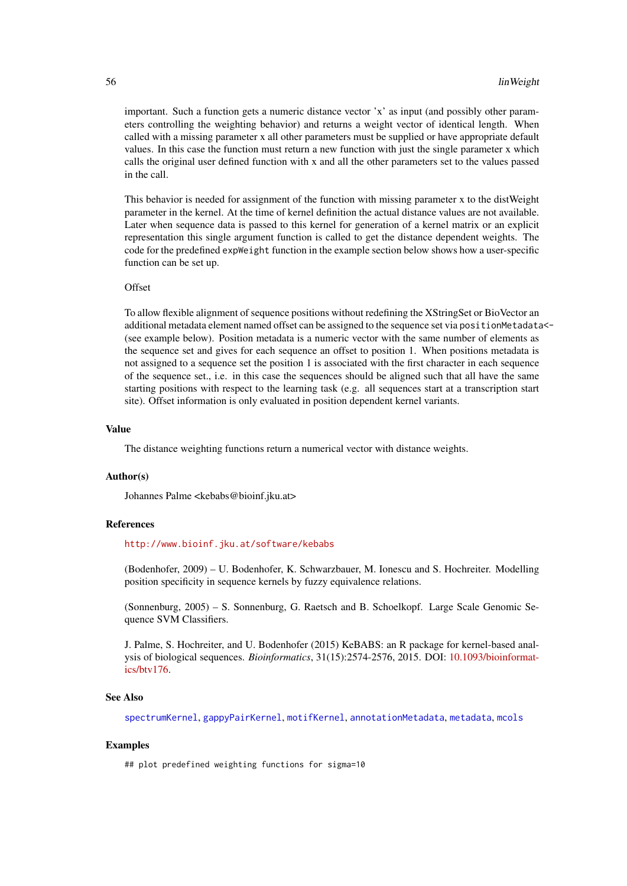important. Such a function gets a numeric distance vector 'x' as input (and possibly other parameters controlling the weighting behavior) and returns a weight vector of identical length. When called with a missing parameter x all other parameters must be supplied or have appropriate default values. In this case the function must return a new function with just the single parameter x which calls the original user defined function with x and all the other parameters set to the values passed in the call.

This behavior is needed for assignment of the function with missing parameter x to the distWeight parameter in the kernel. At the time of kernel definition the actual distance values are not available. Later when sequence data is passed to this kernel for generation of a kernel matrix or an explicit representation this single argument function is called to get the distance dependent weights. The code for the predefined expWeight function in the example section below shows how a user-specific function can be set up.

### **Offset**

To allow flexible alignment of sequence positions without redefining the XStringSet or BioVector an additional metadata element named offset can be assigned to the sequence set via positionMetadata<-(see example below). Position metadata is a numeric vector with the same number of elements as the sequence set and gives for each sequence an offset to position 1. When positions metadata is not assigned to a sequence set the position 1 is associated with the first character in each sequence of the sequence set., i.e. in this case the sequences should be aligned such that all have the same starting positions with respect to the learning task (e.g. all sequences start at a transcription start site). Offset information is only evaluated in position dependent kernel variants.

### Value

The distance weighting functions return a numerical vector with distance weights.

# Author(s)

Johannes Palme <kebabs@bioinf.jku.at>

#### References

### <http://www.bioinf.jku.at/software/kebabs>

(Bodenhofer, 2009) – U. Bodenhofer, K. Schwarzbauer, M. Ionescu and S. Hochreiter. Modelling position specificity in sequence kernels by fuzzy equivalence relations.

(Sonnenburg, 2005) – S. Sonnenburg, G. Raetsch and B. Schoelkopf. Large Scale Genomic Sequence SVM Classifiers.

J. Palme, S. Hochreiter, and U. Bodenhofer (2015) KeBABS: an R package for kernel-based analysis of biological sequences. *Bioinformatics*, 31(15):2574-2576, 2015. DOI: [10.1093/bioinformat](http://dx.doi.org/10.1093/bioinformatics/btv176)[ics/btv176.](http://dx.doi.org/10.1093/bioinformatics/btv176)

### See Also

[spectrumKernel](#page-100-0), [gappyPairKernel](#page-14-0), [motifKernel](#page-63-0), [annotationMetadata](#page-96-0), [metadata](#page-0-0), [mcols](#page-0-0)

### Examples

## plot predefined weighting functions for sigma=10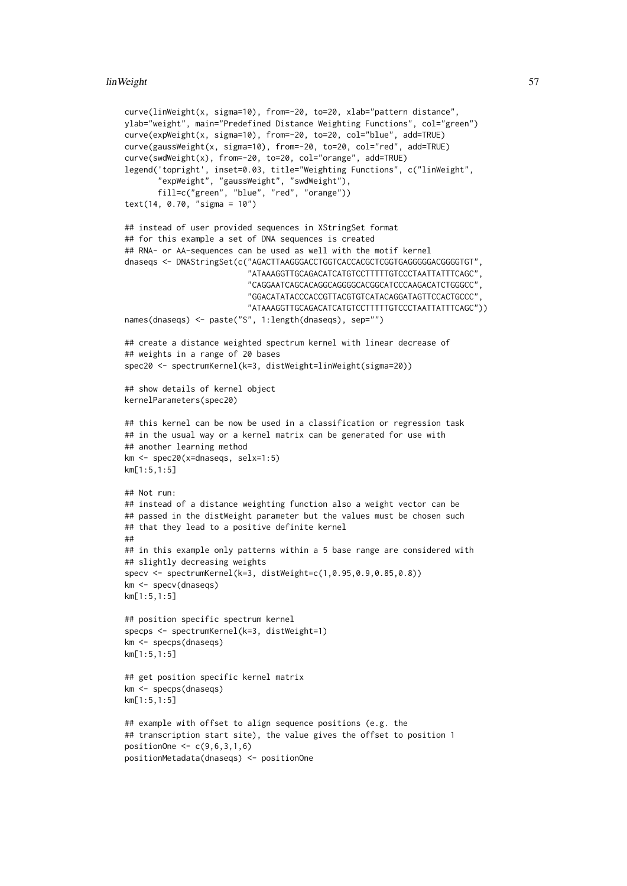```
curve(linWeight(x, sigma=10), from=-20, to=20, xlab="pattern distance",
ylab="weight", main="Predefined Distance Weighting Functions", col="green")
curve(expWeight(x, sigma=10), from=-20, to=20, col="blue", add=TRUE)
curve(gaussWeight(x, sigma=10), from=-20, to=20, col="red", add=TRUE)
curve(swdWeight(x), from=-20, to=20, col="orange", add=TRUE)
legend('topright', inset=0.03, title="Weighting Functions", c("linWeight",
       "expWeight", "gaussWeight", "swdWeight"),
       fill=c("green", "blue", "red", "orange"))
text(14, 0.70, "sigma = 10")## instead of user provided sequences in XStringSet format
## for this example a set of DNA sequences is created
## RNA- or AA-sequences can be used as well with the motif kernel
dnaseqs <- DNAStringSet(c("AGACTTAAGGGACCTGGTCACCACGCTCGGTGAGGGGGACGGGGTGT",
                          "ATAAAGGTTGCAGACATCATGTCCTTTTTGTCCCTAATTATTTCAGC",
                          "CAGGAATCAGCACAGGCAGGGGCACGGCATCCCAAGACATCTGGGCC",
                          "GGACATATACCCACCGTTACGTGTCATACAGGATAGTTCCACTGCCC",
                          "ATAAAGGTTGCAGACATCATGTCCTTTTTGTCCCTAATTATTTCAGC"))
names(dnaseqs) <- paste("S", 1:length(dnaseqs), sep="")
## create a distance weighted spectrum kernel with linear decrease of
## weights in a range of 20 bases
spec20 <- spectrumKernel(k=3, distWeight=linWeight(sigma=20))
## show details of kernel object
kernelParameters(spec20)
## this kernel can be now be used in a classification or regression task
## in the usual way or a kernel matrix can be generated for use with
## another learning method
km <- spec20(x=dnaseqs, selx=1:5)
km[1:5,1:5]
## Not run:
## instead of a distance weighting function also a weight vector can be
## passed in the distWeight parameter but the values must be chosen such
## that they lead to a positive definite kernel
##
## in this example only patterns within a 5 base range are considered with
## slightly decreasing weights
specv <- spectrumKernel(k=3, distWeight=c(1,0.95,0.9,0.85,0.8))
km <- specv(dnaseqs)
km[1:5,1:5]
## position specific spectrum kernel
specps <- spectrumKernel(k=3, distWeight=1)
km <- specps(dnaseqs)
km[1:5,1:5]
## get position specific kernel matrix
km <- specps(dnaseqs)
km[1:5,1:5]
## example with offset to align sequence positions (e.g. the
## transcription start site), the value gives the offset to position 1
positionOne <- c(9,6,3,1,6)
positionMetadata(dnaseqs) <- positionOne
```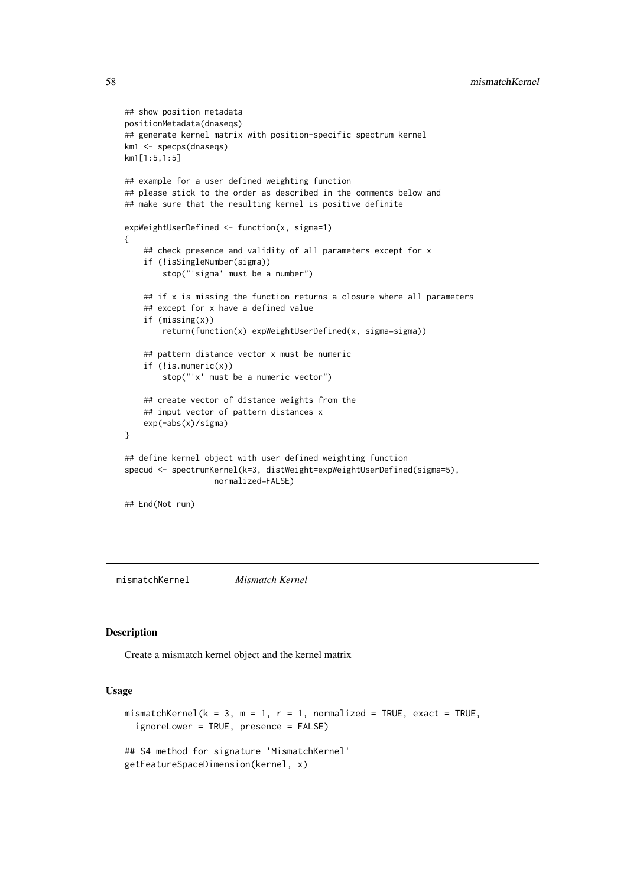```
## show position metadata
positionMetadata(dnaseqs)
## generate kernel matrix with position-specific spectrum kernel
km1 <- specps(dnaseqs)
km1[1:5,1:5]
## example for a user defined weighting function
## please stick to the order as described in the comments below and
## make sure that the resulting kernel is positive definite
expWeightUserDefined <- function(x, sigma=1)
{
    ## check presence and validity of all parameters except for x
    if (!isSingleNumber(sigma))
        stop("'sigma' must be a number")
    ## if x is missing the function returns a closure where all parameters
    ## except for x have a defined value
    if (missing(x))
        return(function(x) expWeightUserDefined(x, sigma=sigma))
    ## pattern distance vector x must be numeric
    if (!is.numeric(x))stop("'x' must be a numeric vector")
    ## create vector of distance weights from the
    ## input vector of pattern distances x
    exp(-abs(x)/sigma)
}
## define kernel object with user defined weighting function
specud <- spectrumKernel(k=3, distWeight=expWeightUserDefined(sigma=5),
                   normalized=FALSE)
## End(Not run)
```
<span id="page-57-0"></span>mismatchKernel *Mismatch Kernel*

### Description

Create a mismatch kernel object and the kernel matrix

### Usage

```
mismatchKernel(k = 3, m = 1, r = 1, normalized = TRUE, exact = TRUE,
  ignoreLower = TRUE, presence = FALSE)
## S4 method for signature 'MismatchKernel'
getFeatureSpaceDimension(kernel, x)
```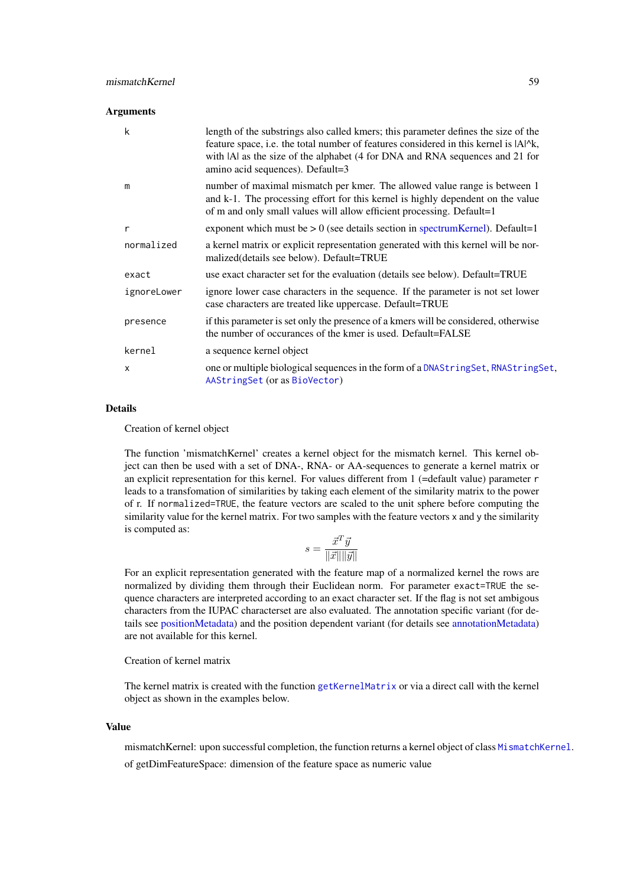#### Arguments

| k           | length of the substrings also called kmers; this parameter defines the size of the<br>feature space, i.e. the total number of features considered in this kernel is $ A ^k$ ,<br>with  A  as the size of the alphabet (4 for DNA and RNA sequences and 21 for<br>amino acid sequences). Default=3 |
|-------------|---------------------------------------------------------------------------------------------------------------------------------------------------------------------------------------------------------------------------------------------------------------------------------------------------|
| m           | number of maximal mismatch per kmer. The allowed value range is between 1<br>and k-1. The processing effort for this kernel is highly dependent on the value<br>of m and only small values will allow efficient processing. Default=1                                                             |
| r           | exponent which must be $> 0$ (see details section in spectrum Kernel). Default=1                                                                                                                                                                                                                  |
| normalized  | a kernel matrix or explicit representation generated with this kernel will be nor-<br>malized (details see below). Default=TRUE                                                                                                                                                                   |
| exact       | use exact character set for the evaluation (details see below). Default=TRUE                                                                                                                                                                                                                      |
| ignoreLower | ignore lower case characters in the sequence. If the parameter is not set lower<br>case characters are treated like uppercase. Default=TRUE                                                                                                                                                       |
| presence    | if this parameter is set only the presence of a kmers will be considered, otherwise<br>the number of occurances of the kmer is used. Default=FALSE                                                                                                                                                |
| kernel      | a sequence kernel object                                                                                                                                                                                                                                                                          |
| X           | one or multiple biological sequences in the form of a DNAStringSet, RNAStringSet,<br>AAStringSet (or as BioVector)                                                                                                                                                                                |

# Details

Creation of kernel object

The function 'mismatchKernel' creates a kernel object for the mismatch kernel. This kernel object can then be used with a set of DNA-, RNA- or AA-sequences to generate a kernel matrix or an explicit representation for this kernel. For values different from 1 (=default value) parameter r leads to a transfomation of similarities by taking each element of the similarity matrix to the power of r. If normalized=TRUE, the feature vectors are scaled to the unit sphere before computing the similarity value for the kernel matrix. For two samples with the feature vectors x and y the similarity is computed as:

$$
s = \frac{\vec{x}^T \vec{y}}{\|\vec{x}\| \|\vec{y}\|}
$$

For an explicit representation generated with the feature map of a normalized kernel the rows are normalized by dividing them through their Euclidean norm. For parameter exact=TRUE the sequence characters are interpreted according to an exact character set. If the flag is not set ambigous characters from the IUPAC characterset are also evaluated. The annotation specific variant (for details see [positionMetadata\)](#page-52-0) and the position dependent variant (for details see [annotationMetadata\)](#page-96-0) are not available for this kernel.

# Creation of kernel matrix

The kernel matrix is created with the function [getKernelMatrix](#page-90-0) or via a direct call with the kernel object as shown in the examples below.

### Value

mismatchKernel: upon successful completion, the function returns a kernel object of class [MismatchKernel](#page-60-0).

of getDimFeatureSpace: dimension of the feature space as numeric value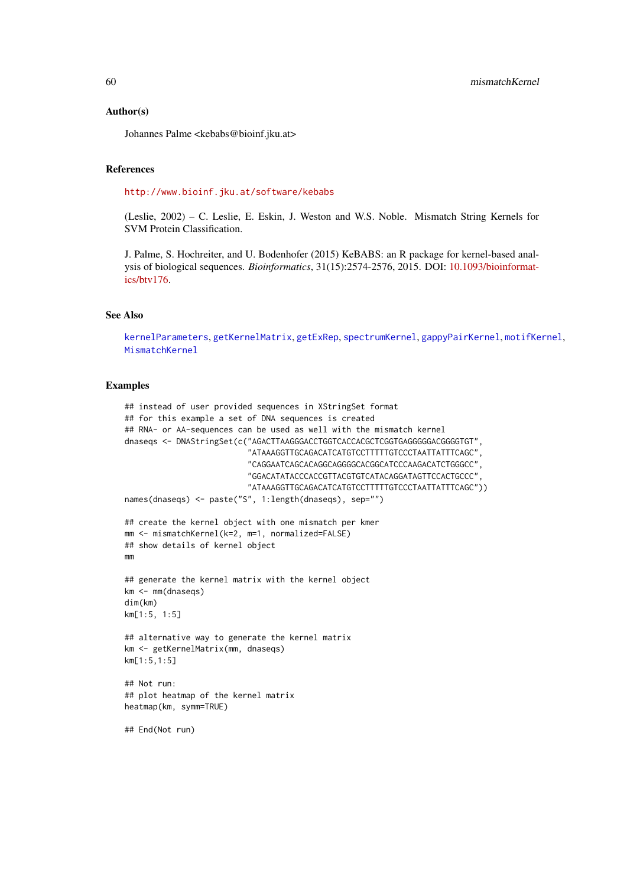#### Author(s)

Johannes Palme <kebabs@bioinf.jku.at>

# References

<http://www.bioinf.jku.at/software/kebabs>

(Leslie, 2002) – C. Leslie, E. Eskin, J. Weston and W.S. Noble. Mismatch String Kernels for SVM Protein Classification.

J. Palme, S. Hochreiter, and U. Bodenhofer (2015) KeBABS: an R package for kernel-based analysis of biological sequences. *Bioinformatics*, 31(15):2574-2576, 2015. DOI: [10.1093/bioinformat](http://dx.doi.org/10.1093/bioinformatics/btv176)[ics/btv176.](http://dx.doi.org/10.1093/bioinformatics/btv176)

### See Also

```
kernelParameters, getKernelMatrix, getExRep, spectrumKernel, gappyPairKernel, motifKernel,
MismatchKernel
```
### Examples

```
## instead of user provided sequences in XStringSet format
## for this example a set of DNA sequences is created
## RNA- or AA-sequences can be used as well with the mismatch kernel
dnaseqs <- DNAStringSet(c("AGACTTAAGGGACCTGGTCACCACGCTCGGTGAGGGGGACGGGGTGT",
                          "ATAAAGGTTGCAGACATCATGTCCTTTTTGTCCCTAATTATTTCAGC",
                          "CAGGAATCAGCACAGGCAGGGGCACGGCATCCCAAGACATCTGGGCC",
                          "GGACATATACCCACCGTTACGTGTCATACAGGATAGTTCCACTGCCC",
                          "ATAAAGGTTGCAGACATCATGTCCTTTTTGTCCCTAATTATTTCAGC"))
names(dnaseqs) <- paste("S", 1:length(dnaseqs), sep="")
## create the kernel object with one mismatch per kmer
mm <- mismatchKernel(k=2, m=1, normalized=FALSE)
## show details of kernel object
mm
## generate the kernel matrix with the kernel object
km <- mm(dnaseqs)
dim(km)
km[1:5, 1:5]
## alternative way to generate the kernel matrix
km <- getKernelMatrix(mm, dnaseqs)
km[1:5,1:5]
## Not run:
## plot heatmap of the kernel matrix
heatmap(km, symm=TRUE)
## End(Not run)
```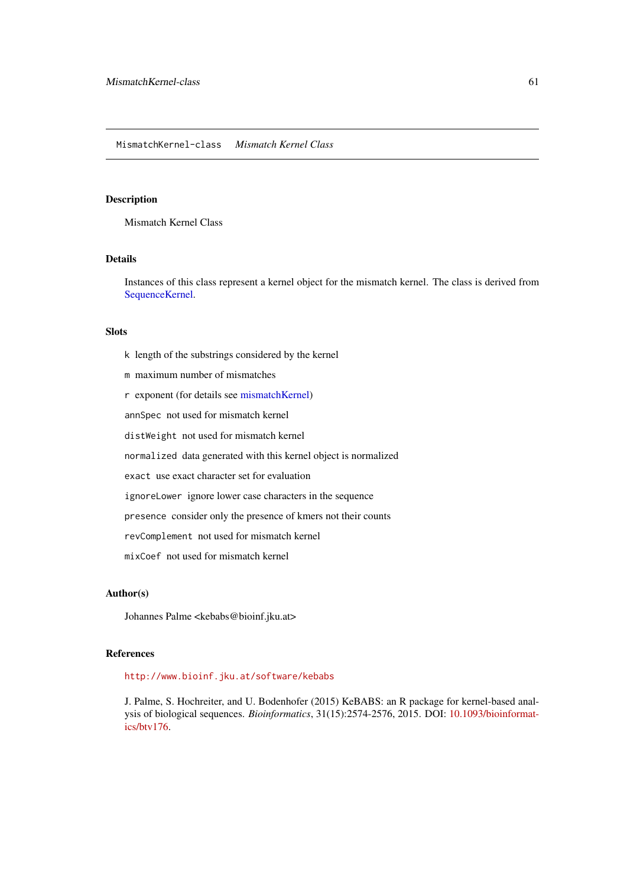### <span id="page-60-0"></span>Description

Mismatch Kernel Class

# Details

Instances of this class represent a kernel object for the mismatch kernel. The class is derived from [SequenceKernel.](#page-93-0)

# Slots

- k length of the substrings considered by the kernel
- m maximum number of mismatches
- r exponent (for details see [mismatchKernel\)](#page-57-0)
- annSpec not used for mismatch kernel
- distWeight not used for mismatch kernel
- normalized data generated with this kernel object is normalized
- exact use exact character set for evaluation
- ignoreLower ignore lower case characters in the sequence
- presence consider only the presence of kmers not their counts
- revComplement not used for mismatch kernel

mixCoef not used for mismatch kernel

# Author(s)

Johannes Palme <kebabs@bioinf.jku.at>

# References

# <http://www.bioinf.jku.at/software/kebabs>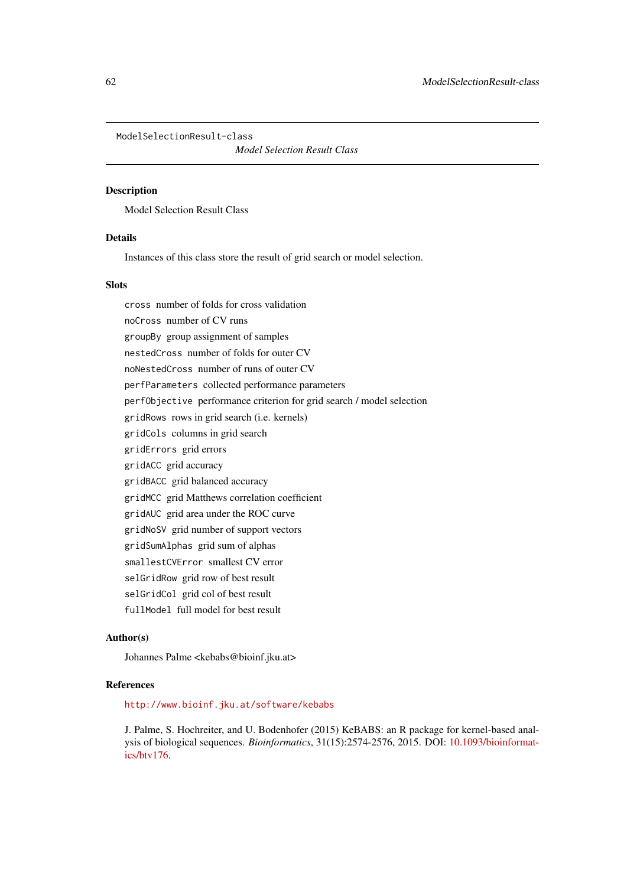ModelSelectionResult-class

*Model Selection Result Class*

# Description

Model Selection Result Class

### Details

Instances of this class store the result of grid search or model selection.

# Slots

cross number of folds for cross validation noCross number of CV runs groupBy group assignment of samples nestedCross number of folds for outer CV noNestedCross number of runs of outer CV perfParameters collected performance parameters perfObjective performance criterion for grid search / model selection gridRows rows in grid search (i.e. kernels) gridCols columns in grid search gridErrors grid errors gridACC grid accuracy gridBACC grid balanced accuracy gridMCC grid Matthews correlation coefficient gridAUC grid area under the ROC curve gridNoSV grid number of support vectors gridSumAlphas grid sum of alphas smallestCVError smallest CV error selGridRow grid row of best result selGridCol grid col of best result fullModel full model for best result

# Author(s)

Johannes Palme <kebabs@bioinf.jku.at>

# References

<http://www.bioinf.jku.at/software/kebabs>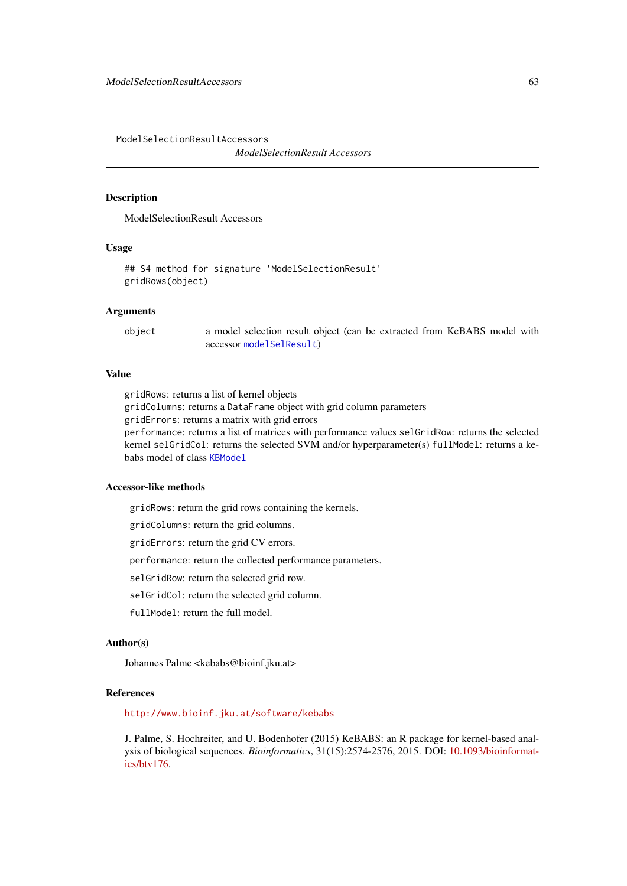ModelSelectionResultAccessors

*ModelSelectionResult Accessors*

#### Description

ModelSelectionResult Accessors

# Usage

```
## S4 method for signature 'ModelSelectionResult'
gridRows(object)
```
### Arguments

object a model selection result object (can be extracted from KeBABS model with accessor [modelSelResult](#page-35-0))

# Value

gridRows: returns a list of kernel objects

gridColumns: returns a DataFrame object with grid column parameters

gridErrors: returns a matrix with grid errors

performance: returns a list of matrices with performance values selGridRow: returns the selected kernel selGridCol: returns the selected SVM and/or hyperparameter(s) fullModel: returns a kebabs model of class [KBModel](#page-34-0)

#### Accessor-like methods

gridRows: return the grid rows containing the kernels.

gridColumns: return the grid columns.

gridErrors: return the grid CV errors.

performance: return the collected performance parameters.

selGridRow: return the selected grid row.

selGridCol: return the selected grid column.

fullModel: return the full model.

### Author(s)

Johannes Palme <kebabs@bioinf.jku.at>

### References

<http://www.bioinf.jku.at/software/kebabs>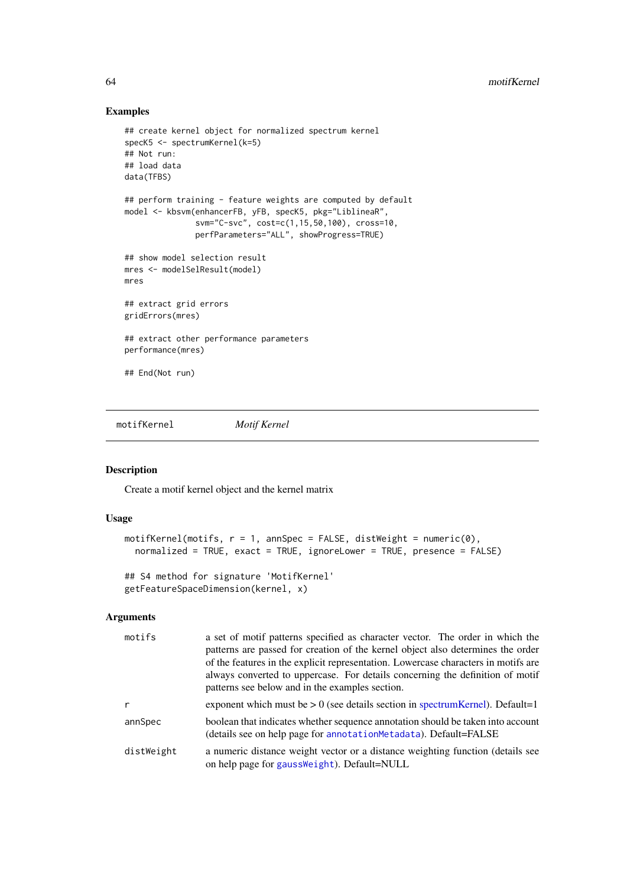# Examples

```
## create kernel object for normalized spectrum kernel
specK5 <- spectrumKernel(k=5)
## Not run:
## load data
data(TFBS)
## perform training - feature weights are computed by default
model <- kbsvm(enhancerFB, yFB, specK5, pkg="LiblineaR",
               svm="C-svc", cost=c(1,15,50,100), cross=10,
               perfParameters="ALL", showProgress=TRUE)
## show model selection result
mres <- modelSelResult(model)
mres
## extract grid errors
gridErrors(mres)
## extract other performance parameters
performance(mres)
## End(Not run)
```
<span id="page-63-0"></span>motifKernel *Motif Kernel*

### Description

Create a motif kernel object and the kernel matrix

# Usage

```
motifKernel(motifs, r = 1, annSpec = FALSE, distWeight = numeric(0),
 normalized = TRUE, exact = TRUE, ignoreLower = TRUE, presence = FALSE)
## S4 method for signature 'MotifKernel'
```
getFeatureSpaceDimension(kernel, x)

# Arguments

| motifs     | a set of motif patterns specified as character vector. The order in which the<br>patterns are passed for creation of the kernel object also determines the order<br>of the features in the explicit representation. Lowercase characters in motifs are<br>always converted to uppercase. For details concerning the definition of motif<br>patterns see below and in the examples section. |
|------------|--------------------------------------------------------------------------------------------------------------------------------------------------------------------------------------------------------------------------------------------------------------------------------------------------------------------------------------------------------------------------------------------|
| r          | exponent which must be $> 0$ (see details section in spectrum Kernel). Default=1                                                                                                                                                                                                                                                                                                           |
| annSpec    | boolean that indicates whether sequence annotation should be taken into account<br>(details see on help page for annotation Metadata). Default=FALSE                                                                                                                                                                                                                                       |
| distWeight | a numeric distance weight vector or a distance weighting function (details see<br>on help page for gaussWeight). Default=NULL                                                                                                                                                                                                                                                              |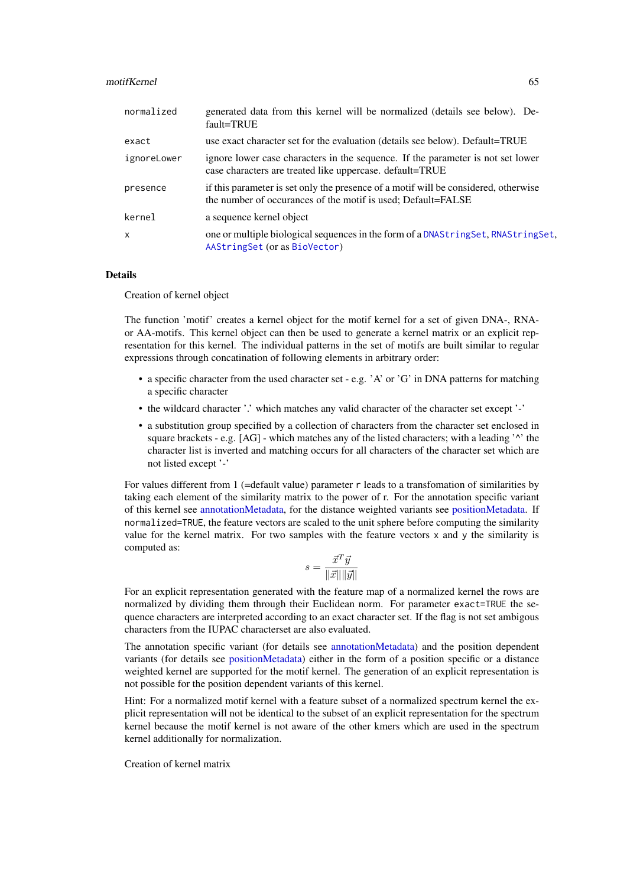#### motifKernel 65

| normalized   | generated data from this kernel will be normalized (details see below). De-<br>fault=TRUE                                                           |
|--------------|-----------------------------------------------------------------------------------------------------------------------------------------------------|
| exact        | use exact character set for the evaluation (details see below). Default=TRUE                                                                        |
| ignoreLower  | ignore lower case characters in the sequence. If the parameter is not set lower<br>case characters are treated like uppercase. default=TRUE         |
| presence     | if this parameter is set only the presence of a motif will be considered, otherwise<br>the number of occurances of the motif is used; Default=FALSE |
| kernel       | a sequence kernel object                                                                                                                            |
| $\mathsf{x}$ | one or multiple biological sequences in the form of a DNAStringSet, RNAStringSet,<br>AAStringSet (or as BioVector)                                  |

# Details

Creation of kernel object

The function 'motif' creates a kernel object for the motif kernel for a set of given DNA-, RNAor AA-motifs. This kernel object can then be used to generate a kernel matrix or an explicit representation for this kernel. The individual patterns in the set of motifs are built similar to regular expressions through concatination of following elements in arbitrary order:

- a specific character from the used character set e.g. 'A' or 'G' in DNA patterns for matching a specific character
- the wildcard character '.' which matches any valid character of the character set except '-'
- a substitution group specified by a collection of characters from the character set enclosed in square brackets - e.g.  $[AG]$  - which matches any of the listed characters; with a leading  $\cdot^{\wedge}$  the character list is inverted and matching occurs for all characters of the character set which are not listed except '-'

For values different from 1 (=default value) parameter r leads to a transfomation of similarities by taking each element of the similarity matrix to the power of r. For the annotation specific variant of this kernel see [annotationMetadata,](#page-96-0) for the distance weighted variants see [positionMetadata.](#page-52-0) If normalized=TRUE, the feature vectors are scaled to the unit sphere before computing the similarity value for the kernel matrix. For two samples with the feature vectors x and y the similarity is computed as:

$$
s = \frac{\vec{x}^T\vec{y}}{\|\vec{x}\|\|\vec{y}\|}
$$

For an explicit representation generated with the feature map of a normalized kernel the rows are normalized by dividing them through their Euclidean norm. For parameter exact=TRUE the sequence characters are interpreted according to an exact character set. If the flag is not set ambigous characters from the IUPAC characterset are also evaluated.

The annotation specific variant (for details see [annotationMetadata\)](#page-96-0) and the position dependent variants (for details see [positionMetadata\)](#page-52-0) either in the form of a position specific or a distance weighted kernel are supported for the motif kernel. The generation of an explicit representation is not possible for the position dependent variants of this kernel.

Hint: For a normalized motif kernel with a feature subset of a normalized spectrum kernel the explicit representation will not be identical to the subset of an explicit representation for the spectrum kernel because the motif kernel is not aware of the other kmers which are used in the spectrum kernel additionally for normalization.

#### Creation of kernel matrix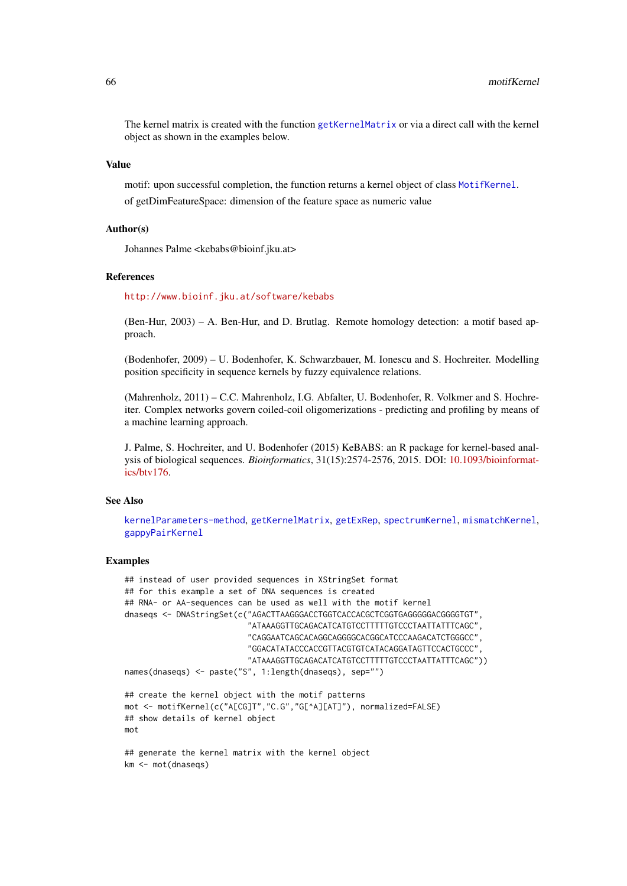The kernel matrix is created with the function [getKernelMatrix](#page-90-0) or via a direct call with the kernel object as shown in the examples below.

### Value

motif: upon successful completion, the function returns a kernel object of class [MotifKernel](#page-66-0). of getDimFeatureSpace: dimension of the feature space as numeric value

### Author(s)

Johannes Palme <kebabs@bioinf.jku.at>

#### References

<http://www.bioinf.jku.at/software/kebabs>

(Ben-Hur, 2003) – A. Ben-Hur, and D. Brutlag. Remote homology detection: a motif based approach.

(Bodenhofer, 2009) – U. Bodenhofer, K. Schwarzbauer, M. Ionescu and S. Hochreiter. Modelling position specificity in sequence kernels by fuzzy equivalence relations.

(Mahrenholz, 2011) – C.C. Mahrenholz, I.G. Abfalter, U. Bodenhofer, R. Volkmer and S. Hochreiter. Complex networks govern coiled-coil oligomerizations - predicting and profiling by means of a machine learning approach.

J. Palme, S. Hochreiter, and U. Bodenhofer (2015) KeBABS: an R package for kernel-based analysis of biological sequences. *Bioinformatics*, 31(15):2574-2576, 2015. DOI: [10.1093/bioinformat](http://dx.doi.org/10.1093/bioinformatics/btv176)[ics/btv176.](http://dx.doi.org/10.1093/bioinformatics/btv176)

# See Also

[kernelParameters-method](#page-90-0), [getKernelMatrix](#page-90-0), [getExRep](#page-20-0), [spectrumKernel](#page-100-0), [mismatchKernel](#page-57-0), [gappyPairKernel](#page-14-0)

### Examples

```
## instead of user provided sequences in XStringSet format
## for this example a set of DNA sequences is created
## RNA- or AA-sequences can be used as well with the motif kernel
dnaseqs <- DNAStringSet(c("AGACTTAAGGGACCTGGTCACCACGCTCGGTGAGGGGGACGGGGTGT",
                          "ATAAAGGTTGCAGACATCATGTCCTTTTTGTCCCTAATTATTTCAGC",
                          "CAGGAATCAGCACAGGCAGGGGCACGGCATCCCAAGACATCTGGGCC",
                          "GGACATATACCCACCGTTACGTGTCATACAGGATAGTTCCACTGCCC",
                          "ATAAAGGTTGCAGACATCATGTCCTTTTTGTCCCTAATTATTTCAGC"))
names(dnaseqs) <- paste("S", 1:length(dnaseqs), sep="")
## create the kernel object with the motif patterns
mot <- motifKernel(c("A[CG]T","C.G","G[^A][AT]"), normalized=FALSE)
## show details of kernel object
mot
## generate the kernel matrix with the kernel object
km <- mot(dnaseqs)
```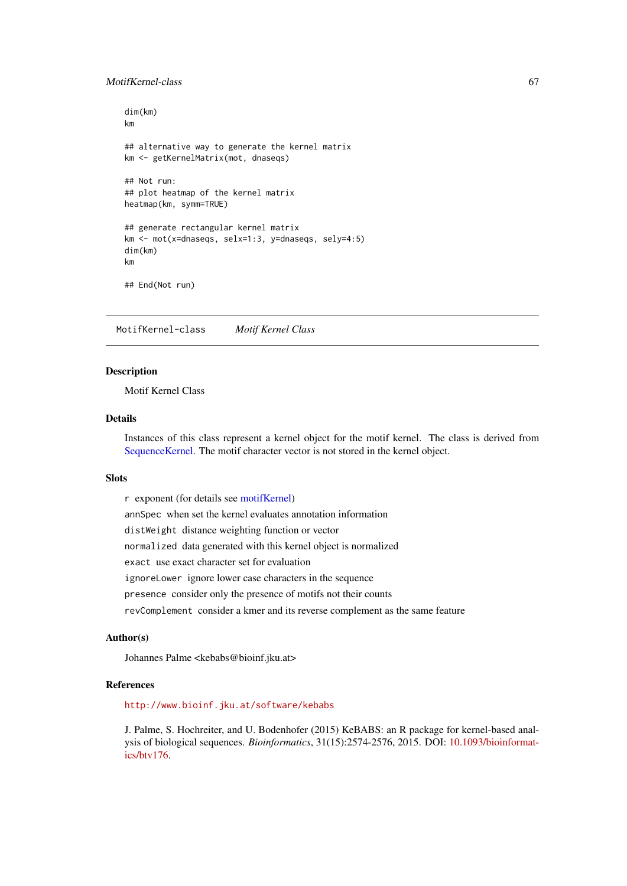#### MotifKernel-class 67

```
dim(km)
km
## alternative way to generate the kernel matrix
km <- getKernelMatrix(mot, dnaseqs)
## Not run:
## plot heatmap of the kernel matrix
heatmap(km, symm=TRUE)
## generate rectangular kernel matrix
km <- mot(x=dnaseqs, selx=1:3, y=dnaseqs, sely=4:5)
dim(km)
km
## End(Not run)
```
<span id="page-66-0"></span>MotifKernel-class *Motif Kernel Class*

### Description

Motif Kernel Class

#### Details

Instances of this class represent a kernel object for the motif kernel. The class is derived from [SequenceKernel.](#page-93-0) The motif character vector is not stored in the kernel object.

### Slots

r exponent (for details see [motifKernel\)](#page-63-0) annSpec when set the kernel evaluates annotation information distWeight distance weighting function or vector normalized data generated with this kernel object is normalized exact use exact character set for evaluation ignoreLower ignore lower case characters in the sequence presence consider only the presence of motifs not their counts revComplement consider a kmer and its reverse complement as the same feature

# Author(s)

Johannes Palme <kebabs@bioinf.jku.at>

# References

<http://www.bioinf.jku.at/software/kebabs>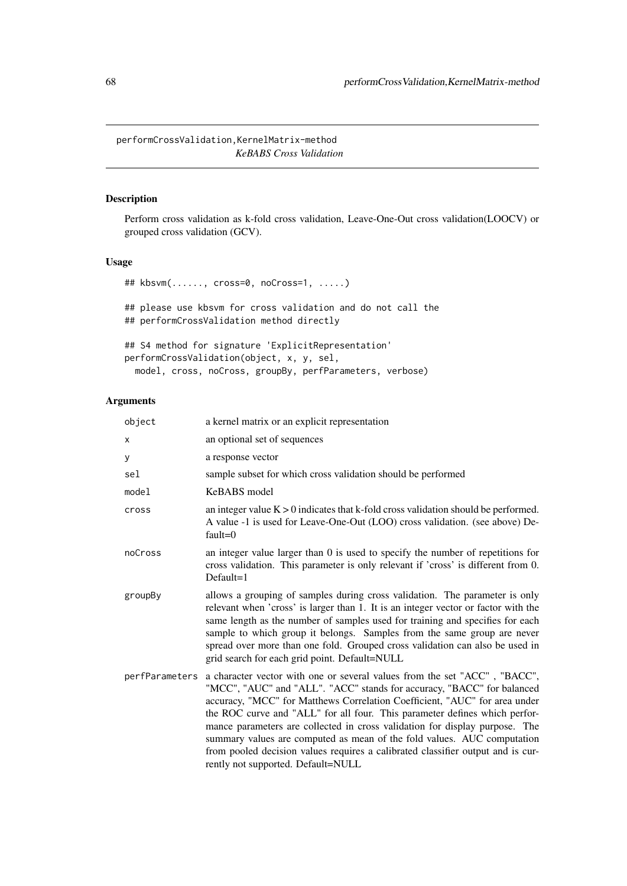performCrossValidation,KernelMatrix-method *KeBABS Cross Validation*

# <span id="page-67-0"></span>Description

Perform cross validation as k-fold cross validation, Leave-One-Out cross validation(LOOCV) or grouped cross validation (GCV).

# Usage

```
## kbsvm(......, cross=0, noCross=1, .....)
## please use kbsvm for cross validation and do not call the
## performCrossValidation method directly
```

```
## S4 method for signature 'ExplicitRepresentation'
performCrossValidation(object, x, y, sel,
  model, cross, noCross, groupBy, perfParameters, verbose)
```
# Arguments

| object         | a kernel matrix or an explicit representation                                                                                                                                                                                                                                                                                                                                                                                                                                                                                                                                                      |
|----------------|----------------------------------------------------------------------------------------------------------------------------------------------------------------------------------------------------------------------------------------------------------------------------------------------------------------------------------------------------------------------------------------------------------------------------------------------------------------------------------------------------------------------------------------------------------------------------------------------------|
| X              | an optional set of sequences                                                                                                                                                                                                                                                                                                                                                                                                                                                                                                                                                                       |
| у              | a response vector                                                                                                                                                                                                                                                                                                                                                                                                                                                                                                                                                                                  |
| sel            | sample subset for which cross validation should be performed                                                                                                                                                                                                                                                                                                                                                                                                                                                                                                                                       |
| model          | KeBABS model                                                                                                                                                                                                                                                                                                                                                                                                                                                                                                                                                                                       |
| cross          | an integer value $K > 0$ indicates that k-fold cross validation should be performed.<br>A value -1 is used for Leave-One-Out (LOO) cross validation. (see above) De-<br>$fault=0$                                                                                                                                                                                                                                                                                                                                                                                                                  |
| noCross        | an integer value larger than $0$ is used to specify the number of repetitions for<br>cross validation. This parameter is only relevant if 'cross' is different from 0.<br>$Default=1$                                                                                                                                                                                                                                                                                                                                                                                                              |
| groupBy        | allows a grouping of samples during cross validation. The parameter is only<br>relevant when 'cross' is larger than 1. It is an integer vector or factor with the<br>same length as the number of samples used for training and specifies for each<br>sample to which group it belongs. Samples from the same group are never<br>spread over more than one fold. Grouped cross validation can also be used in<br>grid search for each grid point. Default=NULL                                                                                                                                     |
| perfParameters | a character vector with one or several values from the set "ACC", "BACC",<br>"MCC", "AUC" and "ALL". "ACC" stands for accuracy, "BACC" for balanced<br>accuracy, "MCC" for Matthews Correlation Coefficient, "AUC" for area under<br>the ROC curve and "ALL" for all four. This parameter defines which perfor-<br>mance parameters are collected in cross validation for display purpose. The<br>summary values are computed as mean of the fold values. AUC computation<br>from pooled decision values requires a calibrated classifier output and is cur-<br>rently not supported. Default=NULL |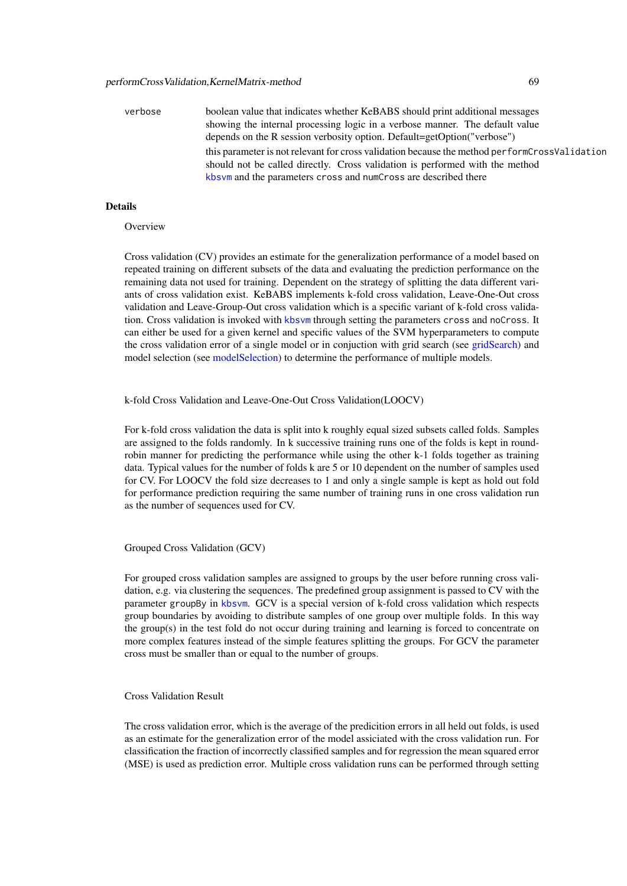verbose boolean value that indicates whether KeBABS should print additional messages showing the internal processing logic in a verbose manner. The default value depends on the R session verbosity option. Default=getOption("verbose") this parameter is not relevant for cross validation because the method performCrossValidation should not be called directly. Cross validation is performed with the method [kbsvm](#page-36-0) and the parameters cross and numCross are described there

### Details

#### **Overview**

Cross validation (CV) provides an estimate for the generalization performance of a model based on repeated training on different subsets of the data and evaluating the prediction performance on the remaining data not used for training. Dependent on the strategy of splitting the data different variants of cross validation exist. KeBABS implements k-fold cross validation, Leave-One-Out cross validation and Leave-Group-Out cross validation which is a specific variant of k-fold cross validation. Cross validation is invoked with [kbsvm](#page-36-0) through setting the parameters cross and noCross. It can either be used for a given kernel and specific values of the SVM hyperparameters to compute the cross validation error of a single model or in conjuction with grid search (see [gridSearch\)](#page-71-0) and model selection (see [modelSelection\)](#page-76-0) to determine the performance of multiple models.

### k-fold Cross Validation and Leave-One-Out Cross Validation(LOOCV)

For k-fold cross validation the data is split into k roughly equal sized subsets called folds. Samples are assigned to the folds randomly. In k successive training runs one of the folds is kept in roundrobin manner for predicting the performance while using the other k-1 folds together as training data. Typical values for the number of folds k are 5 or 10 dependent on the number of samples used for CV. For LOOCV the fold size decreases to 1 and only a single sample is kept as hold out fold for performance prediction requiring the same number of training runs in one cross validation run as the number of sequences used for CV.

### Grouped Cross Validation (GCV)

For grouped cross validation samples are assigned to groups by the user before running cross validation, e.g. via clustering the sequences. The predefined group assignment is passed to CV with the parameter groupBy in [kbsvm](#page-36-0). GCV is a special version of k-fold cross validation which respects group boundaries by avoiding to distribute samples of one group over multiple folds. In this way the group(s) in the test fold do not occur during training and learning is forced to concentrate on more complex features instead of the simple features splitting the groups. For GCV the parameter cross must be smaller than or equal to the number of groups.

#### Cross Validation Result

The cross validation error, which is the average of the predicition errors in all held out folds, is used as an estimate for the generalization error of the model assiciated with the cross validation run. For classification the fraction of incorrectly classified samples and for regression the mean squared error (MSE) is used as prediction error. Multiple cross validation runs can be performed through setting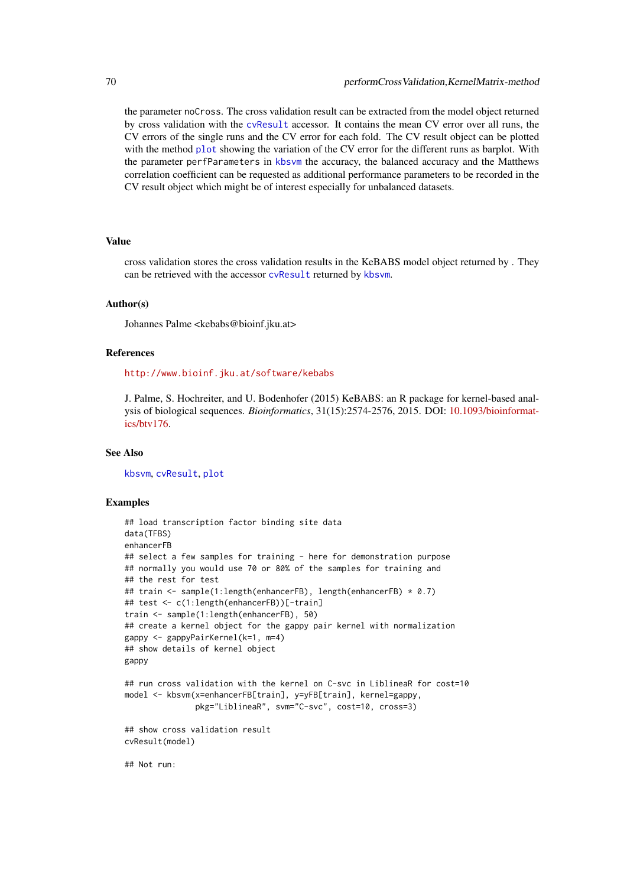the parameter noCross. The cross validation result can be extracted from the model object returned by cross validation with the [cvResult](#page-35-0) accessor. It contains the mean CV error over all runs, the CV errors of the single runs and the CV error for each fold. The CV result object can be plotted with the method [plot](#page-78-0) showing the variation of the CV error for the different runs as barplot. With the parameter perfParameters in [kbsvm](#page-36-0) the accuracy, the balanced accuracy and the Matthews correlation coefficient can be requested as additional performance parameters to be recorded in the CV result object which might be of interest especially for unbalanced datasets.

### Value

cross validation stores the cross validation results in the KeBABS model object returned by . They can be retrieved with the accessor [cvResult](#page-35-0) returned by [kbsvm](#page-36-0).

### Author(s)

Johannes Palme <kebabs@bioinf.jku.at>

#### References

<http://www.bioinf.jku.at/software/kebabs>

J. Palme, S. Hochreiter, and U. Bodenhofer (2015) KeBABS: an R package for kernel-based analysis of biological sequences. *Bioinformatics*, 31(15):2574-2576, 2015. DOI: [10.1093/bioinformat](http://dx.doi.org/10.1093/bioinformatics/btv176)[ics/btv176.](http://dx.doi.org/10.1093/bioinformatics/btv176)

### See Also

[kbsvm](#page-36-0), [cvResult](#page-35-0), [plot](#page-78-0)

# Examples

```
## load transcription factor binding site data
data(TFBS)
enhancerFB
## select a few samples for training - here for demonstration purpose
## normally you would use 70 or 80% of the samples for training and
## the rest for test
## train <- sample(1:length(enhancerFB), length(enhancerFB) * 0.7)
## test <- c(1:length(enhancerFB))[-train]
train <- sample(1:length(enhancerFB), 50)
## create a kernel object for the gappy pair kernel with normalization
gappy <- gappyPairKernel(k=1, m=4)
## show details of kernel object
gappy
## run cross validation with the kernel on C-svc in LiblineaR for cost=10
model <- kbsvm(x=enhancerFB[train], y=yFB[train], kernel=gappy,
               pkg="LiblineaR", svm="C-svc", cost=10, cross=3)
## show cross validation result
cvResult(model)
```
## Not run: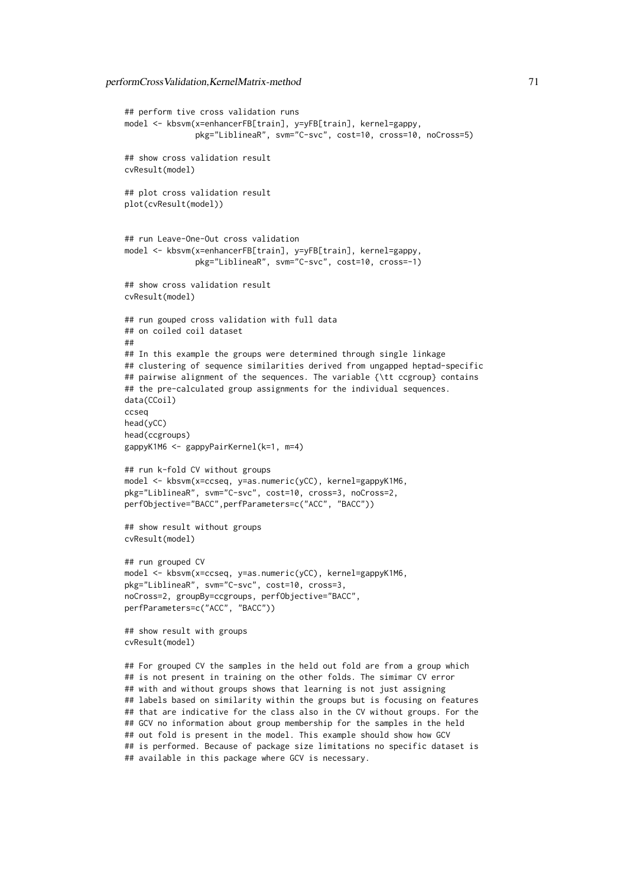```
## perform tive cross validation runs
model <- kbsvm(x=enhancerFB[train], y=yFB[train], kernel=gappy,
               pkg="LiblineaR", svm="C-svc", cost=10, cross=10, noCross=5)
## show cross validation result
cvResult(model)
## plot cross validation result
plot(cvResult(model))
## run Leave-One-Out cross validation
model <- kbsvm(x=enhancerFB[train], y=yFB[train], kernel=gappy,
               pkg="LiblineaR", svm="C-svc", cost=10, cross=-1)
## show cross validation result
cvResult(model)
## run gouped cross validation with full data
## on coiled coil dataset
##
## In this example the groups were determined through single linkage
## clustering of sequence similarities derived from ungapped heptad-specific
## pairwise alignment of the sequences. The variable {\tt ccgroup} contains
## the pre-calculated group assignments for the individual sequences.
data(CCoil)
ccseq
head(yCC)
head(ccgroups)
gappyK1M6 <- gappyPairKernel(k=1, m=4)
## run k-fold CV without groups
model <- kbsvm(x=ccseq, y=as.numeric(yCC), kernel=gappyK1M6,
pkg="LiblineaR", svm="C-svc", cost=10, cross=3, noCross=2,
perfObjective="BACC",perfParameters=c("ACC", "BACC"))
## show result without groups
cvResult(model)
## run grouped CV
model <- kbsvm(x=ccseq, y=as.numeric(yCC), kernel=gappyK1M6,
pkg="LiblineaR", svm="C-svc", cost=10, cross=3,
noCross=2, groupBy=ccgroups, perfObjective="BACC",
perfParameters=c("ACC", "BACC"))
## show result with groups
cvResult(model)
## For grouped CV the samples in the held out fold are from a group which
## is not present in training on the other folds. The simimar CV error
## with and without groups shows that learning is not just assigning
## labels based on similarity within the groups but is focusing on features
## that are indicative for the class also in the CV without groups. For the
## GCV no information about group membership for the samples in the held
## out fold is present in the model. This example should show how GCV
## is performed. Because of package size limitations no specific dataset is
## available in this package where GCV is necessary.
```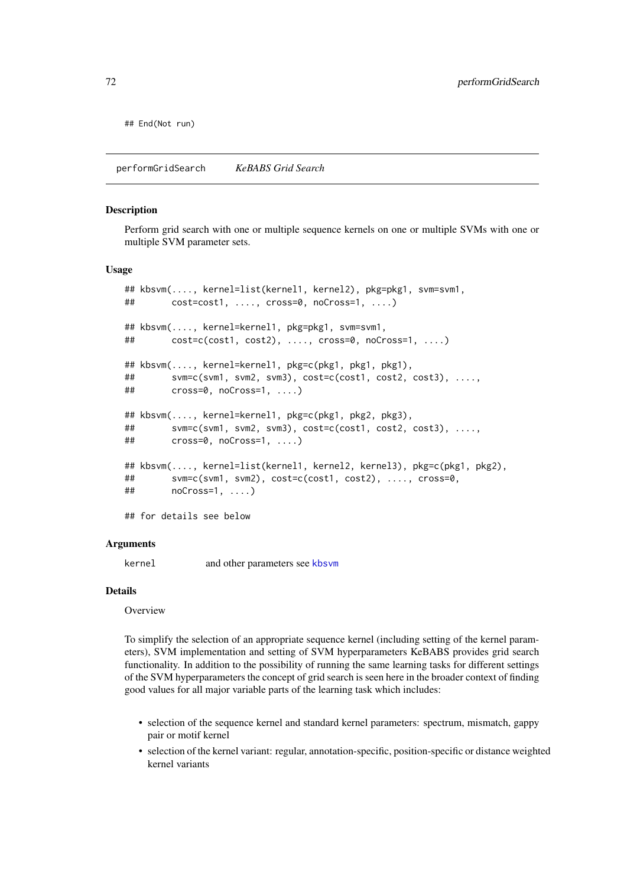## End(Not run)

performGridSearch *KeBABS Grid Search*

#### <span id="page-71-0"></span>**Description**

Perform grid search with one or multiple sequence kernels on one or multiple SVMs with one or multiple SVM parameter sets.

### Usage

```
## kbsvm(...., kernel=list(kernel1, kernel2), pkg=pkg1, svm=svm1,
## cost=cost1, ...., cross=0, noCross=1, ....)
## kbsvm(...., kernel=kernel1, pkg=pkg1, svm=svm1,
## cost=c(cost1, cost2), ...., cross=0, noCross=1, ....)
## kbsvm(...., kernel=kernel1, pkg=c(pkg1, pkg1, pkg1),
## svm=c(svm1, svm2, svm3), cost=c(cost1, cost2, cost3), ....,
## cross=0, noCross=1, ....)
## kbsvm(...., kernel=kernel1, pkg=c(pkg1, pkg2, pkg3),
## svm=c(svm1, svm2, svm3), cost=c(cost1, cost2, cost3), ....,
## cross=0, noCross=1, ....)
## kbsvm(...., kernel=list(kernel1, kernel2, kernel3), pkg=c(pkg1, pkg2),
## svm=c(svm1, svm2), cost=c(cost1, cost2), ...., cross=0,
## noCross=1, ....)
## for details see below
```
### Arguments

kernel and other parameters see [kbsvm](#page-36-0)

#### Details

**Overview** 

To simplify the selection of an appropriate sequence kernel (including setting of the kernel parameters), SVM implementation and setting of SVM hyperparameters KeBABS provides grid search functionality. In addition to the possibility of running the same learning tasks for different settings of the SVM hyperparameters the concept of grid search is seen here in the broader context of finding good values for all major variable parts of the learning task which includes:

- selection of the sequence kernel and standard kernel parameters: spectrum, mismatch, gappy pair or motif kernel
- selection of the kernel variant: regular, annotation-specific, position-specific or distance weighted kernel variants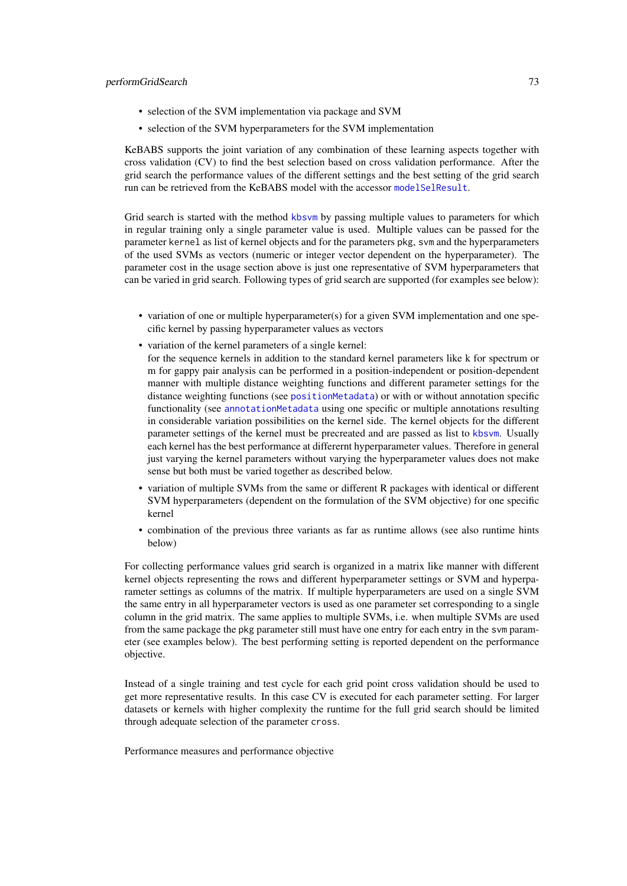### performGridSearch 73

- selection of the SVM implementation via package and SVM
- selection of the SVM hyperparameters for the SVM implementation

KeBABS supports the joint variation of any combination of these learning aspects together with cross validation (CV) to find the best selection based on cross validation performance. After the grid search the performance values of the different settings and the best setting of the grid search run can be retrieved from the KeBABS model with the accessor [modelSelResult](#page-35-0).

Grid search is started with the method [kbsvm](#page-36-0) by passing multiple values to parameters for which in regular training only a single parameter value is used. Multiple values can be passed for the parameter kernel as list of kernel objects and for the parameters pkg, svm and the hyperparameters of the used SVMs as vectors (numeric or integer vector dependent on the hyperparameter). The parameter cost in the usage section above is just one representative of SVM hyperparameters that can be varied in grid search. Following types of grid search are supported (for examples see below):

- variation of one or multiple hyperparameter(s) for a given SVM implementation and one specific kernel by passing hyperparameter values as vectors
- variation of the kernel parameters of a single kernel: for the sequence kernels in addition to the standard kernel parameters like k for spectrum or m for gappy pair analysis can be performed in a position-independent or position-dependent manner with multiple distance weighting functions and different parameter settings for the distance weighting functions (see [positionMetadata](#page-52-0)) or with or without annotation specific functionality (see [annotationMetadata](#page-96-0) using one specific or multiple annotations resulting in considerable variation possibilities on the kernel side. The kernel objects for the different parameter settings of the kernel must be precreated and are passed as list to [kbsvm](#page-36-0). Usually each kernel has the best performance at differernt hyperparameter values. Therefore in general just varying the kernel parameters without varying the hyperparameter values does not make sense but both must be varied together as described below.
- variation of multiple SVMs from the same or different R packages with identical or different SVM hyperparameters (dependent on the formulation of the SVM objective) for one specific kernel
- combination of the previous three variants as far as runtime allows (see also runtime hints below)

For collecting performance values grid search is organized in a matrix like manner with different kernel objects representing the rows and different hyperparameter settings or SVM and hyperparameter settings as columns of the matrix. If multiple hyperparameters are used on a single SVM the same entry in all hyperparameter vectors is used as one parameter set corresponding to a single column in the grid matrix. The same applies to multiple SVMs, i.e. when multiple SVMs are used from the same package the pkg parameter still must have one entry for each entry in the svm parameter (see examples below). The best performing setting is reported dependent on the performance objective.

Instead of a single training and test cycle for each grid point cross validation should be used to get more representative results. In this case CV is executed for each parameter setting. For larger datasets or kernels with higher complexity the runtime for the full grid search should be limited through adequate selection of the parameter cross.

Performance measures and performance objective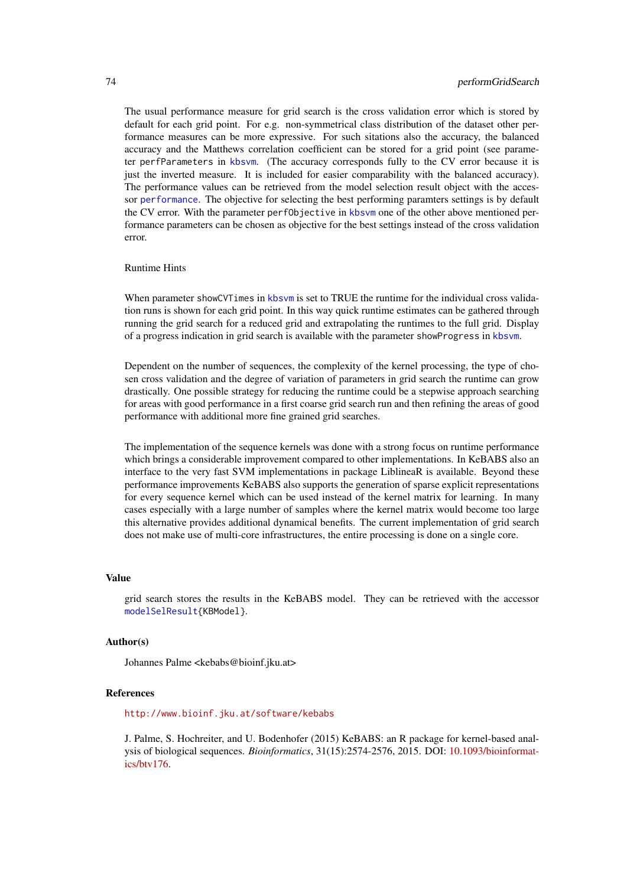The usual performance measure for grid search is the cross validation error which is stored by default for each grid point. For e.g. non-symmetrical class distribution of the dataset other performance measures can be more expressive. For such sitations also the accuracy, the balanced accuracy and the Matthews correlation coefficient can be stored for a grid point (see parameter perfParameters in [kbsvm](#page-36-0). (The accuracy corresponds fully to the CV error because it is just the inverted measure. It is included for easier comparability with the balanced accuracy). The performance values can be retrieved from the model selection result object with the accessor [performance](#page-62-0). The objective for selecting the best performing paramters settings is by default the CV error. With the parameter perfObjective in [kbsvm](#page-36-0) one of the other above mentioned performance parameters can be chosen as objective for the best settings instead of the cross validation error.

#### Runtime Hints

When parameter showCVTimes in [kbsvm](#page-36-0) is set to TRUE the runtime for the individual cross validation runs is shown for each grid point. In this way quick runtime estimates can be gathered through running the grid search for a reduced grid and extrapolating the runtimes to the full grid. Display of a progress indication in grid search is available with the parameter showProgress in [kbsvm](#page-36-0).

Dependent on the number of sequences, the complexity of the kernel processing, the type of chosen cross validation and the degree of variation of parameters in grid search the runtime can grow drastically. One possible strategy for reducing the runtime could be a stepwise approach searching for areas with good performance in a first coarse grid search run and then refining the areas of good performance with additional more fine grained grid searches.

The implementation of the sequence kernels was done with a strong focus on runtime performance which brings a considerable improvement compared to other implementations. In KeBABS also an interface to the very fast SVM implementations in package LiblineaR is available. Beyond these performance improvements KeBABS also supports the generation of sparse explicit representations for every sequence kernel which can be used instead of the kernel matrix for learning. In many cases especially with a large number of samples where the kernel matrix would become too large this alternative provides additional dynamical benefits. The current implementation of grid search does not make use of multi-core infrastructures, the entire processing is done on a single core.

#### Value

grid search stores the results in the KeBABS model. They can be retrieved with the accessor [modelSelResult{](#page-35-0)KBModel}.

#### Author(s)

Johannes Palme <kebabs@bioinf.jku.at>

#### References

<http://www.bioinf.jku.at/software/kebabs>

J. Palme, S. Hochreiter, and U. Bodenhofer (2015) KeBABS: an R package for kernel-based analysis of biological sequences. *Bioinformatics*, 31(15):2574-2576, 2015. DOI: [10.1093/bioinformat](http://dx.doi.org/10.1093/bioinformatics/btv176)[ics/btv176.](http://dx.doi.org/10.1093/bioinformatics/btv176)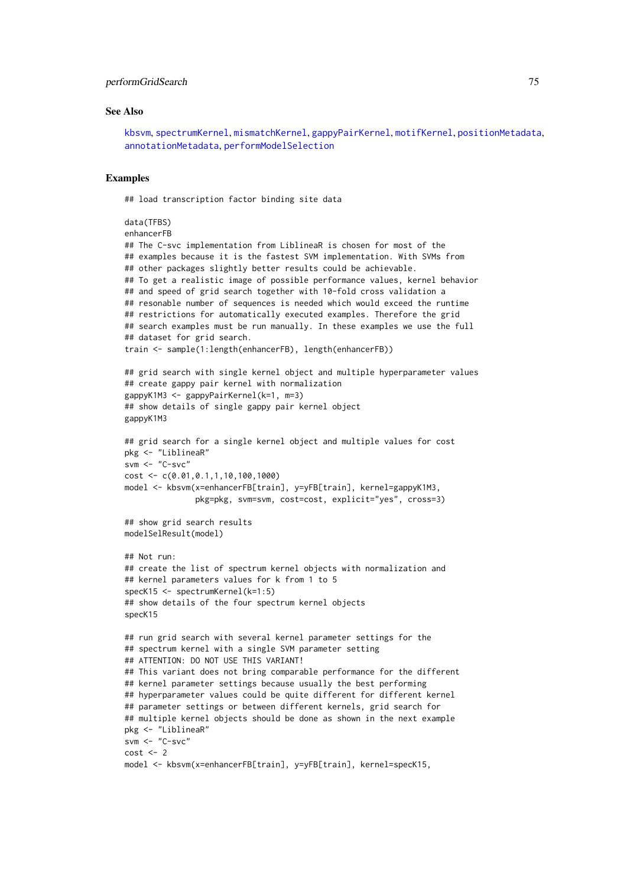#### performGridSearch 75

### See Also

```
kbsvm, spectrumKernel, mismatchKernel, gappyPairKernel, motifKernel, positionMetadata,
annotationMetadata, performModelSelection
```
## Examples

## load transcription factor binding site data

```
data(TFBS)
enhancerFB
## The C-svc implementation from LiblineaR is chosen for most of the
## examples because it is the fastest SVM implementation. With SVMs from
## other packages slightly better results could be achievable.
## To get a realistic image of possible performance values, kernel behavior
## and speed of grid search together with 10-fold cross validation a
## resonable number of sequences is needed which would exceed the runtime
## restrictions for automatically executed examples. Therefore the grid
## search examples must be run manually. In these examples we use the full
## dataset for grid search.
train <- sample(1:length(enhancerFB), length(enhancerFB))
## grid search with single kernel object and multiple hyperparameter values
## create gappy pair kernel with normalization
gappyK1M3 <- gappyPairKernel(k=1, m=3)
## show details of single gappy pair kernel object
gappyK1M3
## grid search for a single kernel object and multiple values for cost
pkg <- "LiblineaR"
svm <- "C-svc"
cost <- c(0.01,0.1,1,10,100,1000)
model <- kbsvm(x=enhancerFB[train], y=yFB[train], kernel=gappyK1M3,
               pkg=pkg, svm=svm, cost=cost, explicit="yes", cross=3)
## show grid search results
modelSelResult(model)
## Not run:
## create the list of spectrum kernel objects with normalization and
## kernel parameters values for k from 1 to 5
specK15 <- spectrumKernel(k=1:5)
## show details of the four spectrum kernel objects
specK15
## run grid search with several kernel parameter settings for the
## spectrum kernel with a single SVM parameter setting
## ATTENTION: DO NOT USE THIS VARIANT!
## This variant does not bring comparable performance for the different
## kernel parameter settings because usually the best performing
## hyperparameter values could be quite different for different kernel
## parameter settings or between different kernels, grid search for
## multiple kernel objects should be done as shown in the next example
pkg <- "LiblineaR"
svm <- "C-svc"
cost \leq 2model <- kbsvm(x=enhancerFB[train], y=yFB[train], kernel=specK15,
```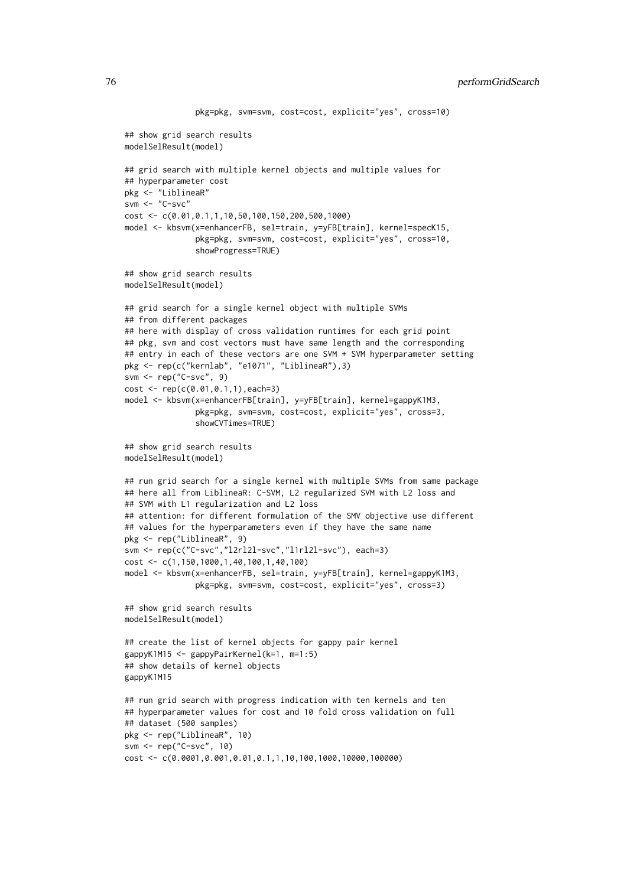```
pkg=pkg, svm=svm, cost=cost, explicit="yes", cross=10)
## show grid search results
modelSelResult(model)
## grid search with multiple kernel objects and multiple values for
## hyperparameter cost
pkg <- "LiblineaR"
svm <- "C-svc"
cost <- c(0.01,0.1,1,10,50,100,150,200,500,1000)
model <- kbsvm(x=enhancerFB, sel=train, y=yFB[train], kernel=specK15,
               pkg=pkg, svm=svm, cost=cost, explicit="yes", cross=10,
               showProgress=TRUE)
## show grid search results
modelSelResult(model)
## grid search for a single kernel object with multiple SVMs
## from different packages
## here with display of cross validation runtimes for each grid point
## pkg, svm and cost vectors must have same length and the corresponding
## entry in each of these vectors are one SVM + SVM hyperparameter setting
pkg <- rep(c("kernlab", "e1071", "LiblineaR"),3)
svm <- rep("C-svc", 9)
cost <- rep(c(0.01,0.1,1),each=3)
model <- kbsvm(x=enhancerFB[train], y=yFB[train], kernel=gappyK1M3,
               pkg=pkg, svm=svm, cost=cost, explicit="yes", cross=3,
               showCVTimes=TRUE)
## show grid search results
modelSelResult(model)
## run grid search for a single kernel with multiple SVMs from same package
## here all from LiblineaR: C-SVM, L2 regularized SVM with L2 loss and
## SVM with L1 regularization and L2 loss
## attention: for different formulation of the SMV objective use different
## values for the hyperparameters even if they have the same name
pkg <- rep("LiblineaR", 9)
svm <- rep(c("C-svc","l2rl2l-svc","l1rl2l-svc"), each=3)
cost <- c(1,150,1000,1,40,100,1,40,100)
model <- kbsvm(x=enhancerFB, sel=train, y=yFB[train], kernel=gappyK1M3,
               pkg=pkg, svm=svm, cost=cost, explicit="yes", cross=3)
## show grid search results
modelSelResult(model)
## create the list of kernel objects for gappy pair kernel
gappyK1M15 <- gappyPairKernel(k=1, m=1:5)
## show details of kernel objects
gappyK1M15
## run grid search with progress indication with ten kernels and ten
## hyperparameter values for cost and 10 fold cross validation on full
## dataset (500 samples)
pkg <- rep("LiblineaR", 10)
svm <- rep("C-svc", 10)
cost <- c(0.0001,0.001,0.01,0.1,1,10,100,1000,10000,100000)
```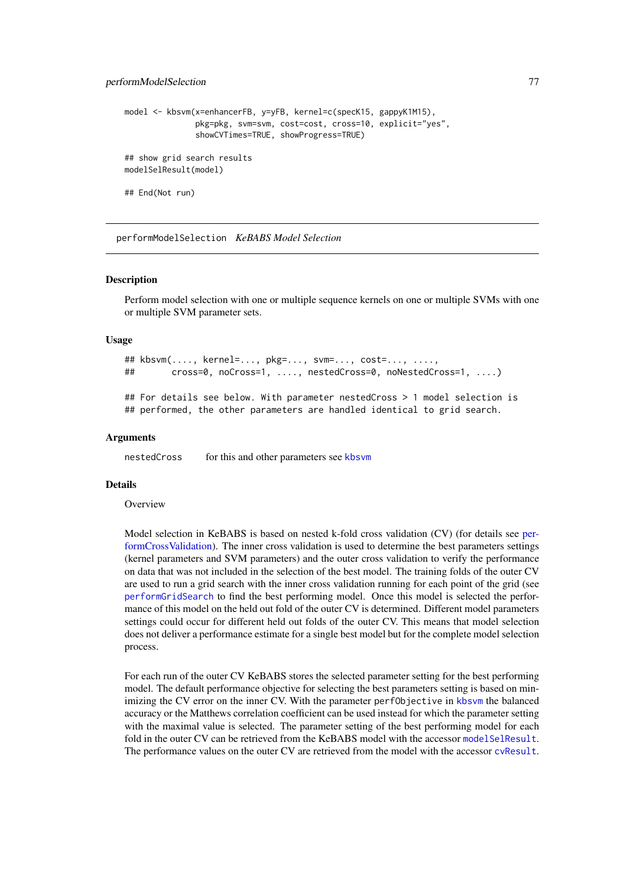```
model <- kbsvm(x=enhancerFB, y=yFB, kernel=c(specK15, gappyK1M15),
               pkg=pkg, svm=svm, cost=cost, cross=10, explicit="yes",
               showCVTimes=TRUE, showProgress=TRUE)
## show grid search results
modelSelResult(model)
## End(Not run)
```
<span id="page-76-0"></span>performModelSelection *KeBABS Model Selection*

#### Description

Perform model selection with one or multiple sequence kernels on one or multiple SVMs with one or multiple SVM parameter sets.

## Usage

## kbsvm(...., kernel=..., pkg=..., svm=..., cost=..., ...., ## cross=0, noCross=1, ...., nestedCross=0, noNestedCross=1, ....)

## For details see below. With parameter nestedCross > 1 model selection is ## performed, the other parameters are handled identical to grid search.

#### Arguments

nestedCross for this and other parameters see [kbsvm](#page-36-0)

### Details

#### **Overview**

Model selection in KeBABS is based on nested k-fold cross validation (CV) (for details see [per](#page-67-0)[formCrossValidation\)](#page-67-0). The inner cross validation is used to determine the best parameters settings (kernel parameters and SVM parameters) and the outer cross validation to verify the performance on data that was not included in the selection of the best model. The training folds of the outer CV are used to run a grid search with the inner cross validation running for each point of the grid (see [performGridSearch](#page-71-0) to find the best performing model. Once this model is selected the performance of this model on the held out fold of the outer CV is determined. Different model parameters settings could occur for different held out folds of the outer CV. This means that model selection does not deliver a performance estimate for a single best model but for the complete model selection process.

For each run of the outer CV KeBABS stores the selected parameter setting for the best performing model. The default performance objective for selecting the best parameters setting is based on minimizing the CV error on the inner CV. With the parameter perfObjective in [kbsvm](#page-36-0) the balanced accuracy or the Matthews correlation coefficient can be used instead for which the parameter setting with the maximal value is selected. The parameter setting of the best performing model for each fold in the outer CV can be retrieved from the KeBABS model with the accessor [modelSelResult](#page-35-0). The performance values on the outer CV are retrieved from the model with the accessor [cvResult](#page-35-0).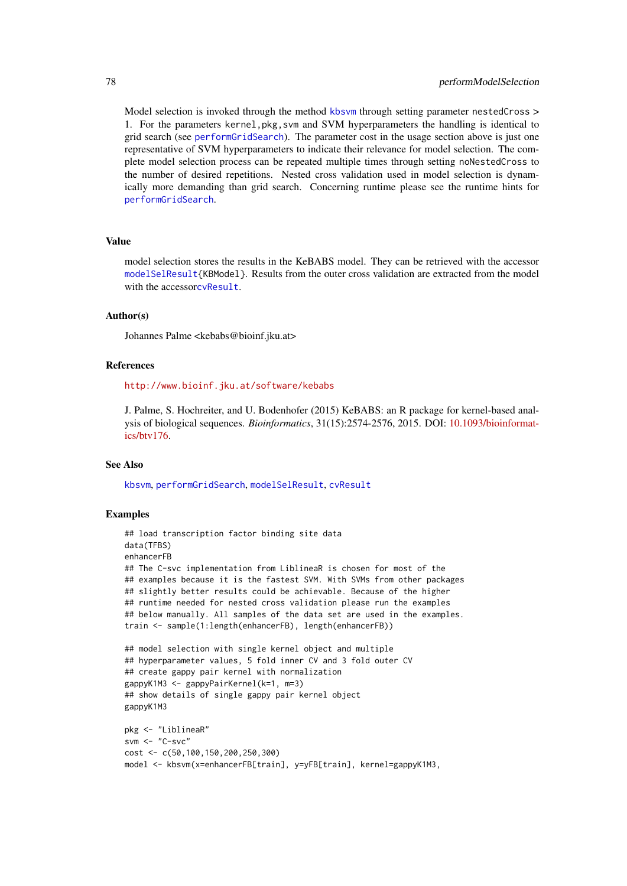Model selection is invoked through the method [kbsvm](#page-36-0) through setting parameter nestedCross > 1. For the parameters kernel,pkg,svm and SVM hyperparameters the handling is identical to grid search (see [performGridSearch](#page-71-0)). The parameter cost in the usage section above is just one representative of SVM hyperparameters to indicate their relevance for model selection. The complete model selection process can be repeated multiple times through setting noNestedCross to the number of desired repetitions. Nested cross validation used in model selection is dynamically more demanding than grid search. Concerning runtime please see the runtime hints for [performGridSearch](#page-71-0).

## Value

model selection stores the results in the KeBABS model. They can be retrieved with the accessor [modelSelResult{](#page-35-0)KBModel}. Results from the outer cross validation are extracted from the model with the accessor cy Result.

## Author(s)

Johannes Palme <kebabs@bioinf.jku.at>

#### References

<http://www.bioinf.jku.at/software/kebabs>

J. Palme, S. Hochreiter, and U. Bodenhofer (2015) KeBABS: an R package for kernel-based analysis of biological sequences. *Bioinformatics*, 31(15):2574-2576, 2015. DOI: [10.1093/bioinformat](http://dx.doi.org/10.1093/bioinformatics/btv176)[ics/btv176.](http://dx.doi.org/10.1093/bioinformatics/btv176)

## See Also

[kbsvm](#page-36-0), [performGridSearch](#page-71-0), [modelSelResult](#page-35-0), [cvResult](#page-35-0)

```
## load transcription factor binding site data
data(TFBS)
enhancerFB
## The C-svc implementation from LiblineaR is chosen for most of the
## examples because it is the fastest SVM. With SVMs from other packages
## slightly better results could be achievable. Because of the higher
## runtime needed for nested cross validation please run the examples
## below manually. All samples of the data set are used in the examples.
train <- sample(1:length(enhancerFB), length(enhancerFB))
## model selection with single kernel object and multiple
## hyperparameter values, 5 fold inner CV and 3 fold outer CV
## create gappy pair kernel with normalization
gappyK1M3 <- gappyPairKernel(k=1, m=3)
## show details of single gappy pair kernel object
gappyK1M3
pkg <- "LiblineaR"
svm <- "C-svc"
cost <- c(50,100,150,200,250,300)
model <- kbsvm(x=enhancerFB[train], y=yFB[train], kernel=gappyK1M3,
```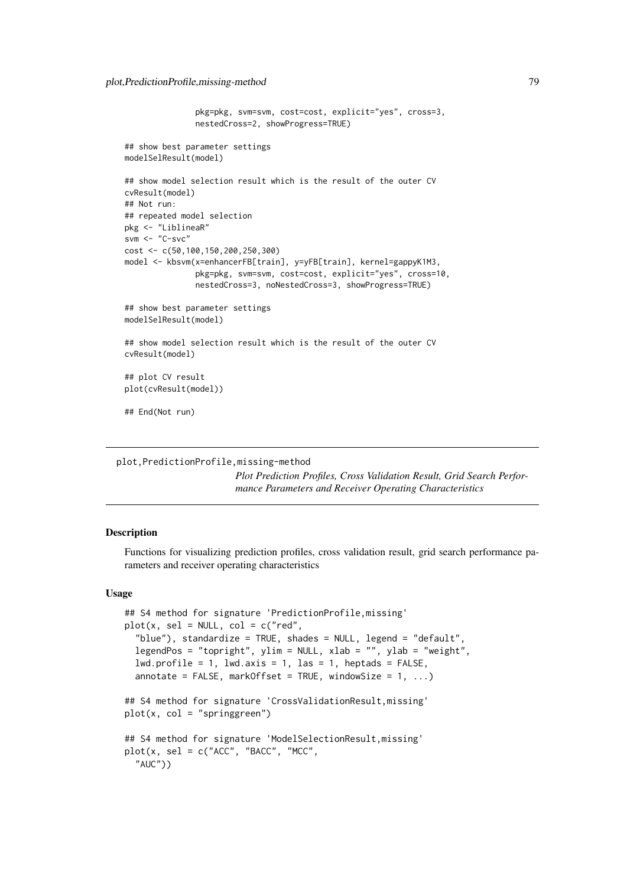plot,PredictionProfile,missing-method 79

```
pkg=pkg, svm=svm, cost=cost, explicit="yes", cross=3,
               nestedCross=2, showProgress=TRUE)
## show best parameter settings
modelSelResult(model)
## show model selection result which is the result of the outer CV
cvResult(model)
## Not run:
## repeated model selection
pkg <- "LiblineaR"
svm \leq "C-svc"
cost <- c(50,100,150,200,250,300)
model <- kbsvm(x=enhancerFB[train], y=yFB[train], kernel=gappyK1M3,
               pkg=pkg, svm=svm, cost=cost, explicit="yes", cross=10,
               nestedCross=3, noNestedCross=3, showProgress=TRUE)
## show best parameter settings
modelSelResult(model)
## show model selection result which is the result of the outer CV
cvResult(model)
## plot CV result
plot(cvResult(model))
## End(Not run)
```
plot,PredictionProfile,missing-method *Plot Prediction Profiles, Cross Validation Result, Grid Search Performance Parameters and Receiver Operating Characteristics*

### <span id="page-78-0"></span>Description

Functions for visualizing prediction profiles, cross validation result, grid search performance parameters and receiver operating characteristics

### Usage

```
## S4 method for signature 'PredictionProfile,missing'
plot(x, sel = NULL, col = c("red","blue"), standardize = TRUE, shades = NULL, legend = "default",
 legendPos = "topright", ylim = NULL, xlab = "", ylab = "weight",
  lwd.profile = 1, lwd.axis = 1, las = 1, heptads = FALSE,annotate = FALSE, markOffset = TRUE, windowSize = 1, ...)
## S4 method for signature 'CrossValidationResult,missing'
plot(x, col = "springgreen")## S4 method for signature 'ModelSelectionResult,missing'
plot(x, sel = c("ACC", "BACC", "MCC","AUC"))
```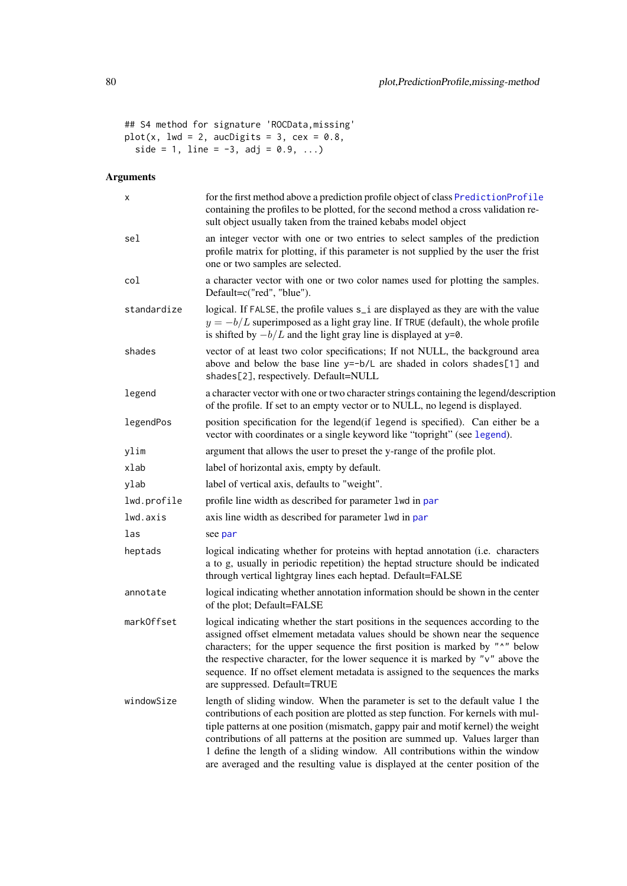```
## S4 method for signature 'ROCData,missing'
plot(x, lwd = 2, aucDigits = 3, cex = 0.8,side = 1, line = -3, adj = 0.9, ...)
```
# Arguments

| х           | for the first method above a prediction profile object of class PredictionProfile<br>containing the profiles to be plotted, for the second method a cross validation re-<br>sult object usually taken from the trained kebabs model object                                                                                                                                                                                                                                                                      |
|-------------|-----------------------------------------------------------------------------------------------------------------------------------------------------------------------------------------------------------------------------------------------------------------------------------------------------------------------------------------------------------------------------------------------------------------------------------------------------------------------------------------------------------------|
| sel         | an integer vector with one or two entries to select samples of the prediction<br>profile matrix for plotting, if this parameter is not supplied by the user the frist<br>one or two samples are selected.                                                                                                                                                                                                                                                                                                       |
| col         | a character vector with one or two color names used for plotting the samples.<br>Default=c("red", "blue").                                                                                                                                                                                                                                                                                                                                                                                                      |
| standardize | logical. If FALSE, the profile values s_i are displayed as they are with the value<br>$y = -b/L$ superimposed as a light gray line. If TRUE (default), the whole profile<br>is shifted by $-b/L$ and the light gray line is displayed at y=0.                                                                                                                                                                                                                                                                   |
| shades      | vector of at least two color specifications; If not NULL, the background area<br>above and below the base line y=-b/L are shaded in colors shades[1] and<br>shades[2], respectively. Default=NULL                                                                                                                                                                                                                                                                                                               |
| legend      | a character vector with one or two character strings containing the legend/description<br>of the profile. If set to an empty vector or to NULL, no legend is displayed.                                                                                                                                                                                                                                                                                                                                         |
| legendPos   | position specification for the legend(if legend is specified). Can either be a<br>vector with coordinates or a single keyword like "topright" (see legend).                                                                                                                                                                                                                                                                                                                                                     |
| ylim        | argument that allows the user to preset the y-range of the profile plot.                                                                                                                                                                                                                                                                                                                                                                                                                                        |
| xlab        | label of horizontal axis, empty by default.                                                                                                                                                                                                                                                                                                                                                                                                                                                                     |
| ylab        | label of vertical axis, defaults to "weight".                                                                                                                                                                                                                                                                                                                                                                                                                                                                   |
| lwd.profile | profile line width as described for parameter 1wd in par                                                                                                                                                                                                                                                                                                                                                                                                                                                        |
| lwd.axis    | axis line width as described for parameter lwd in par                                                                                                                                                                                                                                                                                                                                                                                                                                                           |
| las         | see par                                                                                                                                                                                                                                                                                                                                                                                                                                                                                                         |
| heptads     | logical indicating whether for proteins with heptad annotation (i.e. characters<br>a to g, usually in periodic repetition) the heptad structure should be indicated<br>through vertical lightgray lines each heptad. Default=FALSE                                                                                                                                                                                                                                                                              |
| annotate    | logical indicating whether annotation information should be shown in the center<br>of the plot; Default=FALSE                                                                                                                                                                                                                                                                                                                                                                                                   |
| markOffset  | logical indicating whether the start positions in the sequences according to the<br>assigned offset elmement metadata values should be shown near the sequence<br>characters; for the upper sequence the first position is marked by "^" below<br>the respective character, for the lower sequence it is marked by "v" above the<br>sequence. If no offset element metadata is assigned to the sequences the marks<br>are suppressed. Default=TRUE                                                              |
| windowSize  | length of sliding window. When the parameter is set to the default value 1 the<br>contributions of each position are plotted as step function. For kernels with mul-<br>tiple patterns at one position (mismatch, gappy pair and motif kernel) the weight<br>contributions of all patterns at the position are summed up. Values larger than<br>1 define the length of a sliding window. All contributions within the window<br>are averaged and the resulting value is displayed at the center position of the |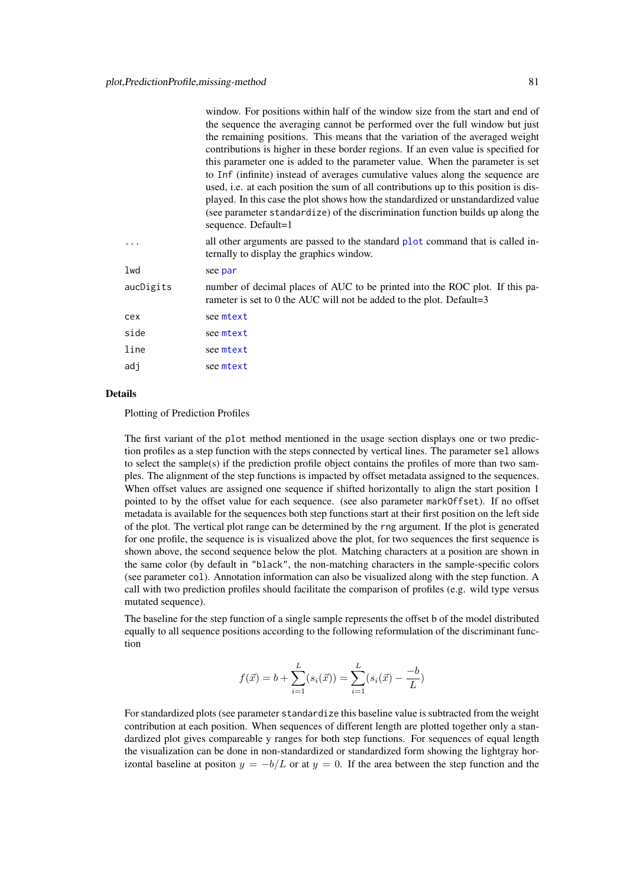|           | window. For positions within half of the window size from the start and end of<br>the sequence the averaging cannot be performed over the full window but just<br>the remaining positions. This means that the variation of the averaged weight<br>contributions is higher in these border regions. If an even value is specified for<br>this parameter one is added to the parameter value. When the parameter is set<br>to Inf (infinite) instead of averages cumulative values along the sequence are<br>used, i.e. at each position the sum of all contributions up to this position is dis-<br>played. In this case the plot shows how the standardized or unstandardized value<br>(see parameter standardize) of the discrimination function builds up along the<br>sequence. Default=1 |
|-----------|-----------------------------------------------------------------------------------------------------------------------------------------------------------------------------------------------------------------------------------------------------------------------------------------------------------------------------------------------------------------------------------------------------------------------------------------------------------------------------------------------------------------------------------------------------------------------------------------------------------------------------------------------------------------------------------------------------------------------------------------------------------------------------------------------|
|           | all other arguments are passed to the standard plot command that is called in-<br>ternally to display the graphics window.                                                                                                                                                                                                                                                                                                                                                                                                                                                                                                                                                                                                                                                                    |
| lwd       | see par                                                                                                                                                                                                                                                                                                                                                                                                                                                                                                                                                                                                                                                                                                                                                                                       |
| aucDigits | number of decimal places of AUC to be printed into the ROC plot. If this pa-<br>rameter is set to 0 the AUC will not be added to the plot. Default=3                                                                                                                                                                                                                                                                                                                                                                                                                                                                                                                                                                                                                                          |
| cex       | see mtext                                                                                                                                                                                                                                                                                                                                                                                                                                                                                                                                                                                                                                                                                                                                                                                     |
| side      | see mtext                                                                                                                                                                                                                                                                                                                                                                                                                                                                                                                                                                                                                                                                                                                                                                                     |
| line      | see mtext                                                                                                                                                                                                                                                                                                                                                                                                                                                                                                                                                                                                                                                                                                                                                                                     |
| adj       | see mtext                                                                                                                                                                                                                                                                                                                                                                                                                                                                                                                                                                                                                                                                                                                                                                                     |
|           |                                                                                                                                                                                                                                                                                                                                                                                                                                                                                                                                                                                                                                                                                                                                                                                               |

### Details

Plotting of Prediction Profiles

The first variant of the plot method mentioned in the usage section displays one or two prediction profiles as a step function with the steps connected by vertical lines. The parameter sel allows to select the sample(s) if the prediction profile object contains the profiles of more than two samples. The alignment of the step functions is impacted by offset metadata assigned to the sequences. When offset values are assigned one sequence if shifted horizontally to align the start position 1 pointed to by the offset value for each sequence. (see also parameter markOffset). If no offset metadata is available for the sequences both step functions start at their first position on the left side of the plot. The vertical plot range can be determined by the rng argument. If the plot is generated for one profile, the sequence is is visualized above the plot, for two sequences the first sequence is shown above, the second sequence below the plot. Matching characters at a position are shown in the same color (by default in "black", the non-matching characters in the sample-specific colors (see parameter col). Annotation information can also be visualized along with the step function. A call with two prediction profiles should facilitate the comparison of profiles (e.g. wild type versus mutated sequence).

The baseline for the step function of a single sample represents the offset b of the model distributed equally to all sequence positions according to the following reformulation of the discriminant function

$$
f(\vec{x}) = b + \sum_{i=1}^{L} (s_i(\vec{x})) = \sum_{i=1}^{L} (s_i(\vec{x}) - \frac{-b}{L})
$$

For standardized plots (see parameter standardize this baseline value is subtracted from the weight contribution at each position. When sequences of different length are plotted together only a standardized plot gives compareable y ranges for both step functions. For sequences of equal length the visualization can be done in non-standardized or standardized form showing the lightgray horizontal baseline at positon  $y = -b/L$  or at  $y = 0$ . If the area between the step function and the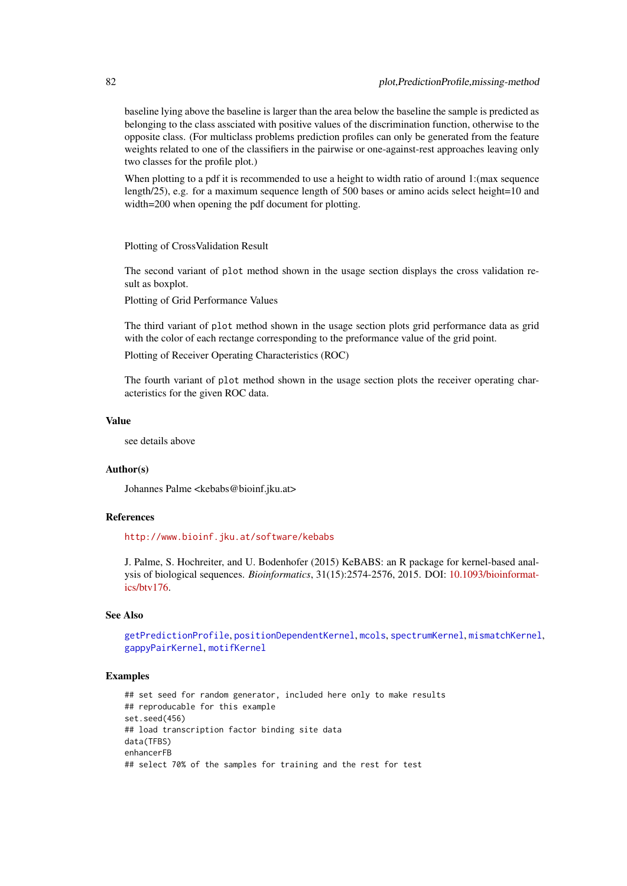baseline lying above the baseline is larger than the area below the baseline the sample is predicted as belonging to the class assciated with positive values of the discrimination function, otherwise to the opposite class. (For multiclass problems prediction profiles can only be generated from the feature weights related to one of the classifiers in the pairwise or one-against-rest approaches leaving only two classes for the profile plot.)

When plotting to a pdf it is recommended to use a height to width ratio of around 1: (max sequence length/25), e.g. for a maximum sequence length of 500 bases or amino acids select height=10 and width=200 when opening the pdf document for plotting.

Plotting of CrossValidation Result

The second variant of plot method shown in the usage section displays the cross validation result as boxplot.

Plotting of Grid Performance Values

The third variant of plot method shown in the usage section plots grid performance data as grid with the color of each rectange corresponding to the preformance value of the grid point.

Plotting of Receiver Operating Characteristics (ROC)

The fourth variant of plot method shown in the usage section plots the receiver operating characteristics for the given ROC data.

### Value

see details above

### Author(s)

Johannes Palme <kebabs@bioinf.jku.at>

### References

<http://www.bioinf.jku.at/software/kebabs>

J. Palme, S. Hochreiter, and U. Bodenhofer (2015) KeBABS: an R package for kernel-based analysis of biological sequences. *Bioinformatics*, 31(15):2574-2576, 2015. DOI: [10.1093/bioinformat](http://dx.doi.org/10.1093/bioinformatics/btv176)[ics/btv176.](http://dx.doi.org/10.1093/bioinformatics/btv176)

## See Also

[getPredictionProfile](#page-26-0), [positionDependentKernel](#page-52-0), [mcols](#page-0-0), [spectrumKernel](#page-100-0), [mismatchKernel](#page-57-0), [gappyPairKernel](#page-14-0), [motifKernel](#page-63-0)

```
## set seed for random generator, included here only to make results
## reproducable for this example
set.seed(456)
## load transcription factor binding site data
data(TFBS)
enhancerFB
## select 70% of the samples for training and the rest for test
```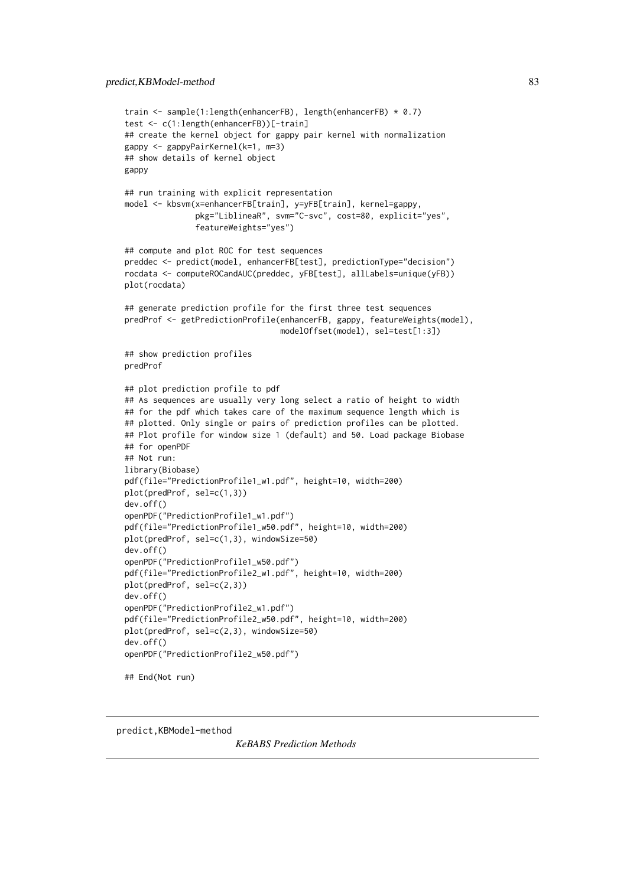```
train <- sample(1:length(enhancerFB), length(enhancerFB) * 0.7)
test <- c(1:length(enhancerFB))[-train]
## create the kernel object for gappy pair kernel with normalization
gappy <- gappyPairKernel(k=1, m=3)
## show details of kernel object
gappy
## run training with explicit representation
model <- kbsvm(x=enhancerFB[train], y=yFB[train], kernel=gappy,
               pkg="LiblineaR", svm="C-svc", cost=80, explicit="yes",
               featureWeights="yes")
## compute and plot ROC for test sequences
preddec <- predict(model, enhancerFB[test], predictionType="decision")
rocdata <- computeROCandAUC(preddec, yFB[test], allLabels=unique(yFB))
plot(rocdata)
## generate prediction profile for the first three test sequences
predProf <- getPredictionProfile(enhancerFB, gappy, featureWeights(model),
                                 modelOffset(model), sel=test[1:3])
## show prediction profiles
predProf
## plot prediction profile to pdf
## As sequences are usually very long select a ratio of height to width
## for the pdf which takes care of the maximum sequence length which is
## plotted. Only single or pairs of prediction profiles can be plotted.
## Plot profile for window size 1 (default) and 50. Load package Biobase
## for openPDF
## Not run:
library(Biobase)
pdf(file="PredictionProfile1_w1.pdf", height=10, width=200)
plot(predProf, sel=c(1,3))
dev.off()
openPDF("PredictionProfile1_w1.pdf")
pdf(file="PredictionProfile1_w50.pdf", height=10, width=200)
plot(predProf, sel=c(1,3), windowSize=50)
dev.off()
openPDF("PredictionProfile1_w50.pdf")
pdf(file="PredictionProfile2_w1.pdf", height=10, width=200)
plot(predProf, sel=c(2,3))
dev.off()
openPDF("PredictionProfile2_w1.pdf")
pdf(file="PredictionProfile2_w50.pdf", height=10, width=200)
plot(predProf, sel=c(2,3), windowSize=50)
dev.off()
openPDF("PredictionProfile2_w50.pdf")
## End(Not run)
```
predict,KBModel-method

*KeBABS Prediction Methods*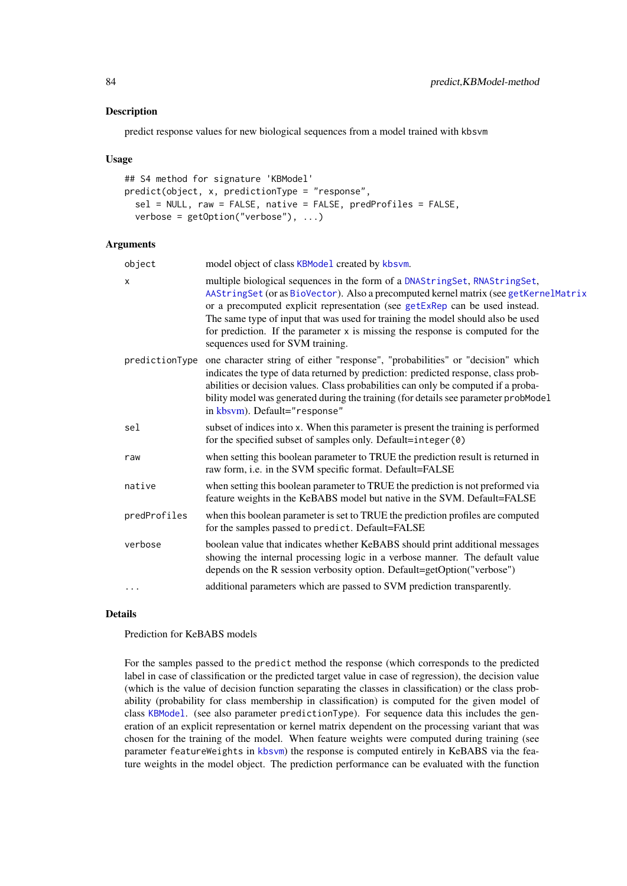# Description

predict response values for new biological sequences from a model trained with kbsvm

### Usage

```
## S4 method for signature 'KBModel'
predict(object, x, predictionType = "response",
  sel = NULL, raw = FALSE, native = FALSE, predProfiles = FALSE,
  verbose = getOption("verbose"), ...)
```
## Arguments

| object       | model object of class KBModel created by kbsvm.                                                                                                                                                                                                                                                                                                                                                                                                              |
|--------------|--------------------------------------------------------------------------------------------------------------------------------------------------------------------------------------------------------------------------------------------------------------------------------------------------------------------------------------------------------------------------------------------------------------------------------------------------------------|
| X            | multiple biological sequences in the form of a DNAStringSet, RNAStringSet,<br>AAStringSet (or as BioVector). Also a precomputed kernel matrix (see getKernelMatrix<br>or a precomputed explicit representation (see getExRep can be used instead.<br>The same type of input that was used for training the model should also be used<br>for prediction. If the parameter $x$ is missing the response is computed for the<br>sequences used for SVM training. |
|              | predictionType one character string of either "response", "probabilities" or "decision" which<br>indicates the type of data returned by prediction: predicted response, class prob-<br>abilities or decision values. Class probabilities can only be computed if a proba-<br>bility model was generated during the training (for details see parameter probModel<br>in kbsvm). Default="response"                                                            |
| sel          | subset of indices into x. When this parameter is present the training is performed<br>for the specified subset of samples only. Default=integer $(0)$                                                                                                                                                                                                                                                                                                        |
| raw          | when setting this boolean parameter to TRUE the prediction result is returned in<br>raw form, i.e. in the SVM specific format. Default=FALSE                                                                                                                                                                                                                                                                                                                 |
| native       | when setting this boolean parameter to TRUE the prediction is not preformed via<br>feature weights in the KeBABS model but native in the SVM. Default=FALSE                                                                                                                                                                                                                                                                                                  |
| predProfiles | when this boolean parameter is set to TRUE the prediction profiles are computed<br>for the samples passed to predict. Default=FALSE                                                                                                                                                                                                                                                                                                                          |
| verbose      | boolean value that indicates whether KeBABS should print additional messages<br>showing the internal processing logic in a verbose manner. The default value<br>depends on the R session verbosity option. Default=getOption("verbose")                                                                                                                                                                                                                      |
| $\cdots$     | additional parameters which are passed to SVM prediction transparently.                                                                                                                                                                                                                                                                                                                                                                                      |
|              |                                                                                                                                                                                                                                                                                                                                                                                                                                                              |

## Details

Prediction for KeBABS models

For the samples passed to the predict method the response (which corresponds to the predicted label in case of classification or the predicted target value in case of regression), the decision value (which is the value of decision function separating the classes in classification) or the class probability (probability for class membership in classification) is computed for the given model of class [KBModel](#page-34-0). (see also parameter predictionType). For sequence data this includes the generation of an explicit representation or kernel matrix dependent on the processing variant that was chosen for the training of the model. When feature weights were computed during training (see parameter featureWeights in [kbsvm](#page-36-0)) the response is computed entirely in KeBABS via the feature weights in the model object. The prediction performance can be evaluated with the function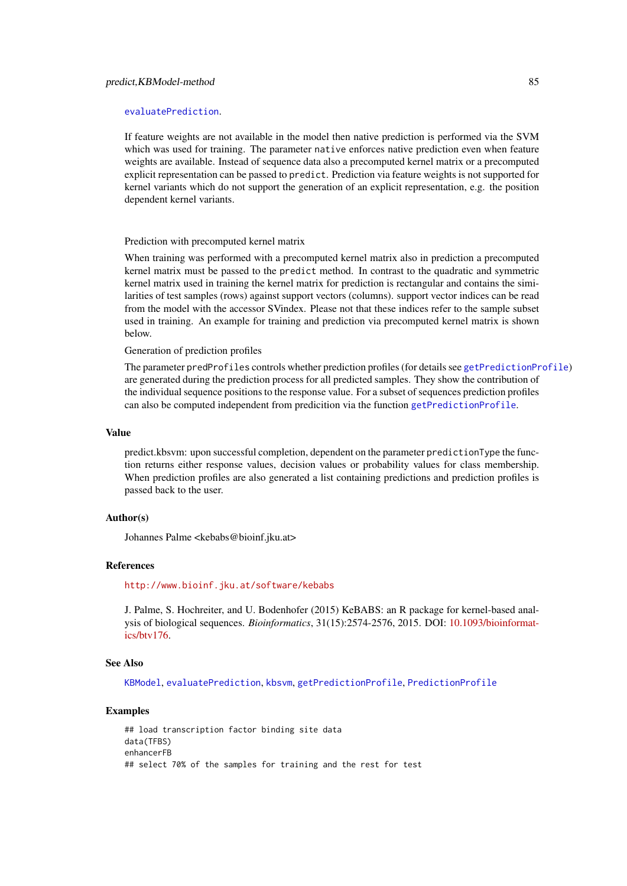#### [evaluatePrediction](#page-10-0).

If feature weights are not available in the model then native prediction is performed via the SVM which was used for training. The parameter native enforces native prediction even when feature weights are available. Instead of sequence data also a precomputed kernel matrix or a precomputed explicit representation can be passed to predict. Prediction via feature weights is not supported for kernel variants which do not support the generation of an explicit representation, e.g. the position dependent kernel variants.

#### Prediction with precomputed kernel matrix

When training was performed with a precomputed kernel matrix also in prediction a precomputed kernel matrix must be passed to the predict method. In contrast to the quadratic and symmetric kernel matrix used in training the kernel matrix for prediction is rectangular and contains the similarities of test samples (rows) against support vectors (columns). support vector indices can be read from the model with the accessor SVindex. Please not that these indices refer to the sample subset used in training. An example for training and prediction via precomputed kernel matrix is shown below.

#### Generation of prediction profiles

The parameter predProfiles controls whether prediction profiles (for details see [getPredictionProfile](#page-26-0)) are generated during the prediction process for all predicted samples. They show the contribution of the individual sequence positions to the response value. For a subset of sequences prediction profiles can also be computed independent from predicition via the function [getPredictionProfile](#page-26-0).

# Value

predict.kbsvm: upon successful completion, dependent on the parameter predictionType the function returns either response values, decision values or probability values for class membership. When prediction profiles are also generated a list containing predictions and prediction profiles is passed back to the user.

### Author(s)

Johannes Palme <kebabs@bioinf.jku.at>

### **References**

#### <http://www.bioinf.jku.at/software/kebabs>

J. Palme, S. Hochreiter, and U. Bodenhofer (2015) KeBABS: an R package for kernel-based analysis of biological sequences. *Bioinformatics*, 31(15):2574-2576, 2015. DOI: [10.1093/bioinformat](http://dx.doi.org/10.1093/bioinformatics/btv176)[ics/btv176.](http://dx.doi.org/10.1093/bioinformatics/btv176)

### See Also

[KBModel](#page-34-0), [evaluatePrediction](#page-10-0), [kbsvm](#page-36-0), [getPredictionProfile](#page-26-0), [PredictionProfile](#page-86-1)

```
## load transcription factor binding site data
data(TFBS)
enhancerFB
## select 70% of the samples for training and the rest for test
```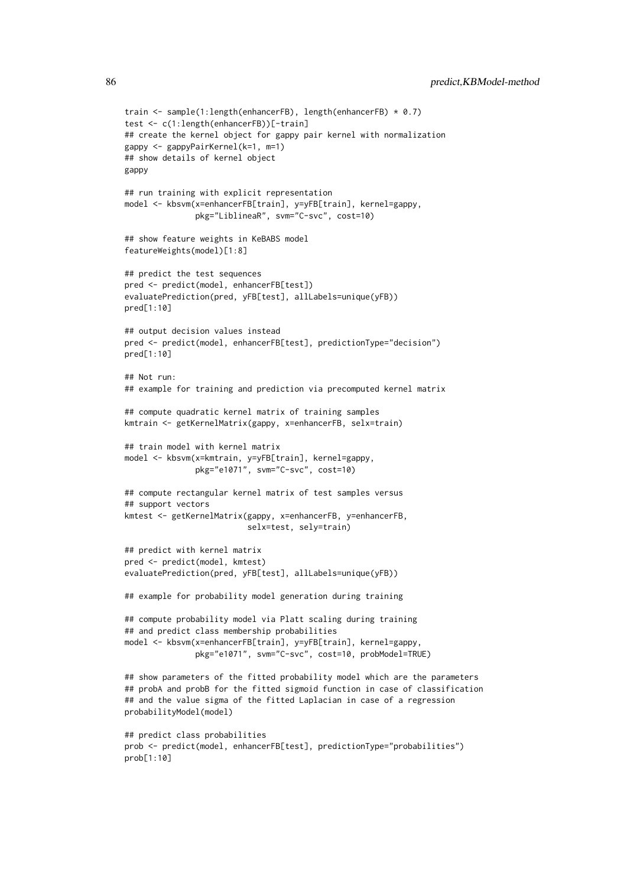```
train <- sample(1:length(enhancerFB), length(enhancerFB) * 0.7)
test <- c(1:length(enhancerFB))[-train]
## create the kernel object for gappy pair kernel with normalization
gappy <- gappyPairKernel(k=1, m=1)
## show details of kernel object
gappy
## run training with explicit representation
model <- kbsvm(x=enhancerFB[train], y=yFB[train], kernel=gappy,
               pkg="LiblineaR", svm="C-svc", cost=10)
## show feature weights in KeBABS model
featureWeights(model)[1:8]
## predict the test sequences
pred <- predict(model, enhancerFB[test])
evaluatePrediction(pred, yFB[test], allLabels=unique(yFB))
pred[1:10]## output decision values instead
pred <- predict(model, enhancerFB[test], predictionType="decision")
pred[1:10]
## Not run:
## example for training and prediction via precomputed kernel matrix
## compute quadratic kernel matrix of training samples
kmtrain <- getKernelMatrix(gappy, x=enhancerFB, selx=train)
## train model with kernel matrix
model <- kbsvm(x=kmtrain, y=yFB[train], kernel=gappy,
               pkg="e1071", svm="C-svc", cost=10)
## compute rectangular kernel matrix of test samples versus
## support vectors
kmtest <- getKernelMatrix(gappy, x=enhancerFB, y=enhancerFB,
                          selx=test, sely=train)
## predict with kernel matrix
pred <- predict(model, kmtest)
evaluatePrediction(pred, yFB[test], allLabels=unique(yFB))
## example for probability model generation during training
## compute probability model via Platt scaling during training
## and predict class membership probabilities
model <- kbsvm(x=enhancerFB[train], y=yFB[train], kernel=gappy,
               pkg="e1071", svm="C-svc", cost=10, probModel=TRUE)
## show parameters of the fitted probability model which are the parameters
## probA and probB for the fitted sigmoid function in case of classification
## and the value sigma of the fitted Laplacian in case of a regression
probabilityModel(model)
## predict class probabilities
prob <- predict(model, enhancerFB[test], predictionType="probabilities")
prob[1:10]
```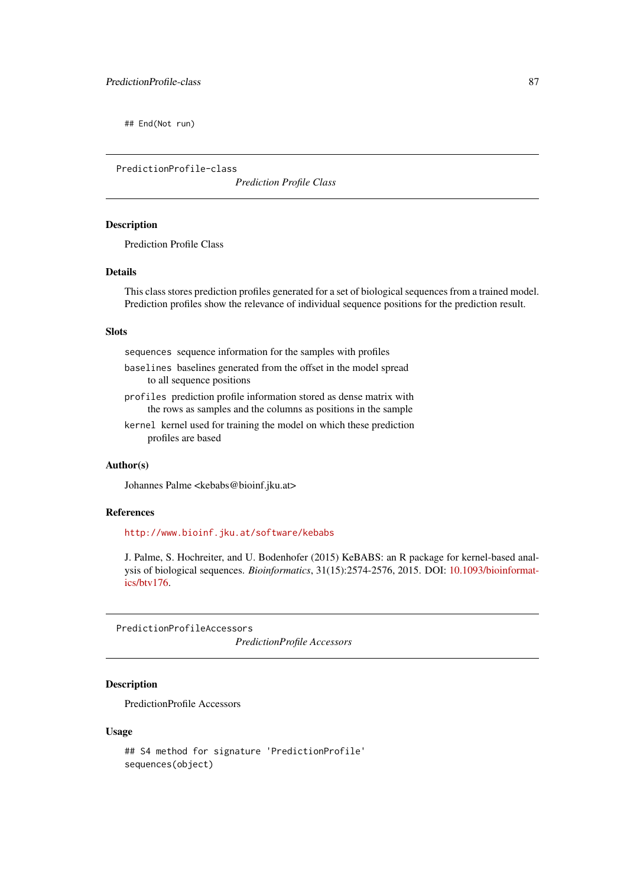## End(Not run)

<span id="page-86-1"></span>PredictionProfile-class

*Prediction Profile Class*

## <span id="page-86-0"></span>Description

Prediction Profile Class

### Details

This class stores prediction profiles generated for a set of biological sequences from a trained model. Prediction profiles show the relevance of individual sequence positions for the prediction result.

### **Slots**

sequences sequence information for the samples with profiles

- baselines baselines generated from the offset in the model spread to all sequence positions
- profiles prediction profile information stored as dense matrix with the rows as samples and the columns as positions in the sample
- kernel kernel used for training the model on which these prediction profiles are based

#### Author(s)

Johannes Palme <kebabs@bioinf.jku.at>

#### References

<http://www.bioinf.jku.at/software/kebabs>

J. Palme, S. Hochreiter, and U. Bodenhofer (2015) KeBABS: an R package for kernel-based analysis of biological sequences. *Bioinformatics*, 31(15):2574-2576, 2015. DOI: [10.1093/bioinformat](http://dx.doi.org/10.1093/bioinformatics/btv176)[ics/btv176.](http://dx.doi.org/10.1093/bioinformatics/btv176)

PredictionProfileAccessors *PredictionProfile Accessors*

## Description

PredictionProfile Accessors

### Usage

```
## S4 method for signature 'PredictionProfile'
sequences(object)
```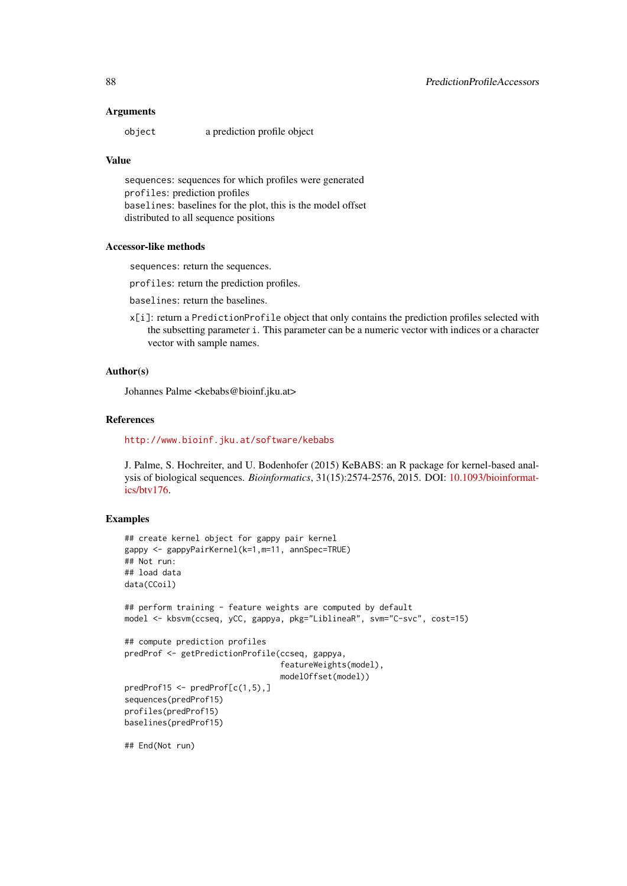### Arguments

object a prediction profile object

### Value

sequences: sequences for which profiles were generated profiles: prediction profiles baselines: baselines for the plot, this is the model offset distributed to all sequence positions

# Accessor-like methods

sequences: return the sequences.

profiles: return the prediction profiles.

baselines: return the baselines.

x[i]: return a PredictionProfile object that only contains the prediction profiles selected with the subsetting parameter i. This parameter can be a numeric vector with indices or a character vector with sample names.

#### Author(s)

Johannes Palme <kebabs@bioinf.jku.at>

### References

<http://www.bioinf.jku.at/software/kebabs>

J. Palme, S. Hochreiter, and U. Bodenhofer (2015) KeBABS: an R package for kernel-based analysis of biological sequences. *Bioinformatics*, 31(15):2574-2576, 2015. DOI: [10.1093/bioinformat](http://dx.doi.org/10.1093/bioinformatics/btv176)[ics/btv176.](http://dx.doi.org/10.1093/bioinformatics/btv176)

### Examples

```
## create kernel object for gappy pair kernel
gappy <- gappyPairKernel(k=1,m=11, annSpec=TRUE)
## Not run:
## load data
data(CCoil)
## perform training - feature weights are computed by default
model <- kbsvm(ccseq, yCC, gappya, pkg="LiblineaR", svm="C-svc", cost=15)
## compute prediction profiles
predProf <- getPredictionProfile(ccseq, gappya,
                                 featureWeights(model),
                                 modelOffset(model))
predProf15 \leq predProf[c(1,5),]
sequences(predProf15)
profiles(predProf15)
baselines(predProf15)
```
## End(Not run)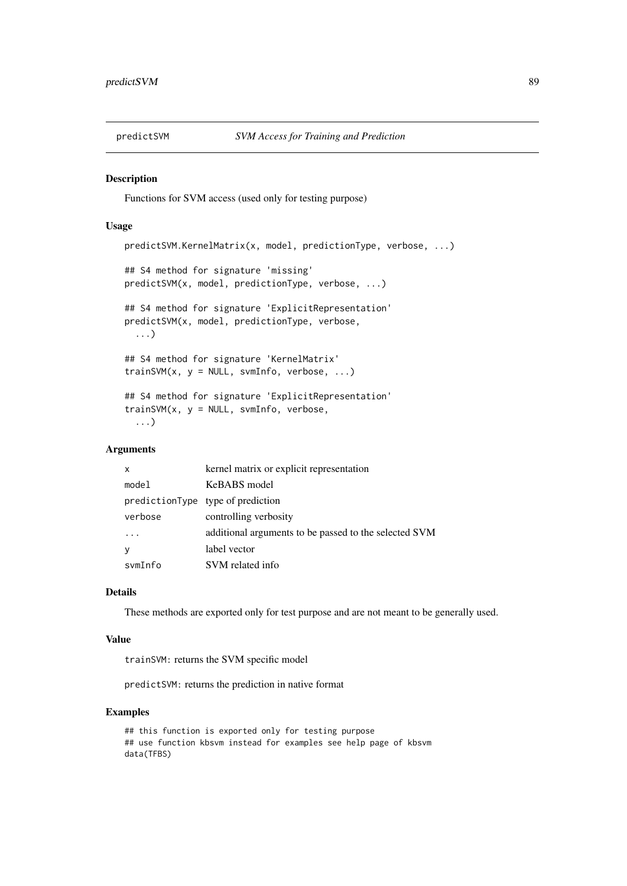# Description

Functions for SVM access (used only for testing purpose)

# Usage

```
predictSVM.KernelMatrix(x, model, predictionType, verbose, ...)
## S4 method for signature 'missing'
predictSVM(x, model, predictionType, verbose, ...)
## S4 method for signature 'ExplicitRepresentation'
predictSVM(x, model, predictionType, verbose,
  ...)
## S4 method for signature 'KernelMatrix'
trainSVM(x, y = NULL, svmInfo, verbose, ...)## S4 method for signature 'ExplicitRepresentation'
trainSVM(x, y = NULL, svmInfo, verbose,
  ...)
```
# Arguments

| $\mathsf{x}$ | kernel matrix or explicit representation              |
|--------------|-------------------------------------------------------|
| model        | KeBABS model                                          |
|              | predictionType type of prediction                     |
| verbose      | controlling verbosity                                 |
|              | additional arguments to be passed to the selected SVM |
| y            | label vector                                          |
| svmInfo      | SVM related info                                      |

# Details

These methods are exported only for test purpose and are not meant to be generally used.

### Value

trainSVM: returns the SVM specific model

predictSVM: returns the prediction in native format

## Examples

## this function is exported only for testing purpose ## use function kbsvm instead for examples see help page of kbsvm data(TFBS)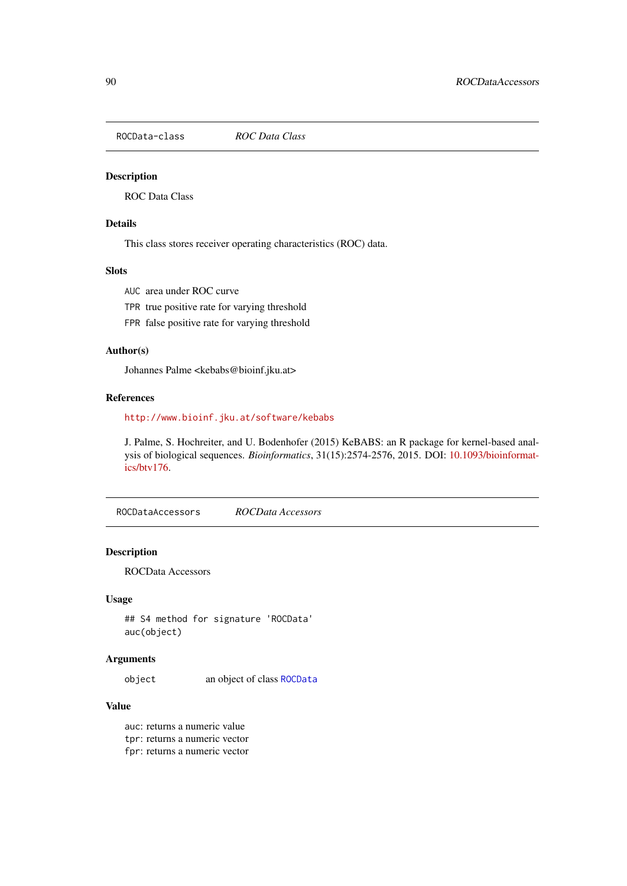<span id="page-89-0"></span>ROCData-class *ROC Data Class*

### Description

ROC Data Class

# Details

This class stores receiver operating characteristics (ROC) data.

## Slots

AUC area under ROC curve

TPR true positive rate for varying threshold

FPR false positive rate for varying threshold

## Author(s)

Johannes Palme <kebabs@bioinf.jku.at>

### References

## <http://www.bioinf.jku.at/software/kebabs>

J. Palme, S. Hochreiter, and U. Bodenhofer (2015) KeBABS: an R package for kernel-based analysis of biological sequences. *Bioinformatics*, 31(15):2574-2576, 2015. DOI: [10.1093/bioinformat](http://dx.doi.org/10.1093/bioinformatics/btv176)[ics/btv176.](http://dx.doi.org/10.1093/bioinformatics/btv176)

ROCDataAccessors *ROCData Accessors*

## Description

ROCData Accessors

# Usage

```
## S4 method for signature 'ROCData'
auc(object)
```
## Arguments

object an object of class [ROCData](#page-89-0)

## Value

auc: returns a numeric value tpr: returns a numeric vector fpr: returns a numeric vector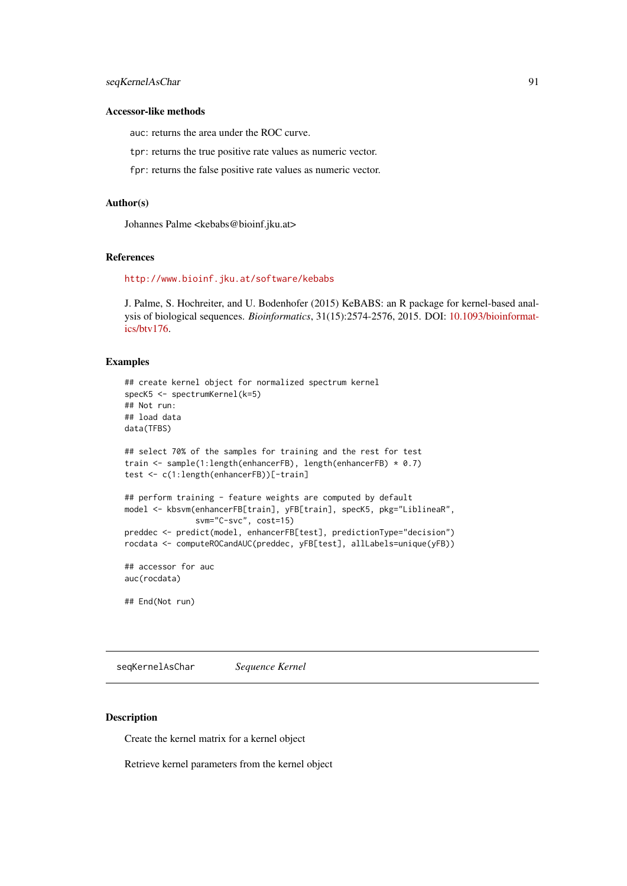#### Accessor-like methods

auc: returns the area under the ROC curve.

tpr: returns the true positive rate values as numeric vector.

fpr: returns the false positive rate values as numeric vector.

#### Author(s)

Johannes Palme <kebabs@bioinf.jku.at>

### References

<http://www.bioinf.jku.at/software/kebabs>

J. Palme, S. Hochreiter, and U. Bodenhofer (2015) KeBABS: an R package for kernel-based analysis of biological sequences. *Bioinformatics*, 31(15):2574-2576, 2015. DOI: [10.1093/bioinformat](http://dx.doi.org/10.1093/bioinformatics/btv176)[ics/btv176.](http://dx.doi.org/10.1093/bioinformatics/btv176)

## Examples

```
## create kernel object for normalized spectrum kernel
specK5 <- spectrumKernel(k=5)
## Not run:
## load data
data(TFBS)
## select 70% of the samples for training and the rest for test
train <- sample(1:length(enhancerFB), length(enhancerFB) * 0.7)
test <- c(1:length(enhancerFB))[-train]
## perform training - feature weights are computed by default
model <- kbsvm(enhancerFB[train], yFB[train], specK5, pkg="LiblineaR",
               svm="C-svc", cost=15)
preddec <- predict(model, enhancerFB[test], predictionType="decision")
rocdata <- computeROCandAUC(preddec, yFB[test], allLabels=unique(yFB))
## accessor for auc
auc(rocdata)
## End(Not run)
```
seqKernelAsChar *Sequence Kernel*

#### <span id="page-90-0"></span>Description

Create the kernel matrix for a kernel object

Retrieve kernel parameters from the kernel object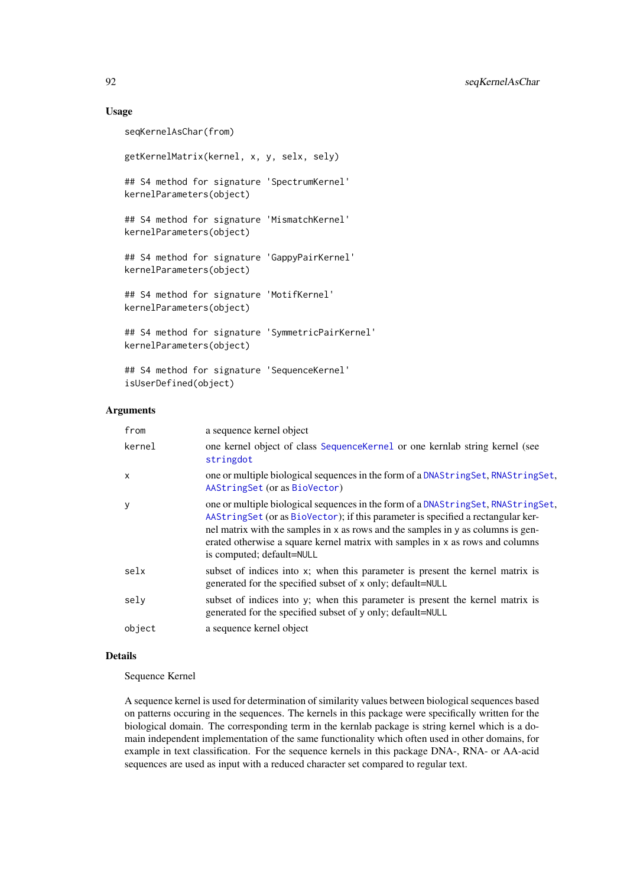## Usage

```
seqKernelAsChar(from)
getKernelMatrix(kernel, x, y, selx, sely)
## S4 method for signature 'SpectrumKernel'
kernelParameters(object)
## S4 method for signature 'MismatchKernel'
kernelParameters(object)
## S4 method for signature 'GappyPairKernel'
kernelParameters(object)
## S4 method for signature 'MotifKernel'
kernelParameters(object)
## S4 method for signature 'SymmetricPairKernel'
kernelParameters(object)
## S4 method for signature 'SequenceKernel'
isUserDefined(object)
```
### Arguments

| from         | a sequence kernel object                                                                                                                                                                                                                                                                                                                                                |
|--------------|-------------------------------------------------------------------------------------------------------------------------------------------------------------------------------------------------------------------------------------------------------------------------------------------------------------------------------------------------------------------------|
| kernel       | one kernel object of class SequenceKernel or one kernlab string kernel (see<br>stringdot                                                                                                                                                                                                                                                                                |
| $\mathsf{x}$ | one or multiple biological sequences in the form of a DNAStringSet, RNAStringSet,<br>AAStringSet (or as BioVector)                                                                                                                                                                                                                                                      |
| У            | one or multiple biological sequences in the form of a DNAStringSet, RNAStringSet,<br>AAStringSet (or as BioVector); if this parameter is specified a rectangular ker-<br>nel matrix with the samples in x as rows and the samples in y as columns is gen-<br>erated otherwise a square kernel matrix with samples in x as rows and columns<br>is computed; default=NULL |
| selx         | subset of indices into x; when this parameter is present the kernel matrix is<br>generated for the specified subset of x only; default=NULL                                                                                                                                                                                                                             |
| sely         | subset of indices into y; when this parameter is present the kernel matrix is<br>generated for the specified subset of y only; default=NULL                                                                                                                                                                                                                             |
| object       | a sequence kernel object                                                                                                                                                                                                                                                                                                                                                |

## Details

Sequence Kernel

A sequence kernel is used for determination of similarity values between biological sequences based on patterns occuring in the sequences. The kernels in this package were specifically written for the biological domain. The corresponding term in the kernlab package is string kernel which is a domain independent implementation of the same functionality which often used in other domains, for example in text classification. For the sequence kernels in this package DNA-, RNA- or AA-acid sequences are used as input with a reduced character set compared to regular text.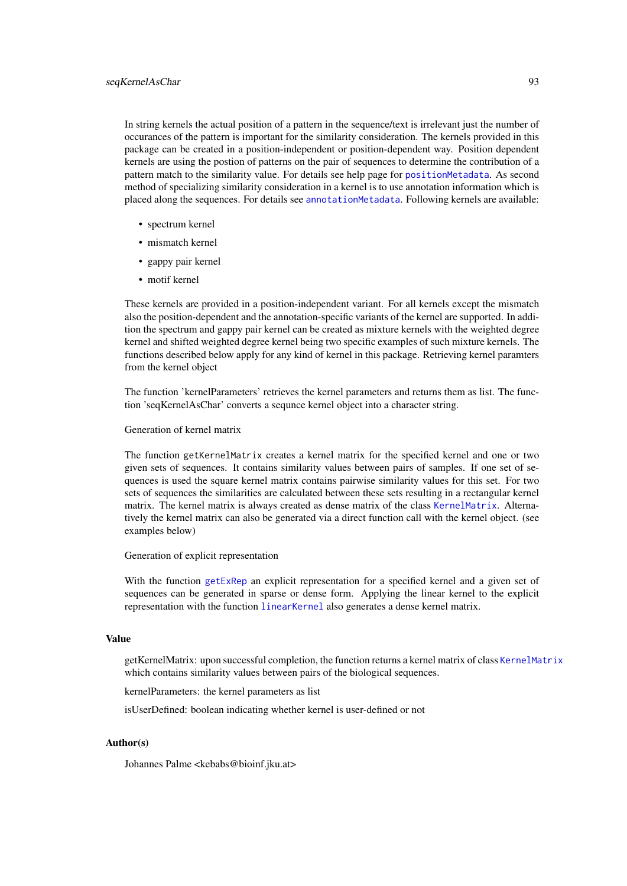In string kernels the actual position of a pattern in the sequence/text is irrelevant just the number of occurances of the pattern is important for the similarity consideration. The kernels provided in this package can be created in a position-independent or position-dependent way. Position dependent kernels are using the postion of patterns on the pair of sequences to determine the contribution of a pattern match to the similarity value. For details see help page for [positionMetadata](#page-52-0). As second method of specializing similarity consideration in a kernel is to use annotation information which is placed along the sequences. For details see [annotationMetadata](#page-96-0). Following kernels are available:

- spectrum kernel
- mismatch kernel
- gappy pair kernel
- motif kernel

These kernels are provided in a position-independent variant. For all kernels except the mismatch also the position-dependent and the annotation-specific variants of the kernel are supported. In addition the spectrum and gappy pair kernel can be created as mixture kernels with the weighted degree kernel and shifted weighted degree kernel being two specific examples of such mixture kernels. The functions described below apply for any kind of kernel in this package. Retrieving kernel paramters from the kernel object

The function 'kernelParameters' retrieves the kernel parameters and returns them as list. The function 'seqKernelAsChar' converts a sequnce kernel object into a character string.

### Generation of kernel matrix

The function getKernelMatrix creates a kernel matrix for the specified kernel and one or two given sets of sequences. It contains similarity values between pairs of samples. If one set of sequences is used the square kernel matrix contains pairwise similarity values for this set. For two sets of sequences the similarities are calculated between these sets resulting in a rectangular kernel matrix. The kernel matrix is always created as dense matrix of the class [KernelMatrix](#page-49-0). Alternatively the kernel matrix can also be generated via a direct function call with the kernel object. (see examples below)

Generation of explicit representation

With the function [getExRep](#page-20-0) an explicit representation for a specified kernel and a given set of sequences can be generated in sparse or dense form. Applying the linear kernel to the explicit representation with the function [linearKernel](#page-51-0) also generates a dense kernel matrix.

### Value

getKernelMatrix: upon successful completion, the function returns a kernel matrix of class [KernelMatrix](#page-49-0) which contains similarity values between pairs of the biological sequences.

kernelParameters: the kernel parameters as list

isUserDefined: boolean indicating whether kernel is user-defined or not

### Author(s)

Johannes Palme <kebabs@bioinf.jku.at>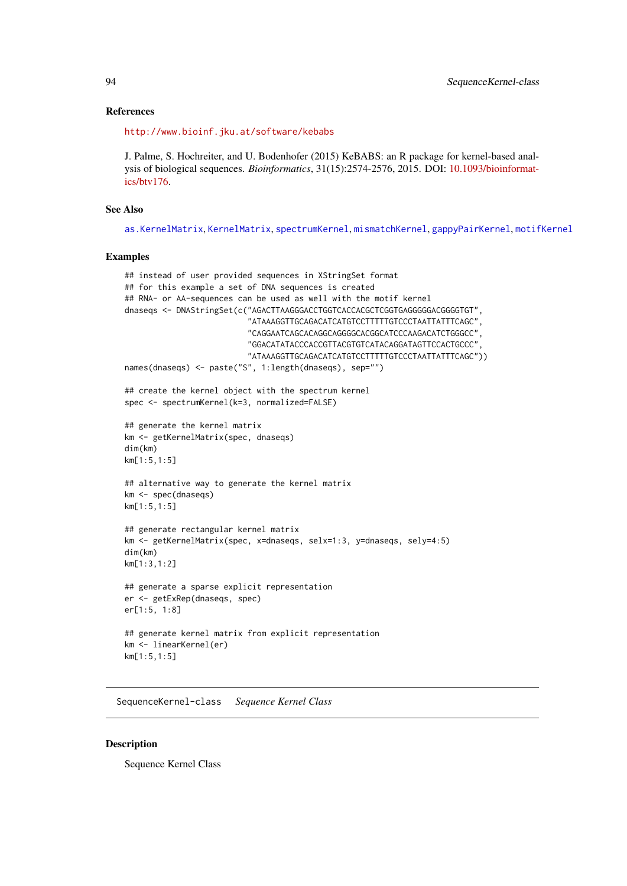### References

<http://www.bioinf.jku.at/software/kebabs>

J. Palme, S. Hochreiter, and U. Bodenhofer (2015) KeBABS: an R package for kernel-based analysis of biological sequences. *Bioinformatics*, 31(15):2574-2576, 2015. DOI: [10.1093/bioinformat](http://dx.doi.org/10.1093/bioinformatics/btv176)[ics/btv176.](http://dx.doi.org/10.1093/bioinformatics/btv176)

### See Also

[as.KernelMatrix](#page-49-1), [KernelMatrix](#page-49-0), [spectrumKernel](#page-100-0), [mismatchKernel](#page-57-0), [gappyPairKernel](#page-14-0), [motifKernel](#page-63-0)

### Examples

```
## instead of user provided sequences in XStringSet format
## for this example a set of DNA sequences is created
## RNA- or AA-sequences can be used as well with the motif kernel
dnaseqs <- DNAStringSet(c("AGACTTAAGGGACCTGGTCACCACGCTCGGTGAGGGGGACGGGGTGT",
                          "ATAAAGGTTGCAGACATCATGTCCTTTTTGTCCCTAATTATTTCAGC",
                          "CAGGAATCAGCACAGGCAGGGGCACGGCATCCCAAGACATCTGGGCC",
                          "GGACATATACCCACCGTTACGTGTCATACAGGATAGTTCCACTGCCC",
                          "ATAAAGGTTGCAGACATCATGTCCTTTTTGTCCCTAATTATTTCAGC"))
names(dnaseqs) <- paste("S", 1:length(dnaseqs), sep="")
## create the kernel object with the spectrum kernel
spec <- spectrumKernel(k=3, normalized=FALSE)
## generate the kernel matrix
km <- getKernelMatrix(spec, dnaseqs)
dim(km)
km[1:5,1:5]
## alternative way to generate the kernel matrix
km <- spec(dnaseqs)
km[1:5,1:5]
## generate rectangular kernel matrix
km <- getKernelMatrix(spec, x=dnaseqs, selx=1:3, y=dnaseqs, sely=4:5)
dim(km)
km[1:3,1:2]
## generate a sparse explicit representation
er <- getExRep(dnaseqs, spec)
er[1:5, 1:8]
## generate kernel matrix from explicit representation
km <- linearKernel(er)
km[1:5,1:5]
```
<span id="page-93-0"></span>SequenceKernel-class *Sequence Kernel Class*

## <span id="page-93-1"></span>Description

Sequence Kernel Class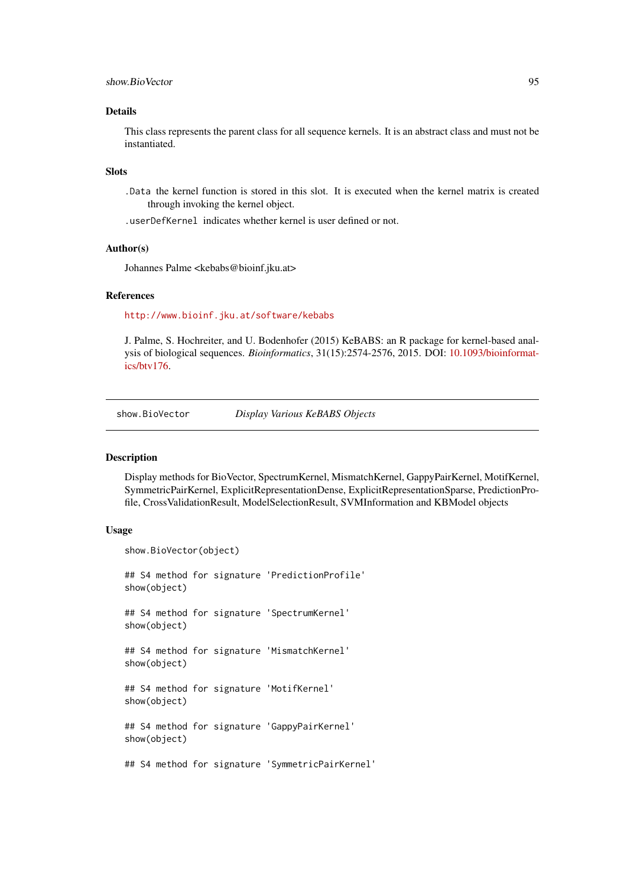#### show.BioVector 95

#### Details

This class represents the parent class for all sequence kernels. It is an abstract class and must not be instantiated.

## Slots

.Data the kernel function is stored in this slot. It is executed when the kernel matrix is created through invoking the kernel object.

.userDefKernel indicates whether kernel is user defined or not.

## Author(s)

Johannes Palme <kebabs@bioinf.jku.at>

### References

<http://www.bioinf.jku.at/software/kebabs>

J. Palme, S. Hochreiter, and U. Bodenhofer (2015) KeBABS: an R package for kernel-based analysis of biological sequences. *Bioinformatics*, 31(15):2574-2576, 2015. DOI: [10.1093/bioinformat](http://dx.doi.org/10.1093/bioinformatics/btv176)[ics/btv176.](http://dx.doi.org/10.1093/bioinformatics/btv176)

show.BioVector *Display Various KeBABS Objects*

### **Description**

Display methods for BioVector, SpectrumKernel, MismatchKernel, GappyPairKernel, MotifKernel, SymmetricPairKernel, ExplicitRepresentationDense, ExplicitRepresentationSparse, PredictionProfile, CrossValidationResult, ModelSelectionResult, SVMInformation and KBModel objects

### Usage

```
show.BioVector(object)
## S4 method for signature 'PredictionProfile'
show(object)
## S4 method for signature 'SpectrumKernel'
show(object)
## S4 method for signature 'MismatchKernel'
show(object)
## S4 method for signature 'MotifKernel'
show(object)
## S4 method for signature 'GappyPairKernel'
show(object)
## S4 method for signature 'SymmetricPairKernel'
```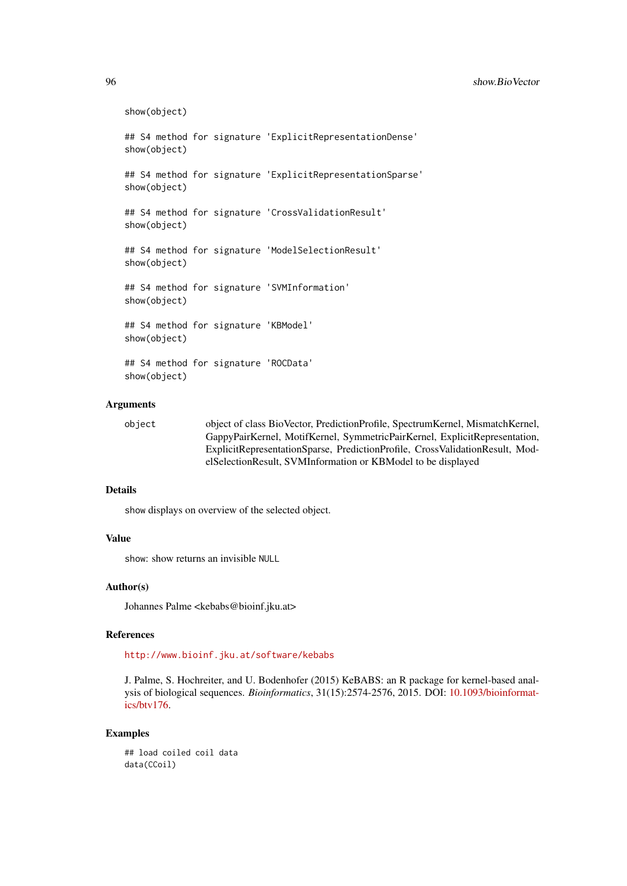```
show(object)
## S4 method for signature 'ExplicitRepresentationDense'
show(object)
## S4 method for signature 'ExplicitRepresentationSparse'
show(object)
## S4 method for signature 'CrossValidationResult'
show(object)
## S4 method for signature 'ModelSelectionResult'
show(object)
## S4 method for signature 'SVMInformation'
show(object)
## S4 method for signature 'KBModel'
show(object)
## S4 method for signature 'ROCData'
show(object)
```
## Arguments

object object of class BioVector, PredictionProfile, SpectrumKernel, MismatchKernel, GappyPairKernel, MotifKernel, SymmetricPairKernel, ExplicitRepresentation, ExplicitRepresentationSparse, PredictionProfile, CrossValidationResult, ModelSelectionResult, SVMInformation or KBModel to be displayed

# Details

show displays on overview of the selected object.

# Value

show: show returns an invisible NULL

### Author(s)

Johannes Palme <kebabs@bioinf.jku.at>

#### References

<http://www.bioinf.jku.at/software/kebabs>

J. Palme, S. Hochreiter, and U. Bodenhofer (2015) KeBABS: an R package for kernel-based analysis of biological sequences. *Bioinformatics*, 31(15):2574-2576, 2015. DOI: [10.1093/bioinformat](http://dx.doi.org/10.1093/bioinformatics/btv176)[ics/btv176.](http://dx.doi.org/10.1093/bioinformatics/btv176)

```
## load coiled coil data
data(CCoil)
```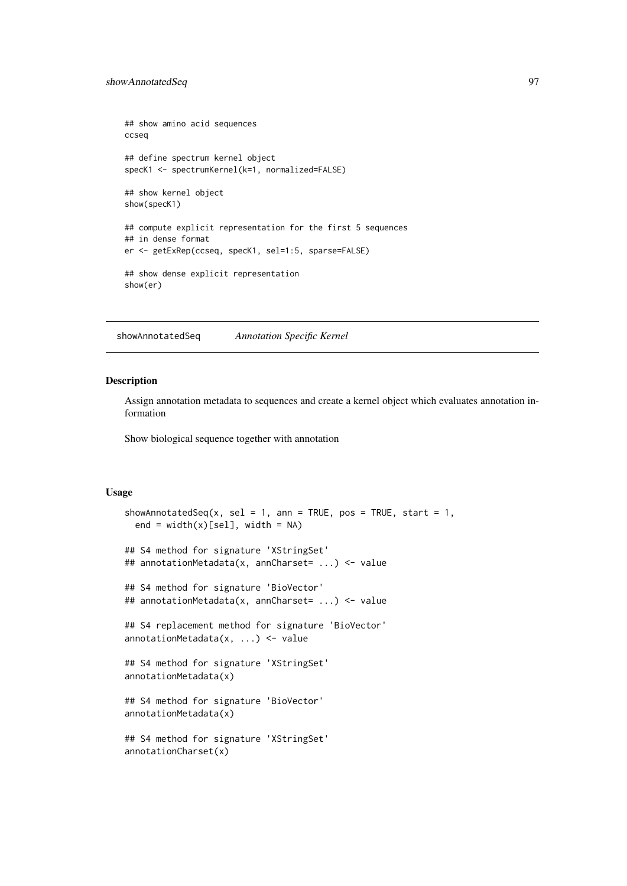```
## show amino acid sequences
ccseq
## define spectrum kernel object
specK1 <- spectrumKernel(k=1, normalized=FALSE)
## show kernel object
show(specK1)
## compute explicit representation for the first 5 sequences
## in dense format
er <- getExRep(ccseq, specK1, sel=1:5, sparse=FALSE)
## show dense explicit representation
show(er)
```
showAnnotatedSeq *Annotation Specific Kernel*

#### <span id="page-96-0"></span>Description

Assign annotation metadata to sequences and create a kernel object which evaluates annotation information

Show biological sequence together with annotation

#### Usage

```
showAnnotatedSeq(x, sel = 1, ann = TRUE, pos = TRUE, start = 1,
 end = width(x)[sel], width = NA)
## S4 method for signature 'XStringSet'
## annotationMetadata(x, annCharset= ...) <- value
## S4 method for signature 'BioVector'
## annotationMetadata(x, annCharset= ...) <- value
## S4 replacement method for signature 'BioVector'
annotationMetadata(x, ...) <- value
## S4 method for signature 'XStringSet'
annotationMetadata(x)
## S4 method for signature 'BioVector'
annotationMetadata(x)
## S4 method for signature 'XStringSet'
annotationCharset(x)
```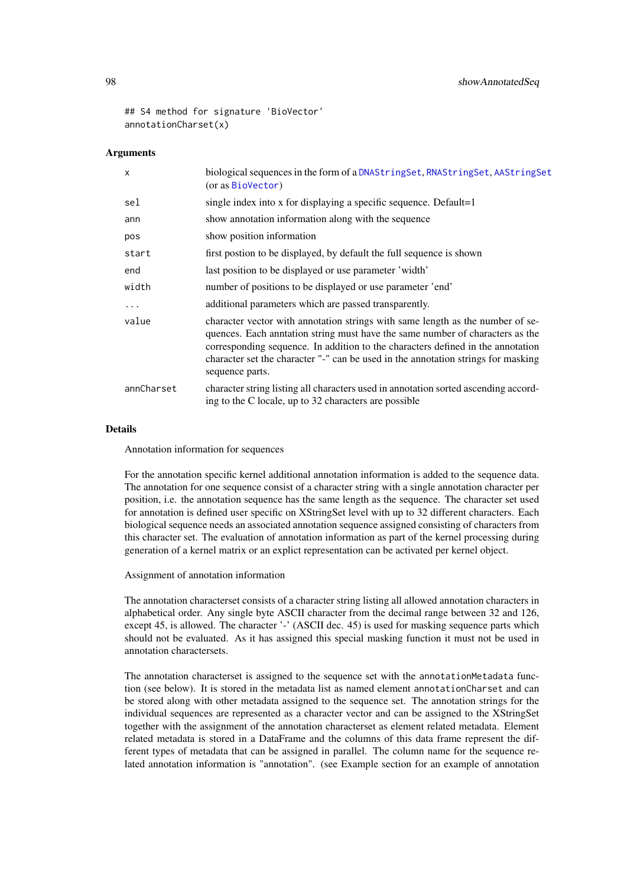```
## S4 method for signature 'BioVector'
annotationCharset(x)
```
#### Arguments

| $\mathsf{x}$ | biological sequences in the form of a DNAStringSet, RNAStringSet, AAStringSet<br>(or as BioVector)                                                                                                                                                                                                                                                         |
|--------------|------------------------------------------------------------------------------------------------------------------------------------------------------------------------------------------------------------------------------------------------------------------------------------------------------------------------------------------------------------|
| sel          | single index into x for displaying a specific sequence. Default=1                                                                                                                                                                                                                                                                                          |
| ann          | show annotation information along with the sequence                                                                                                                                                                                                                                                                                                        |
| pos          | show position information                                                                                                                                                                                                                                                                                                                                  |
| start        | first postion to be displayed, by default the full sequence is shown                                                                                                                                                                                                                                                                                       |
| end          | last position to be displayed or use parameter 'width'                                                                                                                                                                                                                                                                                                     |
| width        | number of positions to be displayed or use parameter 'end'                                                                                                                                                                                                                                                                                                 |
| $\cdots$     | additional parameters which are passed transparently.                                                                                                                                                                                                                                                                                                      |
| value        | character vector with annotation strings with same length as the number of se-<br>quences. Each anntation string must have the same number of characters as the<br>corresponding sequence. In addition to the characters defined in the annotation<br>character set the character "-" can be used in the annotation strings for masking<br>sequence parts. |
| annCharset   | character string listing all characters used in annotation sorted ascending accord-<br>ing to the C locale, up to 32 characters are possible                                                                                                                                                                                                               |

#### Details

Annotation information for sequences

For the annotation specific kernel additional annotation information is added to the sequence data. The annotation for one sequence consist of a character string with a single annotation character per position, i.e. the annotation sequence has the same length as the sequence. The character set used for annotation is defined user specific on XStringSet level with up to 32 different characters. Each biological sequence needs an associated annotation sequence assigned consisting of characters from this character set. The evaluation of annotation information as part of the kernel processing during generation of a kernel matrix or an explict representation can be activated per kernel object.

Assignment of annotation information

The annotation characterset consists of a character string listing all allowed annotation characters in alphabetical order. Any single byte ASCII character from the decimal range between 32 and 126, except 45, is allowed. The character '-' (ASCII dec. 45) is used for masking sequence parts which should not be evaluated. As it has assigned this special masking function it must not be used in annotation charactersets.

The annotation characterset is assigned to the sequence set with the annotationMetadata function (see below). It is stored in the metadata list as named element annotationCharset and can be stored along with other metadata assigned to the sequence set. The annotation strings for the individual sequences are represented as a character vector and can be assigned to the XStringSet together with the assignment of the annotation characterset as element related metadata. Element related metadata is stored in a DataFrame and the columns of this data frame represent the different types of metadata that can be assigned in parallel. The column name for the sequence related annotation information is "annotation". (see Example section for an example of annotation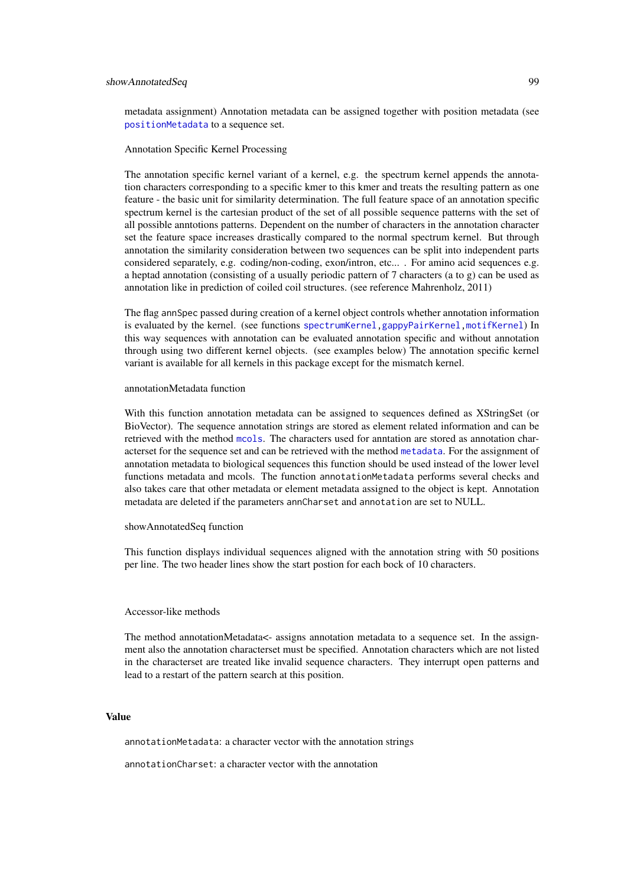### showAnnotatedSeq 99

metadata assignment) Annotation metadata can be assigned together with position metadata (see [positionMetadata](#page-52-0) to a sequence set.

### Annotation Specific Kernel Processing

The annotation specific kernel variant of a kernel, e.g. the spectrum kernel appends the annotation characters corresponding to a specific kmer to this kmer and treats the resulting pattern as one feature - the basic unit for similarity determination. The full feature space of an annotation specific spectrum kernel is the cartesian product of the set of all possible sequence patterns with the set of all possible anntotions patterns. Dependent on the number of characters in the annotation character set the feature space increases drastically compared to the normal spectrum kernel. But through annotation the similarity consideration between two sequences can be split into independent parts considered separately, e.g. coding/non-coding, exon/intron, etc... . For amino acid sequences e.g. a heptad annotation (consisting of a usually periodic pattern of 7 characters (a to g) can be used as annotation like in prediction of coiled coil structures. (see reference Mahrenholz, 2011)

The flag annSpec passed during creation of a kernel object controls whether annotation information is evaluated by the kernel. (see functions [spectrumKernel,](#page-100-0) [gappyPairKernel,](#page-14-0) [motifKernel](#page-63-0)) In this way sequences with annotation can be evaluated annotation specific and without annotation through using two different kernel objects. (see examples below) The annotation specific kernel variant is available for all kernels in this package except for the mismatch kernel.

#### annotationMetadata function

With this function annotation metadata can be assigned to sequences defined as XStringSet (or BioVector). The sequence annotation strings are stored as element related information and can be retrieved with the method [mcols](#page-0-0). The characters used for anntation are stored as annotation characterset for the sequence set and can be retrieved with the method [metadata](#page-0-0). For the assignment of annotation metadata to biological sequences this function should be used instead of the lower level functions metadata and mcols. The function annotationMetadata performs several checks and also takes care that other metadata or element metadata assigned to the object is kept. Annotation metadata are deleted if the parameters annCharset and annotation are set to NULL.

#### showAnnotatedSeq function

This function displays individual sequences aligned with the annotation string with 50 positions per line. The two header lines show the start postion for each bock of 10 characters.

### Accessor-like methods

The method annotationMetadata<- assigns annotation metadata to a sequence set. In the assignment also the annotation characterset must be specified. Annotation characters which are not listed in the characterset are treated like invalid sequence characters. They interrupt open patterns and lead to a restart of the pattern search at this position.

### Value

annotationMetadata: a character vector with the annotation strings

annotationCharset: a character vector with the annotation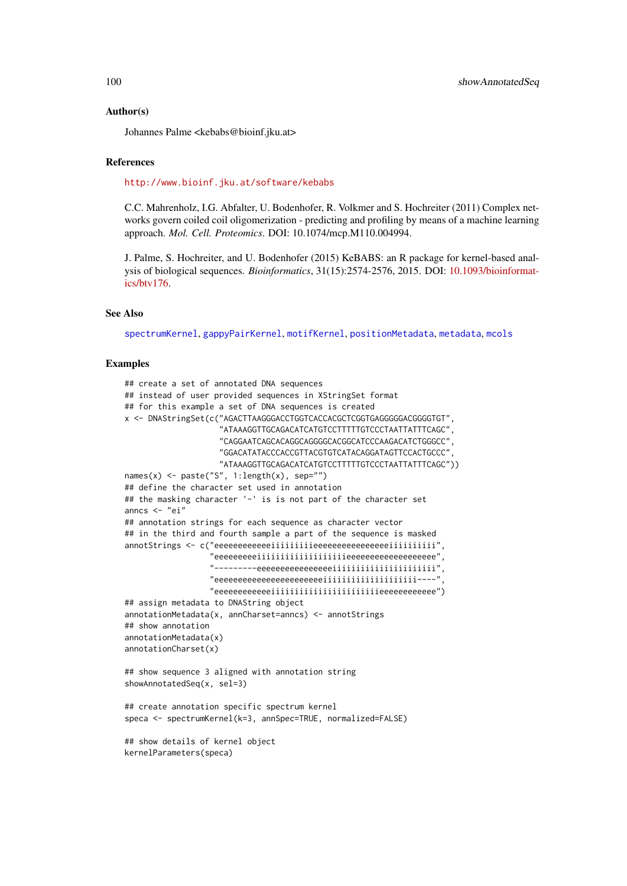### Author(s)

Johannes Palme <kebabs@bioinf.jku.at>

#### References

<http://www.bioinf.jku.at/software/kebabs>

C.C. Mahrenholz, I.G. Abfalter, U. Bodenhofer, R. Volkmer and S. Hochreiter (2011) Complex networks govern coiled coil oligomerization - predicting and profiling by means of a machine learning approach. *Mol. Cell. Proteomics*. DOI: 10.1074/mcp.M110.004994.

J. Palme, S. Hochreiter, and U. Bodenhofer (2015) KeBABS: an R package for kernel-based analysis of biological sequences. *Bioinformatics*, 31(15):2574-2576, 2015. DOI: [10.1093/bioinformat](http://dx.doi.org/10.1093/bioinformatics/btv176)[ics/btv176.](http://dx.doi.org/10.1093/bioinformatics/btv176)

### See Also

[spectrumKernel](#page-100-0), [gappyPairKernel](#page-14-0), [motifKernel](#page-63-0), [positionMetadata](#page-52-0), [metadata](#page-0-0), [mcols](#page-0-0)

```
## create a set of annotated DNA sequences
## instead of user provided sequences in XStringSet format
## for this example a set of DNA sequences is created
x <- DNAStringSet(c("AGACTTAAGGGACCTGGTCACCACGCTCGGTGAGGGGGACGGGGTGT",
                    "ATAAAGGTTGCAGACATCATGTCCTTTTTGTCCCTAATTATTTCAGC",
                    "CAGGAATCAGCACAGGCAGGGGCACGGCATCCCAAGACATCTGGGCC",
                    "GGACATATACCCACCGTTACGTGTCATACAGGATAGTTCCACTGCCC",
                    "ATAAAGGTTGCAGACATCATGTCCTTTTTGTCCCTAATTATTTCAGC"))
names(x) <- paste("S", 1:length(x), sep="")
## define the character set used in annotation
## the masking character '-' is is not part of the character set
anncs <- "ei"
## annotation strings for each sequence as character vector
## in the third and fourth sample a part of the sequence is masked
annotStrings <- c("eeeeeeeeeeeeiiiiiiiiieeeeeeeeeeeeeeeeiiiiiiiiii",
                  "eeeeeeeeeiiiiiiiiiiiiiiiiiiieeeeeeeeeeeeeeeeeee",
                  "---------eeeeeeeeeeeeeeeeiiiiiiiiiiiiiiiiiiiiii",
                  \label{eq:11} "eeeeeeeeeeeeeeeeeeeeeeeeeeeiiiiiiiiiiiiiiiiiiiiiii----""eeeeeeeeeeeeiiiiiiiiiiiiiiiiiiiiiiieeeeeeeeeeee")
## assign metadata to DNAString object
annotationMetadata(x, annCharset=anncs) <- annotStrings
## show annotation
annotationMetadata(x)
annotationCharset(x)
## show sequence 3 aligned with annotation string
showAnnotatedSeq(x, sel=3)
## create annotation specific spectrum kernel
speca <- spectrumKernel(k=3, annSpec=TRUE, normalized=FALSE)
## show details of kernel object
kernelParameters(speca)
```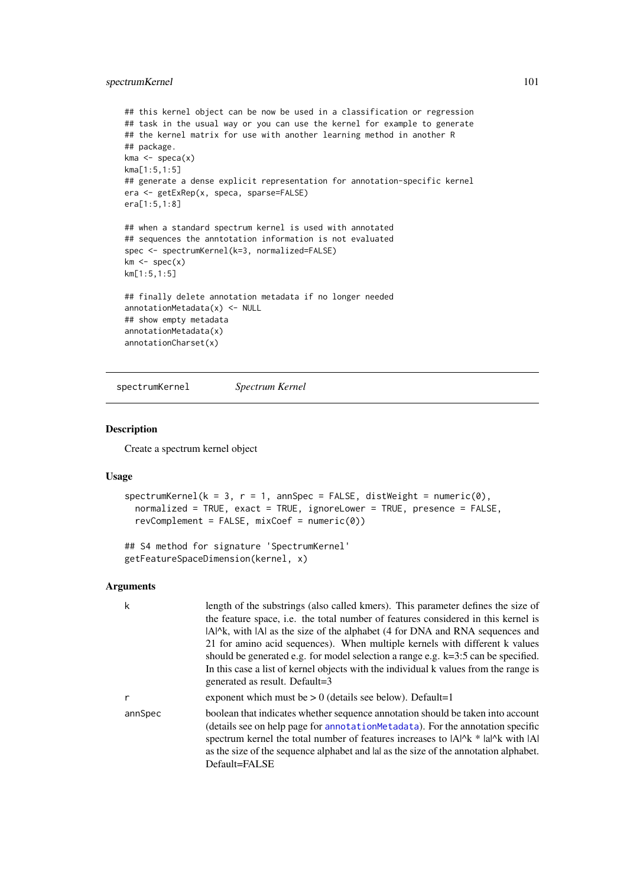#### spectrumKernel 101

```
## this kernel object can be now be used in a classification or regression
## task in the usual way or you can use the kernel for example to generate
## the kernel matrix for use with another learning method in another R
## package.
kma \leftarrow speca(x)kma[1:5,1:5]
## generate a dense explicit representation for annotation-specific kernel
era <- getExRep(x, speca, sparse=FALSE)
era[1:5,1:8]
## when a standard spectrum kernel is used with annotated
## sequences the anntotation information is not evaluated
spec <- spectrumKernel(k=3, normalized=FALSE)
km \leq -\text{spec}(x)km[1:5,1:5]
## finally delete annotation metadata if no longer needed
annotationMetadata(x) <- NULL
## show empty metadata
annotationMetadata(x)
annotationCharset(x)
```
<span id="page-100-0"></span>spectrumKernel *Spectrum Kernel*

#### Description

Create a spectrum kernel object

## Usage

```
spectrumKernel(k = 3, r = 1, annSpec = FALSE, distWeight = numeric(0),normalized = TRUE, exact = TRUE, ignoreLower = TRUE, presence = FALSE,
 revComplement = FALSE, mixCoef = numeric(0))
```

```
## S4 method for signature 'SpectrumKernel'
getFeatureSpaceDimension(kernel, x)
```
### Arguments

| k       | length of the substrings (also called kmers). This parameter defines the size of<br>the feature space, i.e. the total number of features considered in this kernel is<br>IAI^k, with IAI as the size of the alphabet (4 for DNA and RNA sequences and<br>21 for amino acid sequences). When multiple kernels with different k values<br>should be generated e.g. for model selection a range e.g. $k=3:5$ can be specified.<br>In this case a list of kernel objects with the individual k values from the range is<br>generated as result. Default=3 |
|---------|-------------------------------------------------------------------------------------------------------------------------------------------------------------------------------------------------------------------------------------------------------------------------------------------------------------------------------------------------------------------------------------------------------------------------------------------------------------------------------------------------------------------------------------------------------|
| r       | exponent which must be $> 0$ (details see below). Default=1                                                                                                                                                                                                                                                                                                                                                                                                                                                                                           |
| annSpec | boolean that indicates whether sequence annotation should be taken into account<br>(details see on help page for annotationMetadata). For the annotation specific<br>spectrum kernel the total number of features increases to $ A \wedge k *  a \wedge k$ with $ A $<br>as the size of the sequence alphabet and lal as the size of the annotation alphabet.<br>Default=FALSE                                                                                                                                                                        |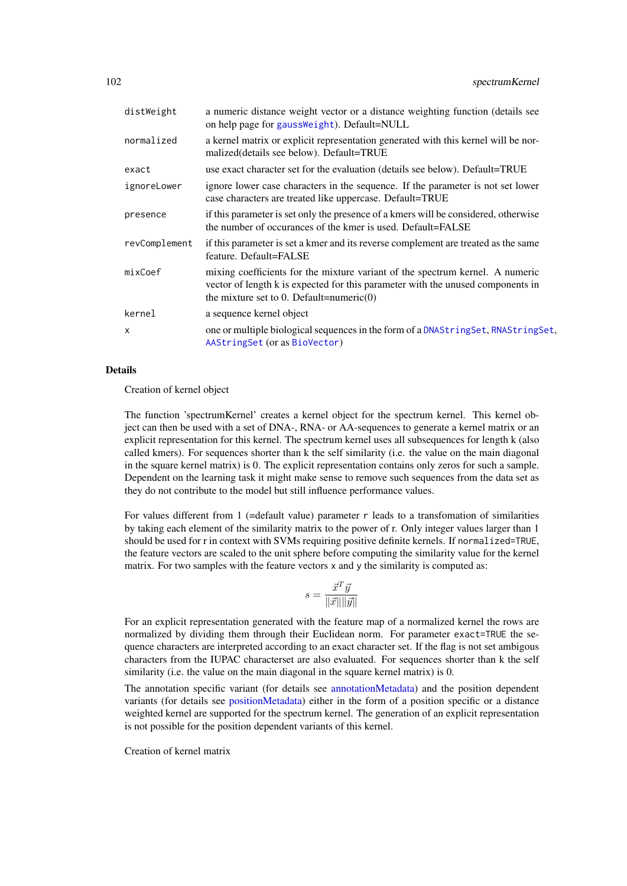| distWeight    | a numeric distance weight vector or a distance weighting function (details see<br>on help page for gaussWeight). Default=NULL                                                                                   |
|---------------|-----------------------------------------------------------------------------------------------------------------------------------------------------------------------------------------------------------------|
| normalized    | a kernel matrix or explicit representation generated with this kernel will be nor-<br>malized (details see below). Default=TRUE                                                                                 |
| exact         | use exact character set for the evaluation (details see below). Default=TRUE                                                                                                                                    |
| ignoreLower   | ignore lower case characters in the sequence. If the parameter is not set lower<br>case characters are treated like uppercase. Default=TRUE                                                                     |
| presence      | if this parameter is set only the presence of a kmers will be considered, otherwise<br>the number of occurances of the kmer is used. Default=FALSE                                                              |
| revComplement | if this parameter is set a kmer and its reverse complement are treated as the same<br>feature. Default=FALSE                                                                                                    |
| mixCoef       | mixing coefficients for the mixture variant of the spectrum kernel. A numeric<br>vector of length k is expected for this parameter with the unused components in<br>the mixture set to 0. Default=numeric $(0)$ |
| kernel        | a sequence kernel object                                                                                                                                                                                        |
| $\mathsf{x}$  | one or multiple biological sequences in the form of a DNAStringSet, RNAStringSet,<br>AAStringSet (or as BioVector)                                                                                              |

## Details

Creation of kernel object

The function 'spectrumKernel' creates a kernel object for the spectrum kernel. This kernel object can then be used with a set of DNA-, RNA- or AA-sequences to generate a kernel matrix or an explicit representation for this kernel. The spectrum kernel uses all subsequences for length k (also called kmers). For sequences shorter than k the self similarity (i.e. the value on the main diagonal in the square kernel matrix) is 0. The explicit representation contains only zeros for such a sample. Dependent on the learning task it might make sense to remove such sequences from the data set as they do not contribute to the model but still influence performance values.

For values different from 1 ( $=$ default value) parameter r leads to a transfomation of similarities by taking each element of the similarity matrix to the power of r. Only integer values larger than 1 should be used for r in context with SVMs requiring positive definite kernels. If normalized=TRUE, the feature vectors are scaled to the unit sphere before computing the similarity value for the kernel matrix. For two samples with the feature vectors x and y the similarity is computed as:

$$
s = \frac{\vec{x}^T \vec{y}}{\|\vec{x}\| \|\vec{y}\|}
$$

For an explicit representation generated with the feature map of a normalized kernel the rows are normalized by dividing them through their Euclidean norm. For parameter exact=TRUE the sequence characters are interpreted according to an exact character set. If the flag is not set ambigous characters from the IUPAC characterset are also evaluated. For sequences shorter than k the self similarity (i.e. the value on the main diagonal in the square kernel matrix) is 0.

The annotation specific variant (for details see [annotationMetadata\)](#page-96-0) and the position dependent variants (for details see [positionMetadata\)](#page-52-0) either in the form of a position specific or a distance weighted kernel are supported for the spectrum kernel. The generation of an explicit representation is not possible for the position dependent variants of this kernel.

Creation of kernel matrix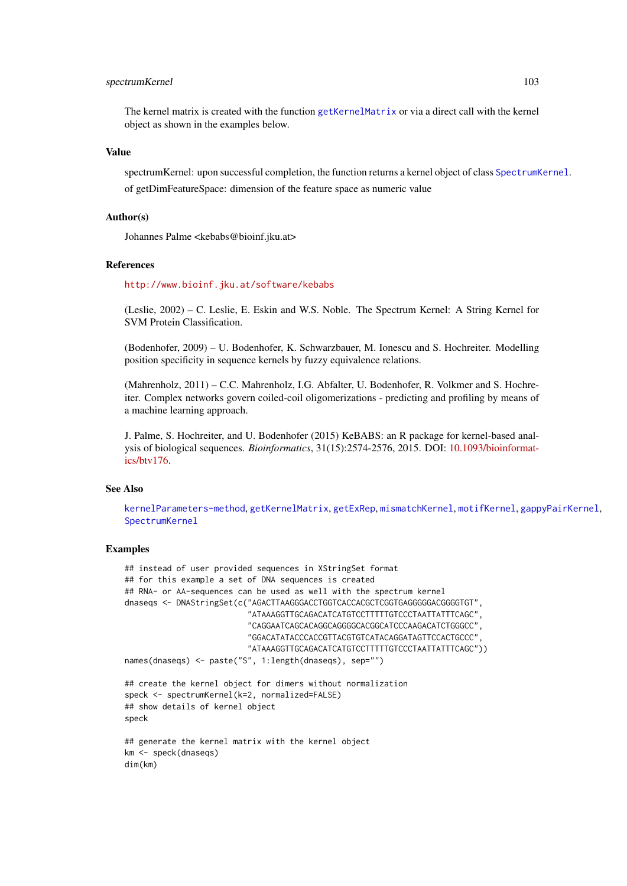### spectrumKernel 103

The kernel matrix is created with the function [getKernelMatrix](#page-90-0) or via a direct call with the kernel object as shown in the examples below.

## Value

spectrumKernel: upon successful completion, the function returns a kernel object of class [SpectrumKernel](#page-103-0).

of getDimFeatureSpace: dimension of the feature space as numeric value

### Author(s)

Johannes Palme <kebabs@bioinf.jku.at>

### References

## <http://www.bioinf.jku.at/software/kebabs>

(Leslie, 2002) – C. Leslie, E. Eskin and W.S. Noble. The Spectrum Kernel: A String Kernel for SVM Protein Classification.

(Bodenhofer, 2009) – U. Bodenhofer, K. Schwarzbauer, M. Ionescu and S. Hochreiter. Modelling position specificity in sequence kernels by fuzzy equivalence relations.

(Mahrenholz, 2011) – C.C. Mahrenholz, I.G. Abfalter, U. Bodenhofer, R. Volkmer and S. Hochreiter. Complex networks govern coiled-coil oligomerizations - predicting and profiling by means of a machine learning approach.

J. Palme, S. Hochreiter, and U. Bodenhofer (2015) KeBABS: an R package for kernel-based analysis of biological sequences. *Bioinformatics*, 31(15):2574-2576, 2015. DOI: [10.1093/bioinformat](http://dx.doi.org/10.1093/bioinformatics/btv176)[ics/btv176.](http://dx.doi.org/10.1093/bioinformatics/btv176)

## See Also

[kernelParameters-method](#page-90-0), [getKernelMatrix](#page-90-0), [getExRep](#page-20-0), [mismatchKernel](#page-57-0), [motifKernel](#page-63-0), [gappyPairKernel](#page-14-0), [SpectrumKernel](#page-103-0)

```
## instead of user provided sequences in XStringSet format
## for this example a set of DNA sequences is created
## RNA- or AA-sequences can be used as well with the spectrum kernel
dnaseqs <- DNAStringSet(c("AGACTTAAGGGACCTGGTCACCACGCTCGGTGAGGGGGACGGGGTGT",
                           "ATAAAGGTTGCAGACATCATGTCCTTTTTGTCCCTAATTATTTCAGC",
                          "CAGGAATCAGCACAGGCAGGGGCACGGCATCCCAAGACATCTGGGCC",
                          "GGACATATACCCACCGTTACGTGTCATACAGGATAGTTCCACTGCCC",
                          "ATAAAGGTTGCAGACATCATGTCCTTTTTGTCCCTAATTATTTCAGC"))
names(dnaseqs) <- paste("S", 1:length(dnaseqs), sep="")
## create the kernel object for dimers without normalization
speck <- spectrumKernel(k=2, normalized=FALSE)
## show details of kernel object
speck
## generate the kernel matrix with the kernel object
km <- speck(dnaseqs)
dim(km)
```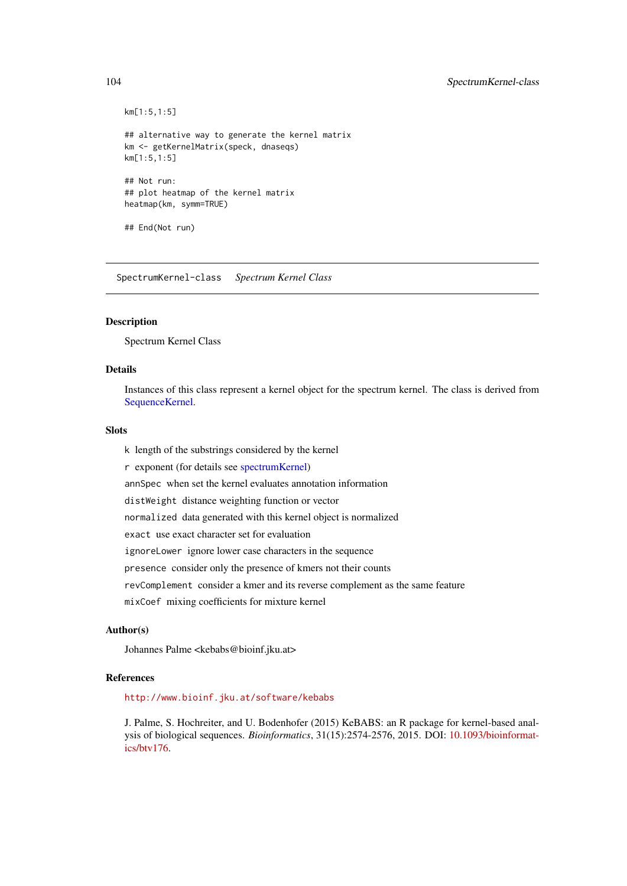```
km[1:5,1:5]
## alternative way to generate the kernel matrix
km <- getKernelMatrix(speck, dnaseqs)
km[1:5,1:5]
## Not run:
## plot heatmap of the kernel matrix
heatmap(km, symm=TRUE)
## End(Not run)
```
<span id="page-103-0"></span>SpectrumKernel-class *Spectrum Kernel Class*

### Description

Spectrum Kernel Class

## Details

Instances of this class represent a kernel object for the spectrum kernel. The class is derived from [SequenceKernel.](#page-93-1)

## **Slots**

k length of the substrings considered by the kernel

r exponent (for details see [spectrumKernel\)](#page-100-0)

annSpec when set the kernel evaluates annotation information

distWeight distance weighting function or vector

normalized data generated with this kernel object is normalized

exact use exact character set for evaluation

ignoreLower ignore lower case characters in the sequence

presence consider only the presence of kmers not their counts

revComplement consider a kmer and its reverse complement as the same feature

mixCoef mixing coefficients for mixture kernel

## Author(s)

Johannes Palme <kebabs@bioinf.jku.at>

#### References

<http://www.bioinf.jku.at/software/kebabs>

J. Palme, S. Hochreiter, and U. Bodenhofer (2015) KeBABS: an R package for kernel-based analysis of biological sequences. *Bioinformatics*, 31(15):2574-2576, 2015. DOI: [10.1093/bioinformat](http://dx.doi.org/10.1093/bioinformatics/btv176)[ics/btv176.](http://dx.doi.org/10.1093/bioinformatics/btv176)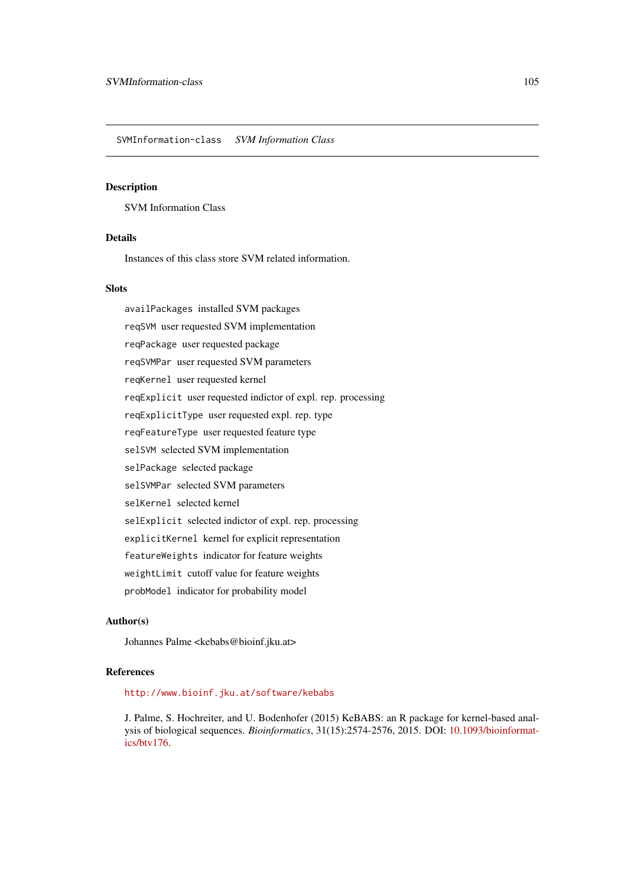SVMInformation-class *SVM Information Class*

### Description

SVM Information Class

# Details

Instances of this class store SVM related information.

## **Slots**

availPackages installed SVM packages reqSVM user requested SVM implementation reqPackage user requested package reqSVMPar user requested SVM parameters reqKernel user requested kernel reqExplicit user requested indictor of expl. rep. processing reqExplicitType user requested expl. rep. type reqFeatureType user requested feature type selSVM selected SVM implementation selPackage selected package selSVMPar selected SVM parameters selKernel selected kernel selExplicit selected indictor of expl. rep. processing explicitKernel kernel for explicit representation featureWeights indicator for feature weights weightLimit cutoff value for feature weights probModel indicator for probability model

### Author(s)

Johannes Palme <kebabs@bioinf.jku.at>

## References

<http://www.bioinf.jku.at/software/kebabs>

J. Palme, S. Hochreiter, and U. Bodenhofer (2015) KeBABS: an R package for kernel-based analysis of biological sequences. *Bioinformatics*, 31(15):2574-2576, 2015. DOI: [10.1093/bioinformat](http://dx.doi.org/10.1093/bioinformatics/btv176)[ics/btv176.](http://dx.doi.org/10.1093/bioinformatics/btv176)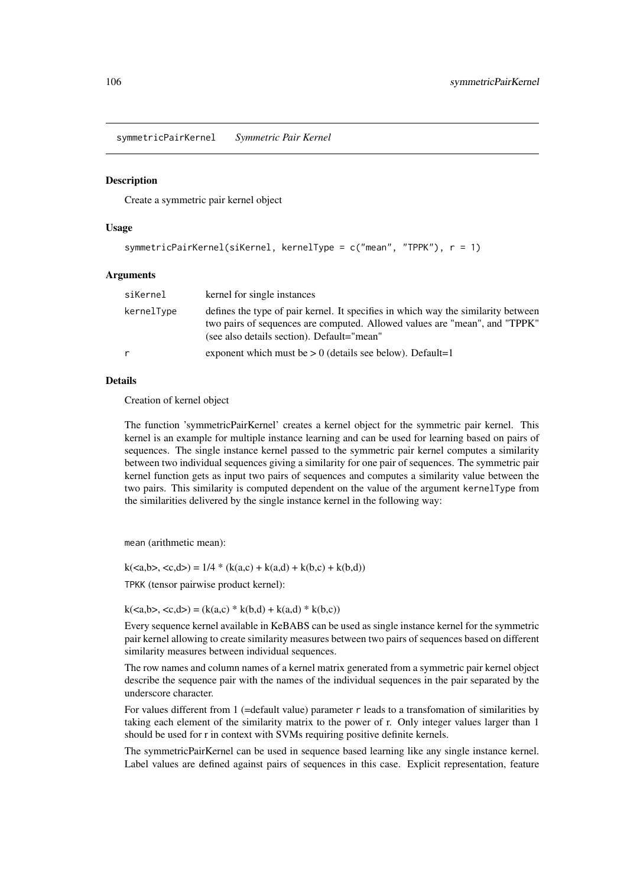symmetricPairKernel *Symmetric Pair Kernel*

## Description

Create a symmetric pair kernel object

## Usage

```
symmetricPairKernel(siKernel, kernelType = c("mean", "TPPK"), r = 1)
```
### Arguments

| siKernel   | kernel for single instances                                                                                                                                                                                   |
|------------|---------------------------------------------------------------------------------------------------------------------------------------------------------------------------------------------------------------|
| kernelType | defines the type of pair kernel. It specifies in which way the similarity between<br>two pairs of sequences are computed. Allowed values are "mean", and "TPPK"<br>(see also details section). Default="mean" |
| r          | exponent which must be $> 0$ (details see below). Default=1                                                                                                                                                   |

#### Details

Creation of kernel object

The function 'symmetricPairKernel' creates a kernel object for the symmetric pair kernel. This kernel is an example for multiple instance learning and can be used for learning based on pairs of sequences. The single instance kernel passed to the symmetric pair kernel computes a similarity between two individual sequences giving a similarity for one pair of sequences. The symmetric pair kernel function gets as input two pairs of sequences and computes a similarity value between the two pairs. This similarity is computed dependent on the value of the argument kernelType from the similarities delivered by the single instance kernel in the following way:

mean (arithmetic mean):

 $k(\langle a,b \rangle, \langle c,d \rangle) = 1/4 * (k(a,c) + k(a,d) + k(b,c) + k(b,d))$ 

TPKK (tensor pairwise product kernel):

 $k(\langle a,b \rangle, \langle c,d \rangle) = (k(a,c) * k(b,d) + k(a,d) * k(b,c))$ 

Every sequence kernel available in KeBABS can be used as single instance kernel for the symmetric pair kernel allowing to create similarity measures between two pairs of sequences based on different similarity measures between individual sequences.

The row names and column names of a kernel matrix generated from a symmetric pair kernel object describe the sequence pair with the names of the individual sequences in the pair separated by the underscore character.

For values different from 1 (=default value) parameter r leads to a transfomation of similarities by taking each element of the similarity matrix to the power of r. Only integer values larger than 1 should be used for r in context with SVMs requiring positive definite kernels.

The symmetricPairKernel can be used in sequence based learning like any single instance kernel. Label values are defined against pairs of sequences in this case. Explicit representation, feature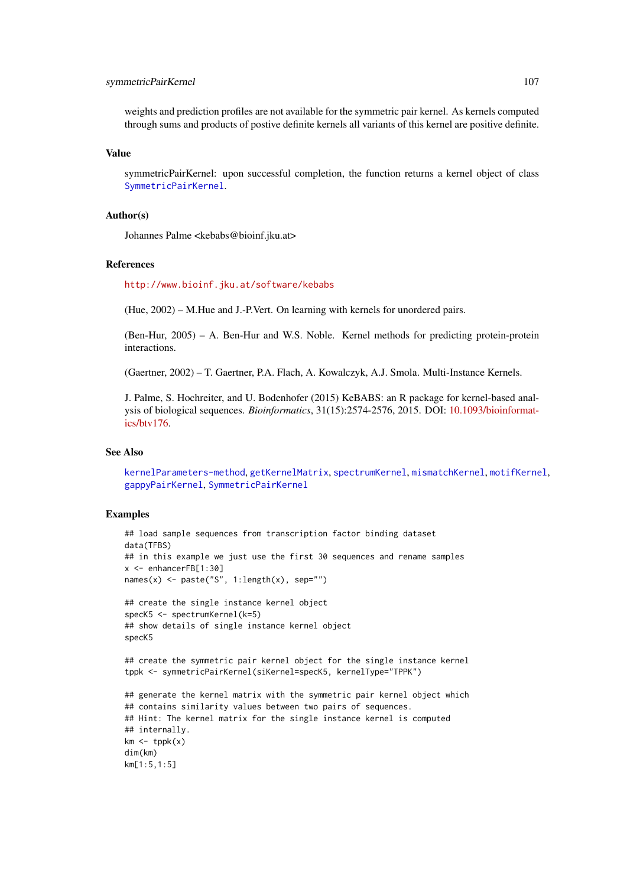#### symmetricPairKernel 107

weights and prediction profiles are not available for the symmetric pair kernel. As kernels computed through sums and products of postive definite kernels all variants of this kernel are positive definite.

#### Value

symmetricPairKernel: upon successful completion, the function returns a kernel object of class [SymmetricPairKernel](#page-107-0).

### Author(s)

Johannes Palme <kebabs@bioinf.jku.at>

#### References

# <http://www.bioinf.jku.at/software/kebabs>

(Hue, 2002) – M.Hue and J.-P.Vert. On learning with kernels for unordered pairs.

(Ben-Hur, 2005) – A. Ben-Hur and W.S. Noble. Kernel methods for predicting protein-protein interactions.

(Gaertner, 2002) – T. Gaertner, P.A. Flach, A. Kowalczyk, A.J. Smola. Multi-Instance Kernels.

J. Palme, S. Hochreiter, and U. Bodenhofer (2015) KeBABS: an R package for kernel-based analysis of biological sequences. *Bioinformatics*, 31(15):2574-2576, 2015. DOI: [10.1093/bioinformat](http://dx.doi.org/10.1093/bioinformatics/btv176)[ics/btv176.](http://dx.doi.org/10.1093/bioinformatics/btv176)

#### See Also

[kernelParameters-method](#page-90-0), [getKernelMatrix](#page-90-0), [spectrumKernel](#page-100-0), [mismatchKernel](#page-57-0), [motifKernel](#page-63-0), [gappyPairKernel](#page-14-0), [SymmetricPairKernel](#page-107-0)

```
## load sample sequences from transcription factor binding dataset
data(TFBS)
## in this example we just use the first 30 sequences and rename samples
x <- enhancerFB[1:30]
names(x) <- paste("S", 1:length(x), sep="")
## create the single instance kernel object
specK5 <- spectrumKernel(k=5)
## show details of single instance kernel object
specK5
## create the symmetric pair kernel object for the single instance kernel
tppk <- symmetricPairKernel(siKernel=specK5, kernelType="TPPK")
## generate the kernel matrix with the symmetric pair kernel object which
## contains similarity values between two pairs of sequences.
## Hint: The kernel matrix for the single instance kernel is computed
## internally.
km \leftarrow \text{tppk}(x)dim(km)
km[1:5,1:5]
```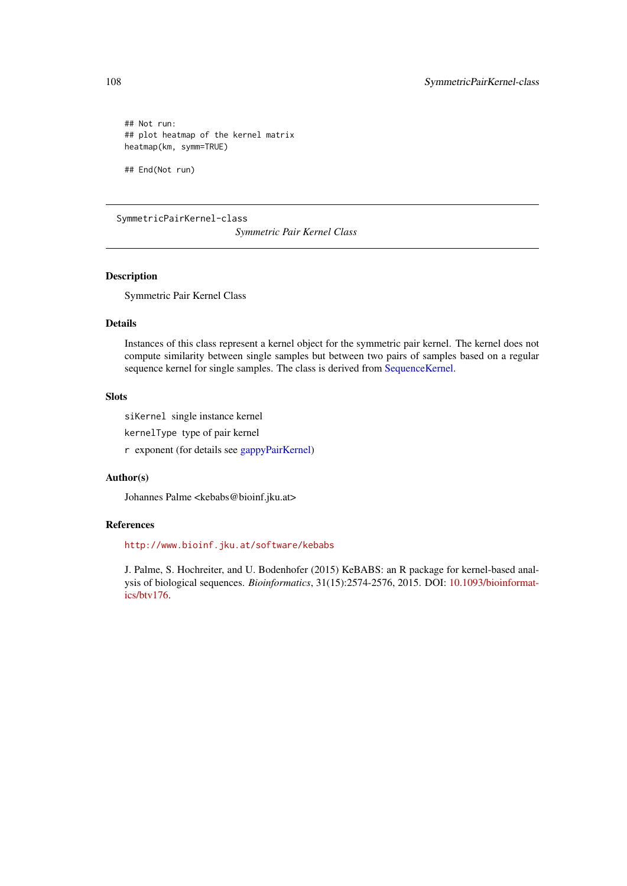```
## Not run:
## plot heatmap of the kernel matrix
heatmap(km, symm=TRUE)
```
## End(Not run)

<span id="page-107-0"></span>SymmetricPairKernel-class

*Symmetric Pair Kernel Class*

## Description

Symmetric Pair Kernel Class

### Details

Instances of this class represent a kernel object for the symmetric pair kernel. The kernel does not compute similarity between single samples but between two pairs of samples based on a regular sequence kernel for single samples. The class is derived from [SequenceKernel.](#page-93-1)

# Slots

siKernel single instance kernel

kernelType type of pair kernel

r exponent (for details see [gappyPairKernel\)](#page-14-0)

#### Author(s)

Johannes Palme <kebabs@bioinf.jku.at>

## References

<http://www.bioinf.jku.at/software/kebabs>

J. Palme, S. Hochreiter, and U. Bodenhofer (2015) KeBABS: an R package for kernel-based analysis of biological sequences. *Bioinformatics*, 31(15):2574-2576, 2015. DOI: [10.1093/bioinformat](http://dx.doi.org/10.1093/bioinformatics/btv176)[ics/btv176.](http://dx.doi.org/10.1093/bioinformatics/btv176)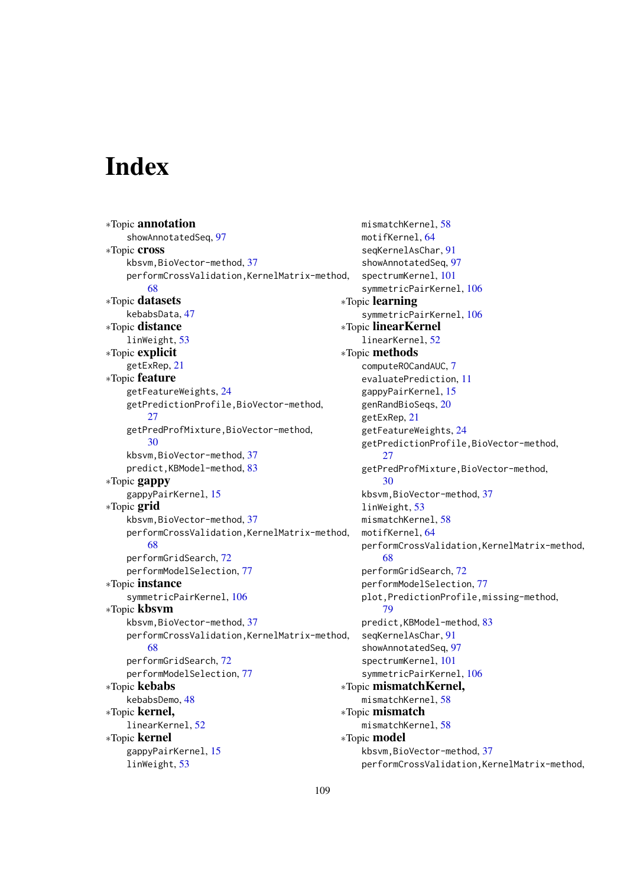# Index

∗Topic annotation showAnnotatedSeq, [97](#page-96-0) ∗Topic cross kbsvm,BioVector-method, [37](#page-36-0) performCrossValidation,KernelMatrix-method, [68](#page-67-0) ∗Topic datasets kebabsData, [47](#page-46-0) ∗Topic distance linWeight, [53](#page-52-0) ∗Topic explicit getExRep, [21](#page-20-0) ∗Topic feature getFeatureWeights, [24](#page-23-0) getPredictionProfile,BioVector-method, [27](#page-26-0) getPredProfMixture,BioVector-method, [30](#page-29-0) kbsvm,BioVector-method, [37](#page-36-0) predict,KBModel-method, [83](#page-82-0) ∗Topic gappy gappyPairKernel, [15](#page-14-0) ∗Topic grid kbsvm,BioVector-method, [37](#page-36-0) performCrossValidation,KernelMatrix-method, [68](#page-67-0) performGridSearch, [72](#page-71-0) performModelSelection, [77](#page-76-0) ∗Topic instance symmetricPairKernel, [106](#page-105-0) ∗Topic kbsvm kbsvm,BioVector-method, [37](#page-36-0) performCrossValidation,KernelMatrix-method, [68](#page-67-0) performGridSearch, [72](#page-71-0) performModelSelection, [77](#page-76-0) ∗Topic kebabs kebabsDemo, [48](#page-47-0) ∗Topic kernel, linearKernel, [52](#page-51-0) ∗Topic kernel gappyPairKernel, [15](#page-14-0) linWeight, [53](#page-52-0)

mismatchKernel, [58](#page-57-0) motifKernel, [64](#page-63-0) seqKernelAsChar, [91](#page-90-0) showAnnotatedSeq, [97](#page-96-0) spectrumKernel, [101](#page-100-0) symmetricPairKernel, [106](#page-105-0) ∗Topic learning symmetricPairKernel, [106](#page-105-0) ∗Topic linearKernel linearKernel, [52](#page-51-0) ∗Topic methods computeROCandAUC, [7](#page-6-0) evaluatePrediction, [11](#page-10-0) gappyPairKernel, [15](#page-14-0) genRandBioSeqs, [20](#page-19-0) getExRep, [21](#page-20-0) getFeatureWeights, [24](#page-23-0) getPredictionProfile,BioVector-method, [27](#page-26-0) getPredProfMixture,BioVector-method, [30](#page-29-0) kbsvm,BioVector-method, [37](#page-36-0) linWeight, [53](#page-52-0) mismatchKernel, [58](#page-57-0) motifKernel, [64](#page-63-0) performCrossValidation,KernelMatrix-method, [68](#page-67-0) performGridSearch, [72](#page-71-0) performModelSelection, [77](#page-76-0) plot,PredictionProfile,missing-method, [79](#page-78-0) predict,KBModel-method, [83](#page-82-0) seqKernelAsChar, [91](#page-90-0) showAnnotatedSeq, [97](#page-96-0) spectrumKernel, [101](#page-100-0) symmetricPairKernel, [106](#page-105-0) ∗Topic mismatchKernel, mismatchKernel, [58](#page-57-0) ∗Topic mismatch mismatchKernel, [58](#page-57-0) ∗Topic model kbsvm,BioVector-method, [37](#page-36-0) performCrossValidation,KernelMatrix-method,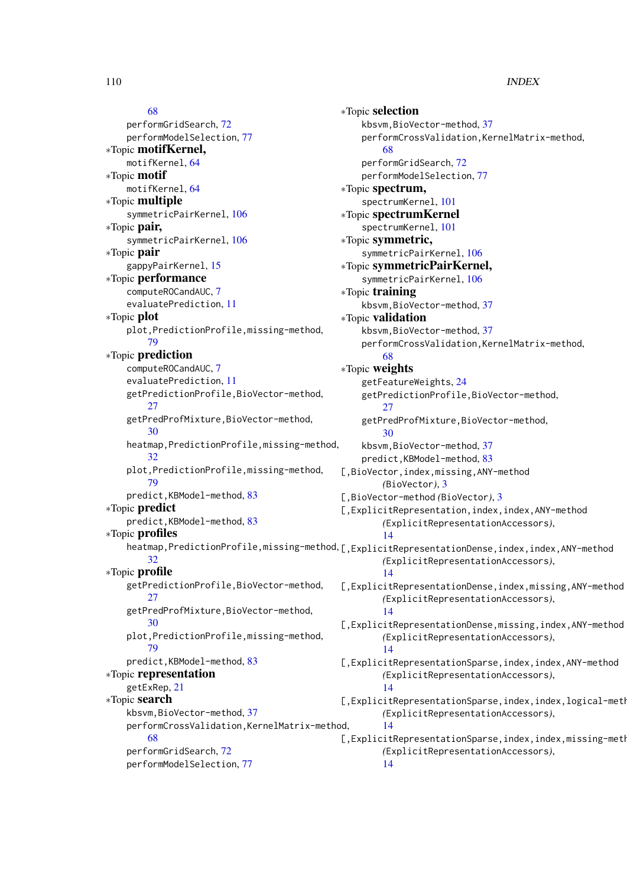## [68](#page-67-0) performGridSearch, [72](#page-71-0) performModelSelection, [77](#page-76-0) ∗Topic motifKernel, motifKernel, [64](#page-63-0) ∗Topic motif motifKernel, [64](#page-63-0) ∗Topic multiple symmetricPairKernel, [106](#page-105-0) ∗Topic pair, symmetricPairKernel, [106](#page-105-0) ∗Topic pair gappyPairKernel, [15](#page-14-0) ∗Topic performance computeROCandAUC, [7](#page-6-0) evaluatePrediction, [11](#page-10-0) ∗Topic plot plot,PredictionProfile,missing-method, [79](#page-78-0) ∗Topic prediction computeROCandAUC, [7](#page-6-0) evaluatePrediction, [11](#page-10-0) getPredictionProfile,BioVector-method, [27](#page-26-0) getPredProfMixture,BioVector-method, [30](#page-29-0) heatmap,PredictionProfile,missing-method, [32](#page-31-0) plot,PredictionProfile,missing-method, [79](#page-78-0) predict,KBModel-method, [83](#page-82-0) ∗Topic predict predict,KBModel-method, [83](#page-82-0) ∗Topic profiles [32](#page-31-0) ∗Topic profile getPredictionProfile,BioVector-method, [27](#page-26-0) getPredProfMixture,BioVector-method, [30](#page-29-0) plot,PredictionProfile,missing-method, [79](#page-78-0) predict,KBModel-method, [83](#page-82-0) ∗Topic representation getExRep, [21](#page-20-0) ∗Topic search kbsvm,BioVector-method, [37](#page-36-0) performCrossValidation,KernelMatrix-method,

[68](#page-67-0)

performGridSearch, [72](#page-71-0) performModelSelection, [77](#page-76-0)

heatmap,PredictionProfile,missing-method, [,ExplicitRepresentationDense,index,index,ANY-method ∗Topic selection kbsvm,BioVector-method, [37](#page-36-0) performCrossValidation,KernelMatrix-method, [68](#page-67-0) performGridSearch, [72](#page-71-0) performModelSelection, [77](#page-76-0) ∗Topic spectrum, spectrumKernel, [101](#page-100-0) ∗Topic spectrumKernel spectrumKernel, [101](#page-100-0) ∗Topic symmetric, symmetricPairKernel, [106](#page-105-0) ∗Topic symmetricPairKernel, symmetricPairKernel, [106](#page-105-0) ∗Topic training kbsvm,BioVector-method, [37](#page-36-0) ∗Topic validation kbsvm,BioVector-method, [37](#page-36-0) performCrossValidation,KernelMatrix-method, [68](#page-67-0) ∗Topic weights getFeatureWeights, [24](#page-23-0) getPredictionProfile,BioVector-method, [27](#page-26-0) getPredProfMixture,BioVector-method, [30](#page-29-0) kbsvm,BioVector-method, [37](#page-36-0) predict,KBModel-method, [83](#page-82-0) [,BioVector,index,missing,ANY-method *(*BioVector*)*, [3](#page-2-0) [,BioVector-method *(*BioVector*)*, [3](#page-2-0) [,ExplicitRepresentation,index,index,ANY-method *(*ExplicitRepresentationAccessors*)*, [14](#page-13-0) *(*ExplicitRepresentationAccessors*)*, [14](#page-13-0) [,ExplicitRepresentationDense,index,missing,ANY-method *(*ExplicitRepresentationAccessors*)*, [14](#page-13-0) [,ExplicitRepresentationDense,missing,index,ANY-method *(*ExplicitRepresentationAccessors*)*, [14](#page-13-0) [,ExplicitRepresentationSparse,index,index,ANY-method *(*ExplicitRepresentationAccessors*)*, [14](#page-13-0) [,ExplicitRepresentationSparse,index,index,logical-meth *(*ExplicitRepresentationAccessors*)*, [14](#page-13-0) [,ExplicitRepresentationSparse,index,index,missing-meth *(*ExplicitRepresentationAccessors*)*, [14](#page-13-0)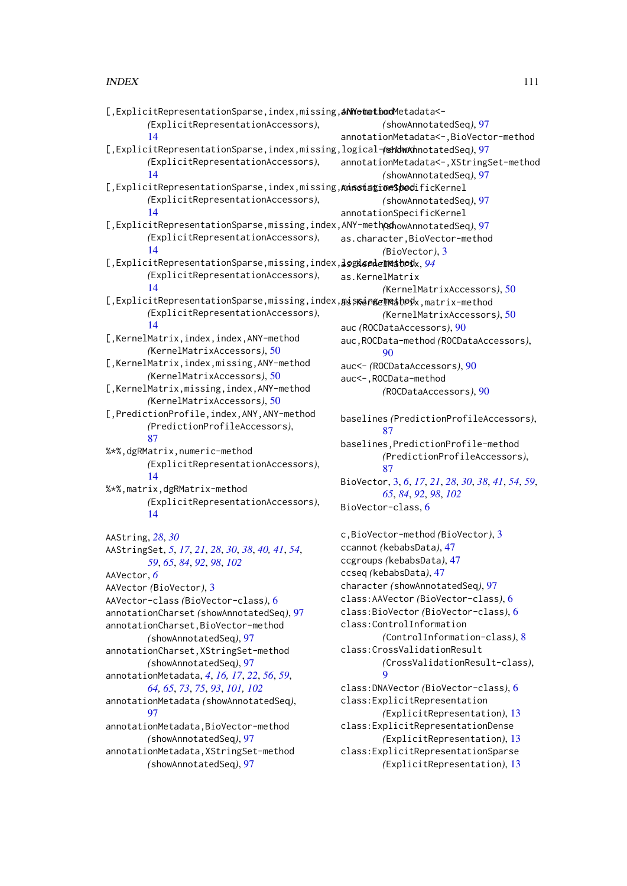[, ExplicitRepresentationSparse, index, missing, ANYotethodMetadata<-*(*ExplicitRepresentationAccessors*)*, [14](#page-13-0) [,ExplicitRepresentationSparse,index,missing,logical-method hnotated Seq), [97](#page-96-0) *(*ExplicitRepresentationAccessors*)*, [14](#page-13-0) [,ExplicitRepresentationSparse,index,missing,AnissiagionshedificKernel *(*ExplicitRepresentationAccessors*)*, [14](#page-13-0) [, ExplicitRepresentationSparse, missing, index, ANY-methoshowAnnotatedSeq), [97](#page-96-0) *(*ExplicitRepresentationAccessors*)*, [14](#page-13-0) [,ExplicitRepresentationSparse,missing,index, *logicale mathodx, [94](#page-93-0) (*ExplicitRepresentationAccessors*)*, [14](#page-13-0) [,ExplicitRepresentationSparse,missing,index,ញ<sub>i</sub>sis **seared mathed**x,matrix-method *(*ExplicitRepresentationAccessors*)*, [14](#page-13-0) [,KernelMatrix,index,index,ANY-method *(*KernelMatrixAccessors*)*, [50](#page-49-0) [,KernelMatrix,index,missing,ANY-method *(*KernelMatrixAccessors*)*, [50](#page-49-0) [,KernelMatrix,missing,index,ANY-method *(*KernelMatrixAccessors*)*, [50](#page-49-0) [,PredictionProfile,index,ANY,ANY-method *(*PredictionProfileAccessors*)*, [87](#page-86-0) %\*%,dgRMatrix,numeric-method *(*ExplicitRepresentationAccessors*)*, [14](#page-13-0) %\*%,matrix,dgRMatrix-method *(*ExplicitRepresentationAccessors*)*, [14](#page-13-0) AAString, *[28](#page-27-0)*, *[30](#page-29-0)* AAStringSet, *[5](#page-4-0)*, *[17](#page-16-0)*, *[21](#page-20-0)*, *[28](#page-27-0)*, *[30](#page-29-0)*, *[38](#page-37-0)*, *[40,](#page-39-0) [41](#page-40-0)*, *[54](#page-53-0)*, *[59](#page-58-0)*, *[65](#page-64-0)*, *[84](#page-83-0)*, *[92](#page-91-0)*, *[98](#page-97-0)*, *[102](#page-101-0)* AAVector, *[6](#page-5-0)* AAVector *(*BioVector*)*, [3](#page-2-0) AAVector-class *(*BioVector-class*)*, [6](#page-5-0) annotationCharset *(*showAnnotatedSeq*)*, [97](#page-96-0) annotationCharset,BioVector-method *(*showAnnotatedSeq*)*, [97](#page-96-0) annotationCharset,XStringSet-method *(*showAnnotatedSeq*)*, [97](#page-96-0) annotationMetadata, *[4](#page-3-0)*, *[16,](#page-15-0) [17](#page-16-0)*, *[22](#page-21-0)*, *[56](#page-55-0)*, *[59](#page-58-0)*, *[64,](#page-63-0) [65](#page-64-0)*, *[73](#page-72-0)*, *[75](#page-74-0)*, *[93](#page-92-0)*, *[101,](#page-100-0) [102](#page-101-0)* annotationMetadata *(*showAnnotatedSeq*)*, 07 annotationMetadata,BioVector-method *(*showAnnotatedSeq*)*, [97](#page-96-0) annotationMetadata,XStringSet-method *(*showAnnotatedSeq*)*, [97](#page-96-0) *(*showAnnotatedSeq*)*, [97](#page-96-0) annotationMetadata<-,BioVector-method annotationMetadata<-,XStringSet-method *(*showAnnotatedSeq*)*, [97](#page-96-0) *(*showAnnotatedSeq*)*, [97](#page-96-0) annotationSpecificKernel as.character,BioVector-method *(*BioVector*)*, [3](#page-2-0) as.KernelMatrix *(*KernelMatrixAccessors*)*, [50](#page-49-0) *(*KernelMatrixAccessors*)*, [50](#page-49-0) auc *(*ROCDataAccessors*)*, [90](#page-89-0) auc,ROCData-method *(*ROCDataAccessors*)*, [90](#page-89-0) auc<- *(*ROCDataAccessors*)*, [90](#page-89-0) auc<-,ROCData-method *(*ROCDataAccessors*)*, [90](#page-89-0) baselines *(*PredictionProfileAccessors*)*, [87](#page-86-0) baselines,PredictionProfile-method *(*PredictionProfileAccessors*)*, [87](#page-86-0) BioVector, [3,](#page-2-0) *[6](#page-5-0)*, *[17](#page-16-0)*, *[21](#page-20-0)*, *[28](#page-27-0)*, *[30](#page-29-0)*, *[38](#page-37-0)*, *[41](#page-40-0)*, *[54](#page-53-0)*, *[59](#page-58-0)*, *[65](#page-64-0)*, *[84](#page-83-0)*, *[92](#page-91-0)*, *[98](#page-97-0)*, *[102](#page-101-0)* BioVector-class, [6](#page-5-0) c,BioVector-method *(*BioVector*)*, [3](#page-2-0) ccannot *(*kebabsData*)*, [47](#page-46-0) ccgroups *(*kebabsData*)*, [47](#page-46-0) ccseq *(*kebabsData*)*, [47](#page-46-0) character *(*showAnnotatedSeq*)*, [97](#page-96-0) class:AAVector *(*BioVector-class*)*, [6](#page-5-0) class:BioVector *(*BioVector-class*)*, [6](#page-5-0) class:ControlInformation *(*ControlInformation-class*)*, [8](#page-7-0) class:CrossValidationResult *(*CrossValidationResult-class*)*,  $\Omega$ class:DNAVector *(*BioVector-class*)*, [6](#page-5-0) class:ExplicitRepresentation *(*ExplicitRepresentation*)*, [13](#page-12-0) class:ExplicitRepresentationDense *(*ExplicitRepresentation*)*, [13](#page-12-0) class:ExplicitRepresentationSparse *(*ExplicitRepresentation*)*, [13](#page-12-0)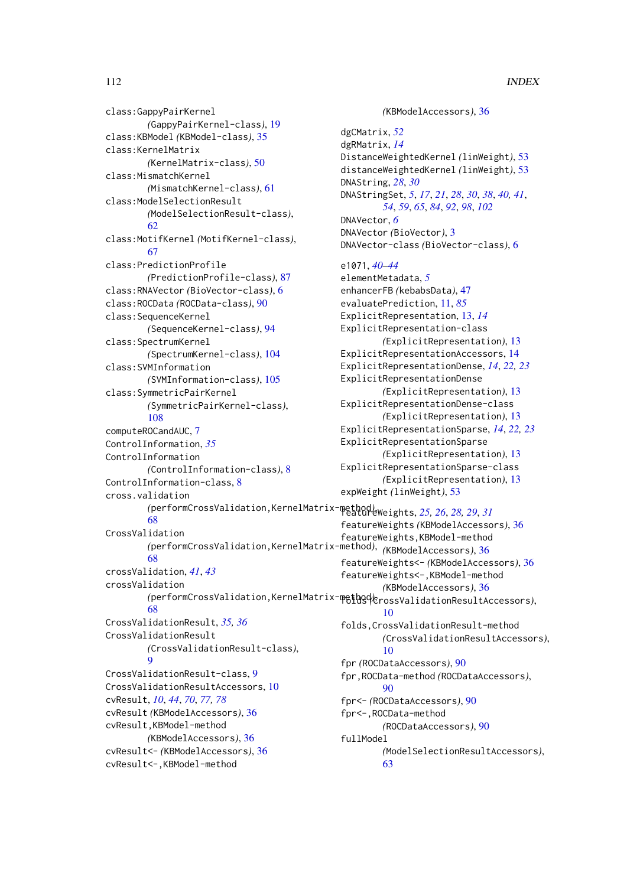```
class:GappyPairKernel
        (GappyPairKernel-class), 19
class:KBModel (KBModel-class), 35
class:KernelMatrix
        (KernelMatrix-class), 50
class:MismatchKernel
        (MismatchKernel-class), 61
class:ModelSelectionResult
        (ModelSelectionResult-class),
        62
class:MotifKernel (MotifKernel-class),
        67
class:PredictionProfile
        (PredictionProfile-class), 87
class:RNAVector (BioVector-class), 6
class:ROCData (ROCData-class), 90
class:SequenceKernel
        (SequenceKernel-class), 94
class:SpectrumKernel
        (SpectrumKernel-class), 104
class:SVMInformation
        (SVMInformation-class), 105
class:SymmetricPairKernel
        (SymmetricPairKernel-class),
        108
computeROCandAUC, 7
ControlInformation, 35
ControlInformation
        (ControlInformation-class), 8
ControlInformation-class, 8
cross.validation
        (performCrossValidation,KernelMatrix-method),
featureWeights, 25, 26, 28, 29, 31
        68
CrossValidation
        (performCrossValidation,KernelMatrix-method),
(KBModelAccessors), 36
        68
crossValidation, 41, 43
crossValidation
        68
CrossValidationResult, 35, 36
CrossValidationResult
        (CrossValidationResult-class),
        9
CrossValidationResult-class, 9
CrossValidationResultAccessors, 10
cvResult, 10, 44, 70, 77, 78
cvResult (KBModelAccessors), 36
cvResult,KBModel-method
        (KBModelAccessors), 36
cvResult<- (KBModelAccessors), 36
cvResult<-,KBModel-method
```

```
(performCrossValidation,KernelMatrix-method),
folds (CrossValidationResultAccessors),
                                                (KBModelAccessors), 36
                                       dgCMatrix, 52
                                       dgRMatrix, 14
                                       DistanceWeightedKernel (linWeight), 53
                                       distanceWeightedKernel (linWeight), 53
                                       DNAString, 28, 30
                                       DNAStringSet, 5, 17, 21, 28, 30, 38, 40, 41,
                                                54, 59, 65, 84, 92, 98, 102
                                       DNAVector, 6
                                       DNAVector (BioVector), 3
                                       DNAVector-class (BioVector-class), 6
                                       e1071, 40–44
                                       elementMetadata, 5
                                       enhancerFB (kebabsData), 47
                                       evaluatePrediction, 11, 85
                                       ExplicitRepresentation, 13, 14
                                       ExplicitRepresentation-class
                                                (ExplicitRepresentation), 13
                                       ExplicitRepresentationAccessors, 14
                                       ExplicitRepresentationDense, 14, 22, 23
                                       ExplicitRepresentationDense
                                                (ExplicitRepresentation), 13
                                       ExplicitRepresentationDense-class
                                                (ExplicitRepresentation), 13
                                       ExplicitRepresentationSparse, 14, 22, 23
                                       ExplicitRepresentationSparse
                                                (ExplicitRepresentation), 13
                                       ExplicitRepresentationSparse-class
                                                (ExplicitRepresentation), 13
                                       expWeight (linWeight), 53
                                       featureWeights (KBModelAccessors), 36
                                       featureWeights,KBModel-method
                                       featureWeights<- (KBModelAccessors), 36
                                       featureWeights<-,KBModel-method
                                                (KBModelAccessors), 36
                                                10
                                       folds,CrossValidationResult-method
                                                (CrossValidationResultAccessors),
                                                10
                                       fpr (ROCDataAccessors), 90
                                       fpr,ROCData-method (ROCDataAccessors),
                                                90
                                       fpr<- (ROCDataAccessors), 90
```
*(*ROCDataAccessors*)*, [90](#page-89-0) fullModel *(*ModelSelectionResultAccessors*)*,

fpr<-,ROCData-method

[63](#page-62-0)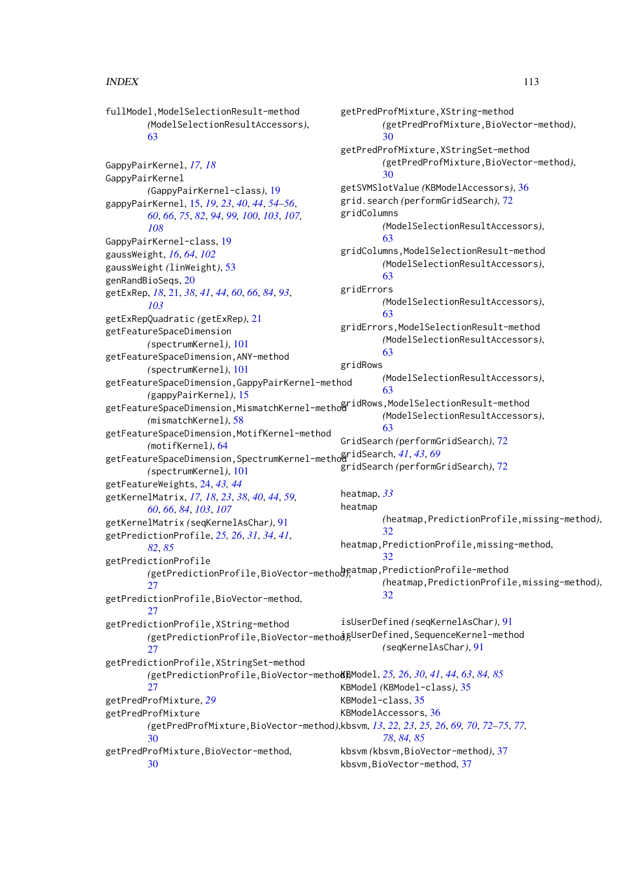fullModel,ModelSelectionResult-method *(*ModelSelectionResultAccessors*)*, [63](#page-62-0) GappyPairKernel, *[17,](#page-16-0) [18](#page-17-0)* GappyPairKernel *(*GappyPairKernel-class*)*, [19](#page-18-0) gappyPairKernel, [15,](#page-14-0) *[19](#page-18-0)*, *[23](#page-22-0)*, *[40](#page-39-0)*, *[44](#page-43-0)*, *[54–](#page-53-0)[56](#page-55-0)*, *[60](#page-59-0)*, *[66](#page-65-0)*, *[75](#page-74-0)*, *[82](#page-81-0)*, *[94](#page-93-0)*, *[99,](#page-98-0) [100](#page-99-0)*, *[103](#page-102-0)*, *[107,](#page-106-0) [108](#page-107-0)* GappyPairKernel-class, [19](#page-18-0) gaussWeight, *[16](#page-15-0)*, *[64](#page-63-0)*, *[102](#page-101-0)* gaussWeight *(*linWeight*)*, [53](#page-52-0) genRandBioSeqs, [20](#page-19-0) getExRep, *[18](#page-17-0)*, [21,](#page-20-0) *[38](#page-37-0)*, *[41](#page-40-0)*, *[44](#page-43-0)*, *[60](#page-59-0)*, *[66](#page-65-0)*, *[84](#page-83-0)*, *[93](#page-92-0)*, *[103](#page-102-0)* getExRepQuadratic *(*getExRep*)*, [21](#page-20-0) getFeatureSpaceDimension *(*spectrumKernel*)*, [101](#page-100-0) getFeatureSpaceDimension,ANY-method *(*spectrumKernel*)*, [101](#page-100-0) getFeatureSpaceDimension,GappyPairKernel-method *(*gappyPairKernel*)*, [15](#page-14-0) getFeatureSpaceDimension,MismatchKernel-method<br>gridRows,ModelSelectionResult-method *(*mismatchKernel*)*, [58](#page-57-0) getFeatureSpaceDimension,MotifKernel-method *(*motifKernel*)*, [64](#page-63-0) getFeatureSpaceDimension,SpectrumKernel-method gridSearch, *[41](#page-40-0)*, *[43](#page-42-0)*, *[69](#page-68-0) (*spectrumKernel*)*, [101](#page-100-0) getFeatureWeights, [24,](#page-23-0) *[43,](#page-42-0) [44](#page-43-0)* getKernelMatrix, *[17,](#page-16-0) [18](#page-17-0)*, *[23](#page-22-0)*, *[38](#page-37-0)*, *[40](#page-39-0)*, *[44](#page-43-0)*, *[59,](#page-58-0) [60](#page-59-0)*, *[66](#page-65-0)*, *[84](#page-83-0)*, *[103](#page-102-0)*, *[107](#page-106-0)* getKernelMatrix *(*seqKernelAsChar*)*, [91](#page-90-0) getPredictionProfile, *[25,](#page-24-0) [26](#page-25-0)*, *[31](#page-30-0)*, *[34](#page-33-0)*, *[41](#page-40-0)*, *[82](#page-81-0)*, *[85](#page-84-0)* getPredictionProfile *(*getPredictionProfile,BioVector-method*)*, heatmap,PredictionProfile-method [27](#page-26-0) getPredictionProfile,BioVector-method,  $27$ getPredictionProfile,XString-method *(*getPredictionProfile,BioVector-method*)*, isUserDefined,SequenceKernel-method [27](#page-26-0) getPredictionProfile,XStringSet-method *(*getPredictionProfile,BioVector-method*)*, KBModel, *[25,](#page-24-0) [26](#page-25-0)*, *[30](#page-29-0)*, *[41](#page-40-0)*, *[44](#page-43-0)*, *[63](#page-62-0)*, *[84,](#page-83-0) [85](#page-84-0)* [27](#page-26-0) getPredProfMixture, *[29](#page-28-0)* getPredProfMixture *(*getPredProfMixture,BioVector-method*)*, kbsvm, *[13](#page-12-0)*, *[22,](#page-21-0) [23](#page-22-0)*, *[25,](#page-24-0) [26](#page-25-0)*, *[69,](#page-68-0) [70](#page-69-0)*, *[72](#page-71-0)[–75](#page-74-0)*, *[77,](#page-76-0)* [30](#page-29-0) getPredProfMixture,BioVector-method, [30](#page-29-0) getPredProfMixture,XString-method *(*getPredProfMixture,BioVector-method*)*, [30](#page-29-0) getPredProfMixture,XStringSet-method *(*getPredProfMixture,BioVector-method*)*, [30](#page-29-0) getSVMSlotValue *(*KBModelAccessors*)*, [36](#page-35-0) grid.search *(*performGridSearch*)*, [72](#page-71-0) gridColumns *(*ModelSelectionResultAccessors*)*, [63](#page-62-0) gridColumns,ModelSelectionResult-method *(*ModelSelectionResultAccessors*)*, [63](#page-62-0) gridErrors *(*ModelSelectionResultAccessors*)*, [63](#page-62-0) gridErrors,ModelSelectionResult-method *(*ModelSelectionResultAccessors*)*, [63](#page-62-0) gridRows *(*ModelSelectionResultAccessors*)*, [63](#page-62-0) *(*ModelSelectionResultAccessors*)*, [63](#page-62-0) GridSearch *(*performGridSearch*)*, [72](#page-71-0) gridSearch *(*performGridSearch*)*, [72](#page-71-0) heatmap, *[33](#page-32-0)* heatmap *(*heatmap,PredictionProfile,missing-method*)*, [32](#page-31-0) heatmap,PredictionProfile,missing-method, [32](#page-31-0) *(*heatmap,PredictionProfile,missing-method*)*, [32](#page-31-0) isUserDefined *(*seqKernelAsChar*)*, [91](#page-90-0) *(*seqKernelAsChar*)*, [91](#page-90-0) KBModel *(*KBModel-class*)*, [35](#page-34-0) KBModel-class, [35](#page-34-0) KBModelAccessors, [36](#page-35-0) *[78](#page-77-0)*, *[84,](#page-83-0) [85](#page-84-0)* kbsvm *(*kbsvm,BioVector-method*)*, [37](#page-36-0) kbsvm,BioVector-method, [37](#page-36-0)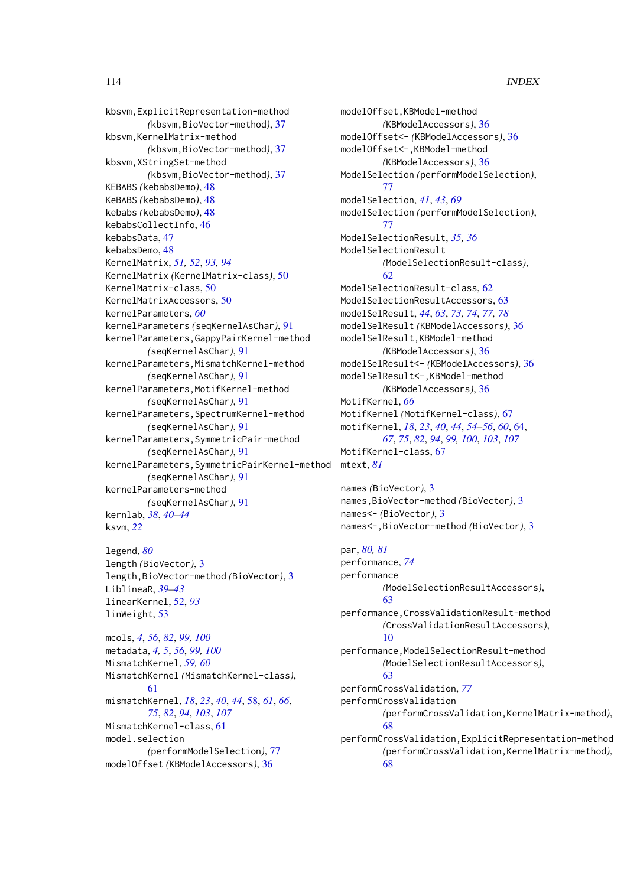kbsvm,ExplicitRepresentation-method *(*kbsvm,BioVector-method*)*, [37](#page-36-0) kbsvm,KernelMatrix-method *(*kbsvm,BioVector-method*)*, [37](#page-36-0) kbsvm,XStringSet-method *(*kbsvm,BioVector-method*)*, [37](#page-36-0) KEBABS *(*kebabsDemo*)*, [48](#page-47-0) KeBABS *(*kebabsDemo*)*, [48](#page-47-0) kebabs *(*kebabsDemo*)*, [48](#page-47-0) kebabsCollectInfo, [46](#page-45-0) kebabsData, [47](#page-46-0) kebabsDemo, [48](#page-47-0) KernelMatrix, *[51,](#page-50-0) [52](#page-51-0)*, *[93,](#page-92-0) [94](#page-93-0)* KernelMatrix *(*KernelMatrix-class*)*, [50](#page-49-0) KernelMatrix-class, [50](#page-49-0) KernelMatrixAccessors, [50](#page-49-0) kernelParameters, *[60](#page-59-0)* kernelParameters *(*seqKernelAsChar*)*, [91](#page-90-0) kernelParameters,GappyPairKernel-method *(*seqKernelAsChar*)*, [91](#page-90-0) kernelParameters,MismatchKernel-method *(*seqKernelAsChar*)*, [91](#page-90-0) kernelParameters,MotifKernel-method *(*seqKernelAsChar*)*, [91](#page-90-0) kernelParameters,SpectrumKernel-method *(*seqKernelAsChar*)*, [91](#page-90-0) kernelParameters,SymmetricPair-method *(*seqKernelAsChar*)*, [91](#page-90-0) kernelParameters,SymmetricPairKernel-method *(*seqKernelAsChar*)*, [91](#page-90-0) kernelParameters-method *(*seqKernelAsChar*)*, [91](#page-90-0) kernlab, *[38](#page-37-0)*, *[40](#page-39-0)[–44](#page-43-0)* ksvm, *[22](#page-21-0)*

legend, *[80](#page-79-0)* length *(*BioVector*)*, [3](#page-2-0) length,BioVector-method *(*BioVector*)*, [3](#page-2-0) LiblineaR, *[39](#page-38-0)[–43](#page-42-0)* linearKernel, [52,](#page-51-0) *[93](#page-92-0)* linWeight, [53](#page-52-0)

mcols, *[4](#page-3-0)*, *[56](#page-55-0)*, *[82](#page-81-0)*, *[99,](#page-98-0) [100](#page-99-0)* metadata, *[4,](#page-3-0) [5](#page-4-0)*, *[56](#page-55-0)*, *[99,](#page-98-0) [100](#page-99-0)* MismatchKernel, *[59,](#page-58-0) [60](#page-59-0)* MismatchKernel *(*MismatchKernel-class*)*, [61](#page-60-0) mismatchKernel, *[18](#page-17-0)*, *[23](#page-22-0)*, *[40](#page-39-0)*, *[44](#page-43-0)*, [58,](#page-57-0) *[61](#page-60-0)*, *[66](#page-65-0)*, *[75](#page-74-0)*, *[82](#page-81-0)*, *[94](#page-93-0)*, *[103](#page-102-0)*, *[107](#page-106-0)* MismatchKernel-class, [61](#page-60-0) model.selection *(*performModelSelection*)*, [77](#page-76-0) modelOffset *(*KBModelAccessors*)*, [36](#page-35-0)

modelOffset,KBModel-method *(*KBModelAccessors*)*, [36](#page-35-0) modelOffset<- *(*KBModelAccessors*)*, [36](#page-35-0) modelOffset<-,KBModel-method *(*KBModelAccessors*)*, [36](#page-35-0) ModelSelection *(*performModelSelection*)*, [77](#page-76-0) modelSelection, *[41](#page-40-0)*, *[43](#page-42-0)*, *[69](#page-68-0)* modelSelection *(*performModelSelection*)*, [77](#page-76-0) ModelSelectionResult, *[35,](#page-34-0) [36](#page-35-0)* ModelSelectionResult *(*ModelSelectionResult-class*)*, [62](#page-61-0) ModelSelectionResult-class, [62](#page-61-0) ModelSelectionResultAccessors, [63](#page-62-0) modelSelResult, *[44](#page-43-0)*, *[63](#page-62-0)*, *[73,](#page-72-0) [74](#page-73-0)*, *[77,](#page-76-0) [78](#page-77-0)* modelSelResult *(*KBModelAccessors*)*, [36](#page-35-0) modelSelResult,KBModel-method *(*KBModelAccessors*)*, [36](#page-35-0) modelSelResult<- *(*KBModelAccessors*)*, [36](#page-35-0) modelSelResult<-,KBModel-method *(*KBModelAccessors*)*, [36](#page-35-0) MotifKernel, *[66](#page-65-0)* MotifKernel *(*MotifKernel-class*)*, [67](#page-66-0) motifKernel, *[18](#page-17-0)*, *[23](#page-22-0)*, *[40](#page-39-0)*, *[44](#page-43-0)*, *[54](#page-53-0)[–56](#page-55-0)*, *[60](#page-59-0)*, [64,](#page-63-0) *[67](#page-66-0)*, *[75](#page-74-0)*, *[82](#page-81-0)*, *[94](#page-93-0)*, *[99,](#page-98-0) [100](#page-99-0)*, *[103](#page-102-0)*, *[107](#page-106-0)* MotifKernel-class, [67](#page-66-0) mtext, *[81](#page-80-0)*

```
names (BioVector), 3
names,BioVector-method (BioVector), 3
names<- (BioVector), 3
names<-,BioVector-method (BioVector), 3
```

```
par, 80, 81
performance, 74
performance
        (ModelSelectionResultAccessors),
        63
performance,CrossValidationResult-method
        (CrossValidationResultAccessors),
        10
performance, ModelSelectionResult-method
        (ModelSelectionResultAccessors),
        63
performCrossValidation, 77
performCrossValidation
        (performCrossValidation,KernelMatrix-method),
        68
performCrossValidation,ExplicitRepresentation-method
        (performCrossValidation,KernelMatrix-method),
        68
```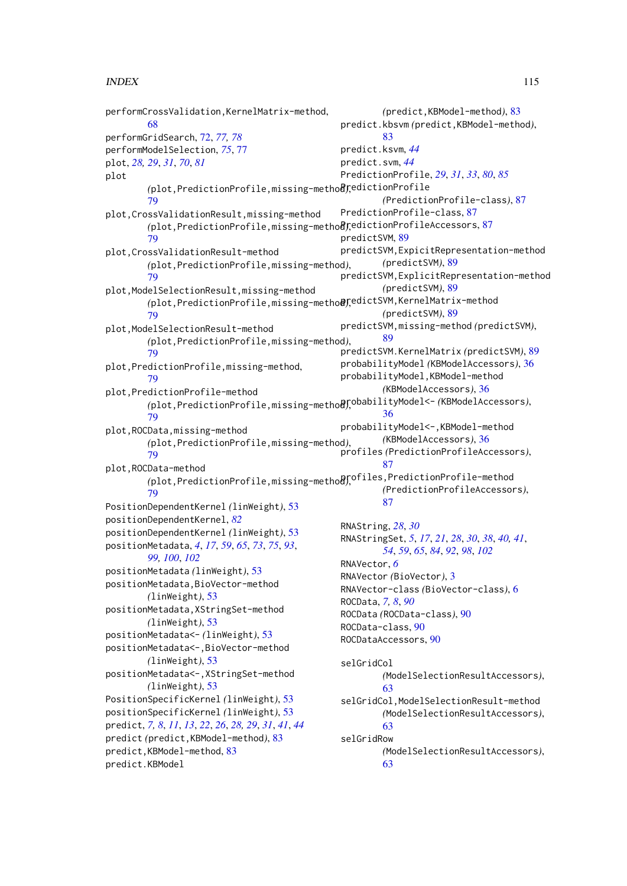performCrossValidation,KernelMatrix-method, [68](#page-67-0) performGridSearch, [72,](#page-71-0) *[77,](#page-76-0) [78](#page-77-0)* performModelSelection, *[75](#page-74-0)*, [77](#page-76-0) plot, *[28,](#page-27-0) [29](#page-28-0)*, *[31](#page-30-0)*, *[70](#page-69-0)*, *[81](#page-80-0)* plot *(*plot,PredictionProfile,missing-method*)*, PredictionProfile [79](#page-78-0) plot,CrossValidationResult,missing-method *(*plot,PredictionProfile,missing-method*)*, PredictionProfileAccessors, [87](#page-86-0) [79](#page-78-0) plot,CrossValidationResult-method *(*plot,PredictionProfile,missing-method*)*, [79](#page-78-0) plot,ModelSelectionResult,missing-method *(*plot,PredictionProfile,missing-method*)*, predictSVM,KernelMatrix-method [79](#page-78-0) plot,ModelSelectionResult-method *(*plot,PredictionProfile,missing-method*)*, [79](#page-78-0) plot,PredictionProfile,missing-method, [79](#page-78-0) plot,PredictionProfile-method *(*plot,PredictionProfile,missing-method*)*, probabilityModel<- *(*KBModelAccessors*)*, [79](#page-78-0) plot,ROCData,missing-method *(*plot,PredictionProfile,missing-method*)*, [79](#page-78-0) plot,ROCData-method *(*plot,PredictionProfile,missing-method*)*, profiles,PredictionProfile-method [79](#page-78-0) PositionDependentKernel *(*linWeight*)*, [53](#page-52-0) positionDependentKernel, *[82](#page-81-0)* positionDependentKernel *(*linWeight*)*, [53](#page-52-0) positionMetadata, *[4](#page-3-0)*, *[17](#page-16-0)*, *[59](#page-58-0)*, *[65](#page-64-0)*, *[73](#page-72-0)*, *[75](#page-74-0)*, *[93](#page-92-0)*, *[99,](#page-98-0) [100](#page-99-0)*, *[102](#page-101-0)* positionMetadata *(*linWeight*)*, [53](#page-52-0) positionMetadata,BioVector-method *(*linWeight*)*, [53](#page-52-0) positionMetadata,XStringSet-method *(*linWeight*)*, [53](#page-52-0) positionMetadata<- *(*linWeight*)*, [53](#page-52-0) positionMetadata<-,BioVector-method *(*linWeight*)*, [53](#page-52-0) positionMetadata<-,XStringSet-method *(*linWeight*)*, [53](#page-52-0) PositionSpecificKernel *(*linWeight*)*, [53](#page-52-0) positionSpecificKernel *(*linWeight*)*, [53](#page-52-0) predict, *[7,](#page-6-0) [8](#page-7-0)*, *[11](#page-10-0)*, *[13](#page-12-0)*, *[22](#page-21-0)*, *[26](#page-25-0)*, *[28,](#page-27-0) [29](#page-28-0)*, *[31](#page-30-0)*, *[41](#page-40-0)*, *[44](#page-43-0)* predict *(*predict,KBModel-method*)*, [83](#page-82-0) predict,KBModel-method, [83](#page-82-0) predict.KBModel *(*predict,KBModel-method*)*, [83](#page-82-0) predict.kbsvm *(*predict,KBModel-method*)*, [83](#page-82-0) predict.ksvm, *[44](#page-43-0)* predict.svm, *[44](#page-43-0)* PredictionProfile, *[29](#page-28-0)*, *[31](#page-30-0)*, *[33](#page-32-0)*, *[80](#page-79-0)*, *[85](#page-84-0) (*PredictionProfile-class*)*, [87](#page-86-0) PredictionProfile-class, [87](#page-86-0) predictSVM, [89](#page-88-0) predictSVM,ExpicitRepresentation-method *(*predictSVM*)*, [89](#page-88-0) predictSVM,ExplicitRepresentation-method *(*predictSVM*)*, [89](#page-88-0) *(*predictSVM*)*, [89](#page-88-0) predictSVM,missing-method *(*predictSVM*)*, [89](#page-88-0) predictSVM.KernelMatrix *(*predictSVM*)*, [89](#page-88-0) probabilityModel *(*KBModelAccessors*)*, [36](#page-35-0) probabilityModel,KBModel-method *(*KBModelAccessors*)*, [36](#page-35-0) [36](#page-35-0) probabilityModel<-,KBModel-method *(*KBModelAccessors*)*, [36](#page-35-0) profiles *(*PredictionProfileAccessors*)*, [87](#page-86-0) *(*PredictionProfileAccessors*)*, [87](#page-86-0) RNAString, *[28](#page-27-0)*, *[30](#page-29-0)* RNAStringSet, *[5](#page-4-0)*, *[17](#page-16-0)*, *[21](#page-20-0)*, *[28](#page-27-0)*, *[30](#page-29-0)*, *[38](#page-37-0)*, *[40,](#page-39-0) [41](#page-40-0)*, *[54](#page-53-0)*, *[59](#page-58-0)*, *[65](#page-64-0)*, *[84](#page-83-0)*, *[92](#page-91-0)*, *[98](#page-97-0)*, *[102](#page-101-0)* RNAVector, *[6](#page-5-0)* RNAVector *(*BioVector*)*, [3](#page-2-0) RNAVector-class *(*BioVector-class*)*, [6](#page-5-0) ROCData, *[7,](#page-6-0) [8](#page-7-0)*, *[90](#page-89-0)* ROCData *(*ROCData-class*)*, [90](#page-89-0) ROCData-class, [90](#page-89-0) ROCDataAccessors, [90](#page-89-0) selGridCol *(*ModelSelectionResultAccessors*)*, [63](#page-62-0) selGridCol,ModelSelectionResult-method *(*ModelSelectionResultAccessors*)*, [63](#page-62-0) selGridRow *(*ModelSelectionResultAccessors*)*, [63](#page-62-0)